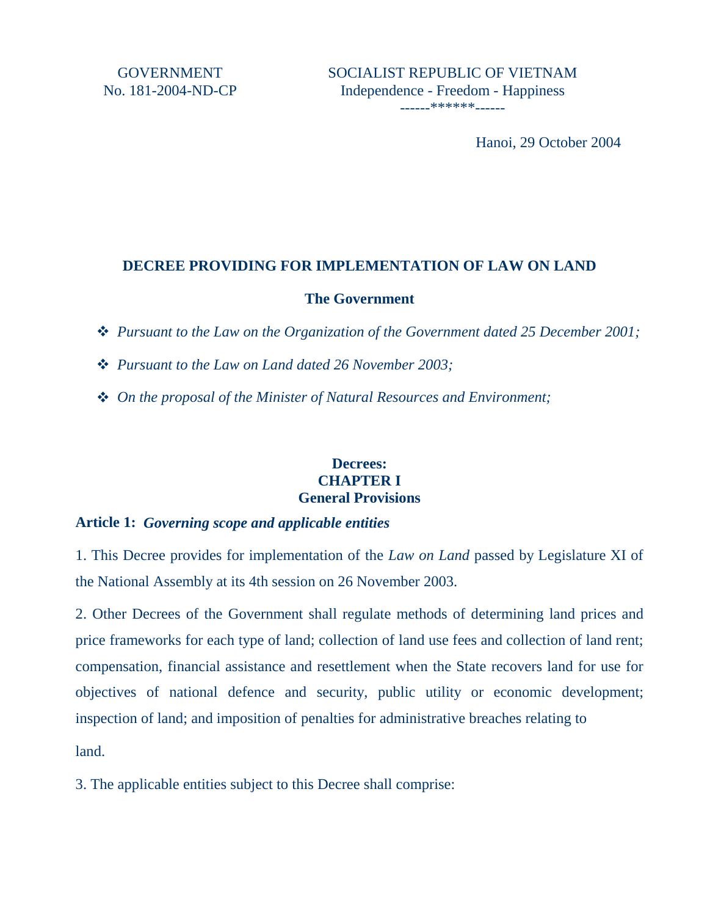Hanoi, 29 October 2004

## **DECREE PROVIDING FOR IMPLEMENTATION OF LAW ON LAND**

### **The Government**

- *Pursuant to the Law on the Organization of the Government dated 25 December 2001;*
- *Pursuant to the Law on Land dated 26 November 2003;*
- *On the proposal of the Minister of Natural Resources and Environment;*

### **Decrees: CHAPTER I General Provisions**

## **Article 1:** *Governing scope and applicable entities*

1. This Decree provides for implementation of the *Law on Land* passed by Legislature XI of the National Assembly at its 4th session on 26 November 2003.

2. Other Decrees of the Government shall regulate methods of determining land prices and price frameworks for each type of land; collection of land use fees and collection of land rent; compensation, financial assistance and resettlement when the State recovers land for use for objectives of national defence and security, public utility or economic development; inspection of land; and imposition of penalties for administrative breaches relating to

land.

3. The applicable entities subject to this Decree shall comprise: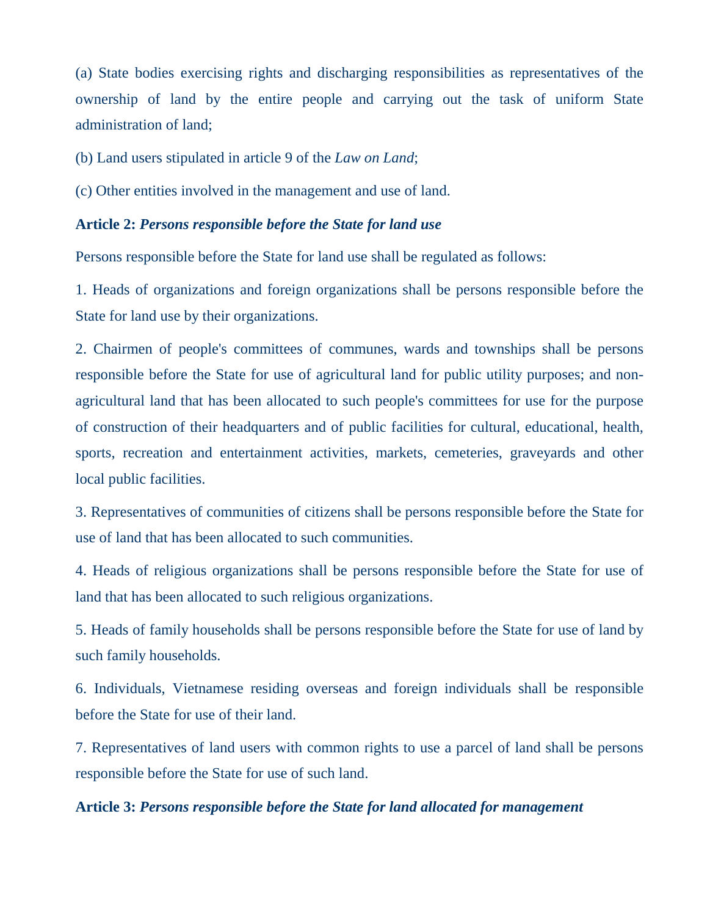(a) State bodies exercising rights and discharging responsibilities as representatives of the ownership of land by the entire people and carrying out the task of uniform State administration of land;

(b) Land users stipulated in article 9 of the *Law on Land*;

(c) Other entities involved in the management and use of land.

### **Article 2:** *Persons responsible before the State for land use*

Persons responsible before the State for land use shall be regulated as follows:

1. Heads of organizations and foreign organizations shall be persons responsible before the State for land use by their organizations.

2. Chairmen of people's committees of communes, wards and townships shall be persons responsible before the State for use of agricultural land for public utility purposes; and nonagricultural land that has been allocated to such people's committees for use for the purpose of construction of their headquarters and of public facilities for cultural, educational, health, sports, recreation and entertainment activities, markets, cemeteries, graveyards and other local public facilities.

3. Representatives of communities of citizens shall be persons responsible before the State for use of land that has been allocated to such communities.

4. Heads of religious organizations shall be persons responsible before the State for use of land that has been allocated to such religious organizations.

5. Heads of family households shall be persons responsible before the State for use of land by such family households.

6. Individuals, Vietnamese residing overseas and foreign individuals shall be responsible before the State for use of their land.

7. Representatives of land users with common rights to use a parcel of land shall be persons responsible before the State for use of such land.

#### **Article 3:** *Persons responsible before the State for land allocated for management*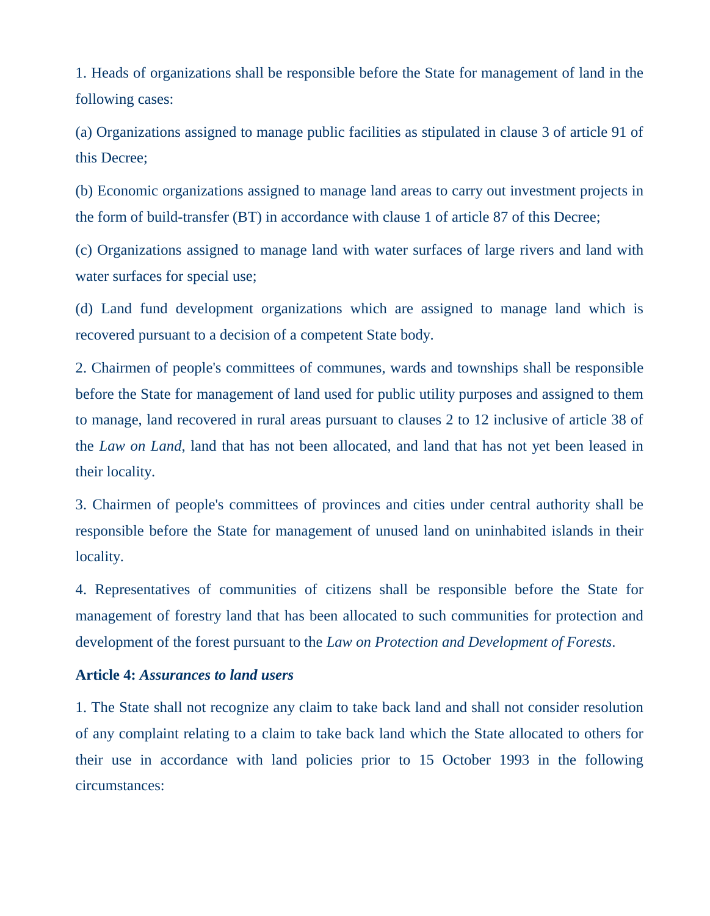1. Heads of organizations shall be responsible before the State for management of land in the following cases:

(a) Organizations assigned to manage public facilities as stipulated in clause 3 of article 91 of this Decree;

(b) Economic organizations assigned to manage land areas to carry out investment projects in the form of build-transfer (BT) in accordance with clause 1 of article 87 of this Decree;

(c) Organizations assigned to manage land with water surfaces of large rivers and land with water surfaces for special use;

(d) Land fund development organizations which are assigned to manage land which is recovered pursuant to a decision of a competent State body.

2. Chairmen of people's committees of communes, wards and townships shall be responsible before the State for management of land used for public utility purposes and assigned to them to manage, land recovered in rural areas pursuant to clauses 2 to 12 inclusive of article 38 of the *Law on Land*, land that has not been allocated, and land that has not yet been leased in their locality.

3. Chairmen of people's committees of provinces and cities under central authority shall be responsible before the State for management of unused land on uninhabited islands in their locality.

4. Representatives of communities of citizens shall be responsible before the State for management of forestry land that has been allocated to such communities for protection and development of the forest pursuant to the *Law on Protection and Development of Forests*.

#### **Article 4:** *Assurances to land users*

1. The State shall not recognize any claim to take back land and shall not consider resolution of any complaint relating to a claim to take back land which the State allocated to others for their use in accordance with land policies prior to 15 October 1993 in the following circumstances: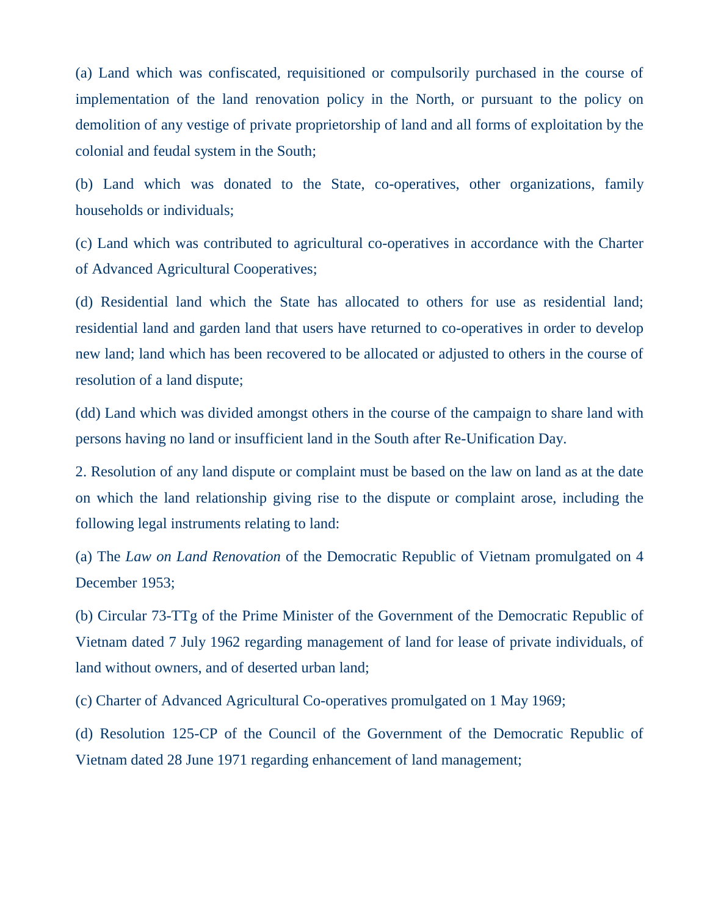(a) Land which was confiscated, requisitioned or compulsorily purchased in the course of implementation of the land renovation policy in the North, or pursuant to the policy on demolition of any vestige of private proprietorship of land and all forms of exploitation by the colonial and feudal system in the South;

(b) Land which was donated to the State, co-operatives, other organizations, family households or individuals;

(c) Land which was contributed to agricultural co-operatives in accordance with the Charter of Advanced Agricultural Cooperatives;

(d) Residential land which the State has allocated to others for use as residential land; residential land and garden land that users have returned to co-operatives in order to develop new land; land which has been recovered to be allocated or adjusted to others in the course of resolution of a land dispute;

(dd) Land which was divided amongst others in the course of the campaign to share land with persons having no land or insufficient land in the South after Re-Unification Day.

2. Resolution of any land dispute or complaint must be based on the law on land as at the date on which the land relationship giving rise to the dispute or complaint arose, including the following legal instruments relating to land:

(a) The *Law on Land Renovation* of the Democratic Republic of Vietnam promulgated on 4 December 1953;

(b) Circular 73-TTg of the Prime Minister of the Government of the Democratic Republic of Vietnam dated 7 July 1962 regarding management of land for lease of private individuals, of land without owners, and of deserted urban land;

(c) Charter of Advanced Agricultural Co-operatives promulgated on 1 May 1969;

(d) Resolution 125-CP of the Council of the Government of the Democratic Republic of Vietnam dated 28 June 1971 regarding enhancement of land management;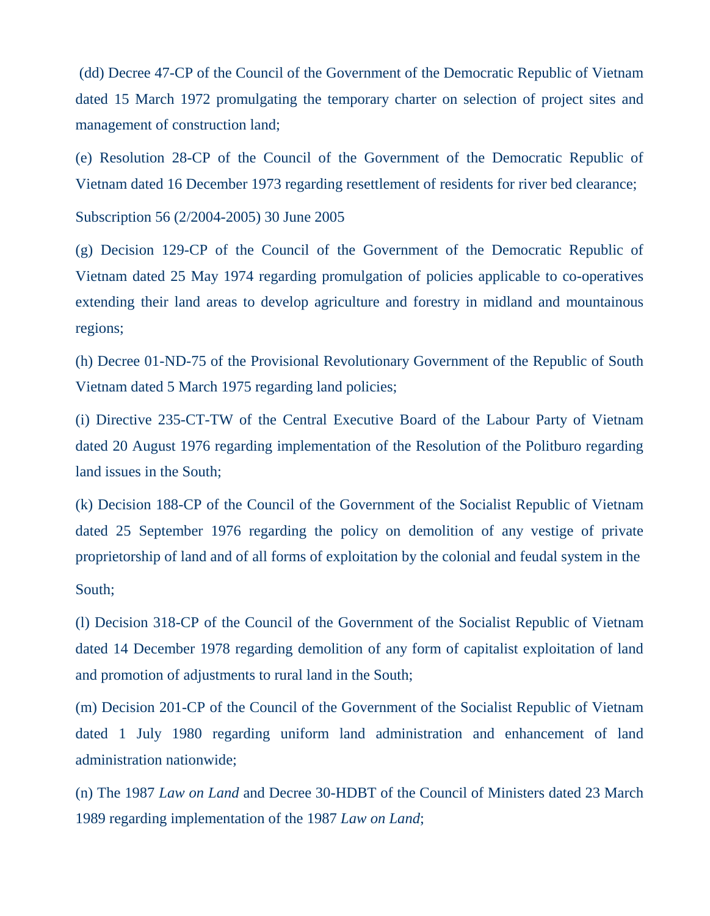(dd) Decree 47-CP of the Council of the Government of the Democratic Republic of Vietnam dated 15 March 1972 promulgating the temporary charter on selection of project sites and management of construction land;

(e) Resolution 28-CP of the Council of the Government of the Democratic Republic of Vietnam dated 16 December 1973 regarding resettlement of residents for river bed clearance;

Subscription 56 (2/2004-2005) 30 June 2005

(g) Decision 129-CP of the Council of the Government of the Democratic Republic of Vietnam dated 25 May 1974 regarding promulgation of policies applicable to co-operatives extending their land areas to develop agriculture and forestry in midland and mountainous regions;

(h) Decree 01-ND-75 of the Provisional Revolutionary Government of the Republic of South Vietnam dated 5 March 1975 regarding land policies;

(i) Directive 235-CT-TW of the Central Executive Board of the Labour Party of Vietnam dated 20 August 1976 regarding implementation of the Resolution of the Politburo regarding land issues in the South;

(k) Decision 188-CP of the Council of the Government of the Socialist Republic of Vietnam dated 25 September 1976 regarding the policy on demolition of any vestige of private proprietorship of land and of all forms of exploitation by the colonial and feudal system in the

South;

(l) Decision 318-CP of the Council of the Government of the Socialist Republic of Vietnam dated 14 December 1978 regarding demolition of any form of capitalist exploitation of land and promotion of adjustments to rural land in the South;

(m) Decision 201-CP of the Council of the Government of the Socialist Republic of Vietnam dated 1 July 1980 regarding uniform land administration and enhancement of land administration nationwide;

(n) The 1987 *Law on Land* and Decree 30-HDBT of the Council of Ministers dated 23 March 1989 regarding implementation of the 1987 *Law on Land*;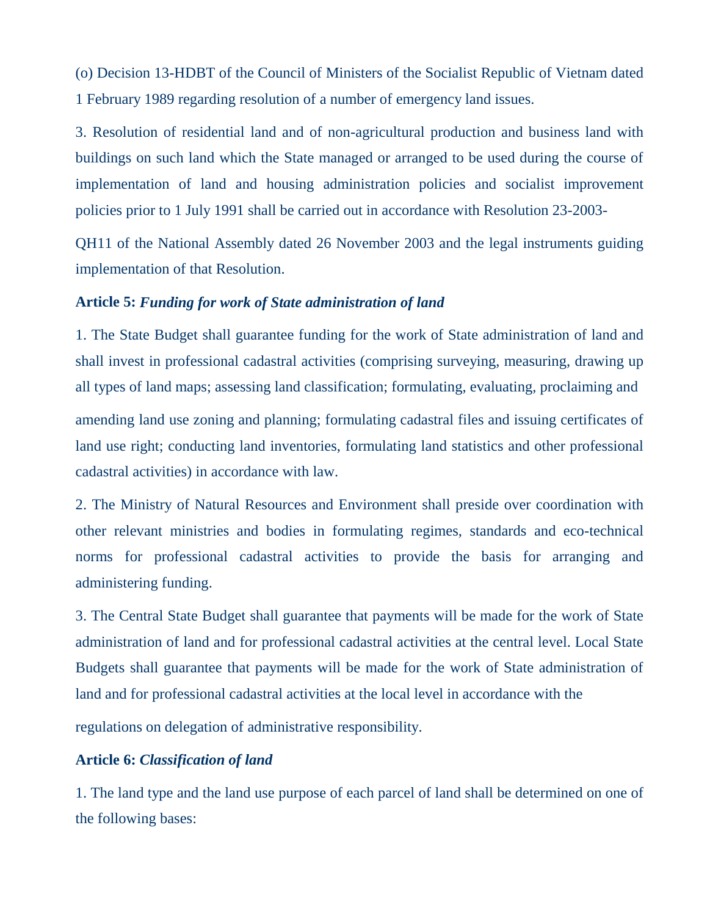(o) Decision 13-HDBT of the Council of Ministers of the Socialist Republic of Vietnam dated 1 February 1989 regarding resolution of a number of emergency land issues.

3. Resolution of residential land and of non-agricultural production and business land with buildings on such land which the State managed or arranged to be used during the course of implementation of land and housing administration policies and socialist improvement policies prior to 1 July 1991 shall be carried out in accordance with Resolution 23-2003-

QH11 of the National Assembly dated 26 November 2003 and the legal instruments guiding implementation of that Resolution.

### **Article 5:** *Funding for work of State administration of land*

1. The State Budget shall guarantee funding for the work of State administration of land and shall invest in professional cadastral activities (comprising surveying, measuring, drawing up all types of land maps; assessing land classification; formulating, evaluating, proclaiming and amending land use zoning and planning; formulating cadastral files and issuing certificates of land use right; conducting land inventories, formulating land statistics and other professional cadastral activities) in accordance with law.

2. The Ministry of Natural Resources and Environment shall preside over coordination with other relevant ministries and bodies in formulating regimes, standards and eco-technical norms for professional cadastral activities to provide the basis for arranging and administering funding.

3. The Central State Budget shall guarantee that payments will be made for the work of State administration of land and for professional cadastral activities at the central level. Local State Budgets shall guarantee that payments will be made for the work of State administration of land and for professional cadastral activities at the local level in accordance with the

regulations on delegation of administrative responsibility.

## **Article 6:** *Classification of land*

1. The land type and the land use purpose of each parcel of land shall be determined on one of the following bases: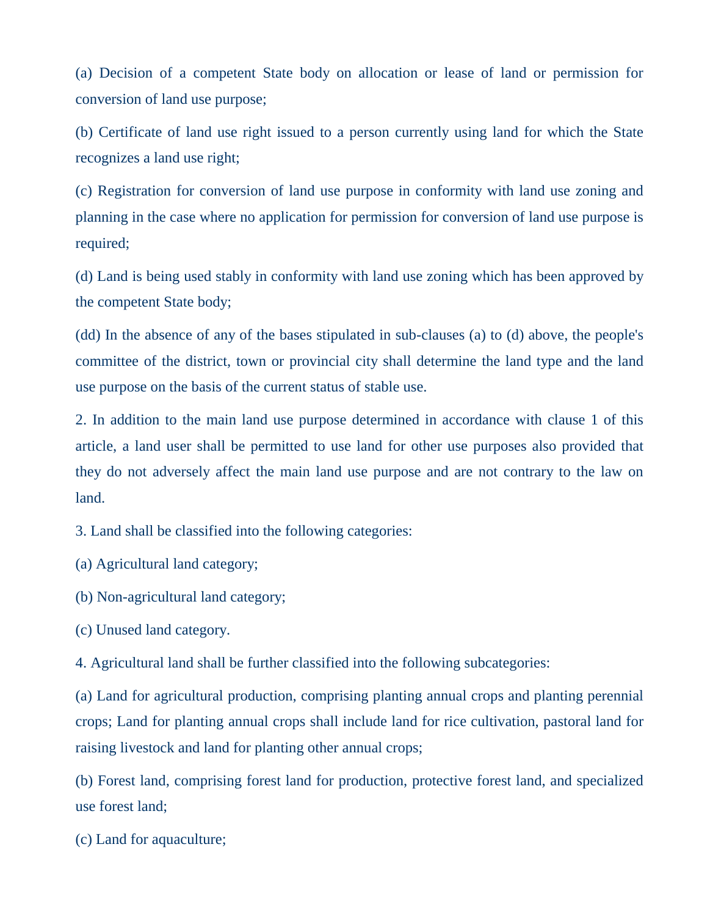(a) Decision of a competent State body on allocation or lease of land or permission for conversion of land use purpose;

(b) Certificate of land use right issued to a person currently using land for which the State recognizes a land use right;

(c) Registration for conversion of land use purpose in conformity with land use zoning and planning in the case where no application for permission for conversion of land use purpose is required;

(d) Land is being used stably in conformity with land use zoning which has been approved by the competent State body;

(dd) In the absence of any of the bases stipulated in sub-clauses (a) to (d) above, the people's committee of the district, town or provincial city shall determine the land type and the land use purpose on the basis of the current status of stable use.

2. In addition to the main land use purpose determined in accordance with clause 1 of this article, a land user shall be permitted to use land for other use purposes also provided that they do not adversely affect the main land use purpose and are not contrary to the law on land.

3. Land shall be classified into the following categories:

(a) Agricultural land category;

(b) Non-agricultural land category;

(c) Unused land category.

4. Agricultural land shall be further classified into the following subcategories:

(a) Land for agricultural production, comprising planting annual crops and planting perennial crops; Land for planting annual crops shall include land for rice cultivation, pastoral land for raising livestock and land for planting other annual crops;

(b) Forest land, comprising forest land for production, protective forest land, and specialized use forest land;

(c) Land for aquaculture;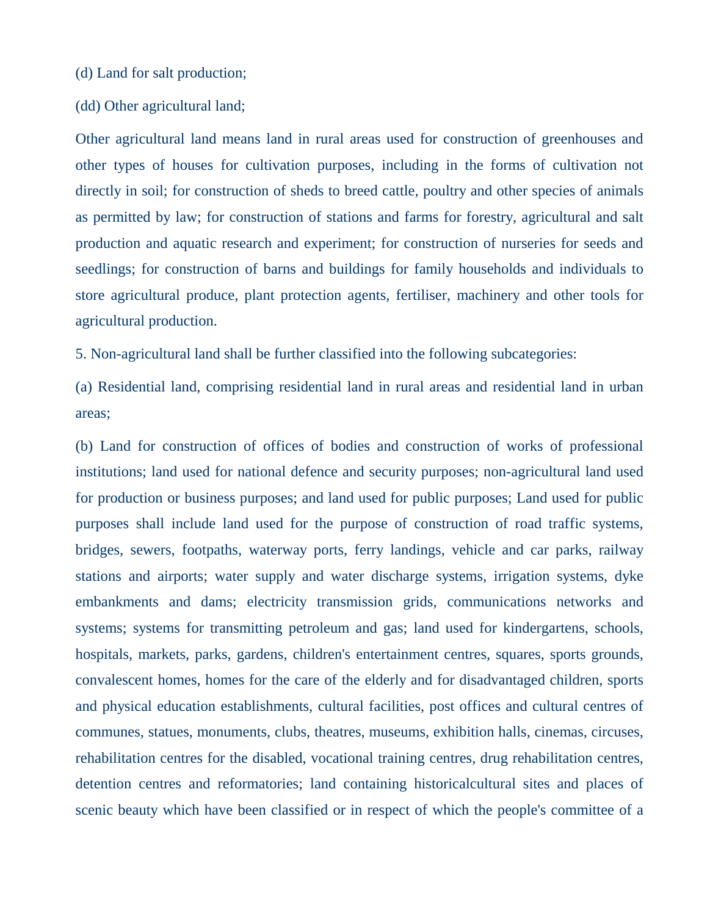#### (d) Land for salt production;

#### (dd) Other agricultural land;

Other agricultural land means land in rural areas used for construction of greenhouses and other types of houses for cultivation purposes, including in the forms of cultivation not directly in soil; for construction of sheds to breed cattle, poultry and other species of animals as permitted by law; for construction of stations and farms for forestry, agricultural and salt production and aquatic research and experiment; for construction of nurseries for seeds and seedlings; for construction of barns and buildings for family households and individuals to store agricultural produce, plant protection agents, fertiliser, machinery and other tools for agricultural production.

5. Non-agricultural land shall be further classified into the following subcategories:

(a) Residential land, comprising residential land in rural areas and residential land in urban areas;

(b) Land for construction of offices of bodies and construction of works of professional institutions; land used for national defence and security purposes; non-agricultural land used for production or business purposes; and land used for public purposes; Land used for public purposes shall include land used for the purpose of construction of road traffic systems, bridges, sewers, footpaths, waterway ports, ferry landings, vehicle and car parks, railway stations and airports; water supply and water discharge systems, irrigation systems, dyke embankments and dams; electricity transmission grids, communications networks and systems; systems for transmitting petroleum and gas; land used for kindergartens, schools, hospitals, markets, parks, gardens, children's entertainment centres, squares, sports grounds, convalescent homes, homes for the care of the elderly and for disadvantaged children, sports and physical education establishments, cultural facilities, post offices and cultural centres of communes, statues, monuments, clubs, theatres, museums, exhibition halls, cinemas, circuses, rehabilitation centres for the disabled, vocational training centres, drug rehabilitation centres, detention centres and reformatories; land containing historicalcultural sites and places of scenic beauty which have been classified or in respect of which the people's committee of a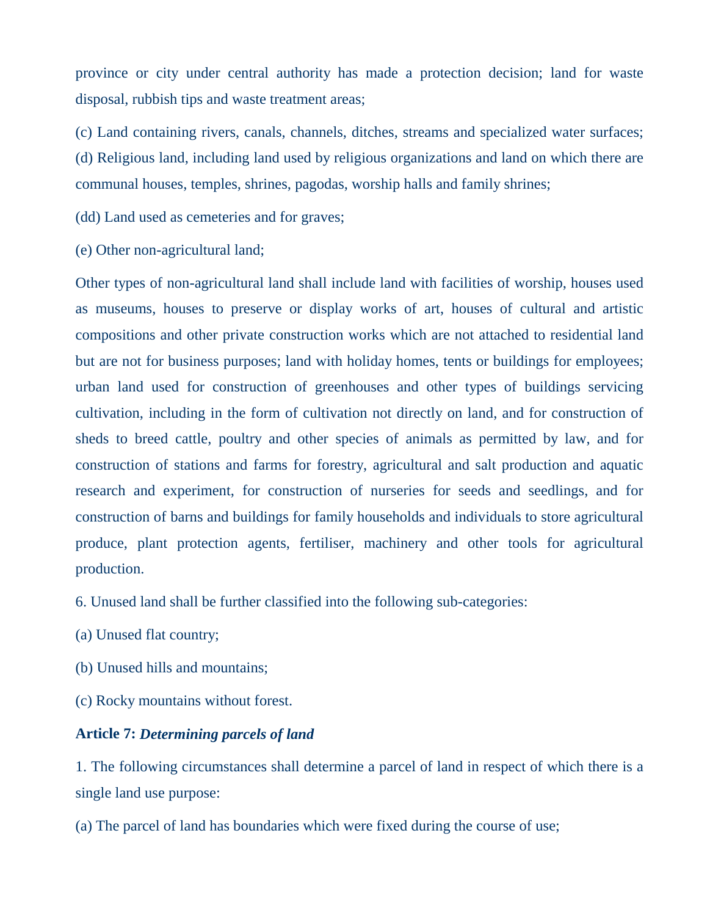province or city under central authority has made a protection decision; land for waste disposal, rubbish tips and waste treatment areas;

(c) Land containing rivers, canals, channels, ditches, streams and specialized water surfaces; (d) Religious land, including land used by religious organizations and land on which there are communal houses, temples, shrines, pagodas, worship halls and family shrines;

(dd) Land used as cemeteries and for graves;

(e) Other non-agricultural land;

Other types of non-agricultural land shall include land with facilities of worship, houses used as museums, houses to preserve or display works of art, houses of cultural and artistic compositions and other private construction works which are not attached to residential land but are not for business purposes; land with holiday homes, tents or buildings for employees; urban land used for construction of greenhouses and other types of buildings servicing cultivation, including in the form of cultivation not directly on land, and for construction of sheds to breed cattle, poultry and other species of animals as permitted by law, and for construction of stations and farms for forestry, agricultural and salt production and aquatic research and experiment, for construction of nurseries for seeds and seedlings, and for construction of barns and buildings for family households and individuals to store agricultural produce, plant protection agents, fertiliser, machinery and other tools for agricultural production.

6. Unused land shall be further classified into the following sub-categories:

- (a) Unused flat country;
- (b) Unused hills and mountains;
- (c) Rocky mountains without forest.

### **Article 7:** *Determining parcels of land*

1. The following circumstances shall determine a parcel of land in respect of which there is a single land use purpose:

(a) The parcel of land has boundaries which were fixed during the course of use;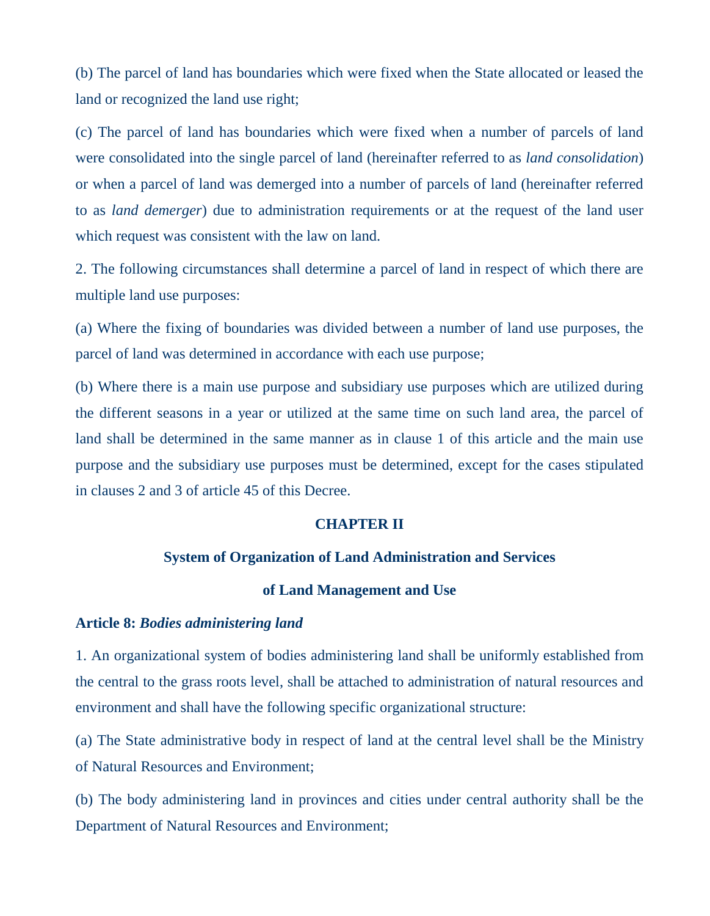(b) The parcel of land has boundaries which were fixed when the State allocated or leased the land or recognized the land use right;

(c) The parcel of land has boundaries which were fixed when a number of parcels of land were consolidated into the single parcel of land (hereinafter referred to as *land consolidation*) or when a parcel of land was demerged into a number of parcels of land (hereinafter referred to as *land demerger*) due to administration requirements or at the request of the land user which request was consistent with the law on land.

2. The following circumstances shall determine a parcel of land in respect of which there are multiple land use purposes:

(a) Where the fixing of boundaries was divided between a number of land use purposes, the parcel of land was determined in accordance with each use purpose;

(b) Where there is a main use purpose and subsidiary use purposes which are utilized during the different seasons in a year or utilized at the same time on such land area, the parcel of land shall be determined in the same manner as in clause 1 of this article and the main use purpose and the subsidiary use purposes must be determined, except for the cases stipulated in clauses 2 and 3 of article 45 of this Decree.

### **CHAPTER II**

#### **System of Organization of Land Administration and Services**

#### **of Land Management and Use**

#### **Article 8:** *Bodies administering land*

1. An organizational system of bodies administering land shall be uniformly established from the central to the grass roots level, shall be attached to administration of natural resources and environment and shall have the following specific organizational structure:

(a) The State administrative body in respect of land at the central level shall be the Ministry of Natural Resources and Environment;

(b) The body administering land in provinces and cities under central authority shall be the Department of Natural Resources and Environment;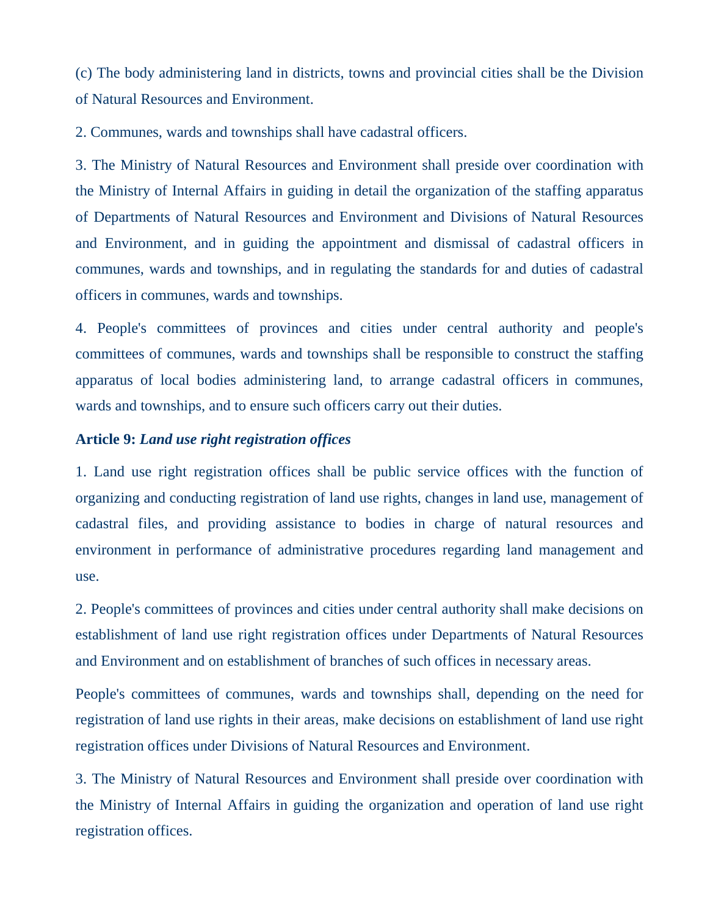(c) The body administering land in districts, towns and provincial cities shall be the Division of Natural Resources and Environment.

2. Communes, wards and townships shall have cadastral officers.

3. The Ministry of Natural Resources and Environment shall preside over coordination with the Ministry of Internal Affairs in guiding in detail the organization of the staffing apparatus of Departments of Natural Resources and Environment and Divisions of Natural Resources and Environment, and in guiding the appointment and dismissal of cadastral officers in communes, wards and townships, and in regulating the standards for and duties of cadastral officers in communes, wards and townships.

4. People's committees of provinces and cities under central authority and people's committees of communes, wards and townships shall be responsible to construct the staffing apparatus of local bodies administering land, to arrange cadastral officers in communes, wards and townships, and to ensure such officers carry out their duties.

### **Article 9:** *Land use right registration offices*

1. Land use right registration offices shall be public service offices with the function of organizing and conducting registration of land use rights, changes in land use, management of cadastral files, and providing assistance to bodies in charge of natural resources and environment in performance of administrative procedures regarding land management and use.

2. People's committees of provinces and cities under central authority shall make decisions on establishment of land use right registration offices under Departments of Natural Resources and Environment and on establishment of branches of such offices in necessary areas.

People's committees of communes, wards and townships shall, depending on the need for registration of land use rights in their areas, make decisions on establishment of land use right registration offices under Divisions of Natural Resources and Environment.

3. The Ministry of Natural Resources and Environment shall preside over coordination with the Ministry of Internal Affairs in guiding the organization and operation of land use right registration offices.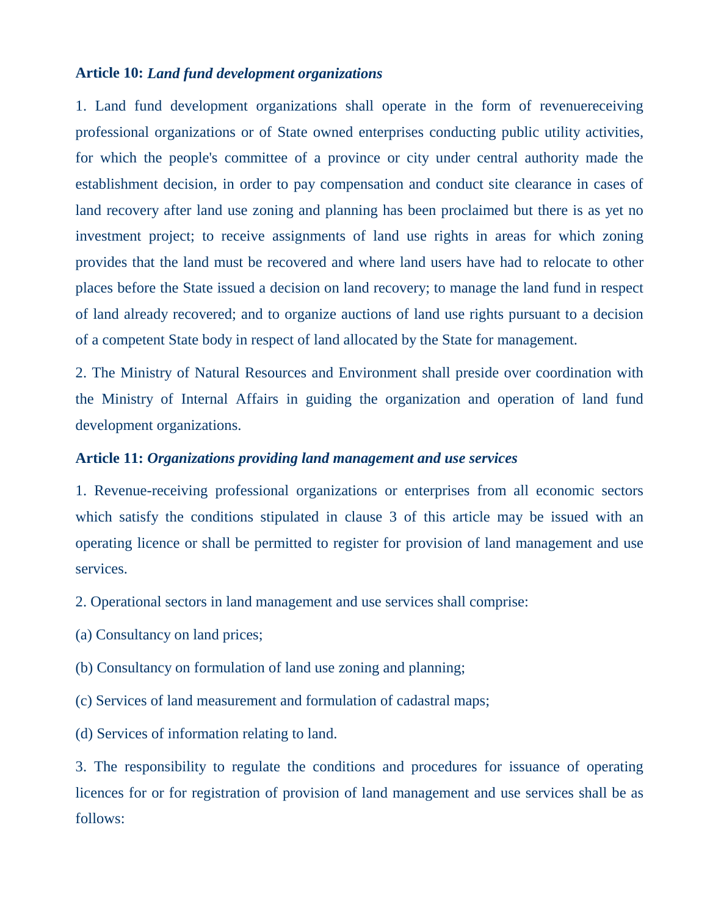#### **Article 10:** *Land fund development organizations*

1. Land fund development organizations shall operate in the form of revenuereceiving professional organizations or of State owned enterprises conducting public utility activities, for which the people's committee of a province or city under central authority made the establishment decision, in order to pay compensation and conduct site clearance in cases of land recovery after land use zoning and planning has been proclaimed but there is as yet no investment project; to receive assignments of land use rights in areas for which zoning provides that the land must be recovered and where land users have had to relocate to other places before the State issued a decision on land recovery; to manage the land fund in respect of land already recovered; and to organize auctions of land use rights pursuant to a decision of a competent State body in respect of land allocated by the State for management.

2. The Ministry of Natural Resources and Environment shall preside over coordination with the Ministry of Internal Affairs in guiding the organization and operation of land fund development organizations.

#### **Article 11:** *Organizations providing land management and use services*

1. Revenue-receiving professional organizations or enterprises from all economic sectors which satisfy the conditions stipulated in clause 3 of this article may be issued with an operating licence or shall be permitted to register for provision of land management and use services.

2. Operational sectors in land management and use services shall comprise:

(a) Consultancy on land prices;

(b) Consultancy on formulation of land use zoning and planning;

(c) Services of land measurement and formulation of cadastral maps;

(d) Services of information relating to land.

3. The responsibility to regulate the conditions and procedures for issuance of operating licences for or for registration of provision of land management and use services shall be as follows: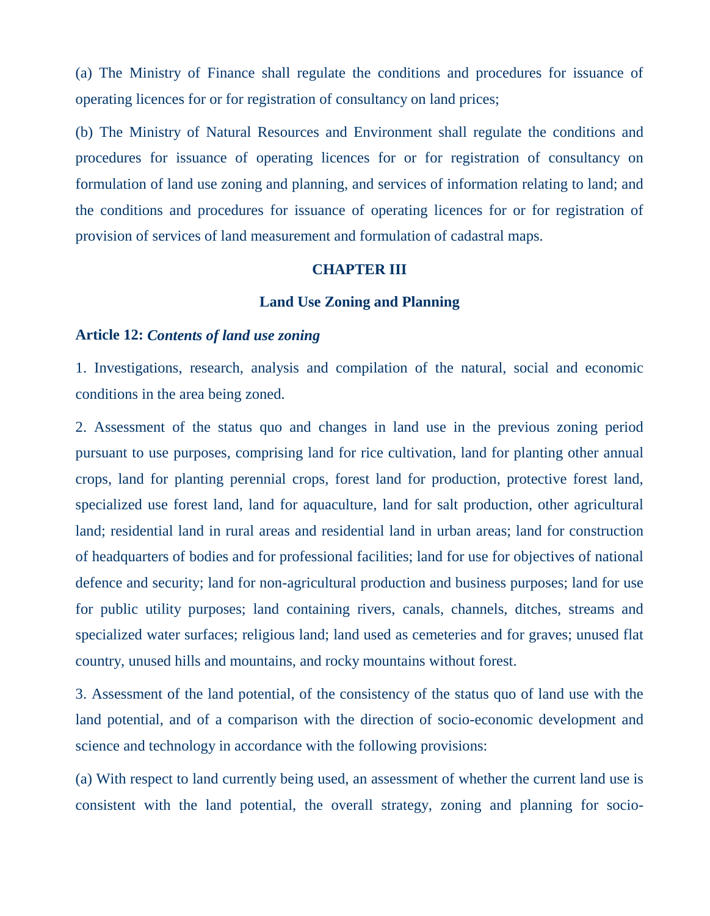(a) The Ministry of Finance shall regulate the conditions and procedures for issuance of operating licences for or for registration of consultancy on land prices;

(b) The Ministry of Natural Resources and Environment shall regulate the conditions and procedures for issuance of operating licences for or for registration of consultancy on formulation of land use zoning and planning, and services of information relating to land; and the conditions and procedures for issuance of operating licences for or for registration of provision of services of land measurement and formulation of cadastral maps.

#### **CHAPTER III**

#### **Land Use Zoning and Planning**

#### **Article 12:** *Contents of land use zoning*

1. Investigations, research, analysis and compilation of the natural, social and economic conditions in the area being zoned.

2. Assessment of the status quo and changes in land use in the previous zoning period pursuant to use purposes, comprising land for rice cultivation, land for planting other annual crops, land for planting perennial crops, forest land for production, protective forest land, specialized use forest land, land for aquaculture, land for salt production, other agricultural land; residential land in rural areas and residential land in urban areas; land for construction of headquarters of bodies and for professional facilities; land for use for objectives of national defence and security; land for non-agricultural production and business purposes; land for use for public utility purposes; land containing rivers, canals, channels, ditches, streams and specialized water surfaces; religious land; land used as cemeteries and for graves; unused flat country, unused hills and mountains, and rocky mountains without forest.

3. Assessment of the land potential, of the consistency of the status quo of land use with the land potential, and of a comparison with the direction of socio-economic development and science and technology in accordance with the following provisions:

(a) With respect to land currently being used, an assessment of whether the current land use is consistent with the land potential, the overall strategy, zoning and planning for socio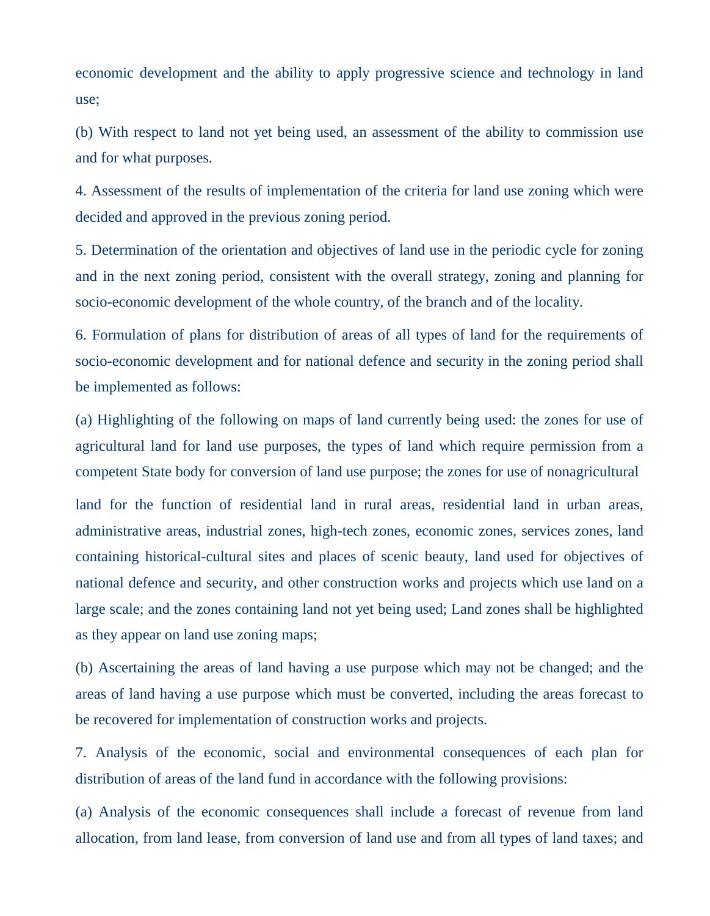economic development and the ability to apply progressive science and technology in land use;

(b) With respect to land not yet being used, an assessment of the ability to commission use and for what purposes.

4. Assessment of the results of implementation of the criteria for land use zoning which were decided and approved in the previous zoning period.

5. Determination of the orientation and objectives of land use in the periodic cycle for zoning and in the next zoning period, consistent with the overall strategy, zoning and planning for socio-economic development of the whole country, of the branch and of the locality.

6. Formulation of plans for distribution of areas of all types of land for the requirements of socio-economic development and for national defence and security in the zoning period shall be implemented as follows:

(a) Highlighting of the following on maps of land currently being used: the zones for use of agricultural land for land use purposes, the types of land which require permission from a competent State body for conversion of land use purpose; the zones for use of nonagricultural

land for the function of residential land in rural areas, residential land in urban areas, administrative areas, industrial zones, high-tech zones, economic zones, services zones, land containing historical-cultural sites and places of scenic beauty, land used for objectives of national defence and security, and other construction works and projects which use land on a large scale; and the zones containing land not yet being used; Land zones shall be highlighted as they appear on land use zoning maps;

(b) Ascertaining the areas of land having a use purpose which may not be changed; and the areas of land having a use purpose which must be converted, including the areas forecast to be recovered for implementation of construction works and projects.

7. Analysis of the economic, social and environmental consequences of each plan for distribution of areas of the land fund in accordance with the following provisions:

(a) Analysis of the economic consequences shall include a forecast of revenue from land allocation, from land lease, from conversion of land use and from all types of land taxes; and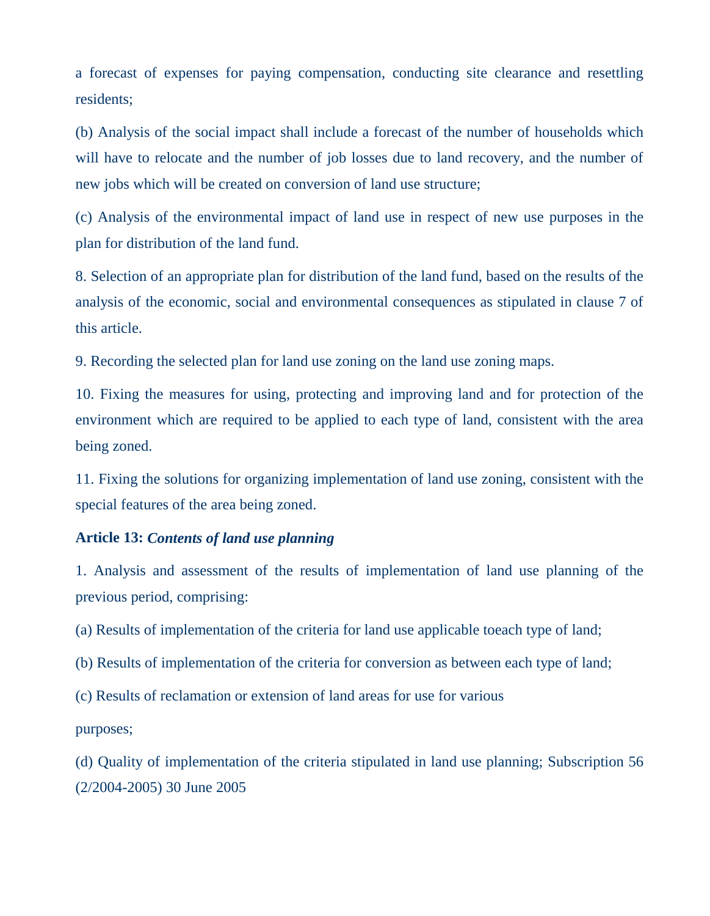a forecast of expenses for paying compensation, conducting site clearance and resettling residents;

(b) Analysis of the social impact shall include a forecast of the number of households which will have to relocate and the number of job losses due to land recovery, and the number of new jobs which will be created on conversion of land use structure;

(c) Analysis of the environmental impact of land use in respect of new use purposes in the plan for distribution of the land fund.

8. Selection of an appropriate plan for distribution of the land fund, based on the results of the analysis of the economic, social and environmental consequences as stipulated in clause 7 of this article.

9. Recording the selected plan for land use zoning on the land use zoning maps.

10. Fixing the measures for using, protecting and improving land and for protection of the environment which are required to be applied to each type of land, consistent with the area being zoned.

11. Fixing the solutions for organizing implementation of land use zoning, consistent with the special features of the area being zoned.

#### **Article 13:** *Contents of land use planning*

1. Analysis and assessment of the results of implementation of land use planning of the previous period, comprising:

(a) Results of implementation of the criteria for land use applicable toeach type of land;

(b) Results of implementation of the criteria for conversion as between each type of land;

(c) Results of reclamation or extension of land areas for use for various

purposes;

(d) Quality of implementation of the criteria stipulated in land use planning; Subscription 56 (2/2004-2005) 30 June 2005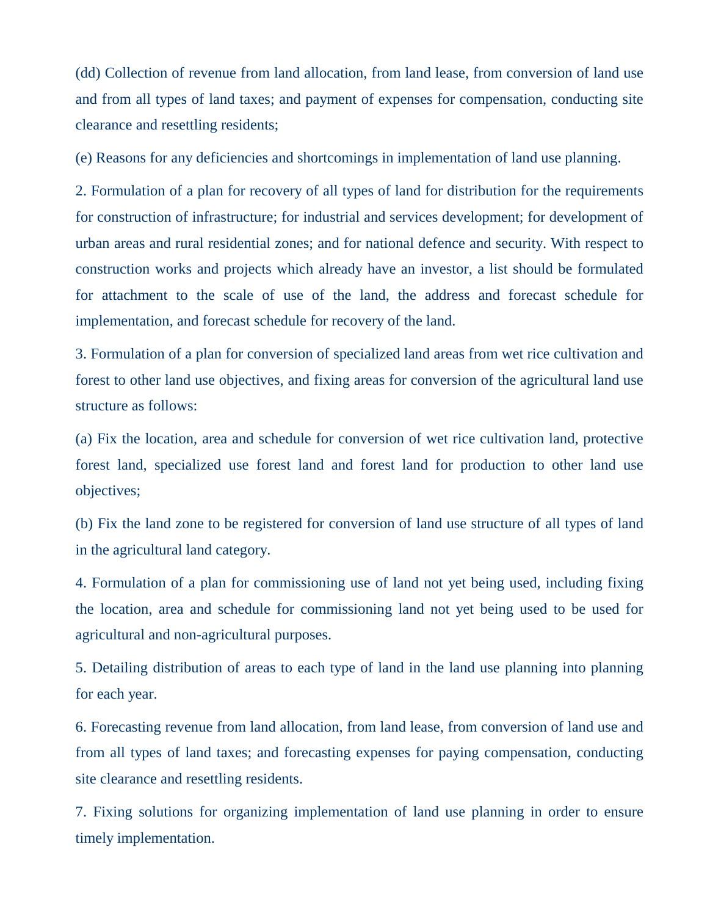(dd) Collection of revenue from land allocation, from land lease, from conversion of land use and from all types of land taxes; and payment of expenses for compensation, conducting site clearance and resettling residents;

(e) Reasons for any deficiencies and shortcomings in implementation of land use planning.

2. Formulation of a plan for recovery of all types of land for distribution for the requirements for construction of infrastructure; for industrial and services development; for development of urban areas and rural residential zones; and for national defence and security. With respect to construction works and projects which already have an investor, a list should be formulated for attachment to the scale of use of the land, the address and forecast schedule for implementation, and forecast schedule for recovery of the land.

3. Formulation of a plan for conversion of specialized land areas from wet rice cultivation and forest to other land use objectives, and fixing areas for conversion of the agricultural land use structure as follows:

(a) Fix the location, area and schedule for conversion of wet rice cultivation land, protective forest land, specialized use forest land and forest land for production to other land use objectives;

(b) Fix the land zone to be registered for conversion of land use structure of all types of land in the agricultural land category.

4. Formulation of a plan for commissioning use of land not yet being used, including fixing the location, area and schedule for commissioning land not yet being used to be used for agricultural and non-agricultural purposes.

5. Detailing distribution of areas to each type of land in the land use planning into planning for each year.

6. Forecasting revenue from land allocation, from land lease, from conversion of land use and from all types of land taxes; and forecasting expenses for paying compensation, conducting site clearance and resettling residents.

7. Fixing solutions for organizing implementation of land use planning in order to ensure timely implementation.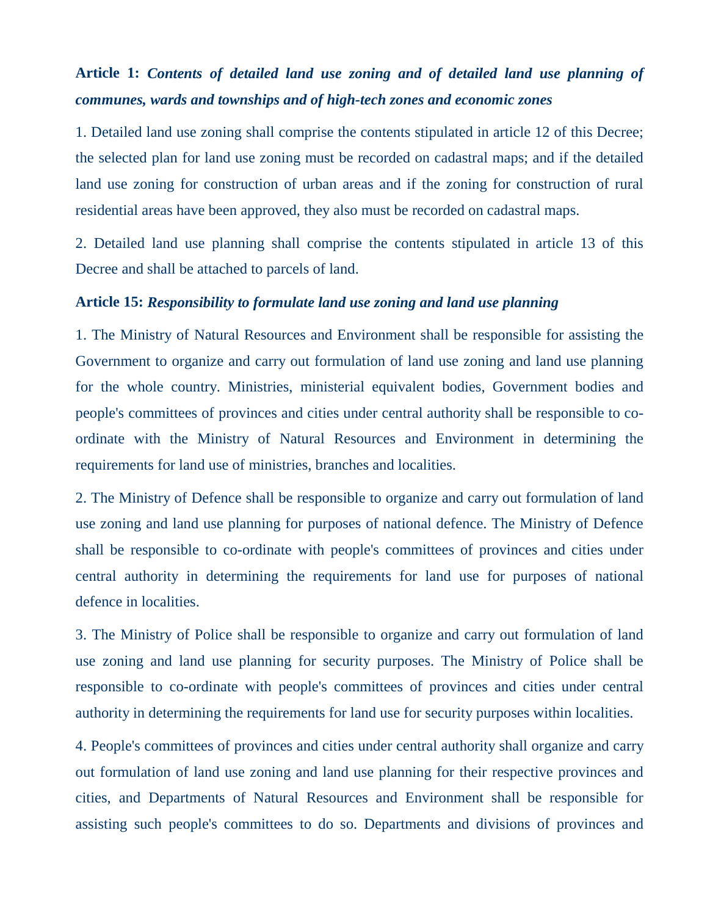# **Article 1:** *Contents of detailed land use zoning and of detailed land use planning of communes, wards and townships and of high-tech zones and economic zones*

1. Detailed land use zoning shall comprise the contents stipulated in article 12 of this Decree; the selected plan for land use zoning must be recorded on cadastral maps; and if the detailed land use zoning for construction of urban areas and if the zoning for construction of rural residential areas have been approved, they also must be recorded on cadastral maps.

2. Detailed land use planning shall comprise the contents stipulated in article 13 of this Decree and shall be attached to parcels of land.

#### **Article 15:** *Responsibility to formulate land use zoning and land use planning*

1. The Ministry of Natural Resources and Environment shall be responsible for assisting the Government to organize and carry out formulation of land use zoning and land use planning for the whole country. Ministries, ministerial equivalent bodies, Government bodies and people's committees of provinces and cities under central authority shall be responsible to coordinate with the Ministry of Natural Resources and Environment in determining the requirements for land use of ministries, branches and localities.

2. The Ministry of Defence shall be responsible to organize and carry out formulation of land use zoning and land use planning for purposes of national defence. The Ministry of Defence shall be responsible to co-ordinate with people's committees of provinces and cities under central authority in determining the requirements for land use for purposes of national defence in localities.

3. The Ministry of Police shall be responsible to organize and carry out formulation of land use zoning and land use planning for security purposes. The Ministry of Police shall be responsible to co-ordinate with people's committees of provinces and cities under central authority in determining the requirements for land use for security purposes within localities.

4. People's committees of provinces and cities under central authority shall organize and carry out formulation of land use zoning and land use planning for their respective provinces and cities, and Departments of Natural Resources and Environment shall be responsible for assisting such people's committees to do so. Departments and divisions of provinces and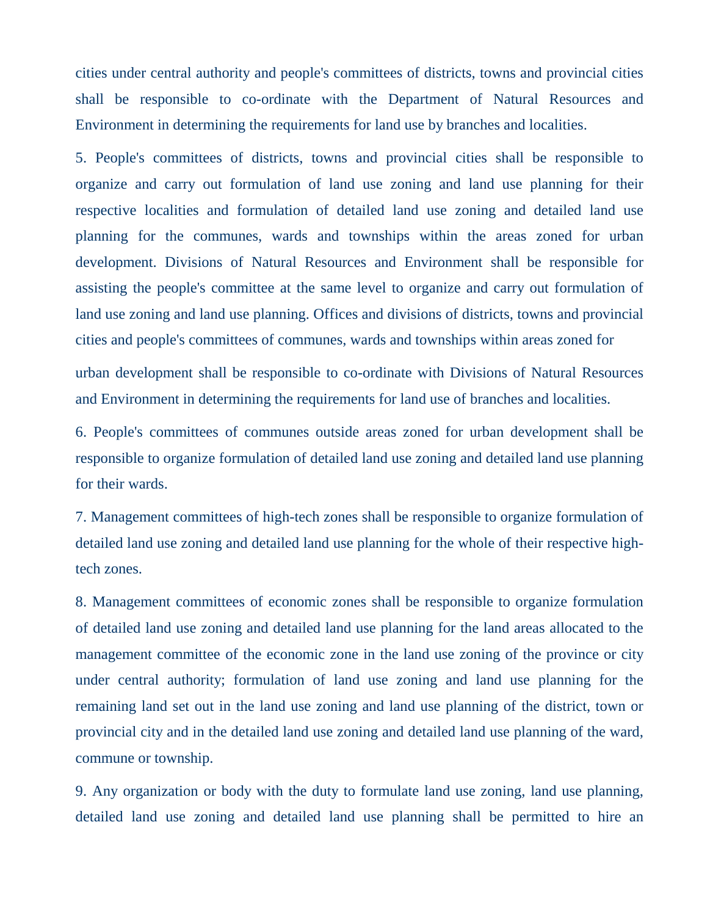cities under central authority and people's committees of districts, towns and provincial cities shall be responsible to co-ordinate with the Department of Natural Resources and Environment in determining the requirements for land use by branches and localities.

5. People's committees of districts, towns and provincial cities shall be responsible to organize and carry out formulation of land use zoning and land use planning for their respective localities and formulation of detailed land use zoning and detailed land use planning for the communes, wards and townships within the areas zoned for urban development. Divisions of Natural Resources and Environment shall be responsible for assisting the people's committee at the same level to organize and carry out formulation of land use zoning and land use planning. Offices and divisions of districts, towns and provincial cities and people's committees of communes, wards and townships within areas zoned for

urban development shall be responsible to co-ordinate with Divisions of Natural Resources and Environment in determining the requirements for land use of branches and localities.

6. People's committees of communes outside areas zoned for urban development shall be responsible to organize formulation of detailed land use zoning and detailed land use planning for their wards.

7. Management committees of high-tech zones shall be responsible to organize formulation of detailed land use zoning and detailed land use planning for the whole of their respective hightech zones.

8. Management committees of economic zones shall be responsible to organize formulation of detailed land use zoning and detailed land use planning for the land areas allocated to the management committee of the economic zone in the land use zoning of the province or city under central authority; formulation of land use zoning and land use planning for the remaining land set out in the land use zoning and land use planning of the district, town or provincial city and in the detailed land use zoning and detailed land use planning of the ward, commune or township.

9. Any organization or body with the duty to formulate land use zoning, land use planning, detailed land use zoning and detailed land use planning shall be permitted to hire an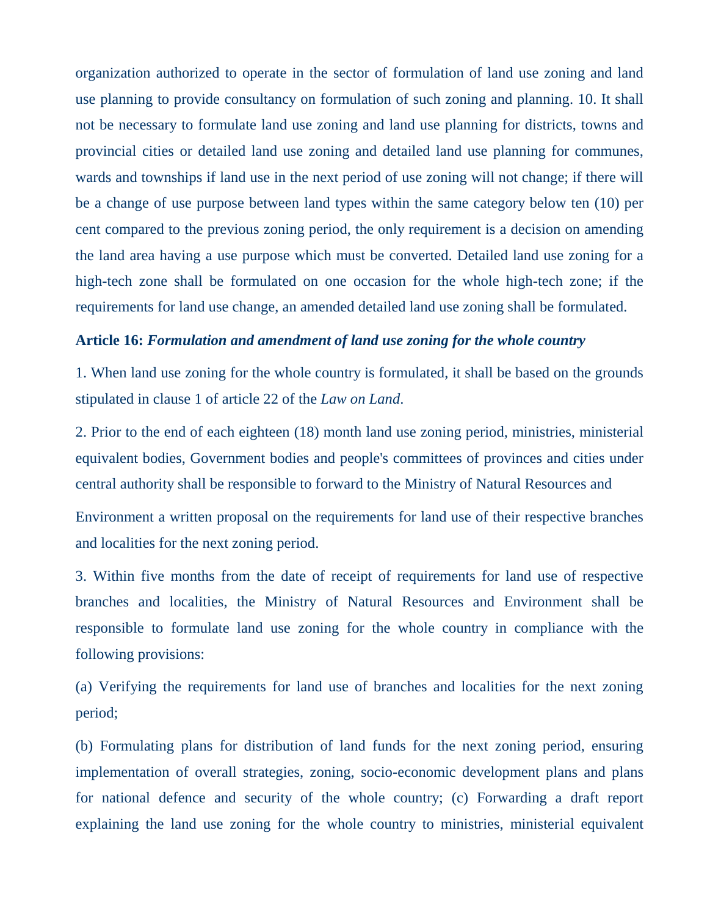organization authorized to operate in the sector of formulation of land use zoning and land use planning to provide consultancy on formulation of such zoning and planning. 10. It shall not be necessary to formulate land use zoning and land use planning for districts, towns and provincial cities or detailed land use zoning and detailed land use planning for communes, wards and townships if land use in the next period of use zoning will not change; if there will be a change of use purpose between land types within the same category below ten (10) per cent compared to the previous zoning period, the only requirement is a decision on amending the land area having a use purpose which must be converted. Detailed land use zoning for a high-tech zone shall be formulated on one occasion for the whole high-tech zone; if the requirements for land use change, an amended detailed land use zoning shall be formulated.

### **Article 16:** *Formulation and amendment of land use zoning for the whole country*

1. When land use zoning for the whole country is formulated, it shall be based on the grounds stipulated in clause 1 of article 22 of the *Law on Land*.

2. Prior to the end of each eighteen (18) month land use zoning period, ministries, ministerial equivalent bodies, Government bodies and people's committees of provinces and cities under central authority shall be responsible to forward to the Ministry of Natural Resources and

Environment a written proposal on the requirements for land use of their respective branches and localities for the next zoning period.

3. Within five months from the date of receipt of requirements for land use of respective branches and localities, the Ministry of Natural Resources and Environment shall be responsible to formulate land use zoning for the whole country in compliance with the following provisions:

(a) Verifying the requirements for land use of branches and localities for the next zoning period;

(b) Formulating plans for distribution of land funds for the next zoning period, ensuring implementation of overall strategies, zoning, socio-economic development plans and plans for national defence and security of the whole country; (c) Forwarding a draft report explaining the land use zoning for the whole country to ministries, ministerial equivalent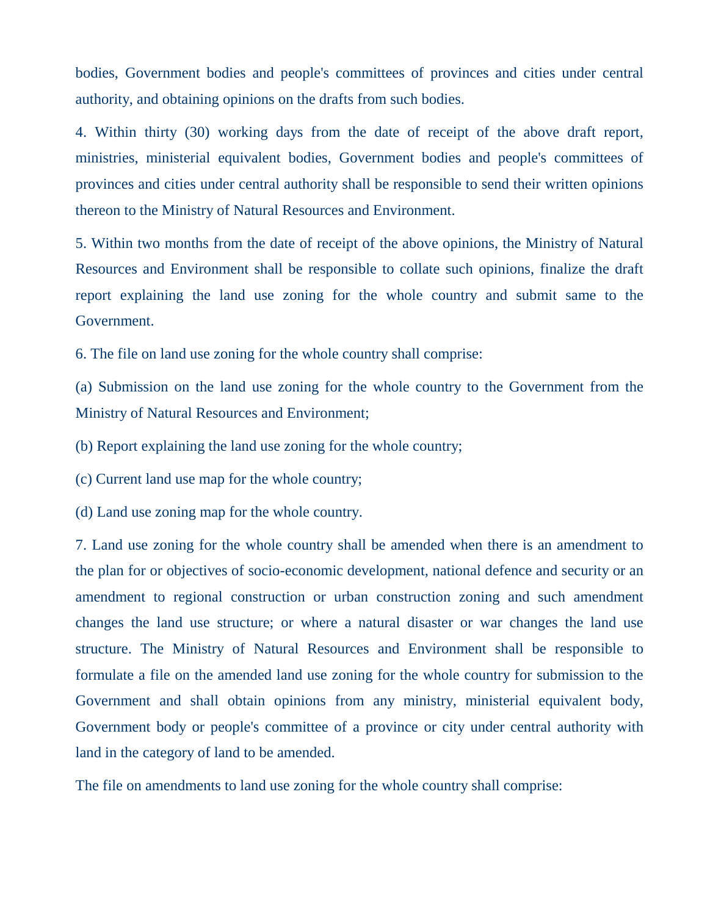bodies, Government bodies and people's committees of provinces and cities under central authority, and obtaining opinions on the drafts from such bodies.

4. Within thirty (30) working days from the date of receipt of the above draft report, ministries, ministerial equivalent bodies, Government bodies and people's committees of provinces and cities under central authority shall be responsible to send their written opinions thereon to the Ministry of Natural Resources and Environment.

5. Within two months from the date of receipt of the above opinions, the Ministry of Natural Resources and Environment shall be responsible to collate such opinions, finalize the draft report explaining the land use zoning for the whole country and submit same to the Government.

6. The file on land use zoning for the whole country shall comprise:

(a) Submission on the land use zoning for the whole country to the Government from the Ministry of Natural Resources and Environment;

(b) Report explaining the land use zoning for the whole country;

(c) Current land use map for the whole country;

(d) Land use zoning map for the whole country.

7. Land use zoning for the whole country shall be amended when there is an amendment to the plan for or objectives of socio-economic development, national defence and security or an amendment to regional construction or urban construction zoning and such amendment changes the land use structure; or where a natural disaster or war changes the land use structure. The Ministry of Natural Resources and Environment shall be responsible to formulate a file on the amended land use zoning for the whole country for submission to the Government and shall obtain opinions from any ministry, ministerial equivalent body, Government body or people's committee of a province or city under central authority with land in the category of land to be amended.

The file on amendments to land use zoning for the whole country shall comprise: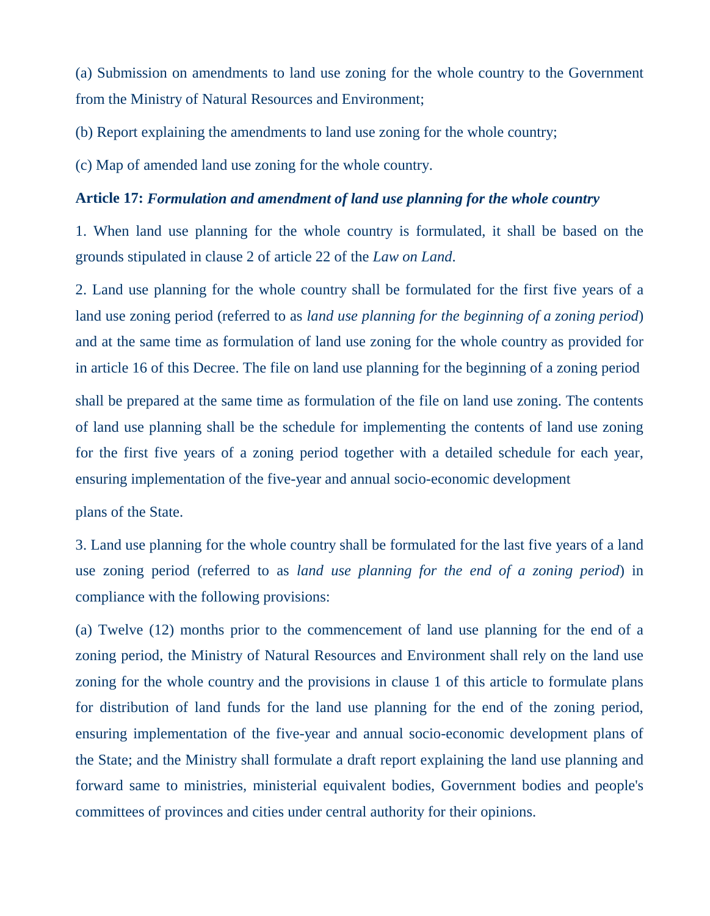(a) Submission on amendments to land use zoning for the whole country to the Government from the Ministry of Natural Resources and Environment;

(b) Report explaining the amendments to land use zoning for the whole country;

(c) Map of amended land use zoning for the whole country.

#### **Article 17:** *Formulation and amendment of land use planning for the whole country*

1. When land use planning for the whole country is formulated, it shall be based on the grounds stipulated in clause 2 of article 22 of the *Law on Land*.

2. Land use planning for the whole country shall be formulated for the first five years of a land use zoning period (referred to as *land use planning for the beginning of a zoning period*) and at the same time as formulation of land use zoning for the whole country as provided for in article 16 of this Decree. The file on land use planning for the beginning of a zoning period shall be prepared at the same time as formulation of the file on land use zoning. The contents of land use planning shall be the schedule for implementing the contents of land use zoning for the first five years of a zoning period together with a detailed schedule for each year, ensuring implementation of the five-year and annual socio-economic development

plans of the State.

3. Land use planning for the whole country shall be formulated for the last five years of a land use zoning period (referred to as *land use planning for the end of a zoning period*) in compliance with the following provisions:

(a) Twelve (12) months prior to the commencement of land use planning for the end of a zoning period, the Ministry of Natural Resources and Environment shall rely on the land use zoning for the whole country and the provisions in clause 1 of this article to formulate plans for distribution of land funds for the land use planning for the end of the zoning period, ensuring implementation of the five-year and annual socio-economic development plans of the State; and the Ministry shall formulate a draft report explaining the land use planning and forward same to ministries, ministerial equivalent bodies, Government bodies and people's committees of provinces and cities under central authority for their opinions.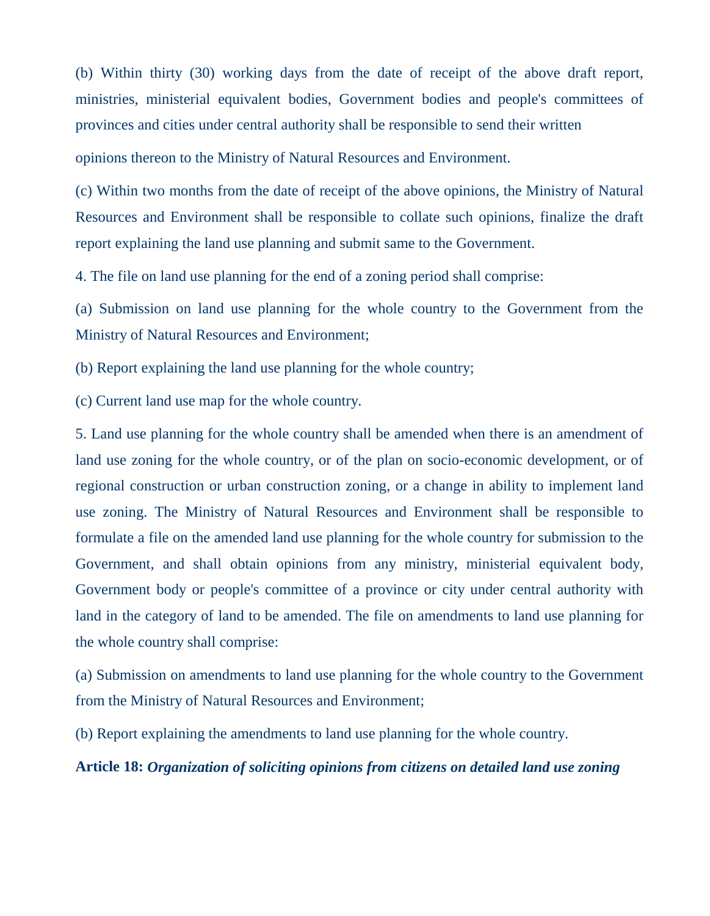(b) Within thirty (30) working days from the date of receipt of the above draft report, ministries, ministerial equivalent bodies, Government bodies and people's committees of provinces and cities under central authority shall be responsible to send their written

opinions thereon to the Ministry of Natural Resources and Environment.

(c) Within two months from the date of receipt of the above opinions, the Ministry of Natural Resources and Environment shall be responsible to collate such opinions, finalize the draft report explaining the land use planning and submit same to the Government.

4. The file on land use planning for the end of a zoning period shall comprise:

(a) Submission on land use planning for the whole country to the Government from the Ministry of Natural Resources and Environment;

(b) Report explaining the land use planning for the whole country;

(c) Current land use map for the whole country.

5. Land use planning for the whole country shall be amended when there is an amendment of land use zoning for the whole country, or of the plan on socio-economic development, or of regional construction or urban construction zoning, or a change in ability to implement land use zoning. The Ministry of Natural Resources and Environment shall be responsible to formulate a file on the amended land use planning for the whole country for submission to the Government, and shall obtain opinions from any ministry, ministerial equivalent body, Government body or people's committee of a province or city under central authority with land in the category of land to be amended. The file on amendments to land use planning for the whole country shall comprise:

(a) Submission on amendments to land use planning for the whole country to the Government from the Ministry of Natural Resources and Environment;

(b) Report explaining the amendments to land use planning for the whole country.

#### **Article 18:** *Organization of soliciting opinions from citizens on detailed land use zoning*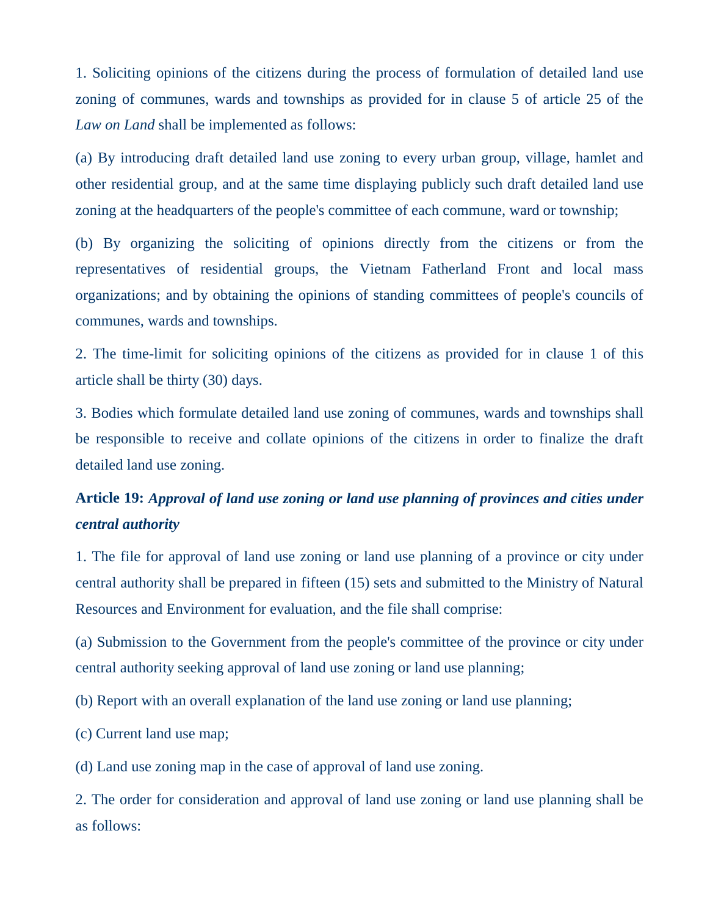1. Soliciting opinions of the citizens during the process of formulation of detailed land use zoning of communes, wards and townships as provided for in clause 5 of article 25 of the *Law on Land* shall be implemented as follows:

(a) By introducing draft detailed land use zoning to every urban group, village, hamlet and other residential group, and at the same time displaying publicly such draft detailed land use zoning at the headquarters of the people's committee of each commune, ward or township;

(b) By organizing the soliciting of opinions directly from the citizens or from the representatives of residential groups, the Vietnam Fatherland Front and local mass organizations; and by obtaining the opinions of standing committees of people's councils of communes, wards and townships.

2. The time-limit for soliciting opinions of the citizens as provided for in clause 1 of this article shall be thirty (30) days.

3. Bodies which formulate detailed land use zoning of communes, wards and townships shall be responsible to receive and collate opinions of the citizens in order to finalize the draft detailed land use zoning.

# **Article 19:** *Approval of land use zoning or land use planning of provinces and cities under central authority*

1. The file for approval of land use zoning or land use planning of a province or city under central authority shall be prepared in fifteen (15) sets and submitted to the Ministry of Natural Resources and Environment for evaluation, and the file shall comprise:

(a) Submission to the Government from the people's committee of the province or city under central authority seeking approval of land use zoning or land use planning;

(b) Report with an overall explanation of the land use zoning or land use planning;

(c) Current land use map;

(d) Land use zoning map in the case of approval of land use zoning.

2. The order for consideration and approval of land use zoning or land use planning shall be as follows: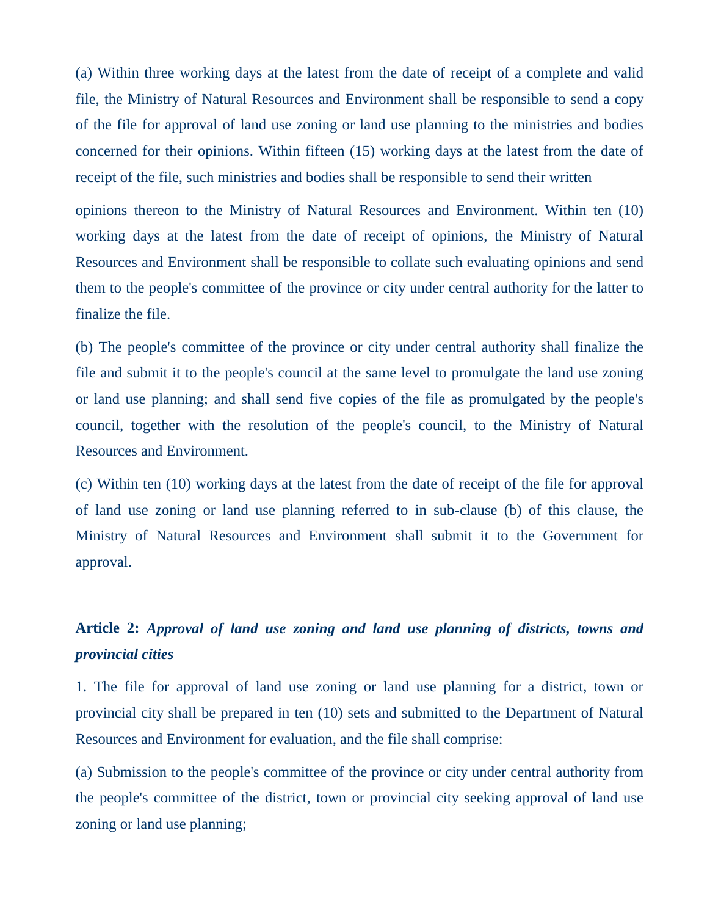(a) Within three working days at the latest from the date of receipt of a complete and valid file, the Ministry of Natural Resources and Environment shall be responsible to send a copy of the file for approval of land use zoning or land use planning to the ministries and bodies concerned for their opinions. Within fifteen (15) working days at the latest from the date of receipt of the file, such ministries and bodies shall be responsible to send their written

opinions thereon to the Ministry of Natural Resources and Environment. Within ten (10) working days at the latest from the date of receipt of opinions, the Ministry of Natural Resources and Environment shall be responsible to collate such evaluating opinions and send them to the people's committee of the province or city under central authority for the latter to finalize the file.

(b) The people's committee of the province or city under central authority shall finalize the file and submit it to the people's council at the same level to promulgate the land use zoning or land use planning; and shall send five copies of the file as promulgated by the people's council, together with the resolution of the people's council, to the Ministry of Natural Resources and Environment.

(c) Within ten (10) working days at the latest from the date of receipt of the file for approval of land use zoning or land use planning referred to in sub-clause (b) of this clause, the Ministry of Natural Resources and Environment shall submit it to the Government for approval.

# **Article 2:** *Approval of land use zoning and land use planning of districts, towns and provincial cities*

1. The file for approval of land use zoning or land use planning for a district, town or provincial city shall be prepared in ten (10) sets and submitted to the Department of Natural Resources and Environment for evaluation, and the file shall comprise:

(a) Submission to the people's committee of the province or city under central authority from the people's committee of the district, town or provincial city seeking approval of land use zoning or land use planning;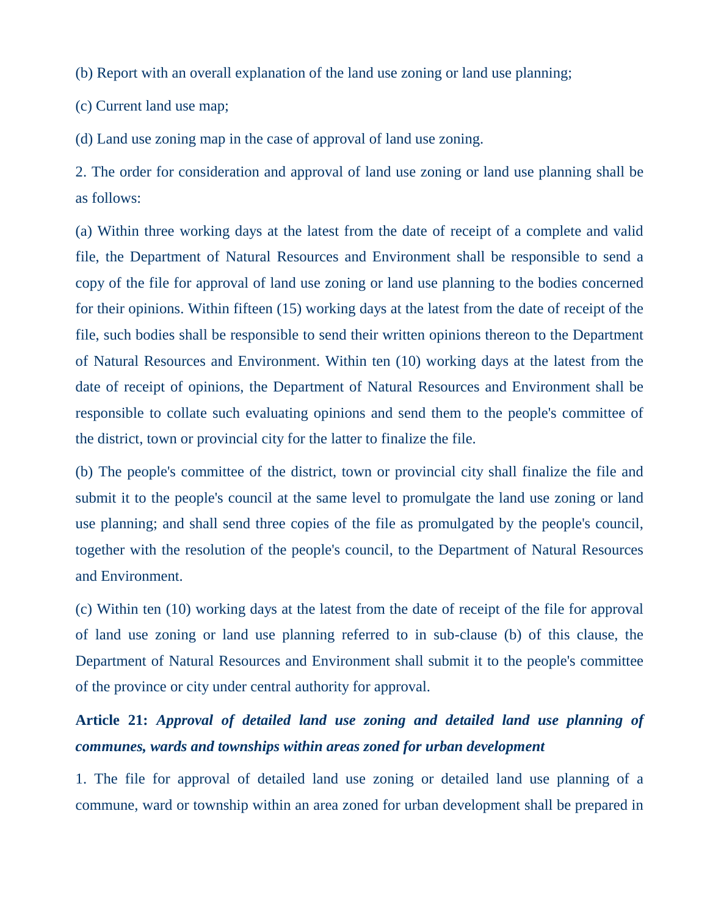(b) Report with an overall explanation of the land use zoning or land use planning;

(c) Current land use map;

(d) Land use zoning map in the case of approval of land use zoning.

2. The order for consideration and approval of land use zoning or land use planning shall be as follows:

(a) Within three working days at the latest from the date of receipt of a complete and valid file, the Department of Natural Resources and Environment shall be responsible to send a copy of the file for approval of land use zoning or land use planning to the bodies concerned for their opinions. Within fifteen (15) working days at the latest from the date of receipt of the file, such bodies shall be responsible to send their written opinions thereon to the Department of Natural Resources and Environment. Within ten (10) working days at the latest from the date of receipt of opinions, the Department of Natural Resources and Environment shall be responsible to collate such evaluating opinions and send them to the people's committee of the district, town or provincial city for the latter to finalize the file.

(b) The people's committee of the district, town or provincial city shall finalize the file and submit it to the people's council at the same level to promulgate the land use zoning or land use planning; and shall send three copies of the file as promulgated by the people's council, together with the resolution of the people's council, to the Department of Natural Resources and Environment.

(c) Within ten (10) working days at the latest from the date of receipt of the file for approval of land use zoning or land use planning referred to in sub-clause (b) of this clause, the Department of Natural Resources and Environment shall submit it to the people's committee of the province or city under central authority for approval.

# **Article 21:** *Approval of detailed land use zoning and detailed land use planning of communes, wards and townships within areas zoned for urban development*

1. The file for approval of detailed land use zoning or detailed land use planning of a commune, ward or township within an area zoned for urban development shall be prepared in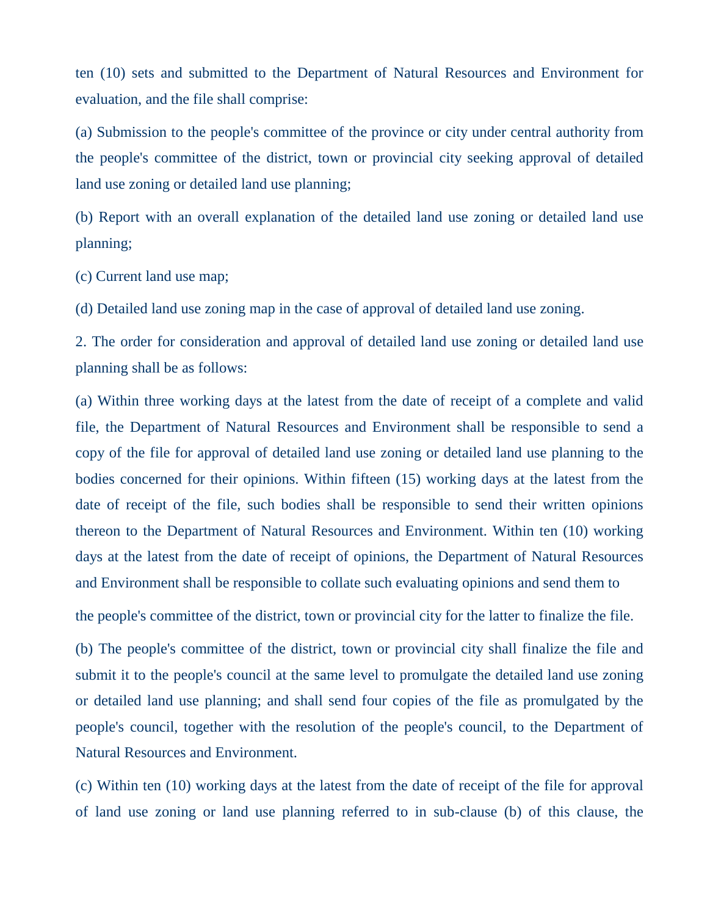ten (10) sets and submitted to the Department of Natural Resources and Environment for evaluation, and the file shall comprise:

(a) Submission to the people's committee of the province or city under central authority from the people's committee of the district, town or provincial city seeking approval of detailed land use zoning or detailed land use planning;

(b) Report with an overall explanation of the detailed land use zoning or detailed land use planning;

(c) Current land use map;

(d) Detailed land use zoning map in the case of approval of detailed land use zoning.

2. The order for consideration and approval of detailed land use zoning or detailed land use planning shall be as follows:

(a) Within three working days at the latest from the date of receipt of a complete and valid file, the Department of Natural Resources and Environment shall be responsible to send a copy of the file for approval of detailed land use zoning or detailed land use planning to the bodies concerned for their opinions. Within fifteen (15) working days at the latest from the date of receipt of the file, such bodies shall be responsible to send their written opinions thereon to the Department of Natural Resources and Environment. Within ten (10) working days at the latest from the date of receipt of opinions, the Department of Natural Resources and Environment shall be responsible to collate such evaluating opinions and send them to

the people's committee of the district, town or provincial city for the latter to finalize the file.

(b) The people's committee of the district, town or provincial city shall finalize the file and submit it to the people's council at the same level to promulgate the detailed land use zoning or detailed land use planning; and shall send four copies of the file as promulgated by the people's council, together with the resolution of the people's council, to the Department of Natural Resources and Environment.

(c) Within ten (10) working days at the latest from the date of receipt of the file for approval of land use zoning or land use planning referred to in sub-clause (b) of this clause, the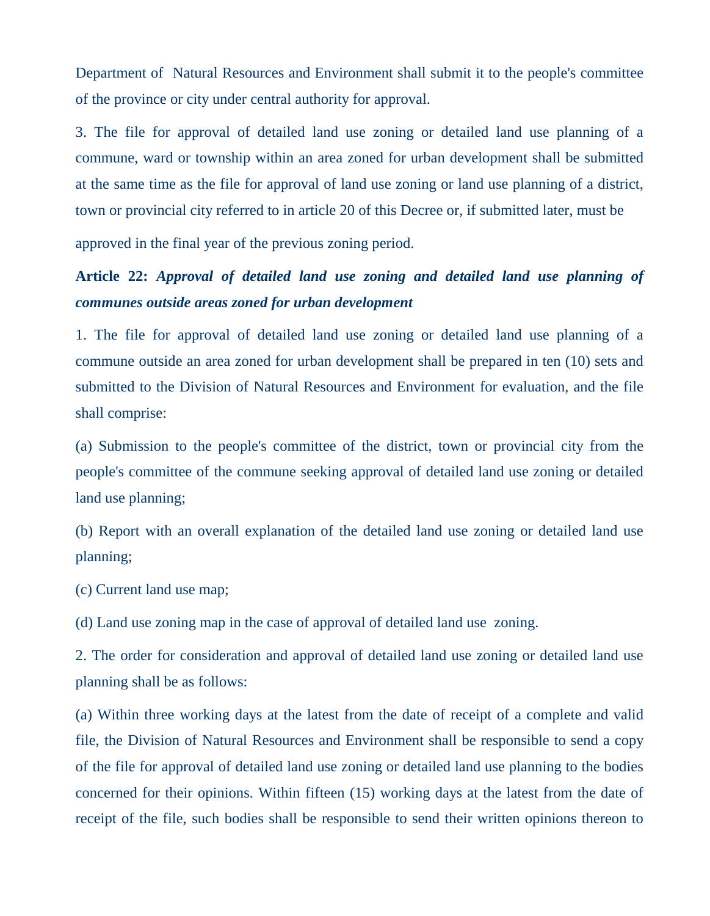Department of Natural Resources and Environment shall submit it to the people's committee of the province or city under central authority for approval.

3. The file for approval of detailed land use zoning or detailed land use planning of a commune, ward or township within an area zoned for urban development shall be submitted at the same time as the file for approval of land use zoning or land use planning of a district, town or provincial city referred to in article 20 of this Decree or, if submitted later, must be

approved in the final year of the previous zoning period.

# **Article 22:** *Approval of detailed land use zoning and detailed land use planning of communes outside areas zoned for urban development*

1. The file for approval of detailed land use zoning or detailed land use planning of a commune outside an area zoned for urban development shall be prepared in ten (10) sets and submitted to the Division of Natural Resources and Environment for evaluation, and the file shall comprise:

(a) Submission to the people's committee of the district, town or provincial city from the people's committee of the commune seeking approval of detailed land use zoning or detailed land use planning;

(b) Report with an overall explanation of the detailed land use zoning or detailed land use planning;

(c) Current land use map;

(d) Land use zoning map in the case of approval of detailed land use zoning.

2. The order for consideration and approval of detailed land use zoning or detailed land use planning shall be as follows:

(a) Within three working days at the latest from the date of receipt of a complete and valid file, the Division of Natural Resources and Environment shall be responsible to send a copy of the file for approval of detailed land use zoning or detailed land use planning to the bodies concerned for their opinions. Within fifteen (15) working days at the latest from the date of receipt of the file, such bodies shall be responsible to send their written opinions thereon to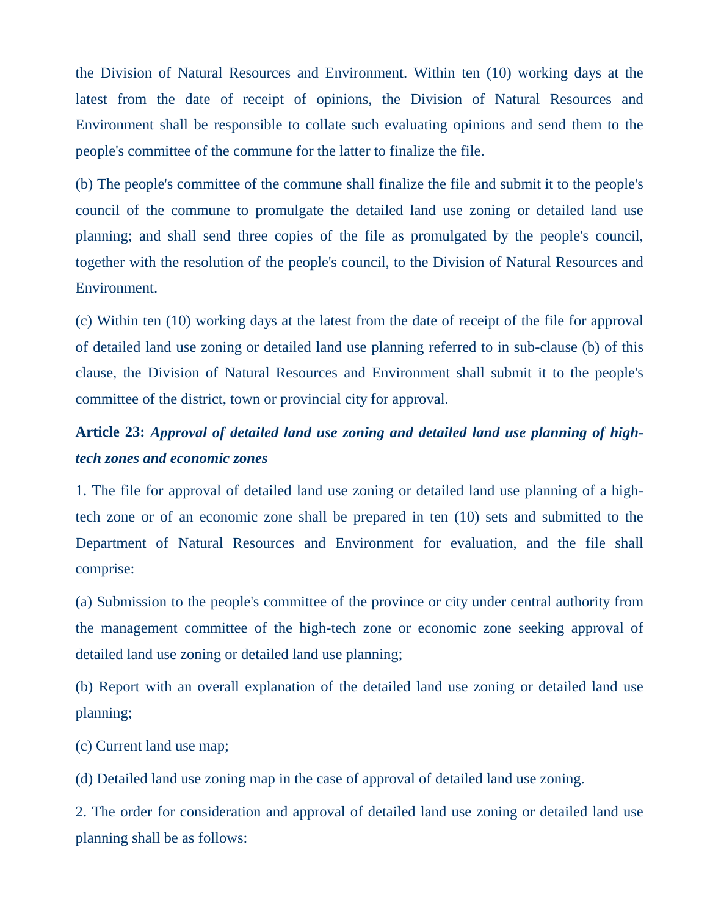the Division of Natural Resources and Environment. Within ten (10) working days at the latest from the date of receipt of opinions, the Division of Natural Resources and Environment shall be responsible to collate such evaluating opinions and send them to the people's committee of the commune for the latter to finalize the file.

(b) The people's committee of the commune shall finalize the file and submit it to the people's council of the commune to promulgate the detailed land use zoning or detailed land use planning; and shall send three copies of the file as promulgated by the people's council, together with the resolution of the people's council, to the Division of Natural Resources and Environment.

(c) Within ten (10) working days at the latest from the date of receipt of the file for approval of detailed land use zoning or detailed land use planning referred to in sub-clause (b) of this clause, the Division of Natural Resources and Environment shall submit it to the people's committee of the district, town or provincial city for approval.

# **Article 23:** *Approval of detailed land use zoning and detailed land use planning of hightech zones and economic zones*

1. The file for approval of detailed land use zoning or detailed land use planning of a hightech zone or of an economic zone shall be prepared in ten (10) sets and submitted to the Department of Natural Resources and Environment for evaluation, and the file shall comprise:

(a) Submission to the people's committee of the province or city under central authority from the management committee of the high-tech zone or economic zone seeking approval of detailed land use zoning or detailed land use planning;

(b) Report with an overall explanation of the detailed land use zoning or detailed land use planning;

(c) Current land use map;

(d) Detailed land use zoning map in the case of approval of detailed land use zoning.

2. The order for consideration and approval of detailed land use zoning or detailed land use planning shall be as follows: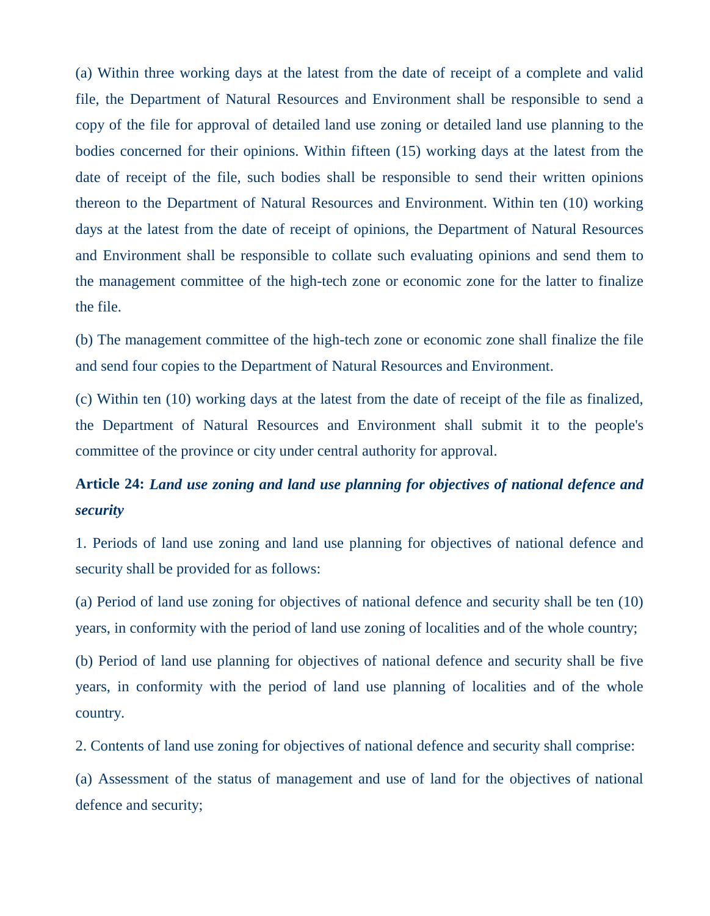(a) Within three working days at the latest from the date of receipt of a complete and valid file, the Department of Natural Resources and Environment shall be responsible to send a copy of the file for approval of detailed land use zoning or detailed land use planning to the bodies concerned for their opinions. Within fifteen (15) working days at the latest from the date of receipt of the file, such bodies shall be responsible to send their written opinions thereon to the Department of Natural Resources and Environment. Within ten (10) working days at the latest from the date of receipt of opinions, the Department of Natural Resources and Environment shall be responsible to collate such evaluating opinions and send them to the management committee of the high-tech zone or economic zone for the latter to finalize the file.

(b) The management committee of the high-tech zone or economic zone shall finalize the file and send four copies to the Department of Natural Resources and Environment.

(c) Within ten (10) working days at the latest from the date of receipt of the file as finalized, the Department of Natural Resources and Environment shall submit it to the people's committee of the province or city under central authority for approval.

# **Article 24:** *Land use zoning and land use planning for objectives of national defence and security*

1. Periods of land use zoning and land use planning for objectives of national defence and security shall be provided for as follows:

(a) Period of land use zoning for objectives of national defence and security shall be ten (10) years, in conformity with the period of land use zoning of localities and of the whole country;

(b) Period of land use planning for objectives of national defence and security shall be five years, in conformity with the period of land use planning of localities and of the whole country.

2. Contents of land use zoning for objectives of national defence and security shall comprise:

(a) Assessment of the status of management and use of land for the objectives of national defence and security;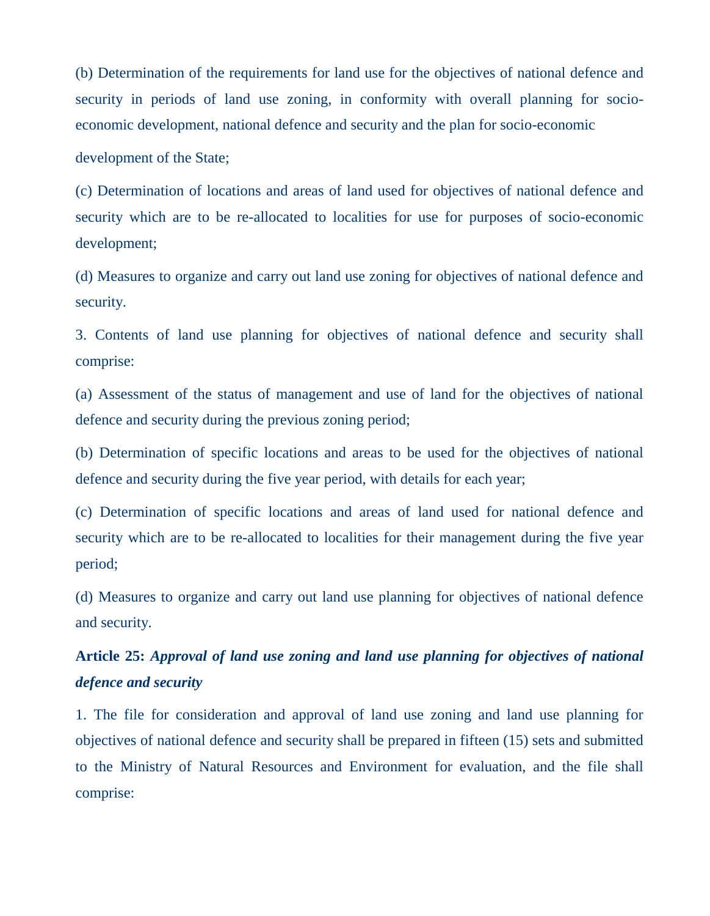(b) Determination of the requirements for land use for the objectives of national defence and security in periods of land use zoning, in conformity with overall planning for socioeconomic development, national defence and security and the plan for socio-economic

development of the State;

(c) Determination of locations and areas of land used for objectives of national defence and security which are to be re-allocated to localities for use for purposes of socio-economic development;

(d) Measures to organize and carry out land use zoning for objectives of national defence and security.

3. Contents of land use planning for objectives of national defence and security shall comprise:

(a) Assessment of the status of management and use of land for the objectives of national defence and security during the previous zoning period;

(b) Determination of specific locations and areas to be used for the objectives of national defence and security during the five year period, with details for each year;

(c) Determination of specific locations and areas of land used for national defence and security which are to be re-allocated to localities for their management during the five year period;

(d) Measures to organize and carry out land use planning for objectives of national defence and security.

# **Article 25:** *Approval of land use zoning and land use planning for objectives of national defence and security*

1. The file for consideration and approval of land use zoning and land use planning for objectives of national defence and security shall be prepared in fifteen (15) sets and submitted to the Ministry of Natural Resources and Environment for evaluation, and the file shall comprise: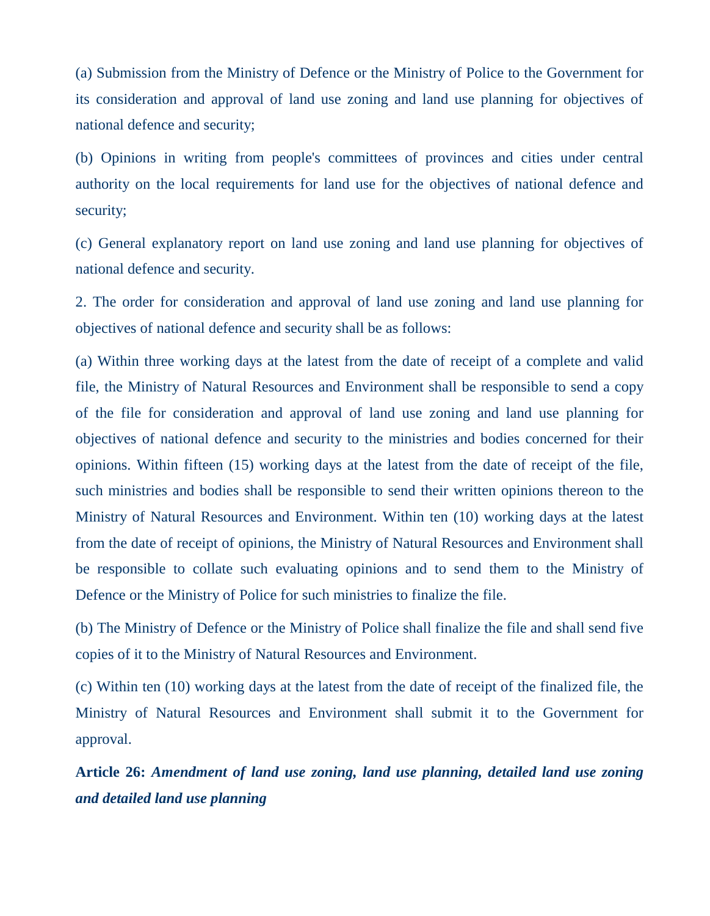(a) Submission from the Ministry of Defence or the Ministry of Police to the Government for its consideration and approval of land use zoning and land use planning for objectives of national defence and security;

(b) Opinions in writing from people's committees of provinces and cities under central authority on the local requirements for land use for the objectives of national defence and security;

(c) General explanatory report on land use zoning and land use planning for objectives of national defence and security.

2. The order for consideration and approval of land use zoning and land use planning for objectives of national defence and security shall be as follows:

(a) Within three working days at the latest from the date of receipt of a complete and valid file, the Ministry of Natural Resources and Environment shall be responsible to send a copy of the file for consideration and approval of land use zoning and land use planning for objectives of national defence and security to the ministries and bodies concerned for their opinions. Within fifteen (15) working days at the latest from the date of receipt of the file, such ministries and bodies shall be responsible to send their written opinions thereon to the Ministry of Natural Resources and Environment. Within ten (10) working days at the latest from the date of receipt of opinions, the Ministry of Natural Resources and Environment shall be responsible to collate such evaluating opinions and to send them to the Ministry of Defence or the Ministry of Police for such ministries to finalize the file.

(b) The Ministry of Defence or the Ministry of Police shall finalize the file and shall send five copies of it to the Ministry of Natural Resources and Environment.

(c) Within ten (10) working days at the latest from the date of receipt of the finalized file, the Ministry of Natural Resources and Environment shall submit it to the Government for approval.

**Article 26:** *Amendment of land use zoning, land use planning, detailed land use zoning and detailed land use planning*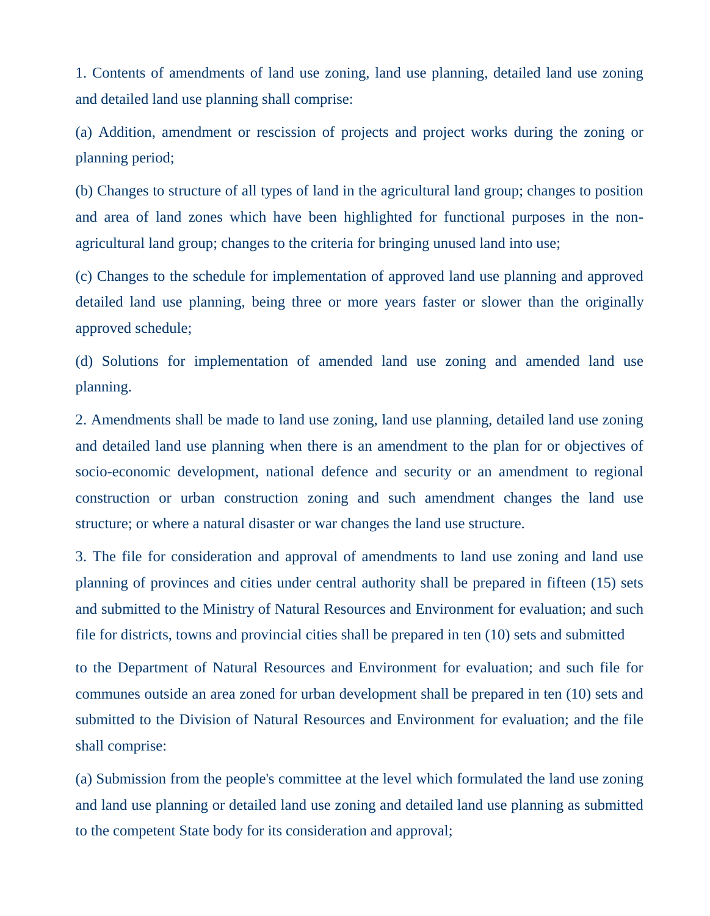1. Contents of amendments of land use zoning, land use planning, detailed land use zoning and detailed land use planning shall comprise:

(a) Addition, amendment or rescission of projects and project works during the zoning or planning period;

(b) Changes to structure of all types of land in the agricultural land group; changes to position and area of land zones which have been highlighted for functional purposes in the nonagricultural land group; changes to the criteria for bringing unused land into use;

(c) Changes to the schedule for implementation of approved land use planning and approved detailed land use planning, being three or more years faster or slower than the originally approved schedule;

(d) Solutions for implementation of amended land use zoning and amended land use planning.

2. Amendments shall be made to land use zoning, land use planning, detailed land use zoning and detailed land use planning when there is an amendment to the plan for or objectives of socio-economic development, national defence and security or an amendment to regional construction or urban construction zoning and such amendment changes the land use structure; or where a natural disaster or war changes the land use structure.

3. The file for consideration and approval of amendments to land use zoning and land use planning of provinces and cities under central authority shall be prepared in fifteen (15) sets and submitted to the Ministry of Natural Resources and Environment for evaluation; and such file for districts, towns and provincial cities shall be prepared in ten (10) sets and submitted

to the Department of Natural Resources and Environment for evaluation; and such file for communes outside an area zoned for urban development shall be prepared in ten (10) sets and submitted to the Division of Natural Resources and Environment for evaluation; and the file shall comprise:

(a) Submission from the people's committee at the level which formulated the land use zoning and land use planning or detailed land use zoning and detailed land use planning as submitted to the competent State body for its consideration and approval;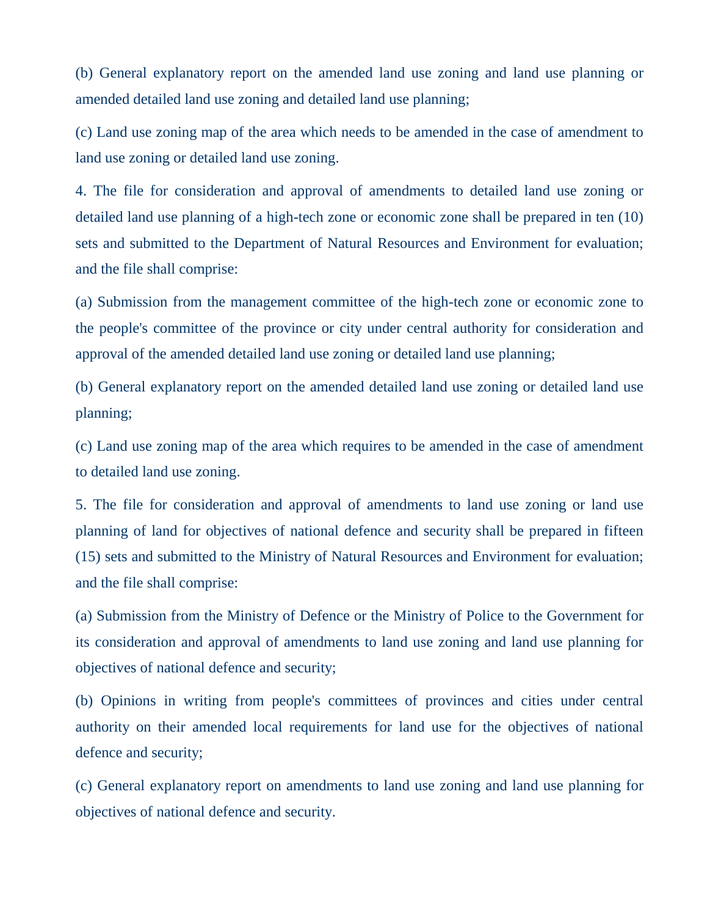(b) General explanatory report on the amended land use zoning and land use planning or amended detailed land use zoning and detailed land use planning;

(c) Land use zoning map of the area which needs to be amended in the case of amendment to land use zoning or detailed land use zoning.

4. The file for consideration and approval of amendments to detailed land use zoning or detailed land use planning of a high-tech zone or economic zone shall be prepared in ten (10) sets and submitted to the Department of Natural Resources and Environment for evaluation; and the file shall comprise:

(a) Submission from the management committee of the high-tech zone or economic zone to the people's committee of the province or city under central authority for consideration and approval of the amended detailed land use zoning or detailed land use planning;

(b) General explanatory report on the amended detailed land use zoning or detailed land use planning;

(c) Land use zoning map of the area which requires to be amended in the case of amendment to detailed land use zoning.

5. The file for consideration and approval of amendments to land use zoning or land use planning of land for objectives of national defence and security shall be prepared in fifteen (15) sets and submitted to the Ministry of Natural Resources and Environment for evaluation; and the file shall comprise:

(a) Submission from the Ministry of Defence or the Ministry of Police to the Government for its consideration and approval of amendments to land use zoning and land use planning for objectives of national defence and security;

(b) Opinions in writing from people's committees of provinces and cities under central authority on their amended local requirements for land use for the objectives of national defence and security;

(c) General explanatory report on amendments to land use zoning and land use planning for objectives of national defence and security.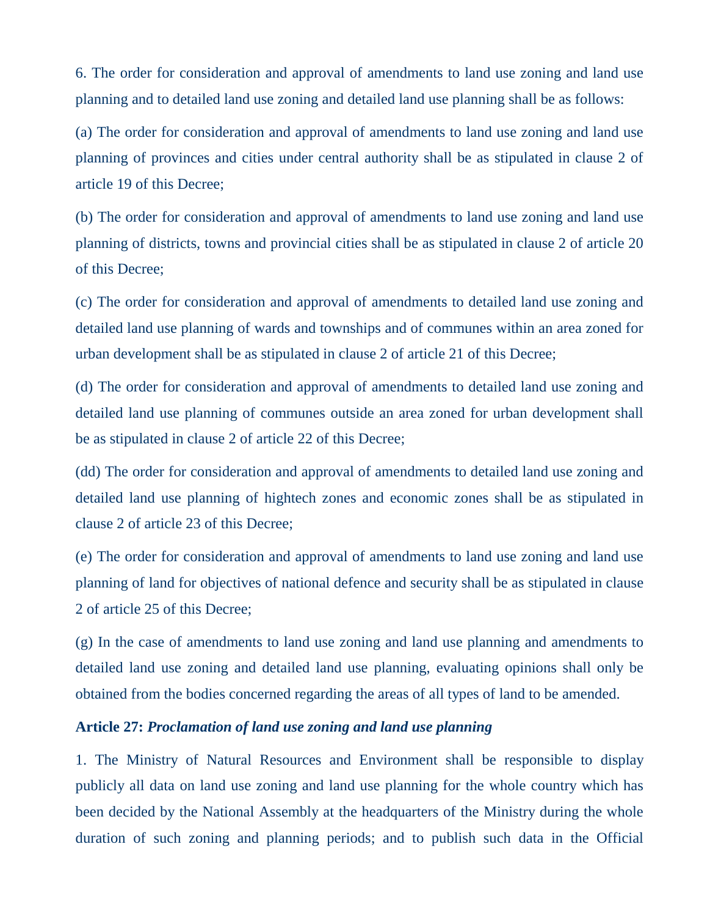6. The order for consideration and approval of amendments to land use zoning and land use planning and to detailed land use zoning and detailed land use planning shall be as follows:

(a) The order for consideration and approval of amendments to land use zoning and land use planning of provinces and cities under central authority shall be as stipulated in clause 2 of article 19 of this Decree;

(b) The order for consideration and approval of amendments to land use zoning and land use planning of districts, towns and provincial cities shall be as stipulated in clause 2 of article 20 of this Decree;

(c) The order for consideration and approval of amendments to detailed land use zoning and detailed land use planning of wards and townships and of communes within an area zoned for urban development shall be as stipulated in clause 2 of article 21 of this Decree;

(d) The order for consideration and approval of amendments to detailed land use zoning and detailed land use planning of communes outside an area zoned for urban development shall be as stipulated in clause 2 of article 22 of this Decree;

(dd) The order for consideration and approval of amendments to detailed land use zoning and detailed land use planning of hightech zones and economic zones shall be as stipulated in clause 2 of article 23 of this Decree;

(e) The order for consideration and approval of amendments to land use zoning and land use planning of land for objectives of national defence and security shall be as stipulated in clause 2 of article 25 of this Decree;

(g) In the case of amendments to land use zoning and land use planning and amendments to detailed land use zoning and detailed land use planning, evaluating opinions shall only be obtained from the bodies concerned regarding the areas of all types of land to be amended.

#### **Article 27:** *Proclamation of land use zoning and land use planning*

1. The Ministry of Natural Resources and Environment shall be responsible to display publicly all data on land use zoning and land use planning for the whole country which has been decided by the National Assembly at the headquarters of the Ministry during the whole duration of such zoning and planning periods; and to publish such data in the Official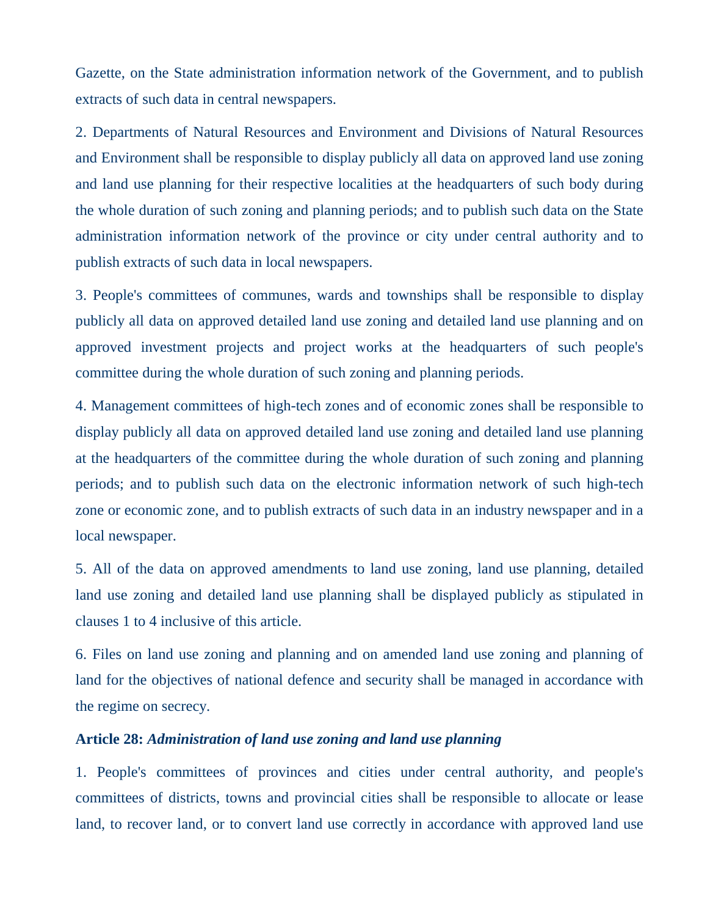Gazette, on the State administration information network of the Government, and to publish extracts of such data in central newspapers.

2. Departments of Natural Resources and Environment and Divisions of Natural Resources and Environment shall be responsible to display publicly all data on approved land use zoning and land use planning for their respective localities at the headquarters of such body during the whole duration of such zoning and planning periods; and to publish such data on the State administration information network of the province or city under central authority and to publish extracts of such data in local newspapers.

3. People's committees of communes, wards and townships shall be responsible to display publicly all data on approved detailed land use zoning and detailed land use planning and on approved investment projects and project works at the headquarters of such people's committee during the whole duration of such zoning and planning periods.

4. Management committees of high-tech zones and of economic zones shall be responsible to display publicly all data on approved detailed land use zoning and detailed land use planning at the headquarters of the committee during the whole duration of such zoning and planning periods; and to publish such data on the electronic information network of such high-tech zone or economic zone, and to publish extracts of such data in an industry newspaper and in a local newspaper.

5. All of the data on approved amendments to land use zoning, land use planning, detailed land use zoning and detailed land use planning shall be displayed publicly as stipulated in clauses 1 to 4 inclusive of this article.

6. Files on land use zoning and planning and on amended land use zoning and planning of land for the objectives of national defence and security shall be managed in accordance with the regime on secrecy.

### **Article 28:** *Administration of land use zoning and land use planning*

1. People's committees of provinces and cities under central authority, and people's committees of districts, towns and provincial cities shall be responsible to allocate or lease land, to recover land, or to convert land use correctly in accordance with approved land use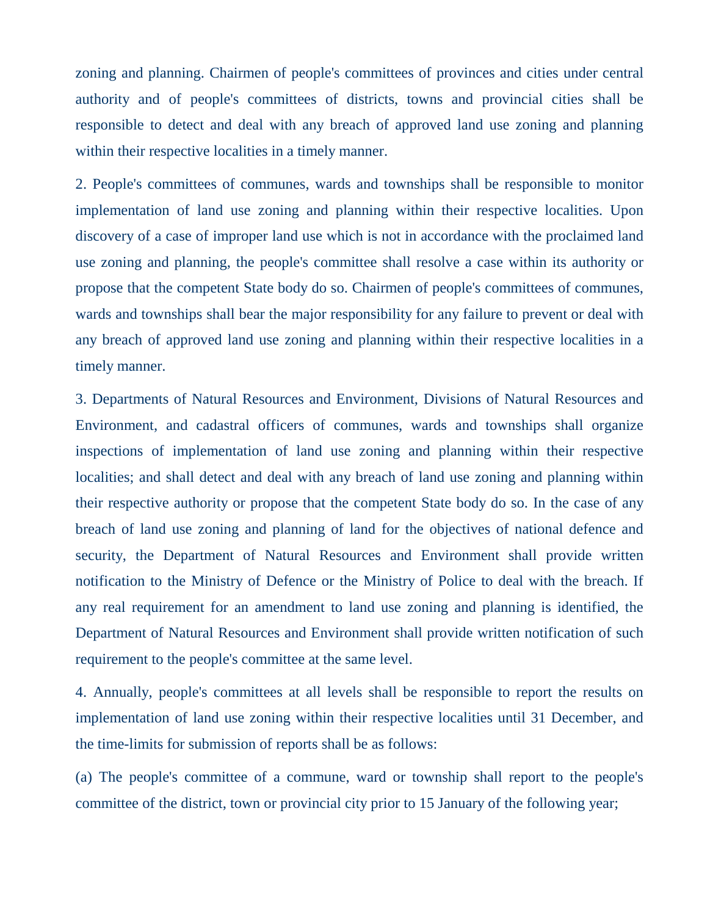zoning and planning. Chairmen of people's committees of provinces and cities under central authority and of people's committees of districts, towns and provincial cities shall be responsible to detect and deal with any breach of approved land use zoning and planning within their respective localities in a timely manner.

2. People's committees of communes, wards and townships shall be responsible to monitor implementation of land use zoning and planning within their respective localities. Upon discovery of a case of improper land use which is not in accordance with the proclaimed land use zoning and planning, the people's committee shall resolve a case within its authority or propose that the competent State body do so. Chairmen of people's committees of communes, wards and townships shall bear the major responsibility for any failure to prevent or deal with any breach of approved land use zoning and planning within their respective localities in a timely manner.

3. Departments of Natural Resources and Environment, Divisions of Natural Resources and Environment, and cadastral officers of communes, wards and townships shall organize inspections of implementation of land use zoning and planning within their respective localities; and shall detect and deal with any breach of land use zoning and planning within their respective authority or propose that the competent State body do so. In the case of any breach of land use zoning and planning of land for the objectives of national defence and security, the Department of Natural Resources and Environment shall provide written notification to the Ministry of Defence or the Ministry of Police to deal with the breach. If any real requirement for an amendment to land use zoning and planning is identified, the Department of Natural Resources and Environment shall provide written notification of such requirement to the people's committee at the same level.

4. Annually, people's committees at all levels shall be responsible to report the results on implementation of land use zoning within their respective localities until 31 December, and the time-limits for submission of reports shall be as follows:

(a) The people's committee of a commune, ward or township shall report to the people's committee of the district, town or provincial city prior to 15 January of the following year;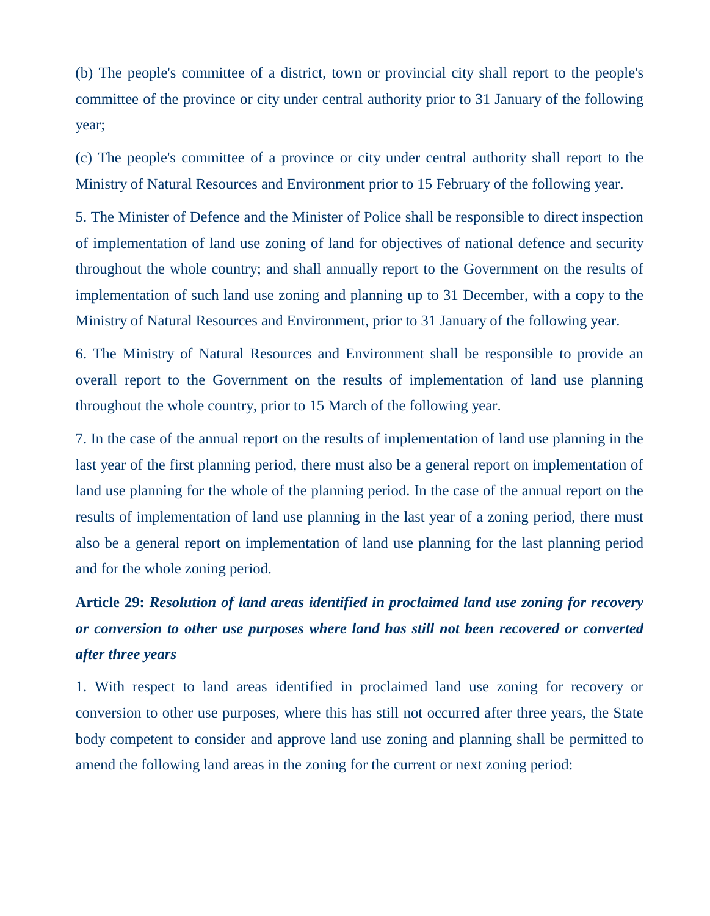(b) The people's committee of a district, town or provincial city shall report to the people's committee of the province or city under central authority prior to 31 January of the following year;

(c) The people's committee of a province or city under central authority shall report to the Ministry of Natural Resources and Environment prior to 15 February of the following year.

5. The Minister of Defence and the Minister of Police shall be responsible to direct inspection of implementation of land use zoning of land for objectives of national defence and security throughout the whole country; and shall annually report to the Government on the results of implementation of such land use zoning and planning up to 31 December, with a copy to the Ministry of Natural Resources and Environment, prior to 31 January of the following year.

6. The Ministry of Natural Resources and Environment shall be responsible to provide an overall report to the Government on the results of implementation of land use planning throughout the whole country, prior to 15 March of the following year.

7. In the case of the annual report on the results of implementation of land use planning in the last year of the first planning period, there must also be a general report on implementation of land use planning for the whole of the planning period. In the case of the annual report on the results of implementation of land use planning in the last year of a zoning period, there must also be a general report on implementation of land use planning for the last planning period and for the whole zoning period.

# **Article 29:** *Resolution of land areas identified in proclaimed land use zoning for recovery or conversion to other use purposes where land has still not been recovered or converted after three years*

1. With respect to land areas identified in proclaimed land use zoning for recovery or conversion to other use purposes, where this has still not occurred after three years, the State body competent to consider and approve land use zoning and planning shall be permitted to amend the following land areas in the zoning for the current or next zoning period: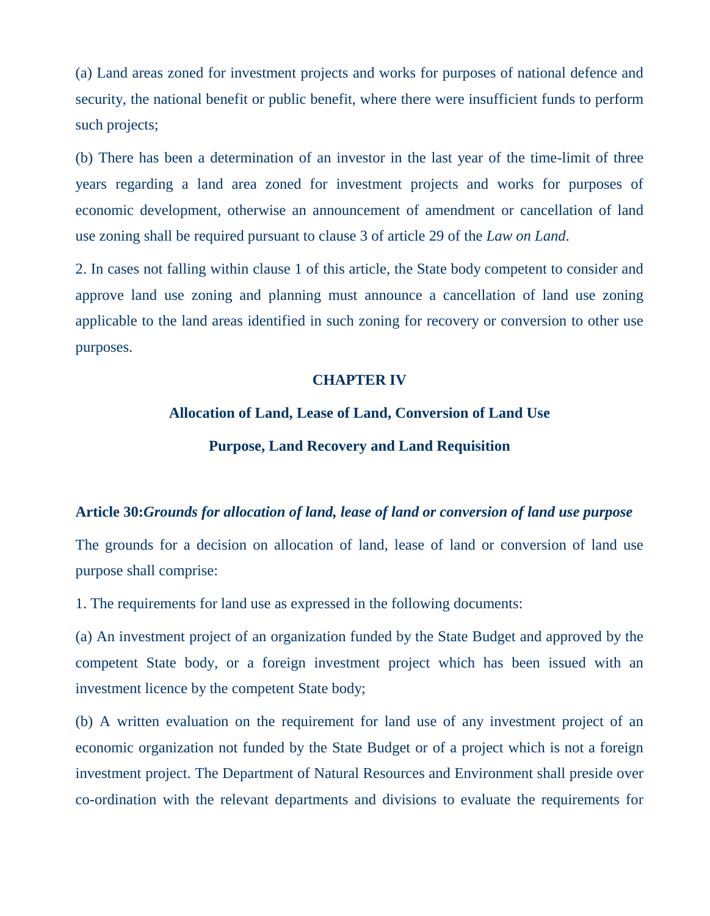(a) Land areas zoned for investment projects and works for purposes of national defence and security, the national benefit or public benefit, where there were insufficient funds to perform such projects;

(b) There has been a determination of an investor in the last year of the time-limit of three years regarding a land area zoned for investment projects and works for purposes of economic development, otherwise an announcement of amendment or cancellation of land use zoning shall be required pursuant to clause 3 of article 29 of the *Law on Land*.

2. In cases not falling within clause 1 of this article, the State body competent to consider and approve land use zoning and planning must announce a cancellation of land use zoning applicable to the land areas identified in such zoning for recovery or conversion to other use purposes.

#### **CHAPTER IV**

#### **Allocation of Land, Lease of Land, Conversion of Land Use**

#### **Purpose, Land Recovery and Land Requisition**

#### **Article 30:***Grounds for allocation of land, lease of land or conversion of land use purpose*

The grounds for a decision on allocation of land, lease of land or conversion of land use purpose shall comprise:

1. The requirements for land use as expressed in the following documents:

(a) An investment project of an organization funded by the State Budget and approved by the competent State body, or a foreign investment project which has been issued with an investment licence by the competent State body;

(b) A written evaluation on the requirement for land use of any investment project of an economic organization not funded by the State Budget or of a project which is not a foreign investment project. The Department of Natural Resources and Environment shall preside over co-ordination with the relevant departments and divisions to evaluate the requirements for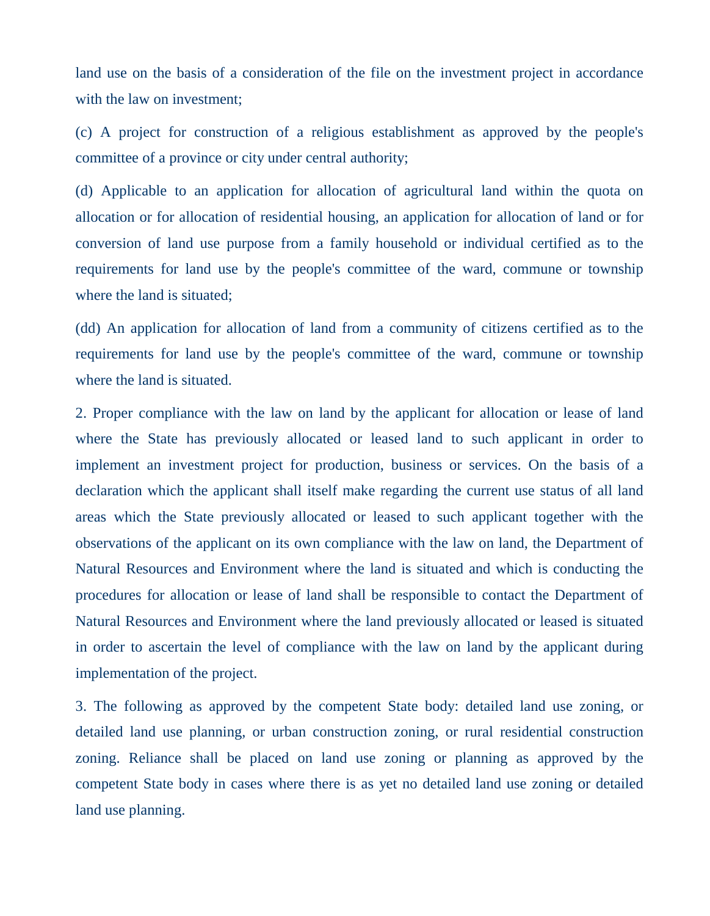land use on the basis of a consideration of the file on the investment project in accordance with the law on investment;

(c) A project for construction of a religious establishment as approved by the people's committee of a province or city under central authority;

(d) Applicable to an application for allocation of agricultural land within the quota on allocation or for allocation of residential housing, an application for allocation of land or for conversion of land use purpose from a family household or individual certified as to the requirements for land use by the people's committee of the ward, commune or township where the land is situated;

(dd) An application for allocation of land from a community of citizens certified as to the requirements for land use by the people's committee of the ward, commune or township where the land is situated.

2. Proper compliance with the law on land by the applicant for allocation or lease of land where the State has previously allocated or leased land to such applicant in order to implement an investment project for production, business or services. On the basis of a declaration which the applicant shall itself make regarding the current use status of all land areas which the State previously allocated or leased to such applicant together with the observations of the applicant on its own compliance with the law on land, the Department of Natural Resources and Environment where the land is situated and which is conducting the procedures for allocation or lease of land shall be responsible to contact the Department of Natural Resources and Environment where the land previously allocated or leased is situated in order to ascertain the level of compliance with the law on land by the applicant during implementation of the project.

3. The following as approved by the competent State body: detailed land use zoning, or detailed land use planning, or urban construction zoning, or rural residential construction zoning. Reliance shall be placed on land use zoning or planning as approved by the competent State body in cases where there is as yet no detailed land use zoning or detailed land use planning.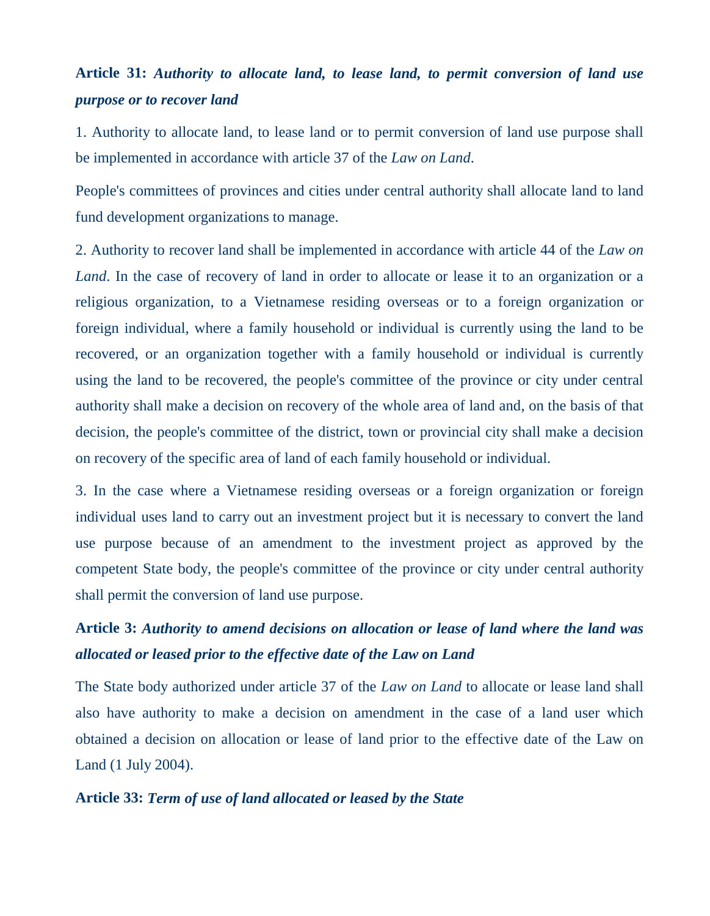### **Article 31:** *Authority to allocate land, to lease land, to permit conversion of land use purpose or to recover land*

1. Authority to allocate land, to lease land or to permit conversion of land use purpose shall be implemented in accordance with article 37 of the *Law on Land*.

People's committees of provinces and cities under central authority shall allocate land to land fund development organizations to manage.

2. Authority to recover land shall be implemented in accordance with article 44 of the *Law on Land*. In the case of recovery of land in order to allocate or lease it to an organization or a religious organization, to a Vietnamese residing overseas or to a foreign organization or foreign individual, where a family household or individual is currently using the land to be recovered, or an organization together with a family household or individual is currently using the land to be recovered, the people's committee of the province or city under central authority shall make a decision on recovery of the whole area of land and, on the basis of that decision, the people's committee of the district, town or provincial city shall make a decision on recovery of the specific area of land of each family household or individual.

3. In the case where a Vietnamese residing overseas or a foreign organization or foreign individual uses land to carry out an investment project but it is necessary to convert the land use purpose because of an amendment to the investment project as approved by the competent State body, the people's committee of the province or city under central authority shall permit the conversion of land use purpose.

## **Article 3:** *Authority to amend decisions on allocation or lease of land where the land was allocated or leased prior to the effective date of the Law on Land*

The State body authorized under article 37 of the *Law on Land* to allocate or lease land shall also have authority to make a decision on amendment in the case of a land user which obtained a decision on allocation or lease of land prior to the effective date of the Law on Land (1 July 2004).

### **Article 33:** *Term of use of land allocated or leased by the State*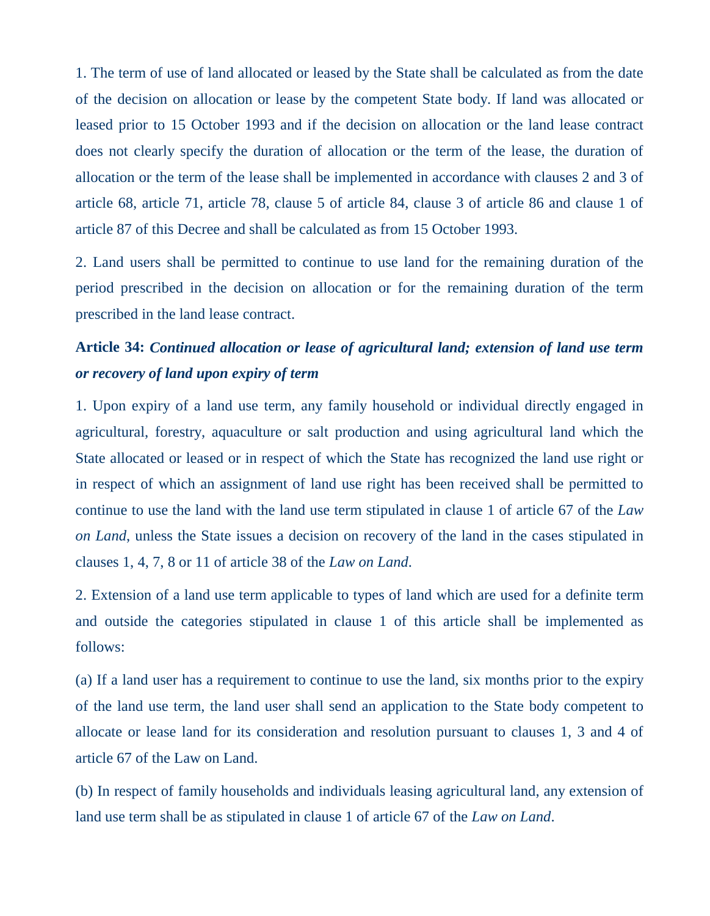1. The term of use of land allocated or leased by the State shall be calculated as from the date of the decision on allocation or lease by the competent State body. If land was allocated or leased prior to 15 October 1993 and if the decision on allocation or the land lease contract does not clearly specify the duration of allocation or the term of the lease, the duration of allocation or the term of the lease shall be implemented in accordance with clauses 2 and 3 of article 68, article 71, article 78, clause 5 of article 84, clause 3 of article 86 and clause 1 of article 87 of this Decree and shall be calculated as from 15 October 1993.

2. Land users shall be permitted to continue to use land for the remaining duration of the period prescribed in the decision on allocation or for the remaining duration of the term prescribed in the land lease contract.

## **Article 34:** *Continued allocation or lease of agricultural land; extension of land use term or recovery of land upon expiry of term*

1. Upon expiry of a land use term, any family household or individual directly engaged in agricultural, forestry, aquaculture or salt production and using agricultural land which the State allocated or leased or in respect of which the State has recognized the land use right or in respect of which an assignment of land use right has been received shall be permitted to continue to use the land with the land use term stipulated in clause 1 of article 67 of the *Law on Land*, unless the State issues a decision on recovery of the land in the cases stipulated in clauses 1, 4, 7, 8 or 11 of article 38 of the *Law on Land*.

2. Extension of a land use term applicable to types of land which are used for a definite term and outside the categories stipulated in clause 1 of this article shall be implemented as follows:

(a) If a land user has a requirement to continue to use the land, six months prior to the expiry of the land use term, the land user shall send an application to the State body competent to allocate or lease land for its consideration and resolution pursuant to clauses 1, 3 and 4 of article 67 of the Law on Land.

(b) In respect of family households and individuals leasing agricultural land, any extension of land use term shall be as stipulated in clause 1 of article 67 of the *Law on Land*.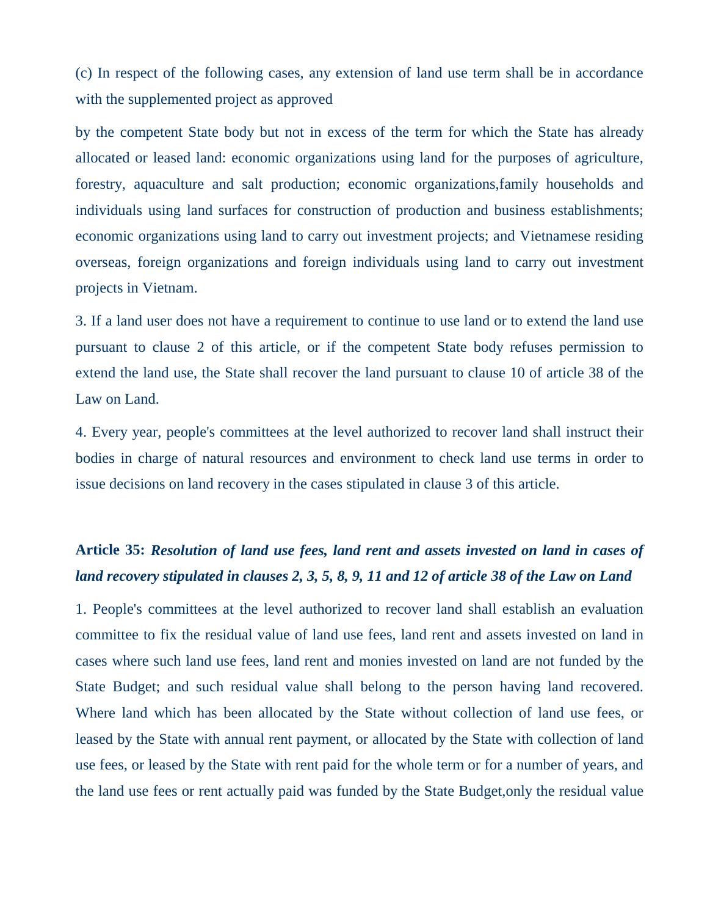(c) In respect of the following cases, any extension of land use term shall be in accordance with the supplemented project as approved

by the competent State body but not in excess of the term for which the State has already allocated or leased land: economic organizations using land for the purposes of agriculture, forestry, aquaculture and salt production; economic organizations,family households and individuals using land surfaces for construction of production and business establishments; economic organizations using land to carry out investment projects; and Vietnamese residing overseas, foreign organizations and foreign individuals using land to carry out investment projects in Vietnam.

3. If a land user does not have a requirement to continue to use land or to extend the land use pursuant to clause 2 of this article, or if the competent State body refuses permission to extend the land use, the State shall recover the land pursuant to clause 10 of article 38 of the Law on Land.

4. Every year, people's committees at the level authorized to recover land shall instruct their bodies in charge of natural resources and environment to check land use terms in order to issue decisions on land recovery in the cases stipulated in clause 3 of this article.

## **Article 35:** *Resolution of land use fees, land rent and assets invested on land in cases of land recovery stipulated in clauses 2, 3, 5, 8, 9, 11 and 12 of article 38 of the Law on Land*

1. People's committees at the level authorized to recover land shall establish an evaluation committee to fix the residual value of land use fees, land rent and assets invested on land in cases where such land use fees, land rent and monies invested on land are not funded by the State Budget; and such residual value shall belong to the person having land recovered. Where land which has been allocated by the State without collection of land use fees, or leased by the State with annual rent payment, or allocated by the State with collection of land use fees, or leased by the State with rent paid for the whole term or for a number of years, and the land use fees or rent actually paid was funded by the State Budget,only the residual value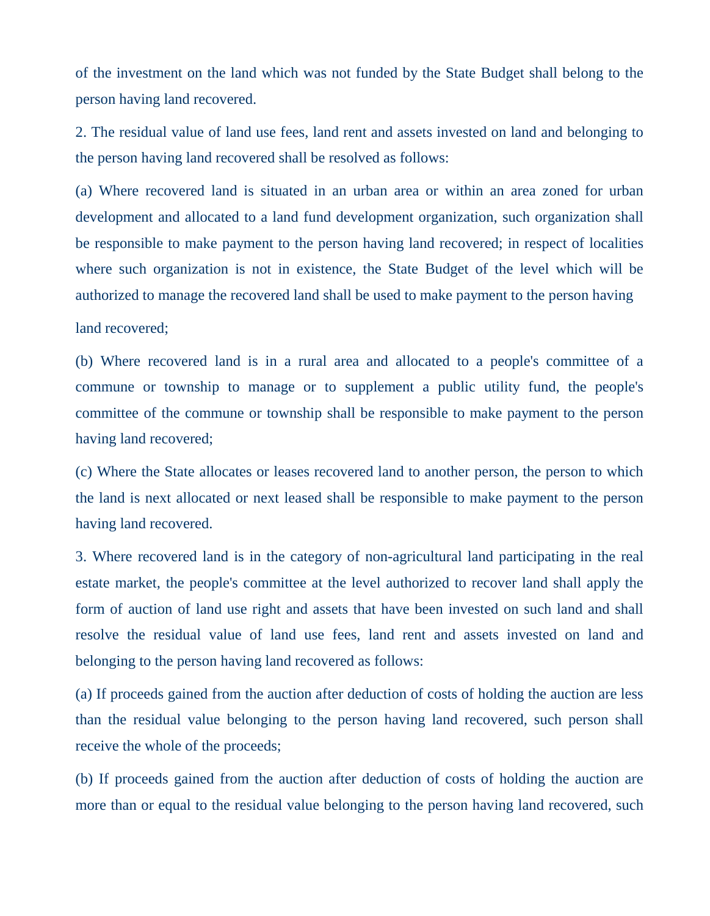of the investment on the land which was not funded by the State Budget shall belong to the person having land recovered.

2. The residual value of land use fees, land rent and assets invested on land and belonging to the person having land recovered shall be resolved as follows:

(a) Where recovered land is situated in an urban area or within an area zoned for urban development and allocated to a land fund development organization, such organization shall be responsible to make payment to the person having land recovered; in respect of localities where such organization is not in existence, the State Budget of the level which will be authorized to manage the recovered land shall be used to make payment to the person having

land recovered;

(b) Where recovered land is in a rural area and allocated to a people's committee of a commune or township to manage or to supplement a public utility fund, the people's committee of the commune or township shall be responsible to make payment to the person having land recovered;

(c) Where the State allocates or leases recovered land to another person, the person to which the land is next allocated or next leased shall be responsible to make payment to the person having land recovered.

3. Where recovered land is in the category of non-agricultural land participating in the real estate market, the people's committee at the level authorized to recover land shall apply the form of auction of land use right and assets that have been invested on such land and shall resolve the residual value of land use fees, land rent and assets invested on land and belonging to the person having land recovered as follows:

(a) If proceeds gained from the auction after deduction of costs of holding the auction are less than the residual value belonging to the person having land recovered, such person shall receive the whole of the proceeds;

(b) If proceeds gained from the auction after deduction of costs of holding the auction are more than or equal to the residual value belonging to the person having land recovered, such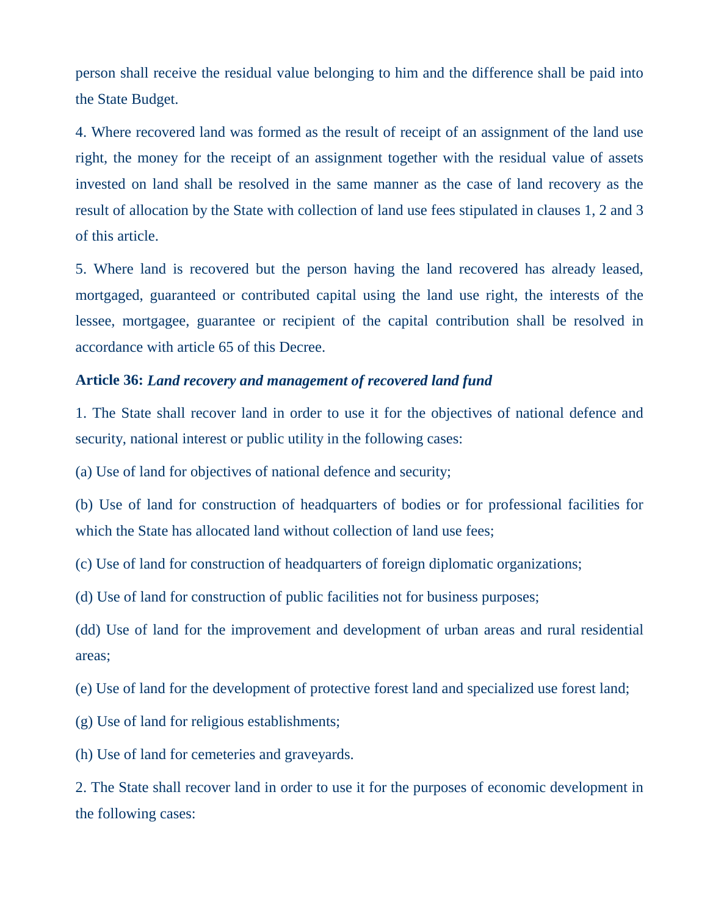person shall receive the residual value belonging to him and the difference shall be paid into the State Budget.

4. Where recovered land was formed as the result of receipt of an assignment of the land use right, the money for the receipt of an assignment together with the residual value of assets invested on land shall be resolved in the same manner as the case of land recovery as the result of allocation by the State with collection of land use fees stipulated in clauses 1, 2 and 3 of this article.

5. Where land is recovered but the person having the land recovered has already leased, mortgaged, guaranteed or contributed capital using the land use right, the interests of the lessee, mortgagee, guarantee or recipient of the capital contribution shall be resolved in accordance with article 65 of this Decree.

#### **Article 36:** *Land recovery and management of recovered land fund*

1. The State shall recover land in order to use it for the objectives of national defence and security, national interest or public utility in the following cases:

(a) Use of land for objectives of national defence and security;

(b) Use of land for construction of headquarters of bodies or for professional facilities for which the State has allocated land without collection of land use fees:

(c) Use of land for construction of headquarters of foreign diplomatic organizations;

(d) Use of land for construction of public facilities not for business purposes;

(dd) Use of land for the improvement and development of urban areas and rural residential areas;

(e) Use of land for the development of protective forest land and specialized use forest land;

(g) Use of land for religious establishments;

(h) Use of land for cemeteries and graveyards.

2. The State shall recover land in order to use it for the purposes of economic development in the following cases: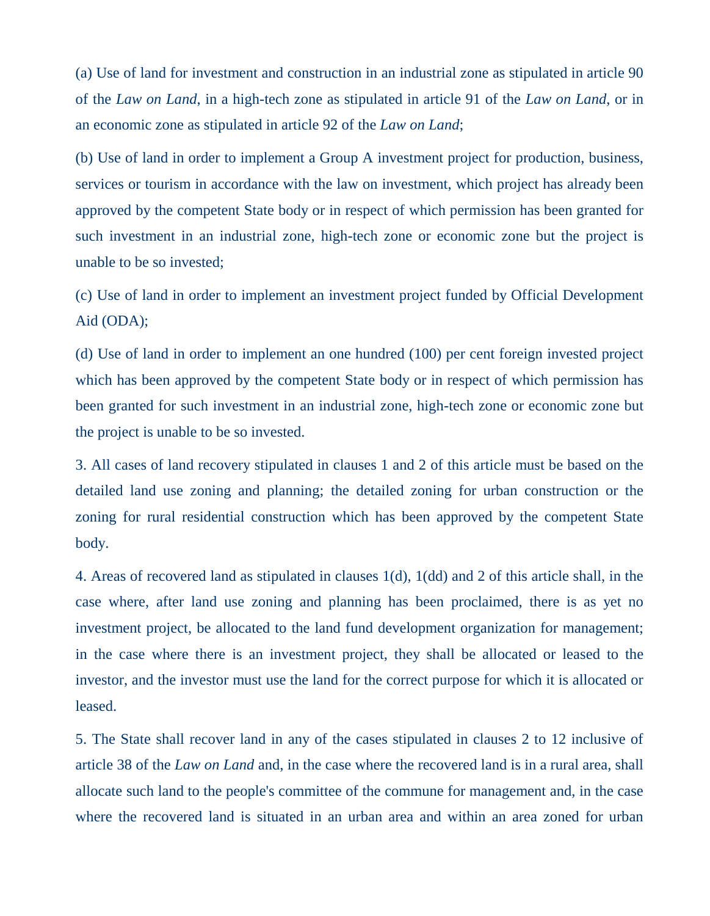(a) Use of land for investment and construction in an industrial zone as stipulated in article 90 of the *Law on Land*, in a high-tech zone as stipulated in article 91 of the *Law on Land*, or in an economic zone as stipulated in article 92 of the *Law on Land*;

(b) Use of land in order to implement a Group A investment project for production, business, services or tourism in accordance with the law on investment, which project has already been approved by the competent State body or in respect of which permission has been granted for such investment in an industrial zone, high-tech zone or economic zone but the project is unable to be so invested;

(c) Use of land in order to implement an investment project funded by Official Development Aid (ODA);

(d) Use of land in order to implement an one hundred (100) per cent foreign invested project which has been approved by the competent State body or in respect of which permission has been granted for such investment in an industrial zone, high-tech zone or economic zone but the project is unable to be so invested.

3. All cases of land recovery stipulated in clauses 1 and 2 of this article must be based on the detailed land use zoning and planning; the detailed zoning for urban construction or the zoning for rural residential construction which has been approved by the competent State body.

4. Areas of recovered land as stipulated in clauses 1(d), 1(dd) and 2 of this article shall, in the case where, after land use zoning and planning has been proclaimed, there is as yet no investment project, be allocated to the land fund development organization for management; in the case where there is an investment project, they shall be allocated or leased to the investor, and the investor must use the land for the correct purpose for which it is allocated or leased.

5. The State shall recover land in any of the cases stipulated in clauses 2 to 12 inclusive of article 38 of the *Law on Land* and, in the case where the recovered land is in a rural area, shall allocate such land to the people's committee of the commune for management and, in the case where the recovered land is situated in an urban area and within an area zoned for urban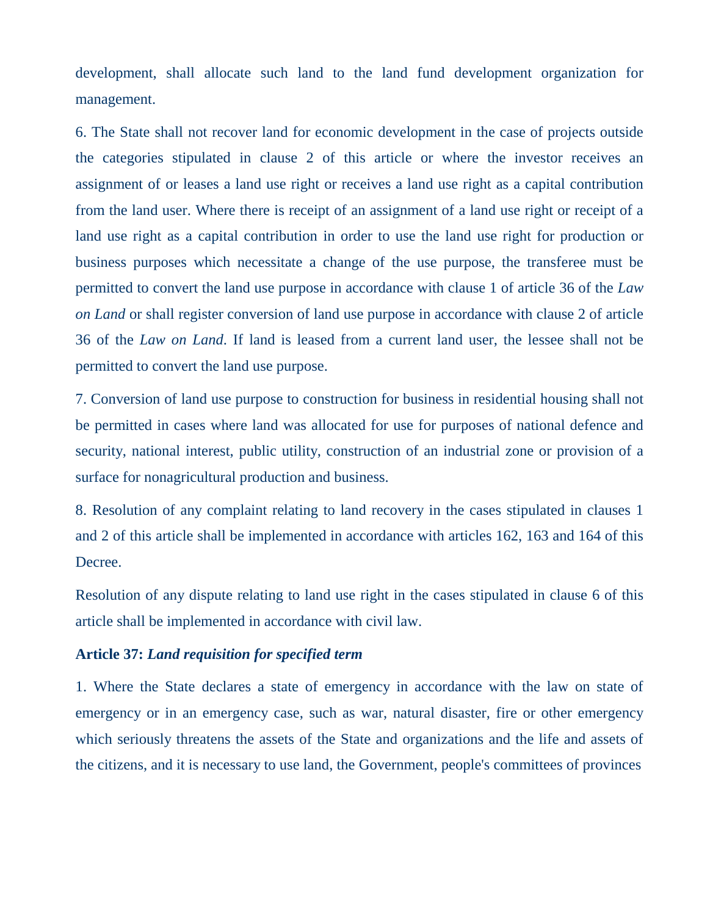development, shall allocate such land to the land fund development organization for management.

6. The State shall not recover land for economic development in the case of projects outside the categories stipulated in clause 2 of this article or where the investor receives an assignment of or leases a land use right or receives a land use right as a capital contribution from the land user. Where there is receipt of an assignment of a land use right or receipt of a land use right as a capital contribution in order to use the land use right for production or business purposes which necessitate a change of the use purpose, the transferee must be permitted to convert the land use purpose in accordance with clause 1 of article 36 of the *Law on Land* or shall register conversion of land use purpose in accordance with clause 2 of article 36 of the *Law on Land*. If land is leased from a current land user, the lessee shall not be permitted to convert the land use purpose.

7. Conversion of land use purpose to construction for business in residential housing shall not be permitted in cases where land was allocated for use for purposes of national defence and security, national interest, public utility, construction of an industrial zone or provision of a surface for nonagricultural production and business.

8. Resolution of any complaint relating to land recovery in the cases stipulated in clauses 1 and 2 of this article shall be implemented in accordance with articles 162, 163 and 164 of this Decree.

Resolution of any dispute relating to land use right in the cases stipulated in clause 6 of this article shall be implemented in accordance with civil law.

### **Article 37:** *Land requisition for specified term*

1. Where the State declares a state of emergency in accordance with the law on state of emergency or in an emergency case, such as war, natural disaster, fire or other emergency which seriously threatens the assets of the State and organizations and the life and assets of the citizens, and it is necessary to use land, the Government, people's committees of provinces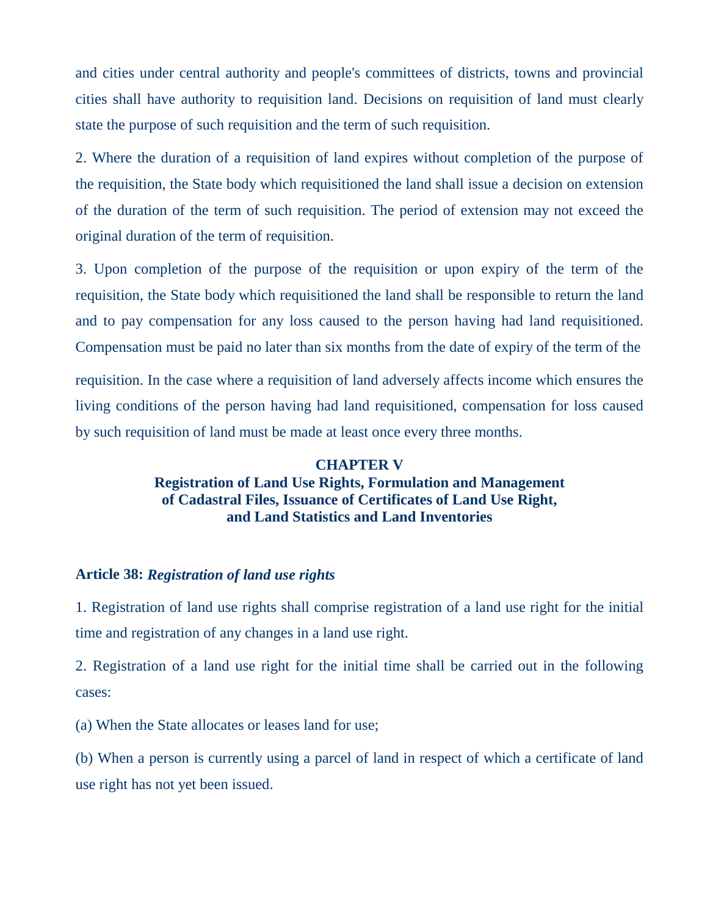and cities under central authority and people's committees of districts, towns and provincial cities shall have authority to requisition land. Decisions on requisition of land must clearly state the purpose of such requisition and the term of such requisition.

2. Where the duration of a requisition of land expires without completion of the purpose of the requisition, the State body which requisitioned the land shall issue a decision on extension of the duration of the term of such requisition. The period of extension may not exceed the original duration of the term of requisition.

3. Upon completion of the purpose of the requisition or upon expiry of the term of the requisition, the State body which requisitioned the land shall be responsible to return the land and to pay compensation for any loss caused to the person having had land requisitioned. Compensation must be paid no later than six months from the date of expiry of the term of the requisition. In the case where a requisition of land adversely affects income which ensures the living conditions of the person having had land requisitioned, compensation for loss caused by such requisition of land must be made at least once every three months.

### **CHAPTER V Registration of Land Use Rights, Formulation and Management of Cadastral Files, Issuance of Certificates of Land Use Right, and Land Statistics and Land Inventories**

#### **Article 38:** *Registration of land use rights*

1. Registration of land use rights shall comprise registration of a land use right for the initial time and registration of any changes in a land use right.

2. Registration of a land use right for the initial time shall be carried out in the following cases:

(a) When the State allocates or leases land for use;

(b) When a person is currently using a parcel of land in respect of which a certificate of land use right has not yet been issued.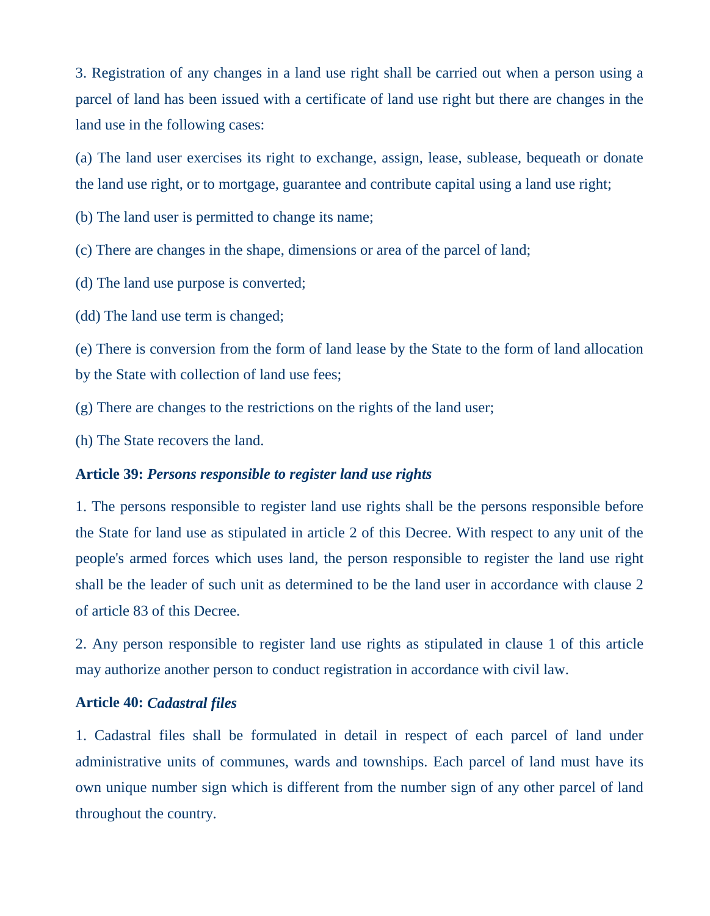3. Registration of any changes in a land use right shall be carried out when a person using a parcel of land has been issued with a certificate of land use right but there are changes in the land use in the following cases:

(a) The land user exercises its right to exchange, assign, lease, sublease, bequeath or donate the land use right, or to mortgage, guarantee and contribute capital using a land use right;

(b) The land user is permitted to change its name;

(c) There are changes in the shape, dimensions or area of the parcel of land;

(d) The land use purpose is converted;

(dd) The land use term is changed;

(e) There is conversion from the form of land lease by the State to the form of land allocation by the State with collection of land use fees;

- (g) There are changes to the restrictions on the rights of the land user;
- (h) The State recovers the land.

### **Article 39:** *Persons responsible to register land use rights*

1. The persons responsible to register land use rights shall be the persons responsible before the State for land use as stipulated in article 2 of this Decree. With respect to any unit of the people's armed forces which uses land, the person responsible to register the land use right shall be the leader of such unit as determined to be the land user in accordance with clause 2 of article 83 of this Decree.

2. Any person responsible to register land use rights as stipulated in clause 1 of this article may authorize another person to conduct registration in accordance with civil law.

#### **Article 40:** *Cadastral files*

1. Cadastral files shall be formulated in detail in respect of each parcel of land under administrative units of communes, wards and townships. Each parcel of land must have its own unique number sign which is different from the number sign of any other parcel of land throughout the country.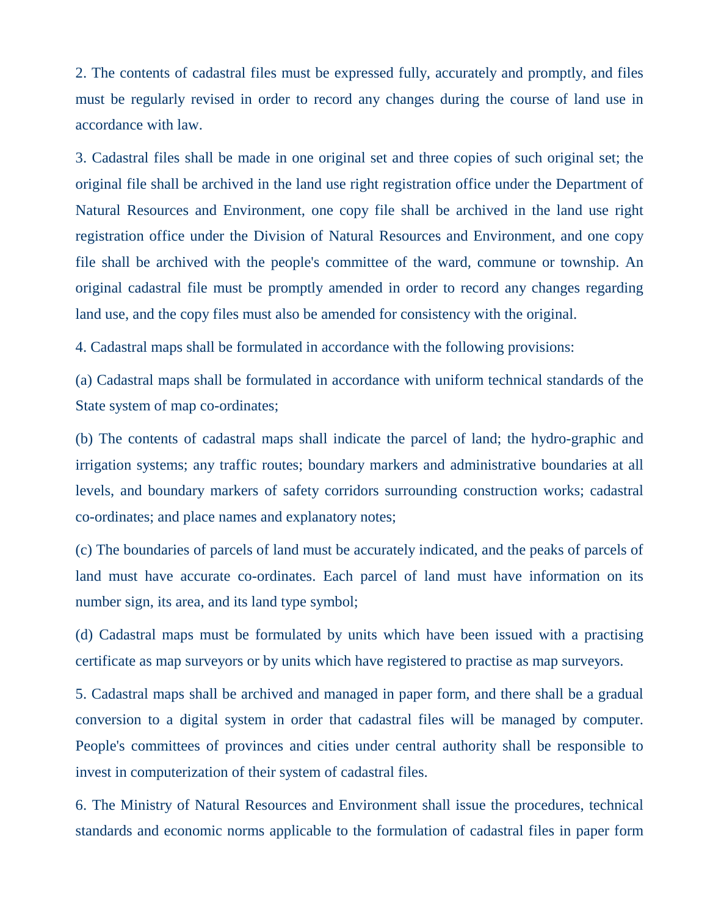2. The contents of cadastral files must be expressed fully, accurately and promptly, and files must be regularly revised in order to record any changes during the course of land use in accordance with law.

3. Cadastral files shall be made in one original set and three copies of such original set; the original file shall be archived in the land use right registration office under the Department of Natural Resources and Environment, one copy file shall be archived in the land use right registration office under the Division of Natural Resources and Environment, and one copy file shall be archived with the people's committee of the ward, commune or township. An original cadastral file must be promptly amended in order to record any changes regarding land use, and the copy files must also be amended for consistency with the original.

4. Cadastral maps shall be formulated in accordance with the following provisions:

(a) Cadastral maps shall be formulated in accordance with uniform technical standards of the State system of map co-ordinates;

(b) The contents of cadastral maps shall indicate the parcel of land; the hydro-graphic and irrigation systems; any traffic routes; boundary markers and administrative boundaries at all levels, and boundary markers of safety corridors surrounding construction works; cadastral co-ordinates; and place names and explanatory notes;

(c) The boundaries of parcels of land must be accurately indicated, and the peaks of parcels of land must have accurate co-ordinates. Each parcel of land must have information on its number sign, its area, and its land type symbol;

(d) Cadastral maps must be formulated by units which have been issued with a practising certificate as map surveyors or by units which have registered to practise as map surveyors.

5. Cadastral maps shall be archived and managed in paper form, and there shall be a gradual conversion to a digital system in order that cadastral files will be managed by computer. People's committees of provinces and cities under central authority shall be responsible to invest in computerization of their system of cadastral files.

6. The Ministry of Natural Resources and Environment shall issue the procedures, technical standards and economic norms applicable to the formulation of cadastral files in paper form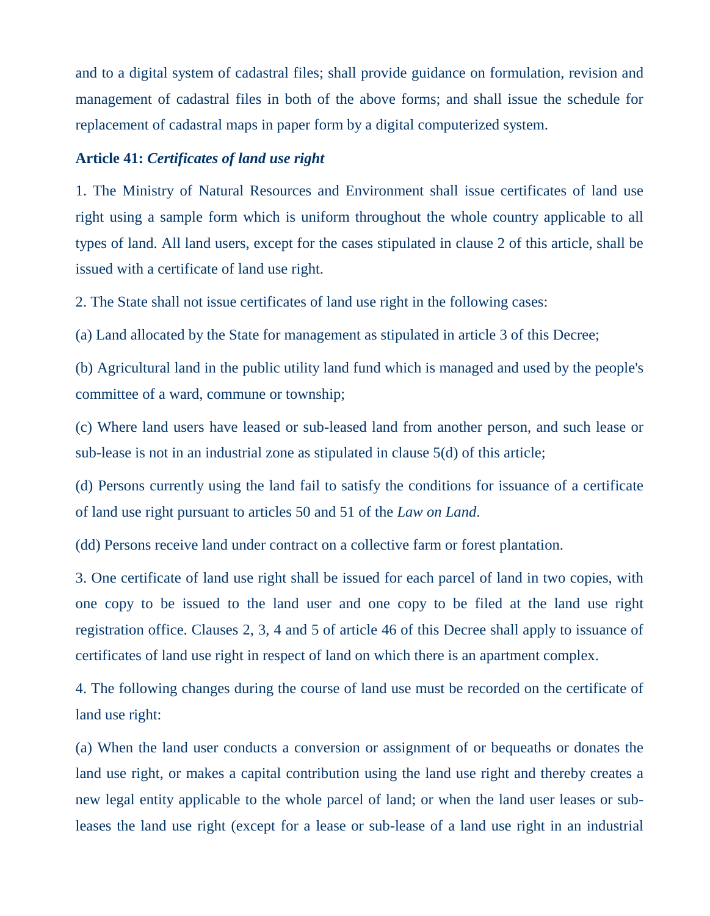and to a digital system of cadastral files; shall provide guidance on formulation, revision and management of cadastral files in both of the above forms; and shall issue the schedule for replacement of cadastral maps in paper form by a digital computerized system.

#### **Article 41:** *Certificates of land use right*

1. The Ministry of Natural Resources and Environment shall issue certificates of land use right using a sample form which is uniform throughout the whole country applicable to all types of land. All land users, except for the cases stipulated in clause 2 of this article, shall be issued with a certificate of land use right.

2. The State shall not issue certificates of land use right in the following cases:

(a) Land allocated by the State for management as stipulated in article 3 of this Decree;

(b) Agricultural land in the public utility land fund which is managed and used by the people's committee of a ward, commune or township;

(c) Where land users have leased or sub-leased land from another person, and such lease or sub-lease is not in an industrial zone as stipulated in clause 5(d) of this article;

(d) Persons currently using the land fail to satisfy the conditions for issuance of a certificate of land use right pursuant to articles 50 and 51 of the *Law on Land*.

(dd) Persons receive land under contract on a collective farm or forest plantation.

3. One certificate of land use right shall be issued for each parcel of land in two copies, with one copy to be issued to the land user and one copy to be filed at the land use right registration office. Clauses 2, 3, 4 and 5 of article 46 of this Decree shall apply to issuance of certificates of land use right in respect of land on which there is an apartment complex.

4. The following changes during the course of land use must be recorded on the certificate of land use right:

(a) When the land user conducts a conversion or assignment of or bequeaths or donates the land use right, or makes a capital contribution using the land use right and thereby creates a new legal entity applicable to the whole parcel of land; or when the land user leases or subleases the land use right (except for a lease or sub-lease of a land use right in an industrial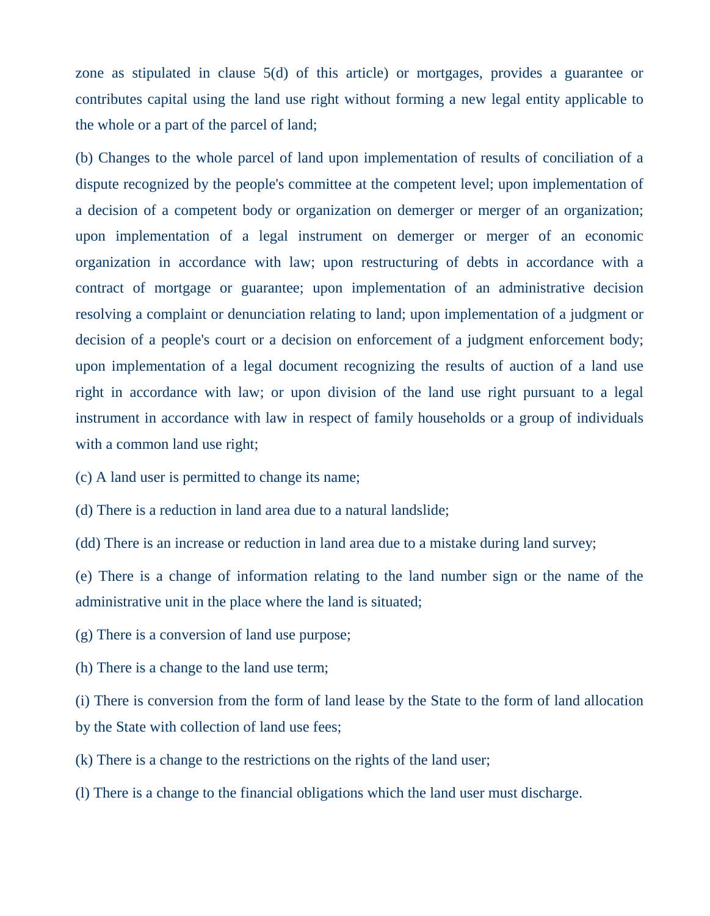zone as stipulated in clause 5(d) of this article) or mortgages, provides a guarantee or contributes capital using the land use right without forming a new legal entity applicable to the whole or a part of the parcel of land;

(b) Changes to the whole parcel of land upon implementation of results of conciliation of a dispute recognized by the people's committee at the competent level; upon implementation of a decision of a competent body or organization on demerger or merger of an organization; upon implementation of a legal instrument on demerger or merger of an economic organization in accordance with law; upon restructuring of debts in accordance with a contract of mortgage or guarantee; upon implementation of an administrative decision resolving a complaint or denunciation relating to land; upon implementation of a judgment or decision of a people's court or a decision on enforcement of a judgment enforcement body; upon implementation of a legal document recognizing the results of auction of a land use right in accordance with law; or upon division of the land use right pursuant to a legal instrument in accordance with law in respect of family households or a group of individuals with a common land use right;

(c) A land user is permitted to change its name;

(d) There is a reduction in land area due to a natural landslide;

(dd) There is an increase or reduction in land area due to a mistake during land survey;

(e) There is a change of information relating to the land number sign or the name of the administrative unit in the place where the land is situated;

(g) There is a conversion of land use purpose;

(h) There is a change to the land use term;

(i) There is conversion from the form of land lease by the State to the form of land allocation by the State with collection of land use fees;

(k) There is a change to the restrictions on the rights of the land user;

(l) There is a change to the financial obligations which the land user must discharge.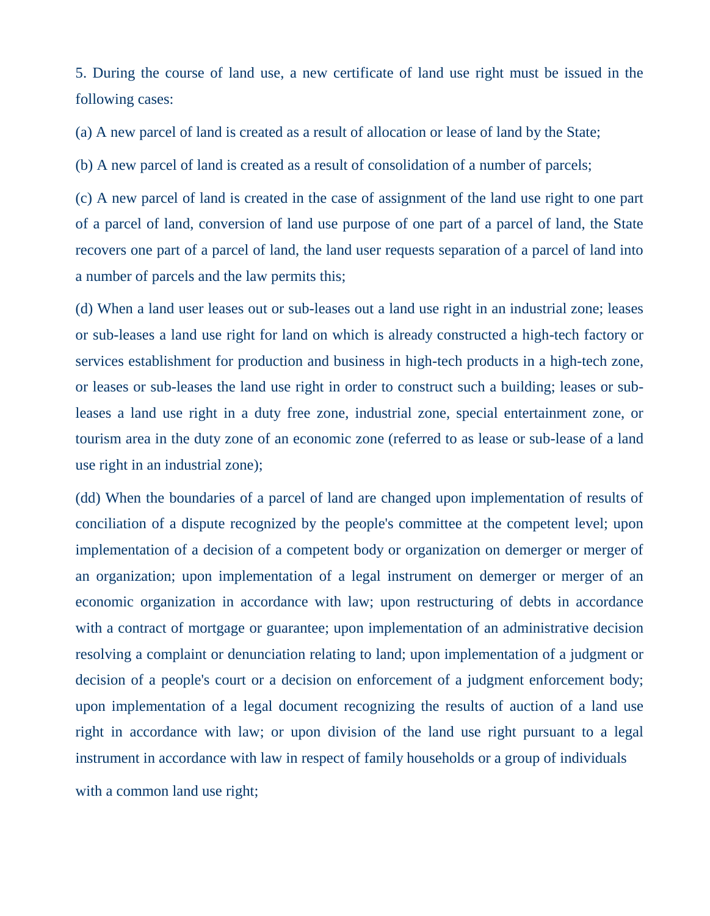5. During the course of land use, a new certificate of land use right must be issued in the following cases:

(a) A new parcel of land is created as a result of allocation or lease of land by the State;

(b) A new parcel of land is created as a result of consolidation of a number of parcels;

(c) A new parcel of land is created in the case of assignment of the land use right to one part of a parcel of land, conversion of land use purpose of one part of a parcel of land, the State recovers one part of a parcel of land, the land user requests separation of a parcel of land into a number of parcels and the law permits this;

(d) When a land user leases out or sub-leases out a land use right in an industrial zone; leases or sub-leases a land use right for land on which is already constructed a high-tech factory or services establishment for production and business in high-tech products in a high-tech zone, or leases or sub-leases the land use right in order to construct such a building; leases or subleases a land use right in a duty free zone, industrial zone, special entertainment zone, or tourism area in the duty zone of an economic zone (referred to as lease or sub-lease of a land use right in an industrial zone);

(dd) When the boundaries of a parcel of land are changed upon implementation of results of conciliation of a dispute recognized by the people's committee at the competent level; upon implementation of a decision of a competent body or organization on demerger or merger of an organization; upon implementation of a legal instrument on demerger or merger of an economic organization in accordance with law; upon restructuring of debts in accordance with a contract of mortgage or guarantee; upon implementation of an administrative decision resolving a complaint or denunciation relating to land; upon implementation of a judgment or decision of a people's court or a decision on enforcement of a judgment enforcement body; upon implementation of a legal document recognizing the results of auction of a land use right in accordance with law; or upon division of the land use right pursuant to a legal instrument in accordance with law in respect of family households or a group of individuals with a common land use right;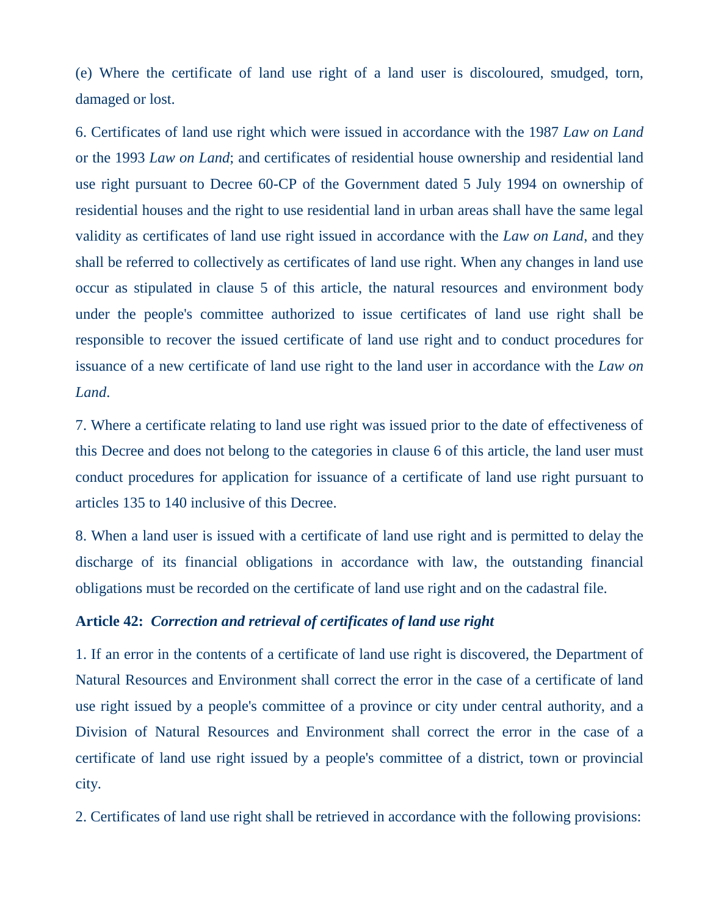(e) Where the certificate of land use right of a land user is discoloured, smudged, torn, damaged or lost.

6. Certificates of land use right which were issued in accordance with the 1987 *Law on Land* or the 1993 *Law on Land*; and certificates of residential house ownership and residential land use right pursuant to Decree 60-CP of the Government dated 5 July 1994 on ownership of residential houses and the right to use residential land in urban areas shall have the same legal validity as certificates of land use right issued in accordance with the *Law on Land*, and they shall be referred to collectively as certificates of land use right. When any changes in land use occur as stipulated in clause 5 of this article, the natural resources and environment body under the people's committee authorized to issue certificates of land use right shall be responsible to recover the issued certificate of land use right and to conduct procedures for issuance of a new certificate of land use right to the land user in accordance with the *Law on Land*.

7. Where a certificate relating to land use right was issued prior to the date of effectiveness of this Decree and does not belong to the categories in clause 6 of this article, the land user must conduct procedures for application for issuance of a certificate of land use right pursuant to articles 135 to 140 inclusive of this Decree.

8. When a land user is issued with a certificate of land use right and is permitted to delay the discharge of its financial obligations in accordance with law, the outstanding financial obligations must be recorded on the certificate of land use right and on the cadastral file.

### **Article 42:** *Correction and retrieval of certificates of land use right*

1. If an error in the contents of a certificate of land use right is discovered, the Department of Natural Resources and Environment shall correct the error in the case of a certificate of land use right issued by a people's committee of a province or city under central authority, and a Division of Natural Resources and Environment shall correct the error in the case of a certificate of land use right issued by a people's committee of a district, town or provincial city.

2. Certificates of land use right shall be retrieved in accordance with the following provisions: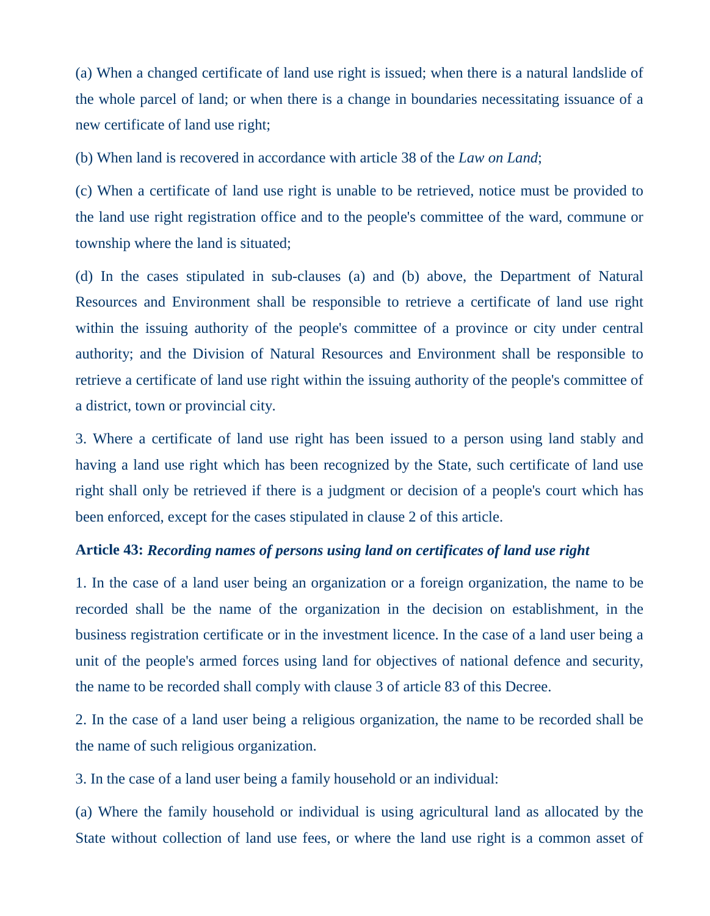(a) When a changed certificate of land use right is issued; when there is a natural landslide of the whole parcel of land; or when there is a change in boundaries necessitating issuance of a new certificate of land use right;

(b) When land is recovered in accordance with article 38 of the *Law on Land*;

(c) When a certificate of land use right is unable to be retrieved, notice must be provided to the land use right registration office and to the people's committee of the ward, commune or township where the land is situated;

(d) In the cases stipulated in sub-clauses (a) and (b) above, the Department of Natural Resources and Environment shall be responsible to retrieve a certificate of land use right within the issuing authority of the people's committee of a province or city under central authority; and the Division of Natural Resources and Environment shall be responsible to retrieve a certificate of land use right within the issuing authority of the people's committee of a district, town or provincial city.

3. Where a certificate of land use right has been issued to a person using land stably and having a land use right which has been recognized by the State, such certificate of land use right shall only be retrieved if there is a judgment or decision of a people's court which has been enforced, except for the cases stipulated in clause 2 of this article.

#### **Article 43:** *Recording names of persons using land on certificates of land use right*

1. In the case of a land user being an organization or a foreign organization, the name to be recorded shall be the name of the organization in the decision on establishment, in the business registration certificate or in the investment licence. In the case of a land user being a unit of the people's armed forces using land for objectives of national defence and security, the name to be recorded shall comply with clause 3 of article 83 of this Decree.

2. In the case of a land user being a religious organization, the name to be recorded shall be the name of such religious organization.

3. In the case of a land user being a family household or an individual:

(a) Where the family household or individual is using agricultural land as allocated by the State without collection of land use fees, or where the land use right is a common asset of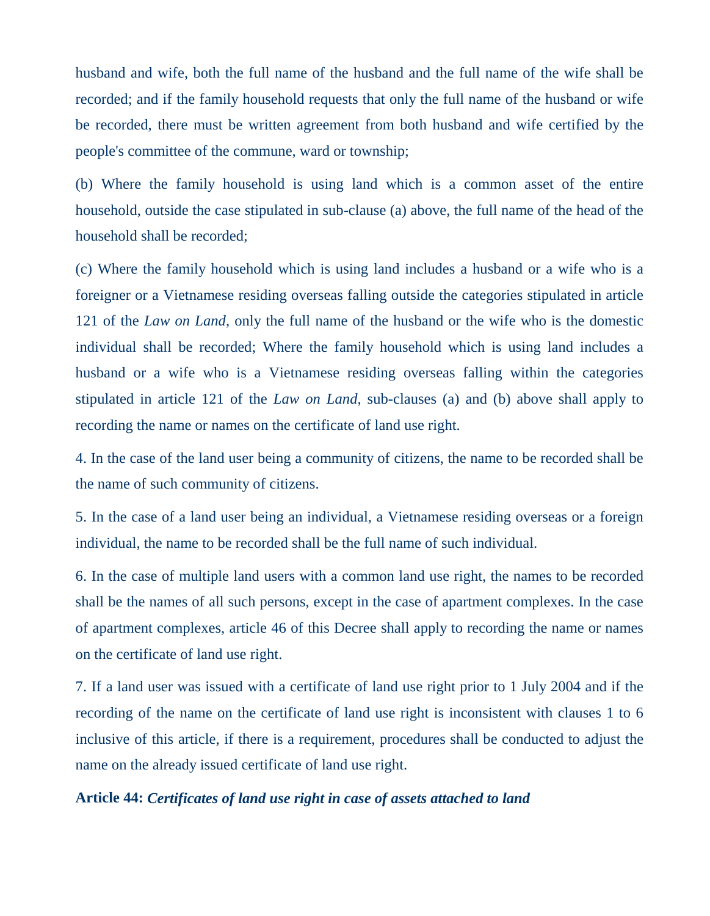husband and wife, both the full name of the husband and the full name of the wife shall be recorded; and if the family household requests that only the full name of the husband or wife be recorded, there must be written agreement from both husband and wife certified by the people's committee of the commune, ward or township;

(b) Where the family household is using land which is a common asset of the entire household, outside the case stipulated in sub-clause (a) above, the full name of the head of the household shall be recorded;

(c) Where the family household which is using land includes a husband or a wife who is a foreigner or a Vietnamese residing overseas falling outside the categories stipulated in article 121 of the *Law on Land*, only the full name of the husband or the wife who is the domestic individual shall be recorded; Where the family household which is using land includes a husband or a wife who is a Vietnamese residing overseas falling within the categories stipulated in article 121 of the *Law on Land*, sub-clauses (a) and (b) above shall apply to recording the name or names on the certificate of land use right.

4. In the case of the land user being a community of citizens, the name to be recorded shall be the name of such community of citizens.

5. In the case of a land user being an individual, a Vietnamese residing overseas or a foreign individual, the name to be recorded shall be the full name of such individual.

6. In the case of multiple land users with a common land use right, the names to be recorded shall be the names of all such persons, except in the case of apartment complexes. In the case of apartment complexes, article 46 of this Decree shall apply to recording the name or names on the certificate of land use right.

7. If a land user was issued with a certificate of land use right prior to 1 July 2004 and if the recording of the name on the certificate of land use right is inconsistent with clauses 1 to 6 inclusive of this article, if there is a requirement, procedures shall be conducted to adjust the name on the already issued certificate of land use right.

#### **Article 44:** *Certificates of land use right in case of assets attached to land*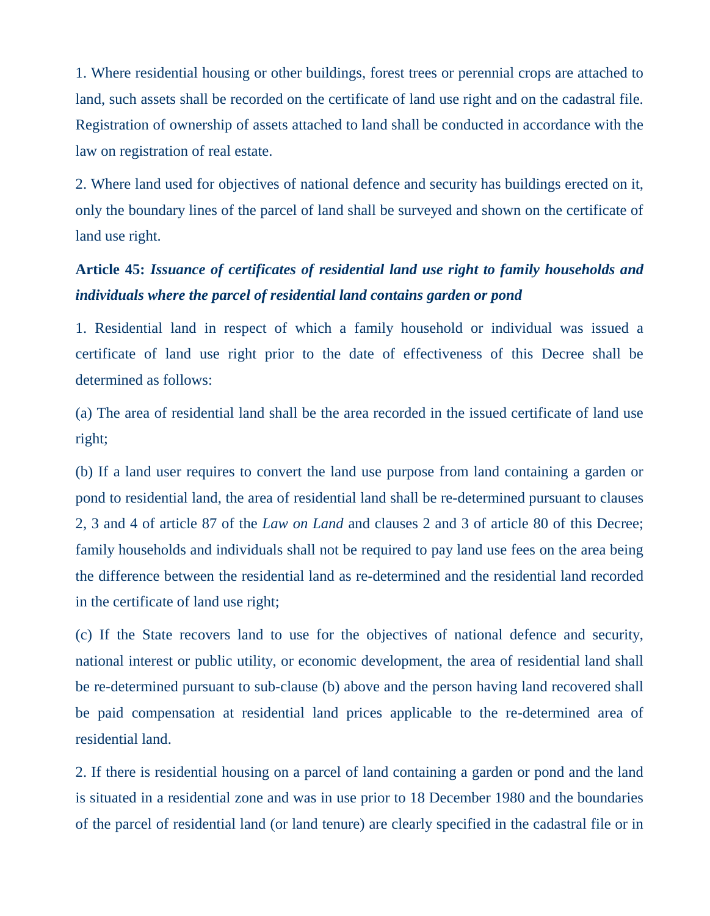1. Where residential housing or other buildings, forest trees or perennial crops are attached to land, such assets shall be recorded on the certificate of land use right and on the cadastral file. Registration of ownership of assets attached to land shall be conducted in accordance with the law on registration of real estate.

2. Where land used for objectives of national defence and security has buildings erected on it, only the boundary lines of the parcel of land shall be surveyed and shown on the certificate of land use right.

## **Article 45:** *Issuance of certificates of residential land use right to family households and individuals where the parcel of residential land contains garden or pond*

1. Residential land in respect of which a family household or individual was issued a certificate of land use right prior to the date of effectiveness of this Decree shall be determined as follows:

(a) The area of residential land shall be the area recorded in the issued certificate of land use right;

(b) If a land user requires to convert the land use purpose from land containing a garden or pond to residential land, the area of residential land shall be re-determined pursuant to clauses 2, 3 and 4 of article 87 of the *Law on Land* and clauses 2 and 3 of article 80 of this Decree; family households and individuals shall not be required to pay land use fees on the area being the difference between the residential land as re-determined and the residential land recorded in the certificate of land use right;

(c) If the State recovers land to use for the objectives of national defence and security, national interest or public utility, or economic development, the area of residential land shall be re-determined pursuant to sub-clause (b) above and the person having land recovered shall be paid compensation at residential land prices applicable to the re-determined area of residential land.

2. If there is residential housing on a parcel of land containing a garden or pond and the land is situated in a residential zone and was in use prior to 18 December 1980 and the boundaries of the parcel of residential land (or land tenure) are clearly specified in the cadastral file or in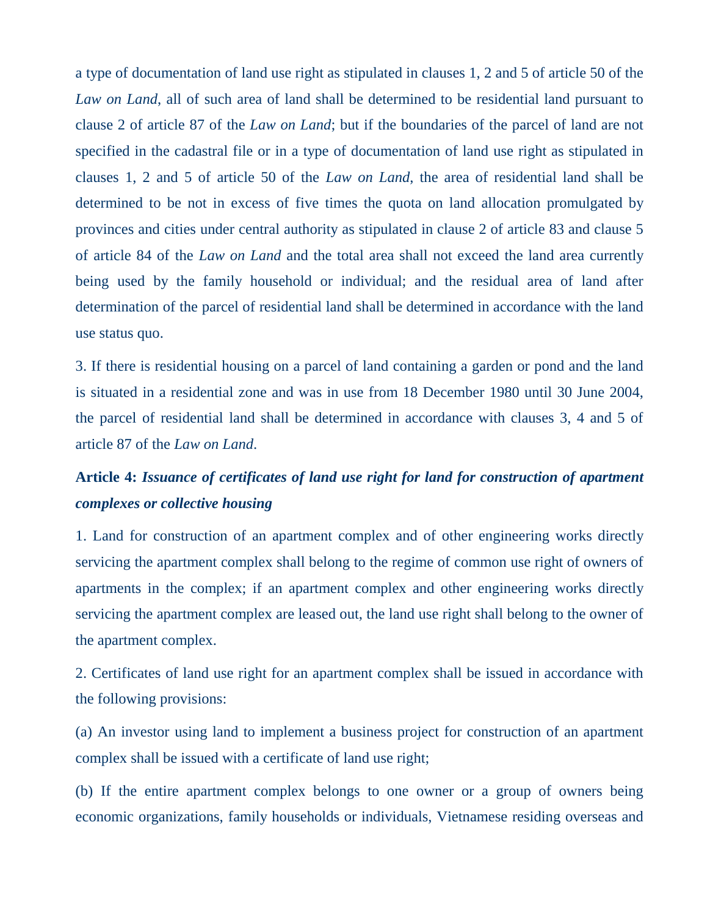a type of documentation of land use right as stipulated in clauses 1, 2 and 5 of article 50 of the *Law on Land*, all of such area of land shall be determined to be residential land pursuant to clause 2 of article 87 of the *Law on Land*; but if the boundaries of the parcel of land are not specified in the cadastral file or in a type of documentation of land use right as stipulated in clauses 1, 2 and 5 of article 50 of the *Law on Land*, the area of residential land shall be determined to be not in excess of five times the quota on land allocation promulgated by provinces and cities under central authority as stipulated in clause 2 of article 83 and clause 5 of article 84 of the *Law on Land* and the total area shall not exceed the land area currently being used by the family household or individual; and the residual area of land after determination of the parcel of residential land shall be determined in accordance with the land use status quo.

3. If there is residential housing on a parcel of land containing a garden or pond and the land is situated in a residential zone and was in use from 18 December 1980 until 30 June 2004, the parcel of residential land shall be determined in accordance with clauses 3, 4 and 5 of article 87 of the *Law on Land*.

## **Article 4:** *Issuance of certificates of land use right for land for construction of apartment complexes or collective housing*

1. Land for construction of an apartment complex and of other engineering works directly servicing the apartment complex shall belong to the regime of common use right of owners of apartments in the complex; if an apartment complex and other engineering works directly servicing the apartment complex are leased out, the land use right shall belong to the owner of the apartment complex.

2. Certificates of land use right for an apartment complex shall be issued in accordance with the following provisions:

(a) An investor using land to implement a business project for construction of an apartment complex shall be issued with a certificate of land use right;

(b) If the entire apartment complex belongs to one owner or a group of owners being economic organizations, family households or individuals, Vietnamese residing overseas and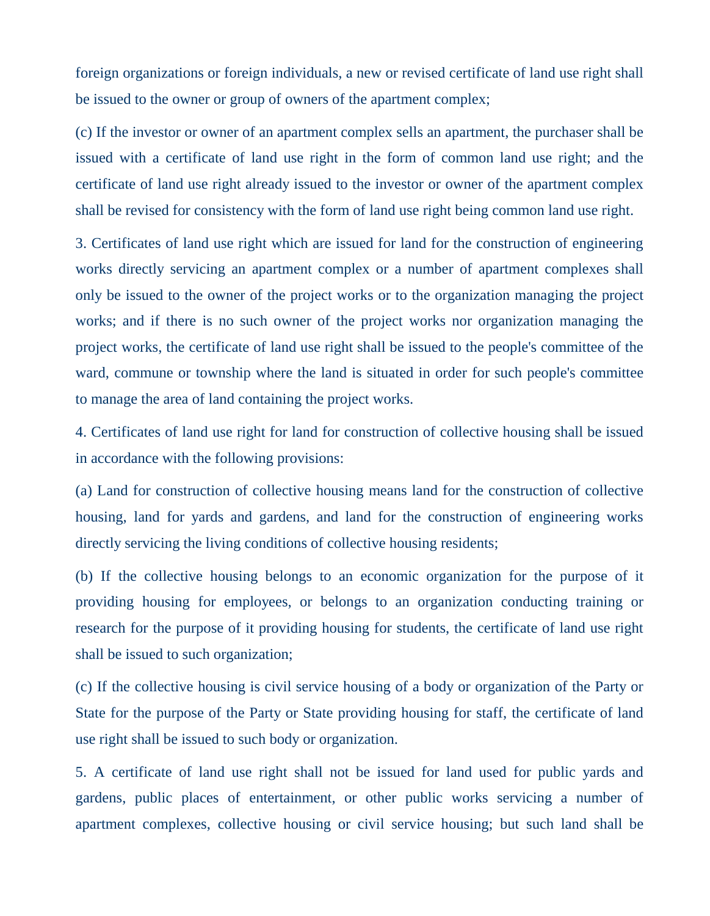foreign organizations or foreign individuals, a new or revised certificate of land use right shall be issued to the owner or group of owners of the apartment complex;

(c) If the investor or owner of an apartment complex sells an apartment, the purchaser shall be issued with a certificate of land use right in the form of common land use right; and the certificate of land use right already issued to the investor or owner of the apartment complex shall be revised for consistency with the form of land use right being common land use right.

3. Certificates of land use right which are issued for land for the construction of engineering works directly servicing an apartment complex or a number of apartment complexes shall only be issued to the owner of the project works or to the organization managing the project works; and if there is no such owner of the project works nor organization managing the project works, the certificate of land use right shall be issued to the people's committee of the ward, commune or township where the land is situated in order for such people's committee to manage the area of land containing the project works.

4. Certificates of land use right for land for construction of collective housing shall be issued in accordance with the following provisions:

(a) Land for construction of collective housing means land for the construction of collective housing, land for yards and gardens, and land for the construction of engineering works directly servicing the living conditions of collective housing residents;

(b) If the collective housing belongs to an economic organization for the purpose of it providing housing for employees, or belongs to an organization conducting training or research for the purpose of it providing housing for students, the certificate of land use right shall be issued to such organization;

(c) If the collective housing is civil service housing of a body or organization of the Party or State for the purpose of the Party or State providing housing for staff, the certificate of land use right shall be issued to such body or organization.

5. A certificate of land use right shall not be issued for land used for public yards and gardens, public places of entertainment, or other public works servicing a number of apartment complexes, collective housing or civil service housing; but such land shall be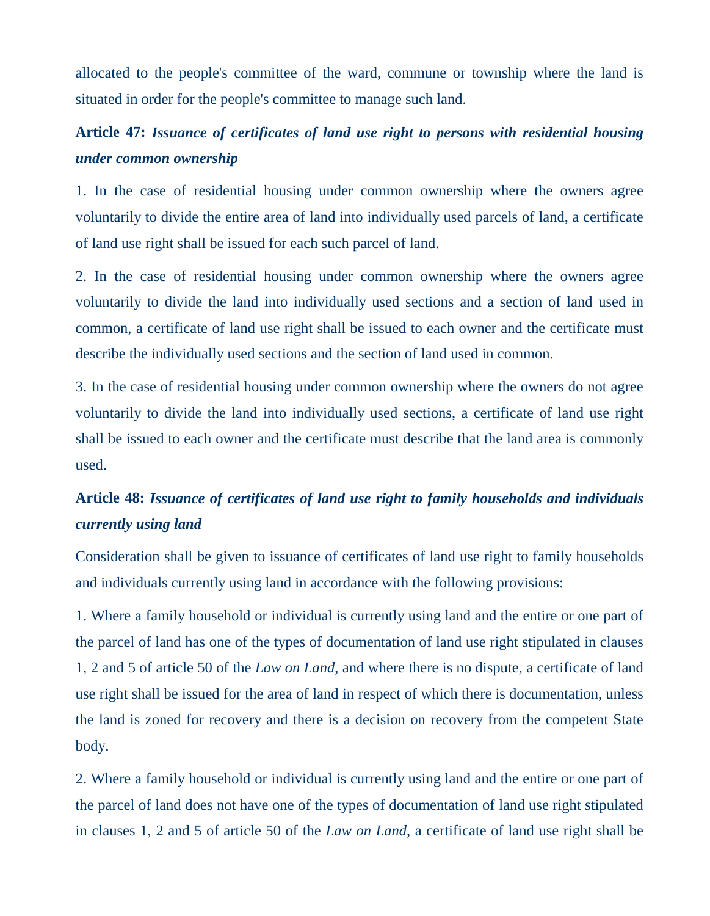allocated to the people's committee of the ward, commune or township where the land is situated in order for the people's committee to manage such land.

## **Article 47:** *Issuance of certificates of land use right to persons with residential housing under common ownership*

1. In the case of residential housing under common ownership where the owners agree voluntarily to divide the entire area of land into individually used parcels of land, a certificate of land use right shall be issued for each such parcel of land.

2. In the case of residential housing under common ownership where the owners agree voluntarily to divide the land into individually used sections and a section of land used in common, a certificate of land use right shall be issued to each owner and the certificate must describe the individually used sections and the section of land used in common.

3. In the case of residential housing under common ownership where the owners do not agree voluntarily to divide the land into individually used sections, a certificate of land use right shall be issued to each owner and the certificate must describe that the land area is commonly used.

## **Article 48:** *Issuance of certificates of land use right to family households and individuals currently using land*

Consideration shall be given to issuance of certificates of land use right to family households and individuals currently using land in accordance with the following provisions:

1. Where a family household or individual is currently using land and the entire or one part of the parcel of land has one of the types of documentation of land use right stipulated in clauses 1, 2 and 5 of article 50 of the *Law on Land*, and where there is no dispute, a certificate of land use right shall be issued for the area of land in respect of which there is documentation, unless the land is zoned for recovery and there is a decision on recovery from the competent State body.

2. Where a family household or individual is currently using land and the entire or one part of the parcel of land does not have one of the types of documentation of land use right stipulated in clauses 1, 2 and 5 of article 50 of the *Law on Land*, a certificate of land use right shall be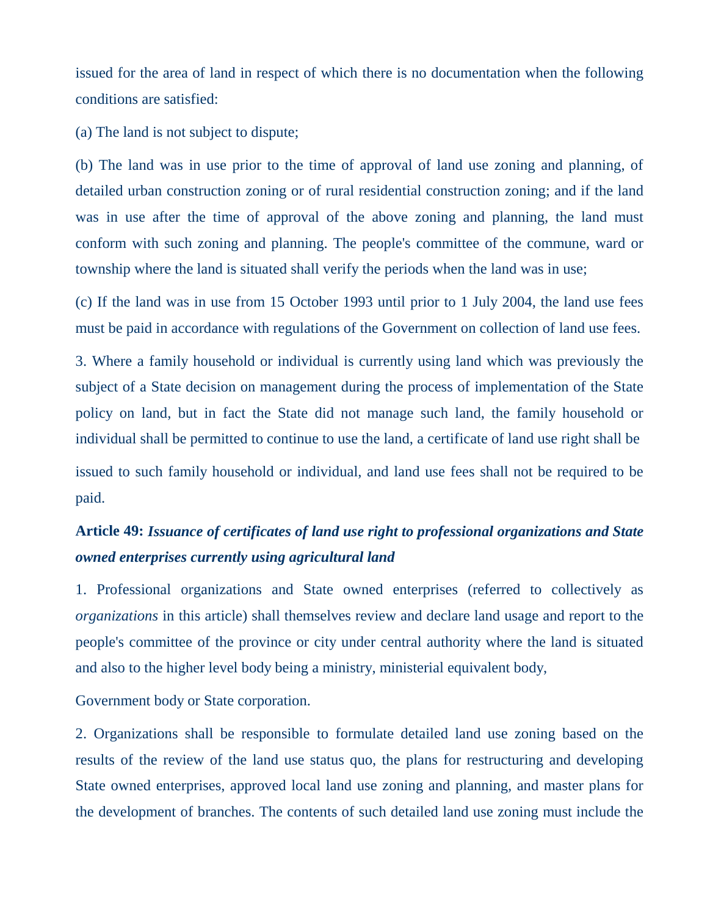issued for the area of land in respect of which there is no documentation when the following conditions are satisfied:

(a) The land is not subject to dispute;

(b) The land was in use prior to the time of approval of land use zoning and planning, of detailed urban construction zoning or of rural residential construction zoning; and if the land was in use after the time of approval of the above zoning and planning, the land must conform with such zoning and planning. The people's committee of the commune, ward or township where the land is situated shall verify the periods when the land was in use;

(c) If the land was in use from 15 October 1993 until prior to 1 July 2004, the land use fees must be paid in accordance with regulations of the Government on collection of land use fees.

3. Where a family household or individual is currently using land which was previously the subject of a State decision on management during the process of implementation of the State policy on land, but in fact the State did not manage such land, the family household or individual shall be permitted to continue to use the land, a certificate of land use right shall be issued to such family household or individual, and land use fees shall not be required to be paid.

## **Article 49:** *Issuance of certificates of land use right to professional organizations and State owned enterprises currently using agricultural land*

1. Professional organizations and State owned enterprises (referred to collectively as *organizations* in this article) shall themselves review and declare land usage and report to the people's committee of the province or city under central authority where the land is situated and also to the higher level body being a ministry, ministerial equivalent body,

Government body or State corporation.

2. Organizations shall be responsible to formulate detailed land use zoning based on the results of the review of the land use status quo, the plans for restructuring and developing State owned enterprises, approved local land use zoning and planning, and master plans for the development of branches. The contents of such detailed land use zoning must include the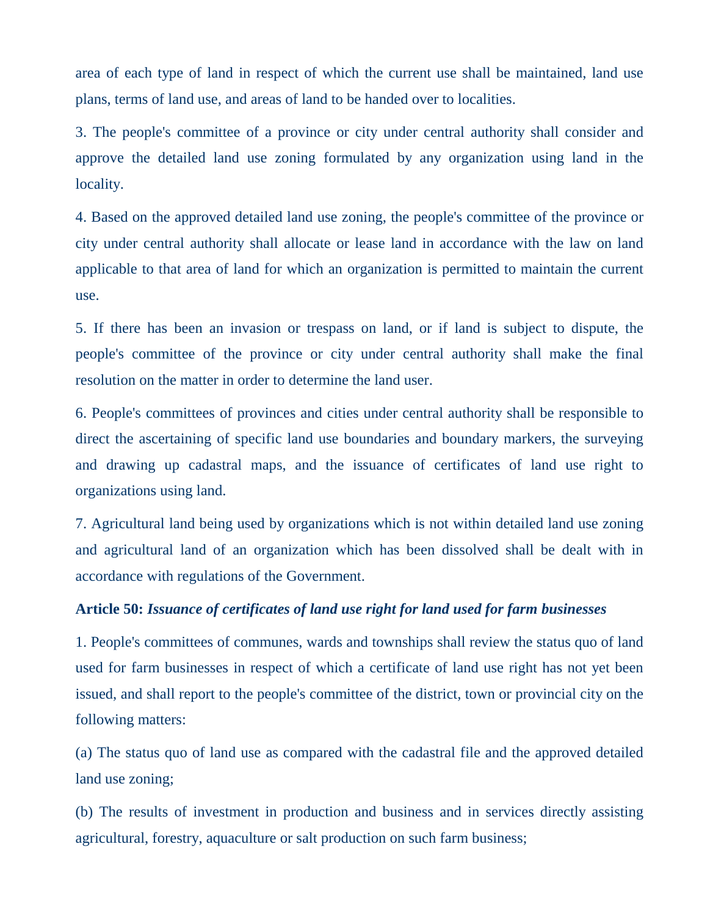area of each type of land in respect of which the current use shall be maintained, land use plans, terms of land use, and areas of land to be handed over to localities.

3. The people's committee of a province or city under central authority shall consider and approve the detailed land use zoning formulated by any organization using land in the locality.

4. Based on the approved detailed land use zoning, the people's committee of the province or city under central authority shall allocate or lease land in accordance with the law on land applicable to that area of land for which an organization is permitted to maintain the current use.

5. If there has been an invasion or trespass on land, or if land is subject to dispute, the people's committee of the province or city under central authority shall make the final resolution on the matter in order to determine the land user.

6. People's committees of provinces and cities under central authority shall be responsible to direct the ascertaining of specific land use boundaries and boundary markers, the surveying and drawing up cadastral maps, and the issuance of certificates of land use right to organizations using land.

7. Agricultural land being used by organizations which is not within detailed land use zoning and agricultural land of an organization which has been dissolved shall be dealt with in accordance with regulations of the Government.

#### **Article 50:** *Issuance of certificates of land use right for land used for farm businesses*

1. People's committees of communes, wards and townships shall review the status quo of land used for farm businesses in respect of which a certificate of land use right has not yet been issued, and shall report to the people's committee of the district, town or provincial city on the following matters:

(a) The status quo of land use as compared with the cadastral file and the approved detailed land use zoning;

(b) The results of investment in production and business and in services directly assisting agricultural, forestry, aquaculture or salt production on such farm business;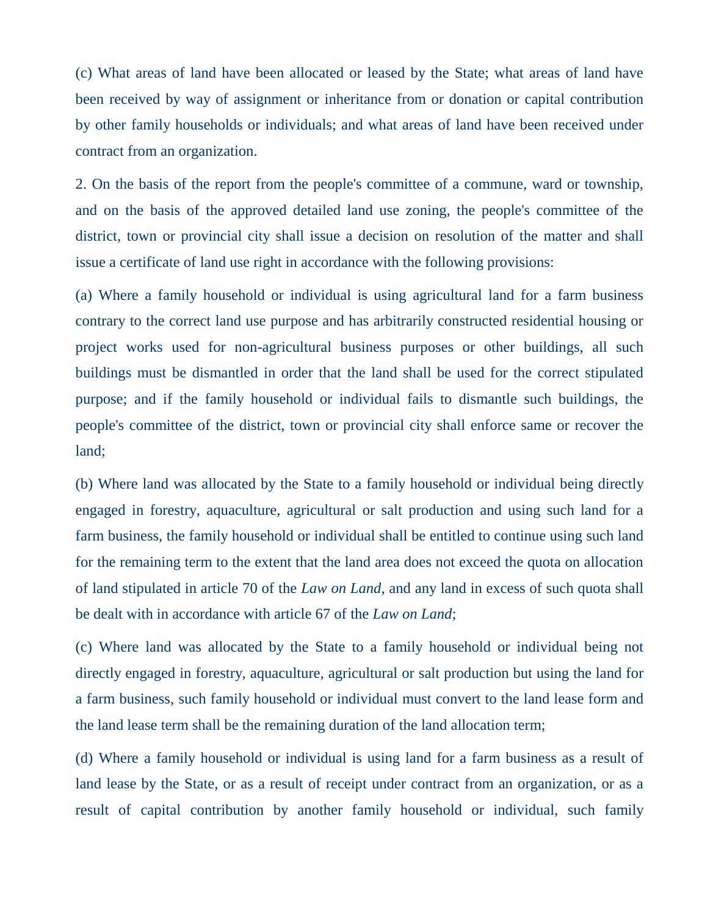(c) What areas of land have been allocated or leased by the State; what areas of land have been received by way of assignment or inheritance from or donation or capital contribution by other family households or individuals; and what areas of land have been received under contract from an organization.

2. On the basis of the report from the people's committee of a commune, ward or township, and on the basis of the approved detailed land use zoning, the people's committee of the district, town or provincial city shall issue a decision on resolution of the matter and shall issue a certificate of land use right in accordance with the following provisions:

(a) Where a family household or individual is using agricultural land for a farm business contrary to the correct land use purpose and has arbitrarily constructed residential housing or project works used for non-agricultural business purposes or other buildings, all such buildings must be dismantled in order that the land shall be used for the correct stipulated purpose; and if the family household or individual fails to dismantle such buildings, the people's committee of the district, town or provincial city shall enforce same or recover the land;

(b) Where land was allocated by the State to a family household or individual being directly engaged in forestry, aquaculture, agricultural or salt production and using such land for a farm business, the family household or individual shall be entitled to continue using such land for the remaining term to the extent that the land area does not exceed the quota on allocation of land stipulated in article 70 of the *Law on Land*, and any land in excess of such quota shall be dealt with in accordance with article 67 of the *Law on Land*;

(c) Where land was allocated by the State to a family household or individual being not directly engaged in forestry, aquaculture, agricultural or salt production but using the land for a farm business, such family household or individual must convert to the land lease form and the land lease term shall be the remaining duration of the land allocation term;

(d) Where a family household or individual is using land for a farm business as a result of land lease by the State, or as a result of receipt under contract from an organization, or as a result of capital contribution by another family household or individual, such family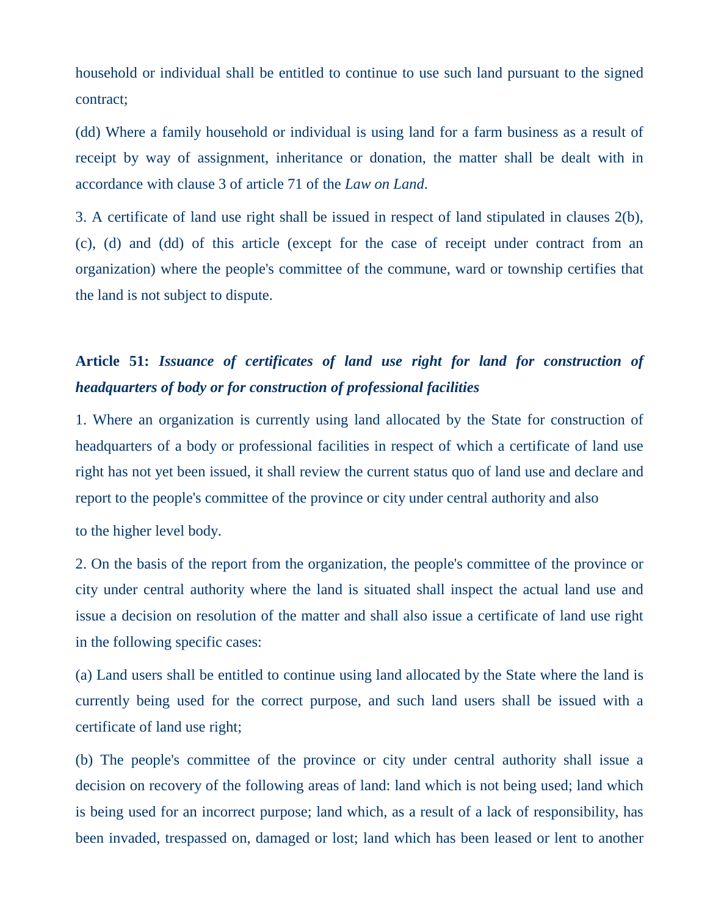household or individual shall be entitled to continue to use such land pursuant to the signed contract;

(dd) Where a family household or individual is using land for a farm business as a result of receipt by way of assignment, inheritance or donation, the matter shall be dealt with in accordance with clause 3 of article 71 of the *Law on Land*.

3. A certificate of land use right shall be issued in respect of land stipulated in clauses 2(b), (c), (d) and (dd) of this article (except for the case of receipt under contract from an organization) where the people's committee of the commune, ward or township certifies that the land is not subject to dispute.

### **Article 51:** *Issuance of certificates of land use right for land for construction of headquarters of body or for construction of professional facilities*

1. Where an organization is currently using land allocated by the State for construction of headquarters of a body or professional facilities in respect of which a certificate of land use right has not yet been issued, it shall review the current status quo of land use and declare and report to the people's committee of the province or city under central authority and also

to the higher level body.

2. On the basis of the report from the organization, the people's committee of the province or city under central authority where the land is situated shall inspect the actual land use and issue a decision on resolution of the matter and shall also issue a certificate of land use right in the following specific cases:

(a) Land users shall be entitled to continue using land allocated by the State where the land is currently being used for the correct purpose, and such land users shall be issued with a certificate of land use right;

(b) The people's committee of the province or city under central authority shall issue a decision on recovery of the following areas of land: land which is not being used; land which is being used for an incorrect purpose; land which, as a result of a lack of responsibility, has been invaded, trespassed on, damaged or lost; land which has been leased or lent to another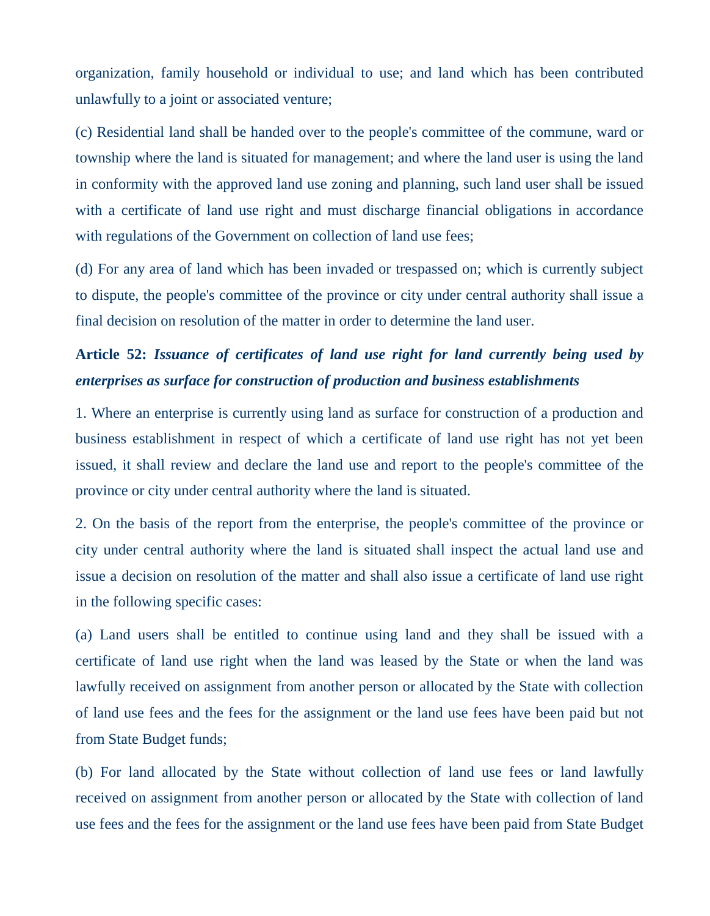organization, family household or individual to use; and land which has been contributed unlawfully to a joint or associated venture;

(c) Residential land shall be handed over to the people's committee of the commune, ward or township where the land is situated for management; and where the land user is using the land in conformity with the approved land use zoning and planning, such land user shall be issued with a certificate of land use right and must discharge financial obligations in accordance with regulations of the Government on collection of land use fees;

(d) For any area of land which has been invaded or trespassed on; which is currently subject to dispute, the people's committee of the province or city under central authority shall issue a final decision on resolution of the matter in order to determine the land user.

# **Article 52:** *Issuance of certificates of land use right for land currently being used by enterprises as surface for construction of production and business establishments*

1. Where an enterprise is currently using land as surface for construction of a production and business establishment in respect of which a certificate of land use right has not yet been issued, it shall review and declare the land use and report to the people's committee of the province or city under central authority where the land is situated.

2. On the basis of the report from the enterprise, the people's committee of the province or city under central authority where the land is situated shall inspect the actual land use and issue a decision on resolution of the matter and shall also issue a certificate of land use right in the following specific cases:

(a) Land users shall be entitled to continue using land and they shall be issued with a certificate of land use right when the land was leased by the State or when the land was lawfully received on assignment from another person or allocated by the State with collection of land use fees and the fees for the assignment or the land use fees have been paid but not from State Budget funds;

(b) For land allocated by the State without collection of land use fees or land lawfully received on assignment from another person or allocated by the State with collection of land use fees and the fees for the assignment or the land use fees have been paid from State Budget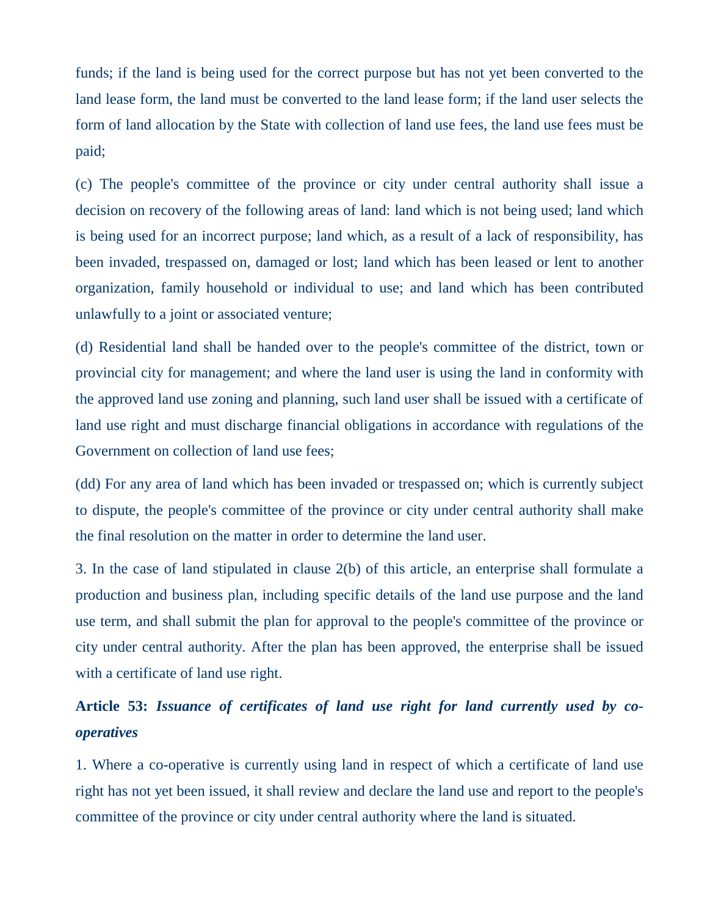funds; if the land is being used for the correct purpose but has not yet been converted to the land lease form, the land must be converted to the land lease form; if the land user selects the form of land allocation by the State with collection of land use fees, the land use fees must be paid;

(c) The people's committee of the province or city under central authority shall issue a decision on recovery of the following areas of land: land which is not being used; land which is being used for an incorrect purpose; land which, as a result of a lack of responsibility, has been invaded, trespassed on, damaged or lost; land which has been leased or lent to another organization, family household or individual to use; and land which has been contributed unlawfully to a joint or associated venture;

(d) Residential land shall be handed over to the people's committee of the district, town or provincial city for management; and where the land user is using the land in conformity with the approved land use zoning and planning, such land user shall be issued with a certificate of land use right and must discharge financial obligations in accordance with regulations of the Government on collection of land use fees;

(dd) For any area of land which has been invaded or trespassed on; which is currently subject to dispute, the people's committee of the province or city under central authority shall make the final resolution on the matter in order to determine the land user.

3. In the case of land stipulated in clause 2(b) of this article, an enterprise shall formulate a production and business plan, including specific details of the land use purpose and the land use term, and shall submit the plan for approval to the people's committee of the province or city under central authority. After the plan has been approved, the enterprise shall be issued with a certificate of land use right.

## **Article 53:** *Issuance of certificates of land use right for land currently used by cooperatives*

1. Where a co-operative is currently using land in respect of which a certificate of land use right has not yet been issued, it shall review and declare the land use and report to the people's committee of the province or city under central authority where the land is situated.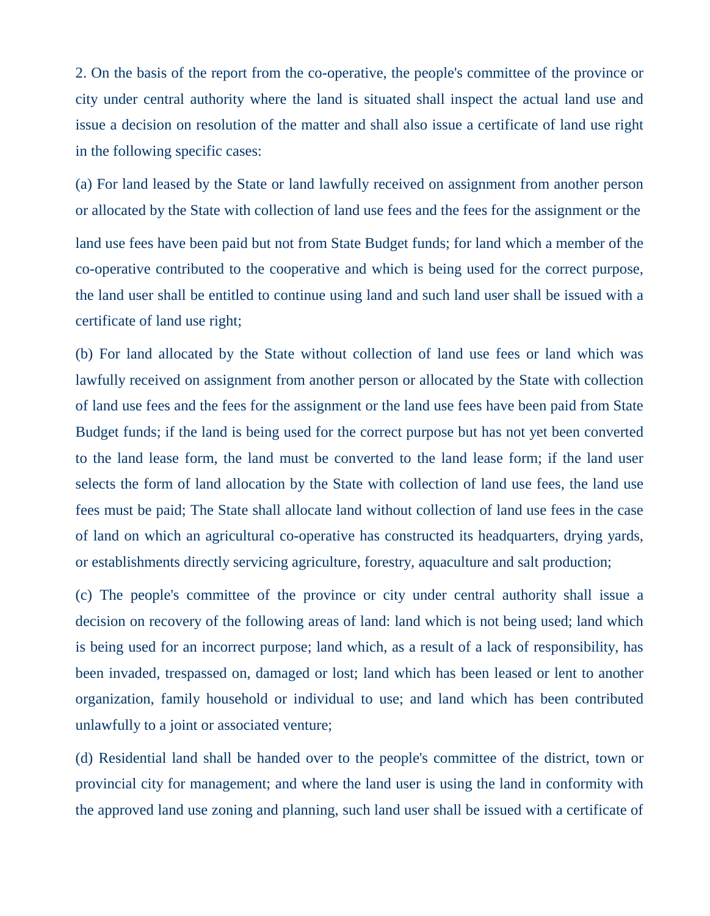2. On the basis of the report from the co-operative, the people's committee of the province or city under central authority where the land is situated shall inspect the actual land use and issue a decision on resolution of the matter and shall also issue a certificate of land use right in the following specific cases:

(a) For land leased by the State or land lawfully received on assignment from another person or allocated by the State with collection of land use fees and the fees for the assignment or the land use fees have been paid but not from State Budget funds; for land which a member of the co-operative contributed to the cooperative and which is being used for the correct purpose, the land user shall be entitled to continue using land and such land user shall be issued with a certificate of land use right;

(b) For land allocated by the State without collection of land use fees or land which was lawfully received on assignment from another person or allocated by the State with collection of land use fees and the fees for the assignment or the land use fees have been paid from State Budget funds; if the land is being used for the correct purpose but has not yet been converted to the land lease form, the land must be converted to the land lease form; if the land user selects the form of land allocation by the State with collection of land use fees, the land use fees must be paid; The State shall allocate land without collection of land use fees in the case of land on which an agricultural co-operative has constructed its headquarters, drying yards, or establishments directly servicing agriculture, forestry, aquaculture and salt production;

(c) The people's committee of the province or city under central authority shall issue a decision on recovery of the following areas of land: land which is not being used; land which is being used for an incorrect purpose; land which, as a result of a lack of responsibility, has been invaded, trespassed on, damaged or lost; land which has been leased or lent to another organization, family household or individual to use; and land which has been contributed unlawfully to a joint or associated venture;

(d) Residential land shall be handed over to the people's committee of the district, town or provincial city for management; and where the land user is using the land in conformity with the approved land use zoning and planning, such land user shall be issued with a certificate of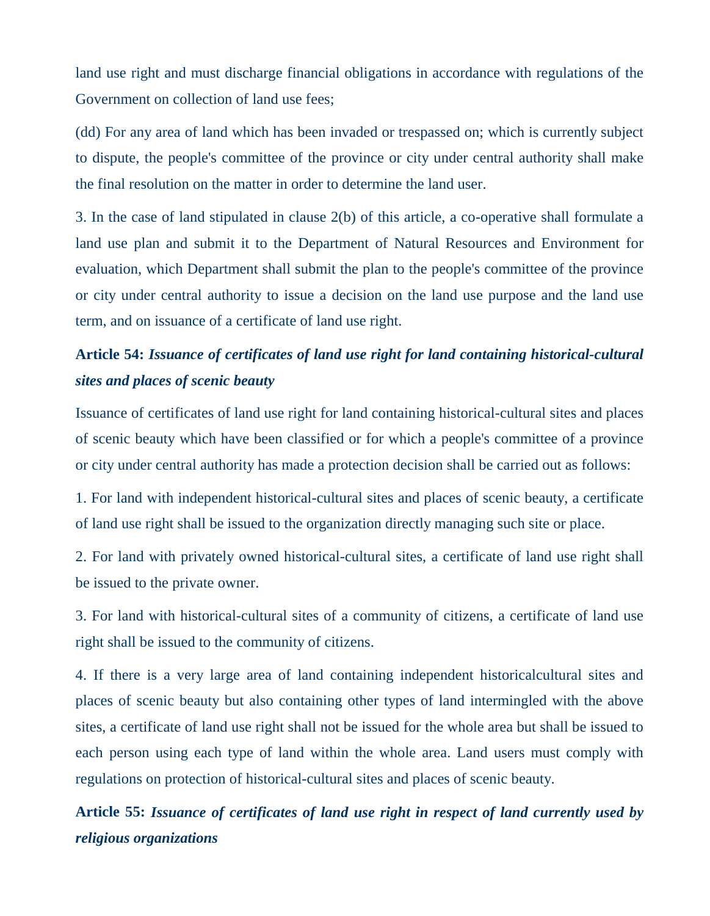land use right and must discharge financial obligations in accordance with regulations of the Government on collection of land use fees;

(dd) For any area of land which has been invaded or trespassed on; which is currently subject to dispute, the people's committee of the province or city under central authority shall make the final resolution on the matter in order to determine the land user.

3. In the case of land stipulated in clause 2(b) of this article, a co-operative shall formulate a land use plan and submit it to the Department of Natural Resources and Environment for evaluation, which Department shall submit the plan to the people's committee of the province or city under central authority to issue a decision on the land use purpose and the land use term, and on issuance of a certificate of land use right.

# **Article 54:** *Issuance of certificates of land use right for land containing historical-cultural sites and places of scenic beauty*

Issuance of certificates of land use right for land containing historical-cultural sites and places of scenic beauty which have been classified or for which a people's committee of a province or city under central authority has made a protection decision shall be carried out as follows:

1. For land with independent historical-cultural sites and places of scenic beauty, a certificate of land use right shall be issued to the organization directly managing such site or place.

2. For land with privately owned historical-cultural sites, a certificate of land use right shall be issued to the private owner.

3. For land with historical-cultural sites of a community of citizens, a certificate of land use right shall be issued to the community of citizens.

4. If there is a very large area of land containing independent historicalcultural sites and places of scenic beauty but also containing other types of land intermingled with the above sites, a certificate of land use right shall not be issued for the whole area but shall be issued to each person using each type of land within the whole area. Land users must comply with regulations on protection of historical-cultural sites and places of scenic beauty.

**Article 55:** *Issuance of certificates of land use right in respect of land currently used by religious organizations*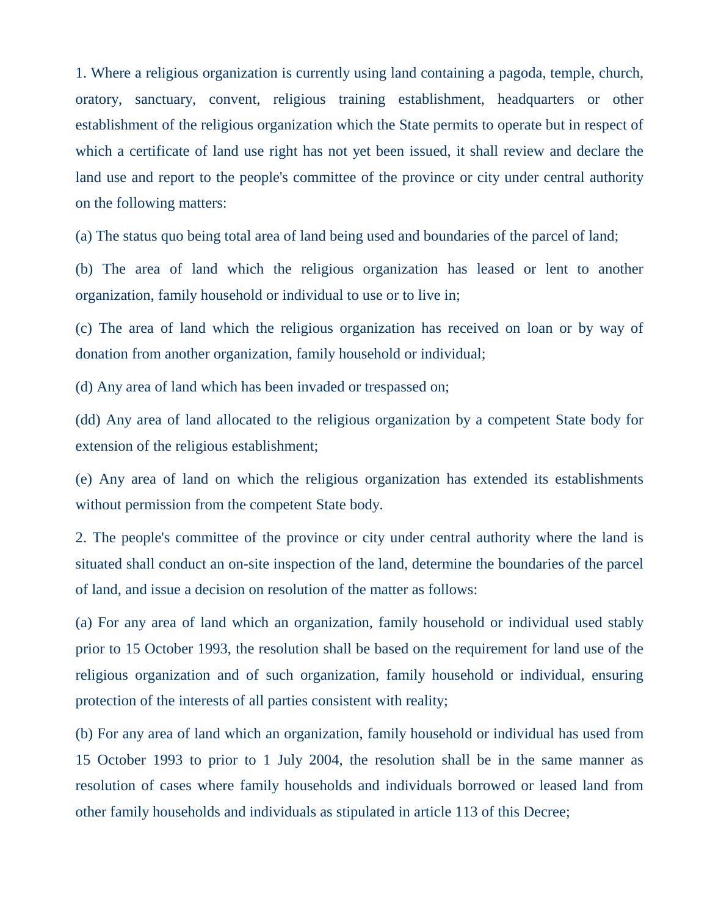1. Where a religious organization is currently using land containing a pagoda, temple, church, oratory, sanctuary, convent, religious training establishment, headquarters or other establishment of the religious organization which the State permits to operate but in respect of which a certificate of land use right has not yet been issued, it shall review and declare the land use and report to the people's committee of the province or city under central authority on the following matters:

(a) The status quo being total area of land being used and boundaries of the parcel of land;

(b) The area of land which the religious organization has leased or lent to another organization, family household or individual to use or to live in;

(c) The area of land which the religious organization has received on loan or by way of donation from another organization, family household or individual;

(d) Any area of land which has been invaded or trespassed on;

(dd) Any area of land allocated to the religious organization by a competent State body for extension of the religious establishment;

(e) Any area of land on which the religious organization has extended its establishments without permission from the competent State body.

2. The people's committee of the province or city under central authority where the land is situated shall conduct an on-site inspection of the land, determine the boundaries of the parcel of land, and issue a decision on resolution of the matter as follows:

(a) For any area of land which an organization, family household or individual used stably prior to 15 October 1993, the resolution shall be based on the requirement for land use of the religious organization and of such organization, family household or individual, ensuring protection of the interests of all parties consistent with reality;

(b) For any area of land which an organization, family household or individual has used from 15 October 1993 to prior to 1 July 2004, the resolution shall be in the same manner as resolution of cases where family households and individuals borrowed or leased land from other family households and individuals as stipulated in article 113 of this Decree;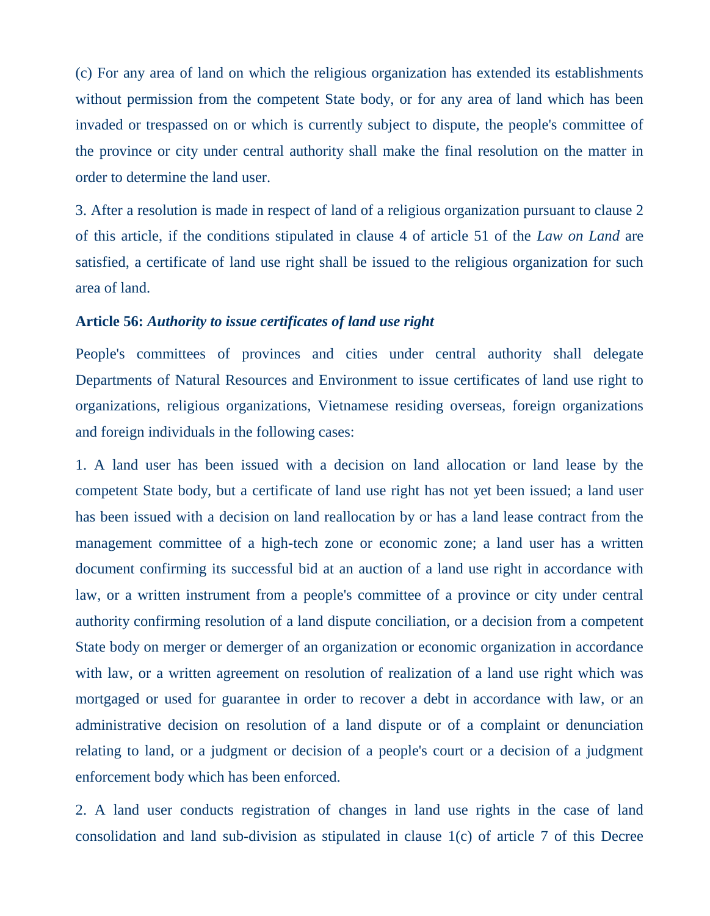(c) For any area of land on which the religious organization has extended its establishments without permission from the competent State body, or for any area of land which has been invaded or trespassed on or which is currently subject to dispute, the people's committee of the province or city under central authority shall make the final resolution on the matter in order to determine the land user.

3. After a resolution is made in respect of land of a religious organization pursuant to clause 2 of this article, if the conditions stipulated in clause 4 of article 51 of the *Law on Land* are satisfied, a certificate of land use right shall be issued to the religious organization for such area of land.

#### **Article 56:** *Authority to issue certificates of land use right*

People's committees of provinces and cities under central authority shall delegate Departments of Natural Resources and Environment to issue certificates of land use right to organizations, religious organizations, Vietnamese residing overseas, foreign organizations and foreign individuals in the following cases:

1. A land user has been issued with a decision on land allocation or land lease by the competent State body, but a certificate of land use right has not yet been issued; a land user has been issued with a decision on land reallocation by or has a land lease contract from the management committee of a high-tech zone or economic zone; a land user has a written document confirming its successful bid at an auction of a land use right in accordance with law, or a written instrument from a people's committee of a province or city under central authority confirming resolution of a land dispute conciliation, or a decision from a competent State body on merger or demerger of an organization or economic organization in accordance with law, or a written agreement on resolution of realization of a land use right which was mortgaged or used for guarantee in order to recover a debt in accordance with law, or an administrative decision on resolution of a land dispute or of a complaint or denunciation relating to land, or a judgment or decision of a people's court or a decision of a judgment enforcement body which has been enforced.

2. A land user conducts registration of changes in land use rights in the case of land consolidation and land sub-division as stipulated in clause 1(c) of article 7 of this Decree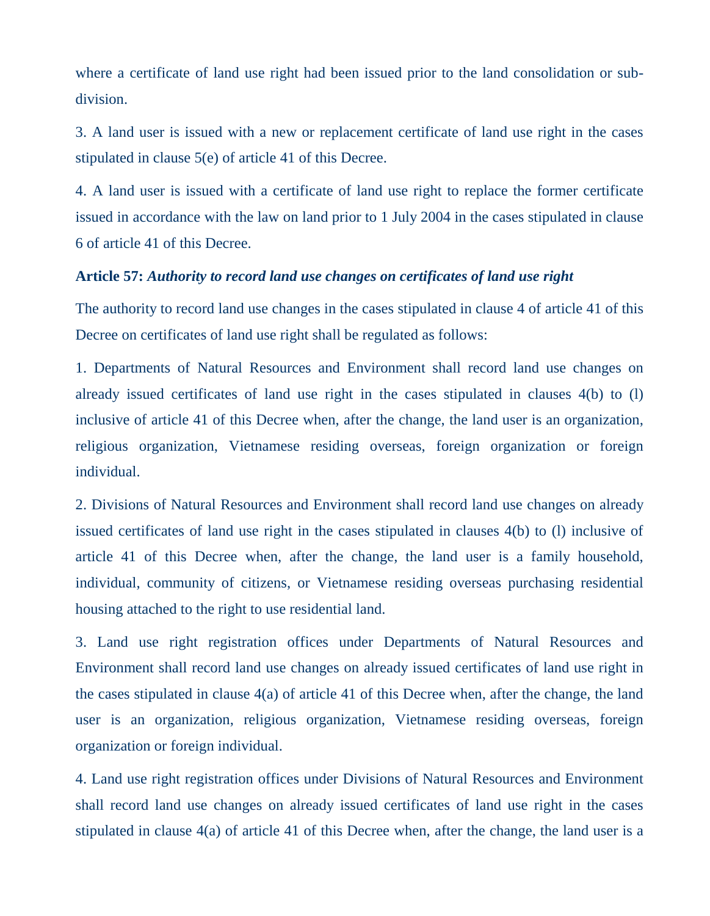where a certificate of land use right had been issued prior to the land consolidation or subdivision.

3. A land user is issued with a new or replacement certificate of land use right in the cases stipulated in clause 5(e) of article 41 of this Decree.

4. A land user is issued with a certificate of land use right to replace the former certificate issued in accordance with the law on land prior to 1 July 2004 in the cases stipulated in clause 6 of article 41 of this Decree.

#### **Article 57:** *Authority to record land use changes on certificates of land use right*

The authority to record land use changes in the cases stipulated in clause 4 of article 41 of this Decree on certificates of land use right shall be regulated as follows:

1. Departments of Natural Resources and Environment shall record land use changes on already issued certificates of land use right in the cases stipulated in clauses 4(b) to (l) inclusive of article 41 of this Decree when, after the change, the land user is an organization, religious organization, Vietnamese residing overseas, foreign organization or foreign individual.

2. Divisions of Natural Resources and Environment shall record land use changes on already issued certificates of land use right in the cases stipulated in clauses 4(b) to (l) inclusive of article 41 of this Decree when, after the change, the land user is a family household, individual, community of citizens, or Vietnamese residing overseas purchasing residential housing attached to the right to use residential land.

3. Land use right registration offices under Departments of Natural Resources and Environment shall record land use changes on already issued certificates of land use right in the cases stipulated in clause 4(a) of article 41 of this Decree when, after the change, the land user is an organization, religious organization, Vietnamese residing overseas, foreign organization or foreign individual.

4. Land use right registration offices under Divisions of Natural Resources and Environment shall record land use changes on already issued certificates of land use right in the cases stipulated in clause 4(a) of article 41 of this Decree when, after the change, the land user is a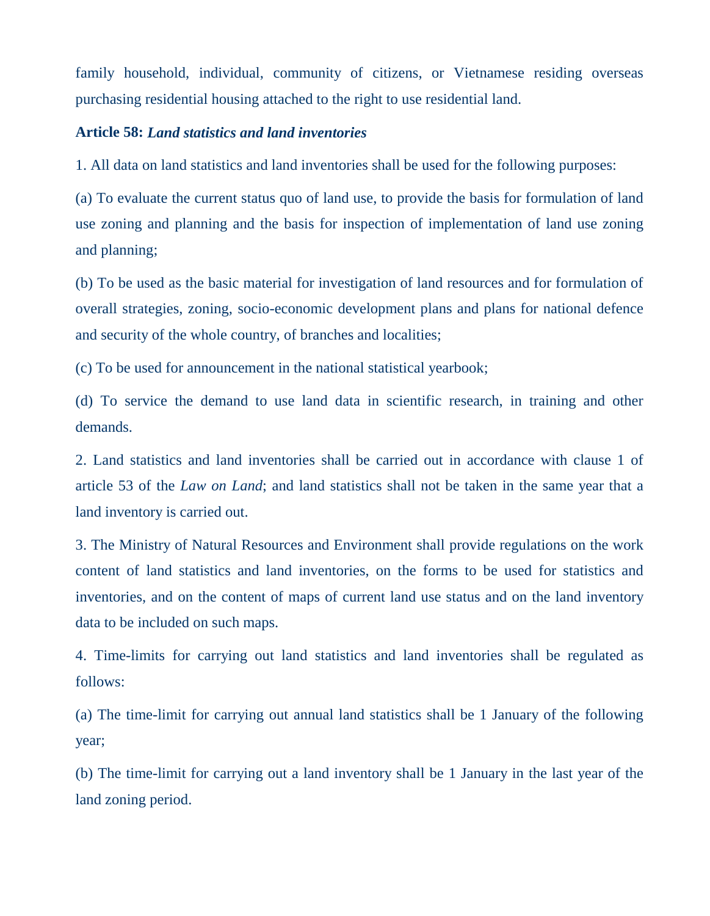family household, individual, community of citizens, or Vietnamese residing overseas purchasing residential housing attached to the right to use residential land.

### **Article 58:** *Land statistics and land inventories*

1. All data on land statistics and land inventories shall be used for the following purposes:

(a) To evaluate the current status quo of land use, to provide the basis for formulation of land use zoning and planning and the basis for inspection of implementation of land use zoning and planning;

(b) To be used as the basic material for investigation of land resources and for formulation of overall strategies, zoning, socio-economic development plans and plans for national defence and security of the whole country, of branches and localities;

(c) To be used for announcement in the national statistical yearbook;

(d) To service the demand to use land data in scientific research, in training and other demands.

2. Land statistics and land inventories shall be carried out in accordance with clause 1 of article 53 of the *Law on Land*; and land statistics shall not be taken in the same year that a land inventory is carried out.

3. The Ministry of Natural Resources and Environment shall provide regulations on the work content of land statistics and land inventories, on the forms to be used for statistics and inventories, and on the content of maps of current land use status and on the land inventory data to be included on such maps.

4. Time-limits for carrying out land statistics and land inventories shall be regulated as follows:

(a) The time-limit for carrying out annual land statistics shall be 1 January of the following year;

(b) The time-limit for carrying out a land inventory shall be 1 January in the last year of the land zoning period.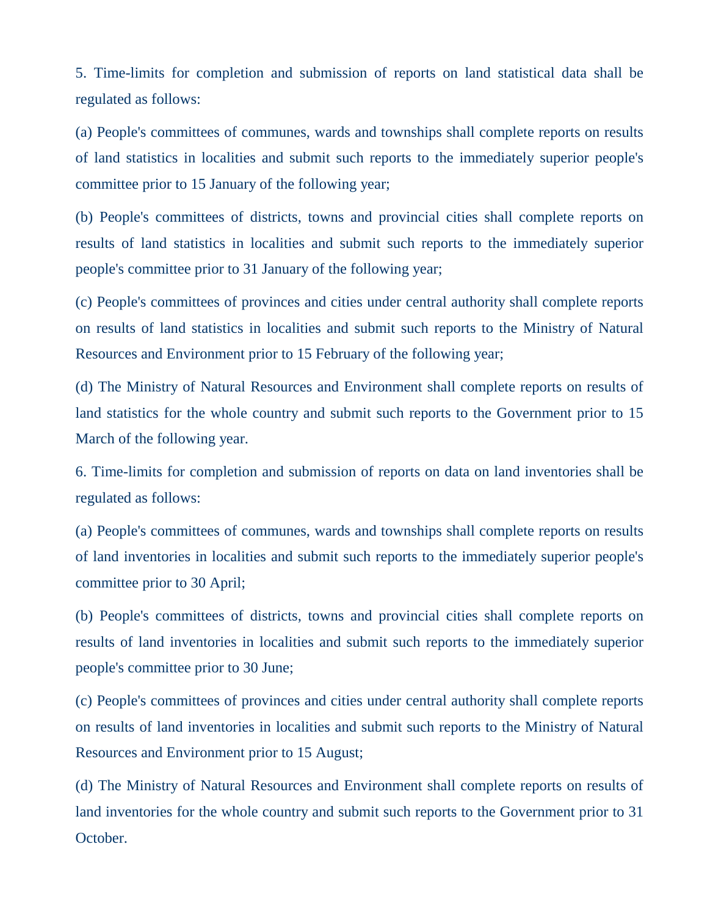5. Time-limits for completion and submission of reports on land statistical data shall be regulated as follows:

(a) People's committees of communes, wards and townships shall complete reports on results of land statistics in localities and submit such reports to the immediately superior people's committee prior to 15 January of the following year;

(b) People's committees of districts, towns and provincial cities shall complete reports on results of land statistics in localities and submit such reports to the immediately superior people's committee prior to 31 January of the following year;

(c) People's committees of provinces and cities under central authority shall complete reports on results of land statistics in localities and submit such reports to the Ministry of Natural Resources and Environment prior to 15 February of the following year;

(d) The Ministry of Natural Resources and Environment shall complete reports on results of land statistics for the whole country and submit such reports to the Government prior to 15 March of the following year.

6. Time-limits for completion and submission of reports on data on land inventories shall be regulated as follows:

(a) People's committees of communes, wards and townships shall complete reports on results of land inventories in localities and submit such reports to the immediately superior people's committee prior to 30 April;

(b) People's committees of districts, towns and provincial cities shall complete reports on results of land inventories in localities and submit such reports to the immediately superior people's committee prior to 30 June;

(c) People's committees of provinces and cities under central authority shall complete reports on results of land inventories in localities and submit such reports to the Ministry of Natural Resources and Environment prior to 15 August;

(d) The Ministry of Natural Resources and Environment shall complete reports on results of land inventories for the whole country and submit such reports to the Government prior to 31 October.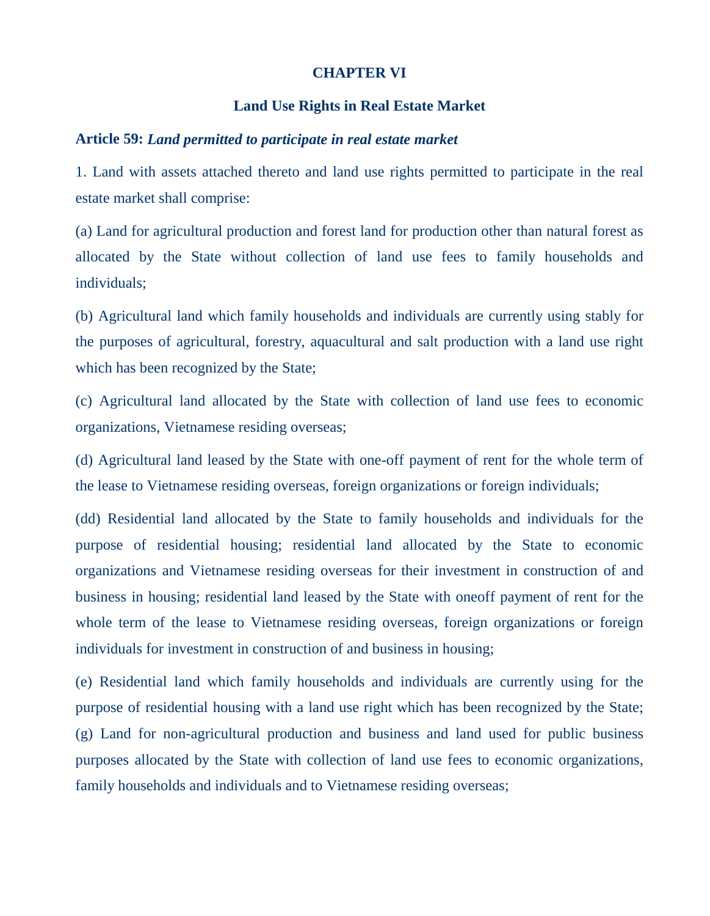#### **CHAPTER VI**

#### **Land Use Rights in Real Estate Market**

#### **Article 59:** *Land permitted to participate in real estate market*

1. Land with assets attached thereto and land use rights permitted to participate in the real estate market shall comprise:

(a) Land for agricultural production and forest land for production other than natural forest as allocated by the State without collection of land use fees to family households and individuals;

(b) Agricultural land which family households and individuals are currently using stably for the purposes of agricultural, forestry, aquacultural and salt production with a land use right which has been recognized by the State;

(c) Agricultural land allocated by the State with collection of land use fees to economic organizations, Vietnamese residing overseas;

(d) Agricultural land leased by the State with one-off payment of rent for the whole term of the lease to Vietnamese residing overseas, foreign organizations or foreign individuals;

(dd) Residential land allocated by the State to family households and individuals for the purpose of residential housing; residential land allocated by the State to economic organizations and Vietnamese residing overseas for their investment in construction of and business in housing; residential land leased by the State with oneoff payment of rent for the whole term of the lease to Vietnamese residing overseas, foreign organizations or foreign individuals for investment in construction of and business in housing;

(e) Residential land which family households and individuals are currently using for the purpose of residential housing with a land use right which has been recognized by the State; (g) Land for non-agricultural production and business and land used for public business purposes allocated by the State with collection of land use fees to economic organizations, family households and individuals and to Vietnamese residing overseas;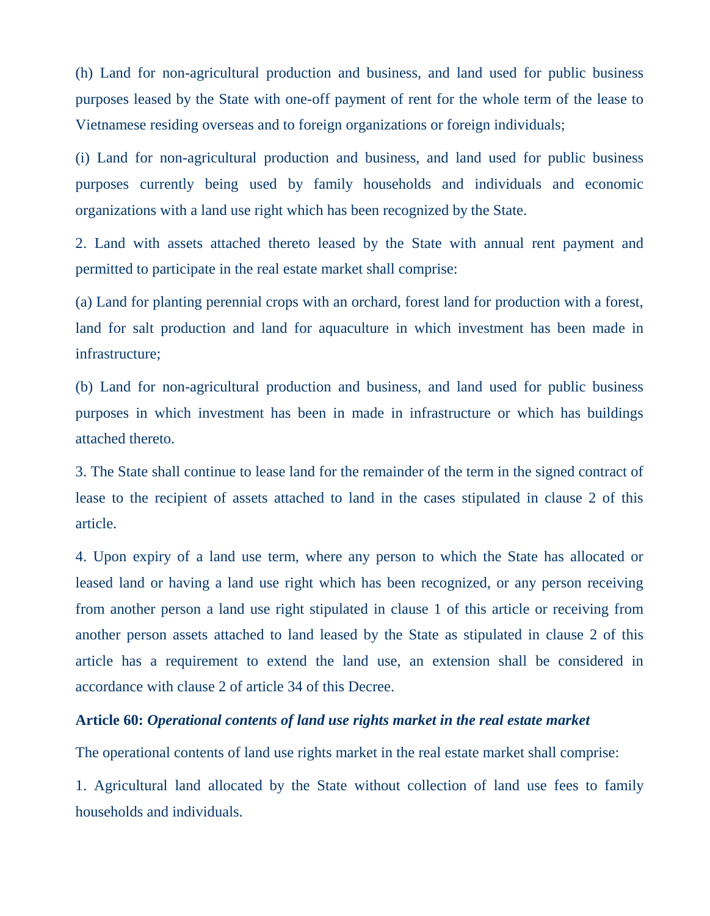(h) Land for non-agricultural production and business, and land used for public business purposes leased by the State with one-off payment of rent for the whole term of the lease to Vietnamese residing overseas and to foreign organizations or foreign individuals;

(i) Land for non-agricultural production and business, and land used for public business purposes currently being used by family households and individuals and economic organizations with a land use right which has been recognized by the State.

2. Land with assets attached thereto leased by the State with annual rent payment and permitted to participate in the real estate market shall comprise:

(a) Land for planting perennial crops with an orchard, forest land for production with a forest, land for salt production and land for aquaculture in which investment has been made in infrastructure;

(b) Land for non-agricultural production and business, and land used for public business purposes in which investment has been in made in infrastructure or which has buildings attached thereto.

3. The State shall continue to lease land for the remainder of the term in the signed contract of lease to the recipient of assets attached to land in the cases stipulated in clause 2 of this article.

4. Upon expiry of a land use term, where any person to which the State has allocated or leased land or having a land use right which has been recognized, or any person receiving from another person a land use right stipulated in clause 1 of this article or receiving from another person assets attached to land leased by the State as stipulated in clause 2 of this article has a requirement to extend the land use, an extension shall be considered in accordance with clause 2 of article 34 of this Decree.

## **Article 60:** *Operational contents of land use rights market in the real estate market*

The operational contents of land use rights market in the real estate market shall comprise:

1. Agricultural land allocated by the State without collection of land use fees to family households and individuals.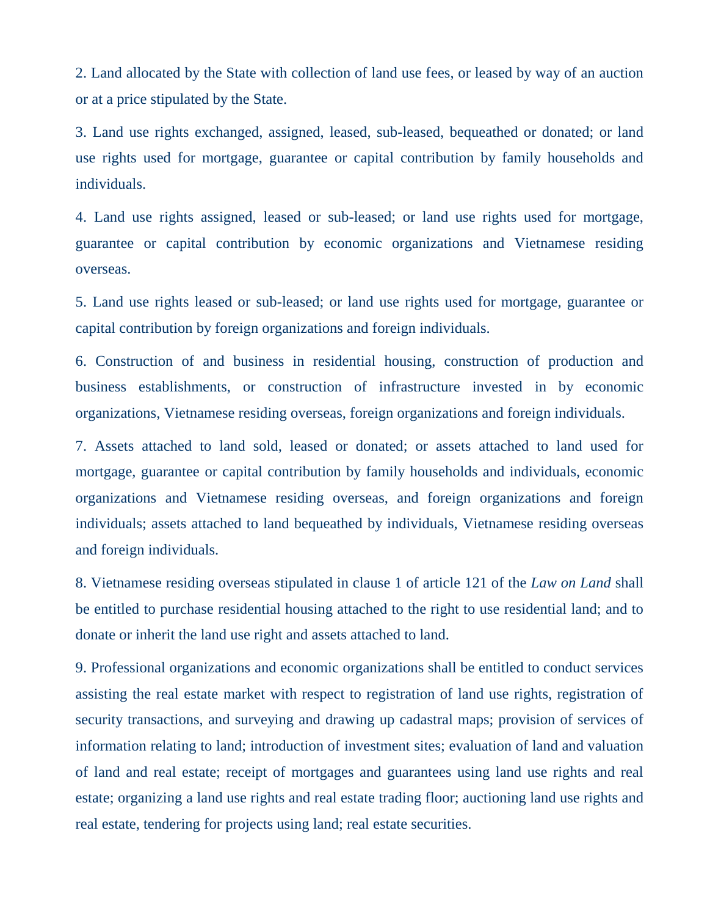2. Land allocated by the State with collection of land use fees, or leased by way of an auction or at a price stipulated by the State.

3. Land use rights exchanged, assigned, leased, sub-leased, bequeathed or donated; or land use rights used for mortgage, guarantee or capital contribution by family households and individuals.

4. Land use rights assigned, leased or sub-leased; or land use rights used for mortgage, guarantee or capital contribution by economic organizations and Vietnamese residing overseas.

5. Land use rights leased or sub-leased; or land use rights used for mortgage, guarantee or capital contribution by foreign organizations and foreign individuals.

6. Construction of and business in residential housing, construction of production and business establishments, or construction of infrastructure invested in by economic organizations, Vietnamese residing overseas, foreign organizations and foreign individuals.

7. Assets attached to land sold, leased or donated; or assets attached to land used for mortgage, guarantee or capital contribution by family households and individuals, economic organizations and Vietnamese residing overseas, and foreign organizations and foreign individuals; assets attached to land bequeathed by individuals, Vietnamese residing overseas and foreign individuals.

8. Vietnamese residing overseas stipulated in clause 1 of article 121 of the *Law on Land* shall be entitled to purchase residential housing attached to the right to use residential land; and to donate or inherit the land use right and assets attached to land.

9. Professional organizations and economic organizations shall be entitled to conduct services assisting the real estate market with respect to registration of land use rights, registration of security transactions, and surveying and drawing up cadastral maps; provision of services of information relating to land; introduction of investment sites; evaluation of land and valuation of land and real estate; receipt of mortgages and guarantees using land use rights and real estate; organizing a land use rights and real estate trading floor; auctioning land use rights and real estate, tendering for projects using land; real estate securities.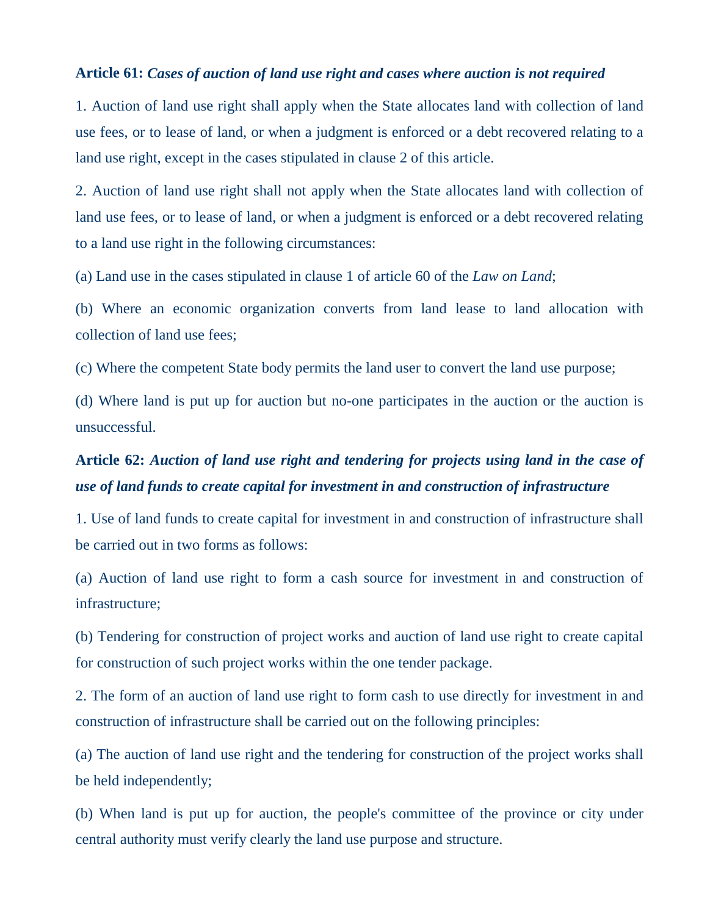### **Article 61:** *Cases of auction of land use right and cases where auction is not required*

1. Auction of land use right shall apply when the State allocates land with collection of land use fees, or to lease of land, or when a judgment is enforced or a debt recovered relating to a land use right, except in the cases stipulated in clause 2 of this article.

2. Auction of land use right shall not apply when the State allocates land with collection of land use fees, or to lease of land, or when a judgment is enforced or a debt recovered relating to a land use right in the following circumstances:

(a) Land use in the cases stipulated in clause 1 of article 60 of the *Law on Land*;

(b) Where an economic organization converts from land lease to land allocation with collection of land use fees;

(c) Where the competent State body permits the land user to convert the land use purpose;

(d) Where land is put up for auction but no-one participates in the auction or the auction is unsuccessful.

# **Article 62:** *Auction of land use right and tendering for projects using land in the case of use of land funds to create capital for investment in and construction of infrastructure*

1. Use of land funds to create capital for investment in and construction of infrastructure shall be carried out in two forms as follows:

(a) Auction of land use right to form a cash source for investment in and construction of infrastructure;

(b) Tendering for construction of project works and auction of land use right to create capital for construction of such project works within the one tender package.

2. The form of an auction of land use right to form cash to use directly for investment in and construction of infrastructure shall be carried out on the following principles:

(a) The auction of land use right and the tendering for construction of the project works shall be held independently;

(b) When land is put up for auction, the people's committee of the province or city under central authority must verify clearly the land use purpose and structure.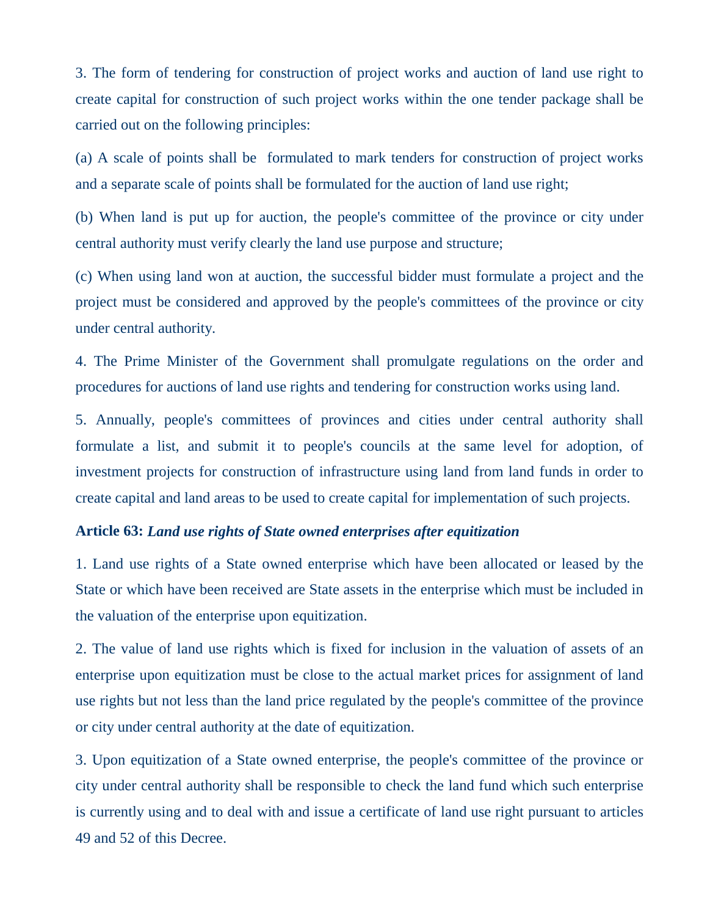3. The form of tendering for construction of project works and auction of land use right to create capital for construction of such project works within the one tender package shall be carried out on the following principles:

(a) A scale of points shall be formulated to mark tenders for construction of project works and a separate scale of points shall be formulated for the auction of land use right;

(b) When land is put up for auction, the people's committee of the province or city under central authority must verify clearly the land use purpose and structure;

(c) When using land won at auction, the successful bidder must formulate a project and the project must be considered and approved by the people's committees of the province or city under central authority.

4. The Prime Minister of the Government shall promulgate regulations on the order and procedures for auctions of land use rights and tendering for construction works using land.

5. Annually, people's committees of provinces and cities under central authority shall formulate a list, and submit it to people's councils at the same level for adoption, of investment projects for construction of infrastructure using land from land funds in order to create capital and land areas to be used to create capital for implementation of such projects.

## **Article 63:** *Land use rights of State owned enterprises after equitization*

1. Land use rights of a State owned enterprise which have been allocated or leased by the State or which have been received are State assets in the enterprise which must be included in the valuation of the enterprise upon equitization.

2. The value of land use rights which is fixed for inclusion in the valuation of assets of an enterprise upon equitization must be close to the actual market prices for assignment of land use rights but not less than the land price regulated by the people's committee of the province or city under central authority at the date of equitization.

3. Upon equitization of a State owned enterprise, the people's committee of the province or city under central authority shall be responsible to check the land fund which such enterprise is currently using and to deal with and issue a certificate of land use right pursuant to articles 49 and 52 of this Decree.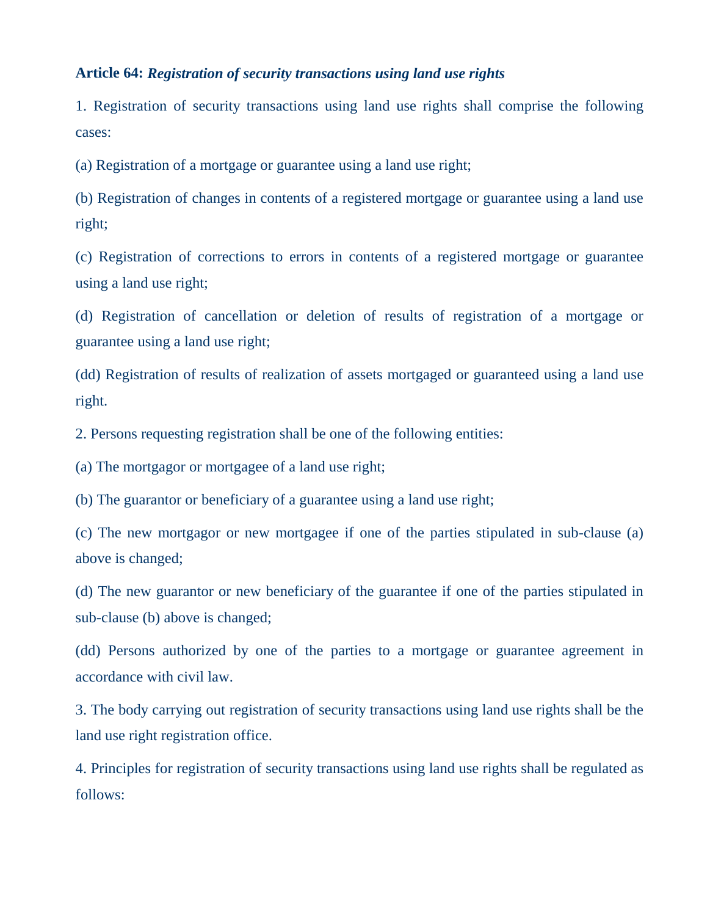## **Article 64:** *Registration of security transactions using land use rights*

1. Registration of security transactions using land use rights shall comprise the following cases:

(a) Registration of a mortgage or guarantee using a land use right;

(b) Registration of changes in contents of a registered mortgage or guarantee using a land use right;

(c) Registration of corrections to errors in contents of a registered mortgage or guarantee using a land use right;

(d) Registration of cancellation or deletion of results of registration of a mortgage or guarantee using a land use right;

(dd) Registration of results of realization of assets mortgaged or guaranteed using a land use right.

2. Persons requesting registration shall be one of the following entities:

(a) The mortgagor or mortgagee of a land use right;

(b) The guarantor or beneficiary of a guarantee using a land use right;

(c) The new mortgagor or new mortgagee if one of the parties stipulated in sub-clause (a) above is changed;

(d) The new guarantor or new beneficiary of the guarantee if one of the parties stipulated in sub-clause (b) above is changed;

(dd) Persons authorized by one of the parties to a mortgage or guarantee agreement in accordance with civil law.

3. The body carrying out registration of security transactions using land use rights shall be the land use right registration office.

4. Principles for registration of security transactions using land use rights shall be regulated as follows: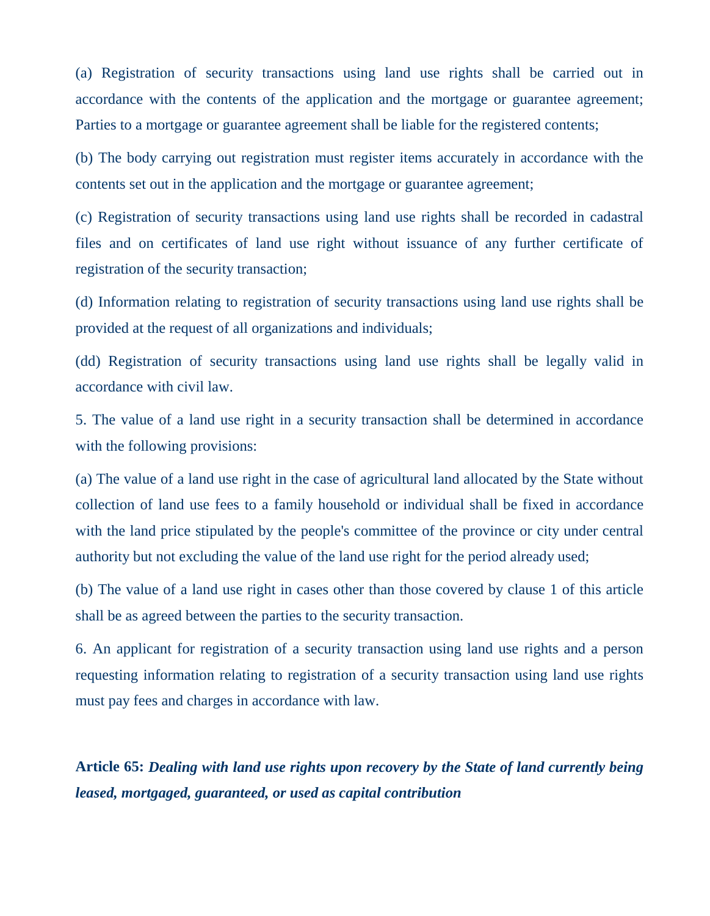(a) Registration of security transactions using land use rights shall be carried out in accordance with the contents of the application and the mortgage or guarantee agreement; Parties to a mortgage or guarantee agreement shall be liable for the registered contents;

(b) The body carrying out registration must register items accurately in accordance with the contents set out in the application and the mortgage or guarantee agreement;

(c) Registration of security transactions using land use rights shall be recorded in cadastral files and on certificates of land use right without issuance of any further certificate of registration of the security transaction;

(d) Information relating to registration of security transactions using land use rights shall be provided at the request of all organizations and individuals;

(dd) Registration of security transactions using land use rights shall be legally valid in accordance with civil law.

5. The value of a land use right in a security transaction shall be determined in accordance with the following provisions:

(a) The value of a land use right in the case of agricultural land allocated by the State without collection of land use fees to a family household or individual shall be fixed in accordance with the land price stipulated by the people's committee of the province or city under central authority but not excluding the value of the land use right for the period already used;

(b) The value of a land use right in cases other than those covered by clause 1 of this article shall be as agreed between the parties to the security transaction.

6. An applicant for registration of a security transaction using land use rights and a person requesting information relating to registration of a security transaction using land use rights must pay fees and charges in accordance with law.

**Article 65:** *Dealing with land use rights upon recovery by the State of land currently being leased, mortgaged, guaranteed, or used as capital contribution*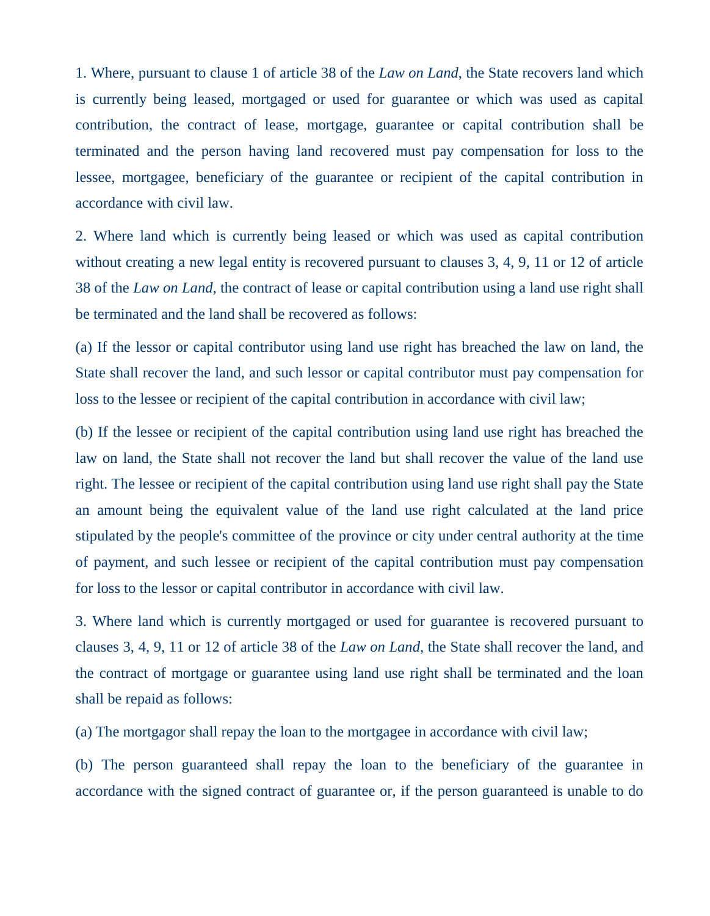1. Where, pursuant to clause 1 of article 38 of the *Law on Land*, the State recovers land which is currently being leased, mortgaged or used for guarantee or which was used as capital contribution, the contract of lease, mortgage, guarantee or capital contribution shall be terminated and the person having land recovered must pay compensation for loss to the lessee, mortgagee, beneficiary of the guarantee or recipient of the capital contribution in accordance with civil law.

2. Where land which is currently being leased or which was used as capital contribution without creating a new legal entity is recovered pursuant to clauses 3, 4, 9, 11 or 12 of article 38 of the *Law on Land*, the contract of lease or capital contribution using a land use right shall be terminated and the land shall be recovered as follows:

(a) If the lessor or capital contributor using land use right has breached the law on land, the State shall recover the land, and such lessor or capital contributor must pay compensation for loss to the lessee or recipient of the capital contribution in accordance with civil law;

(b) If the lessee or recipient of the capital contribution using land use right has breached the law on land, the State shall not recover the land but shall recover the value of the land use right. The lessee or recipient of the capital contribution using land use right shall pay the State an amount being the equivalent value of the land use right calculated at the land price stipulated by the people's committee of the province or city under central authority at the time of payment, and such lessee or recipient of the capital contribution must pay compensation for loss to the lessor or capital contributor in accordance with civil law.

3. Where land which is currently mortgaged or used for guarantee is recovered pursuant to clauses 3, 4, 9, 11 or 12 of article 38 of the *Law on Land*, the State shall recover the land, and the contract of mortgage or guarantee using land use right shall be terminated and the loan shall be repaid as follows:

(a) The mortgagor shall repay the loan to the mortgagee in accordance with civil law;

(b) The person guaranteed shall repay the loan to the beneficiary of the guarantee in accordance with the signed contract of guarantee or, if the person guaranteed is unable to do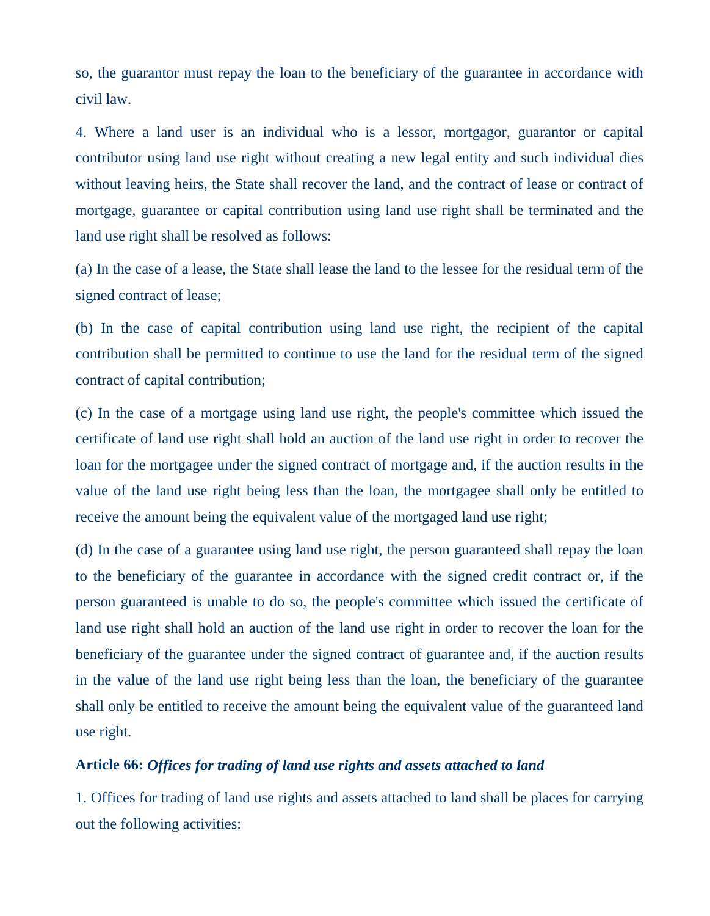so, the guarantor must repay the loan to the beneficiary of the guarantee in accordance with civil law.

4. Where a land user is an individual who is a lessor, mortgagor, guarantor or capital contributor using land use right without creating a new legal entity and such individual dies without leaving heirs, the State shall recover the land, and the contract of lease or contract of mortgage, guarantee or capital contribution using land use right shall be terminated and the land use right shall be resolved as follows:

(a) In the case of a lease, the State shall lease the land to the lessee for the residual term of the signed contract of lease;

(b) In the case of capital contribution using land use right, the recipient of the capital contribution shall be permitted to continue to use the land for the residual term of the signed contract of capital contribution;

(c) In the case of a mortgage using land use right, the people's committee which issued the certificate of land use right shall hold an auction of the land use right in order to recover the loan for the mortgagee under the signed contract of mortgage and, if the auction results in the value of the land use right being less than the loan, the mortgagee shall only be entitled to receive the amount being the equivalent value of the mortgaged land use right;

(d) In the case of a guarantee using land use right, the person guaranteed shall repay the loan to the beneficiary of the guarantee in accordance with the signed credit contract or, if the person guaranteed is unable to do so, the people's committee which issued the certificate of land use right shall hold an auction of the land use right in order to recover the loan for the beneficiary of the guarantee under the signed contract of guarantee and, if the auction results in the value of the land use right being less than the loan, the beneficiary of the guarantee shall only be entitled to receive the amount being the equivalent value of the guaranteed land use right.

## **Article 66:** *Offices for trading of land use rights and assets attached to land*

1. Offices for trading of land use rights and assets attached to land shall be places for carrying out the following activities: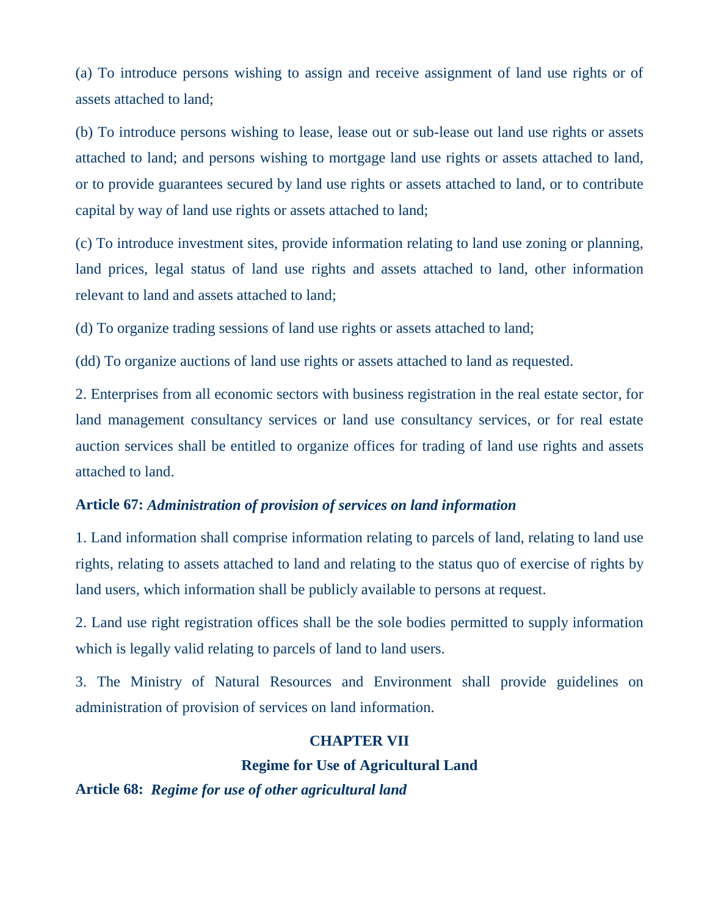(a) To introduce persons wishing to assign and receive assignment of land use rights or of assets attached to land;

(b) To introduce persons wishing to lease, lease out or sub-lease out land use rights or assets attached to land; and persons wishing to mortgage land use rights or assets attached to land, or to provide guarantees secured by land use rights or assets attached to land, or to contribute capital by way of land use rights or assets attached to land;

(c) To introduce investment sites, provide information relating to land use zoning or planning, land prices, legal status of land use rights and assets attached to land, other information relevant to land and assets attached to land;

(d) To organize trading sessions of land use rights or assets attached to land;

(dd) To organize auctions of land use rights or assets attached to land as requested.

2. Enterprises from all economic sectors with business registration in the real estate sector, for land management consultancy services or land use consultancy services, or for real estate auction services shall be entitled to organize offices for trading of land use rights and assets attached to land.

### **Article 67:** *Administration of provision of services on land information*

1. Land information shall comprise information relating to parcels of land, relating to land use rights, relating to assets attached to land and relating to the status quo of exercise of rights by land users, which information shall be publicly available to persons at request.

2. Land use right registration offices shall be the sole bodies permitted to supply information which is legally valid relating to parcels of land to land users.

3. The Ministry of Natural Resources and Environment shall provide guidelines on administration of provision of services on land information.

## **CHAPTER VII**

#### **Regime for Use of Agricultural Land**

**Article 68:** *Regime for use of other agricultural land*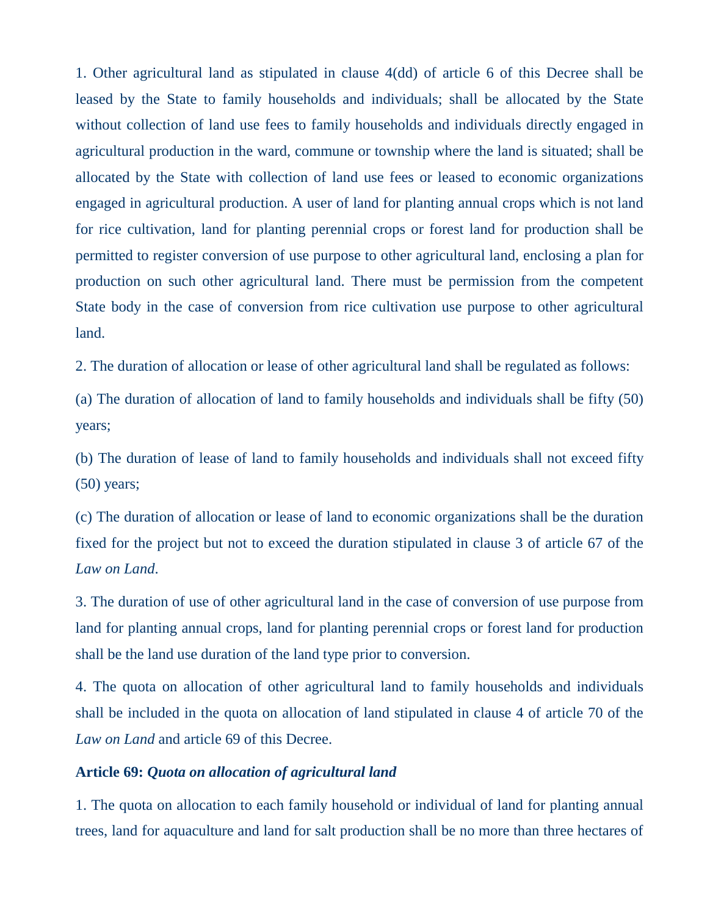1. Other agricultural land as stipulated in clause 4(dd) of article 6 of this Decree shall be leased by the State to family households and individuals; shall be allocated by the State without collection of land use fees to family households and individuals directly engaged in agricultural production in the ward, commune or township where the land is situated; shall be allocated by the State with collection of land use fees or leased to economic organizations engaged in agricultural production. A user of land for planting annual crops which is not land for rice cultivation, land for planting perennial crops or forest land for production shall be permitted to register conversion of use purpose to other agricultural land, enclosing a plan for production on such other agricultural land. There must be permission from the competent State body in the case of conversion from rice cultivation use purpose to other agricultural land.

2. The duration of allocation or lease of other agricultural land shall be regulated as follows:

(a) The duration of allocation of land to family households and individuals shall be fifty (50) years;

(b) The duration of lease of land to family households and individuals shall not exceed fifty (50) years;

(c) The duration of allocation or lease of land to economic organizations shall be the duration fixed for the project but not to exceed the duration stipulated in clause 3 of article 67 of the *Law on Land*.

3. The duration of use of other agricultural land in the case of conversion of use purpose from land for planting annual crops, land for planting perennial crops or forest land for production shall be the land use duration of the land type prior to conversion.

4. The quota on allocation of other agricultural land to family households and individuals shall be included in the quota on allocation of land stipulated in clause 4 of article 70 of the *Law on Land* and article 69 of this Decree.

## **Article 69:** *Quota on allocation of agricultural land*

1. The quota on allocation to each family household or individual of land for planting annual trees, land for aquaculture and land for salt production shall be no more than three hectares of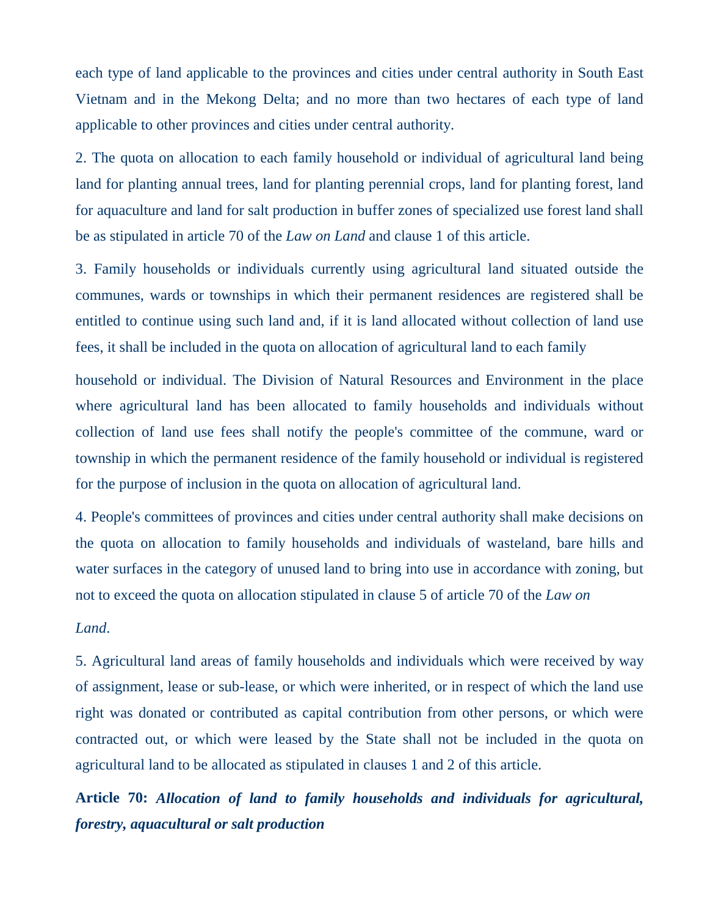each type of land applicable to the provinces and cities under central authority in South East Vietnam and in the Mekong Delta; and no more than two hectares of each type of land applicable to other provinces and cities under central authority.

2. The quota on allocation to each family household or individual of agricultural land being land for planting annual trees, land for planting perennial crops, land for planting forest, land for aquaculture and land for salt production in buffer zones of specialized use forest land shall be as stipulated in article 70 of the *Law on Land* and clause 1 of this article.

3. Family households or individuals currently using agricultural land situated outside the communes, wards or townships in which their permanent residences are registered shall be entitled to continue using such land and, if it is land allocated without collection of land use fees, it shall be included in the quota on allocation of agricultural land to each family

household or individual. The Division of Natural Resources and Environment in the place where agricultural land has been allocated to family households and individuals without collection of land use fees shall notify the people's committee of the commune, ward or township in which the permanent residence of the family household or individual is registered for the purpose of inclusion in the quota on allocation of agricultural land.

4. People's committees of provinces and cities under central authority shall make decisions on the quota on allocation to family households and individuals of wasteland, bare hills and water surfaces in the category of unused land to bring into use in accordance with zoning, but not to exceed the quota on allocation stipulated in clause 5 of article 70 of the *Law on*

#### *Land*.

5. Agricultural land areas of family households and individuals which were received by way of assignment, lease or sub-lease, or which were inherited, or in respect of which the land use right was donated or contributed as capital contribution from other persons, or which were contracted out, or which were leased by the State shall not be included in the quota on agricultural land to be allocated as stipulated in clauses 1 and 2 of this article.

**Article 70:** *Allocation of land to family households and individuals for agricultural, forestry, aquacultural or salt production*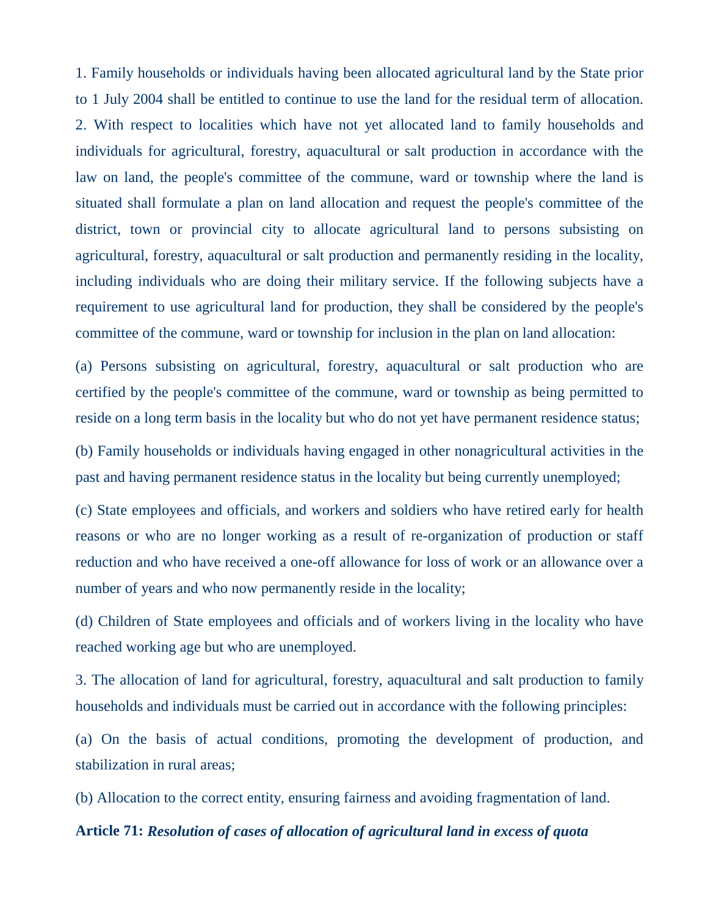1. Family households or individuals having been allocated agricultural land by the State prior to 1 July 2004 shall be entitled to continue to use the land for the residual term of allocation. 2. With respect to localities which have not yet allocated land to family households and individuals for agricultural, forestry, aquacultural or salt production in accordance with the law on land, the people's committee of the commune, ward or township where the land is situated shall formulate a plan on land allocation and request the people's committee of the district, town or provincial city to allocate agricultural land to persons subsisting on agricultural, forestry, aquacultural or salt production and permanently residing in the locality, including individuals who are doing their military service. If the following subjects have a requirement to use agricultural land for production, they shall be considered by the people's committee of the commune, ward or township for inclusion in the plan on land allocation:

(a) Persons subsisting on agricultural, forestry, aquacultural or salt production who are certified by the people's committee of the commune, ward or township as being permitted to reside on a long term basis in the locality but who do not yet have permanent residence status;

(b) Family households or individuals having engaged in other nonagricultural activities in the past and having permanent residence status in the locality but being currently unemployed;

(c) State employees and officials, and workers and soldiers who have retired early for health reasons or who are no longer working as a result of re-organization of production or staff reduction and who have received a one-off allowance for loss of work or an allowance over a number of years and who now permanently reside in the locality;

(d) Children of State employees and officials and of workers living in the locality who have reached working age but who are unemployed.

3. The allocation of land for agricultural, forestry, aquacultural and salt production to family households and individuals must be carried out in accordance with the following principles:

(a) On the basis of actual conditions, promoting the development of production, and stabilization in rural areas;

(b) Allocation to the correct entity, ensuring fairness and avoiding fragmentation of land.

## **Article 71:** *Resolution of cases of allocation of agricultural land in excess of quota*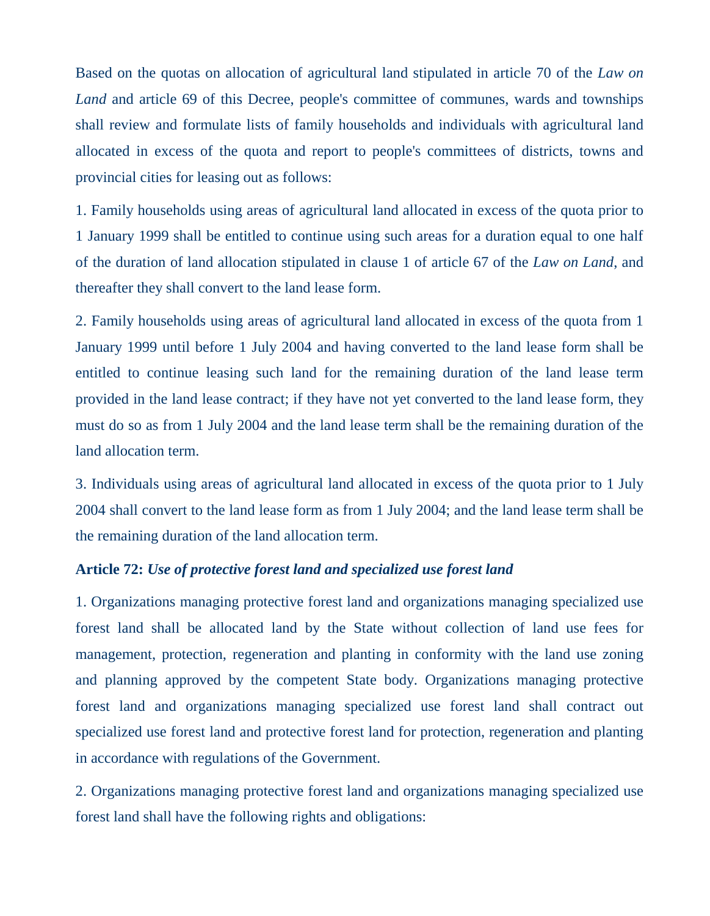Based on the quotas on allocation of agricultural land stipulated in article 70 of the *Law on* Land and article 69 of this Decree, people's committee of communes, wards and townships shall review and formulate lists of family households and individuals with agricultural land allocated in excess of the quota and report to people's committees of districts, towns and provincial cities for leasing out as follows:

1. Family households using areas of agricultural land allocated in excess of the quota prior to 1 January 1999 shall be entitled to continue using such areas for a duration equal to one half of the duration of land allocation stipulated in clause 1 of article 67 of the *Law on Land*, and thereafter they shall convert to the land lease form.

2. Family households using areas of agricultural land allocated in excess of the quota from 1 January 1999 until before 1 July 2004 and having converted to the land lease form shall be entitled to continue leasing such land for the remaining duration of the land lease term provided in the land lease contract; if they have not yet converted to the land lease form, they must do so as from 1 July 2004 and the land lease term shall be the remaining duration of the land allocation term.

3. Individuals using areas of agricultural land allocated in excess of the quota prior to 1 July 2004 shall convert to the land lease form as from 1 July 2004; and the land lease term shall be the remaining duration of the land allocation term.

## **Article 72:** *Use of protective forest land and specialized use forest land*

1. Organizations managing protective forest land and organizations managing specialized use forest land shall be allocated land by the State without collection of land use fees for management, protection, regeneration and planting in conformity with the land use zoning and planning approved by the competent State body. Organizations managing protective forest land and organizations managing specialized use forest land shall contract out specialized use forest land and protective forest land for protection, regeneration and planting in accordance with regulations of the Government.

2. Organizations managing protective forest land and organizations managing specialized use forest land shall have the following rights and obligations: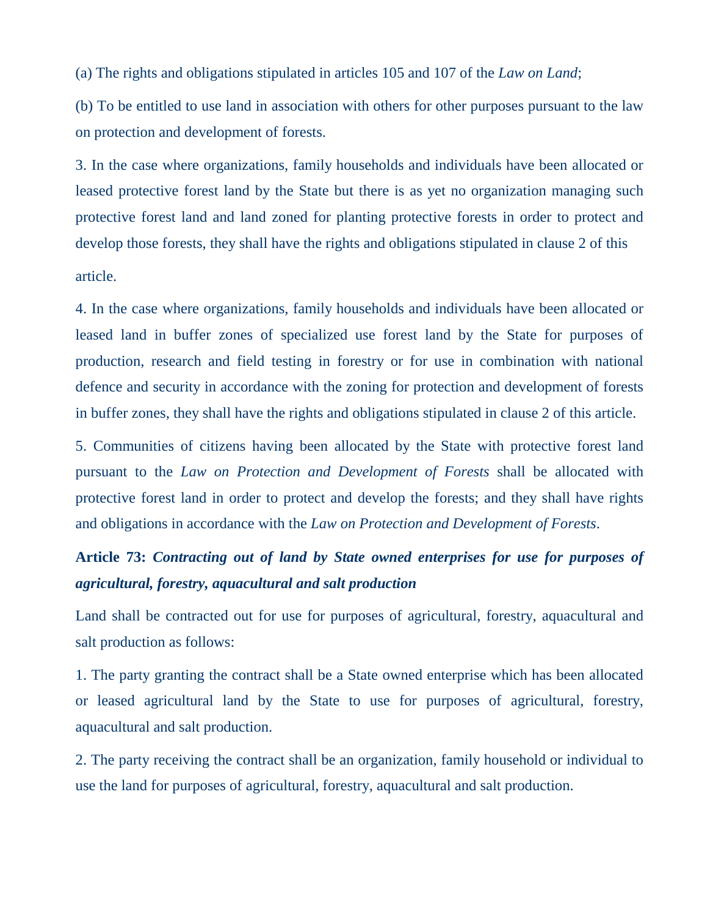(a) The rights and obligations stipulated in articles 105 and 107 of the *Law on Land*;

(b) To be entitled to use land in association with others for other purposes pursuant to the law on protection and development of forests.

3. In the case where organizations, family households and individuals have been allocated or leased protective forest land by the State but there is as yet no organization managing such protective forest land and land zoned for planting protective forests in order to protect and develop those forests, they shall have the rights and obligations stipulated in clause 2 of this article.

4. In the case where organizations, family households and individuals have been allocated or leased land in buffer zones of specialized use forest land by the State for purposes of production, research and field testing in forestry or for use in combination with national defence and security in accordance with the zoning for protection and development of forests in buffer zones, they shall have the rights and obligations stipulated in clause 2 of this article.

5. Communities of citizens having been allocated by the State with protective forest land pursuant to the *Law on Protection and Development of Forests* shall be allocated with protective forest land in order to protect and develop the forests; and they shall have rights and obligations in accordance with the *Law on Protection and Development of Forests*.

# **Article 73:** *Contracting out of land by State owned enterprises for use for purposes of agricultural, forestry, aquacultural and salt production*

Land shall be contracted out for use for purposes of agricultural, forestry, aquacultural and salt production as follows:

1. The party granting the contract shall be a State owned enterprise which has been allocated or leased agricultural land by the State to use for purposes of agricultural, forestry, aquacultural and salt production.

2. The party receiving the contract shall be an organization, family household or individual to use the land for purposes of agricultural, forestry, aquacultural and salt production.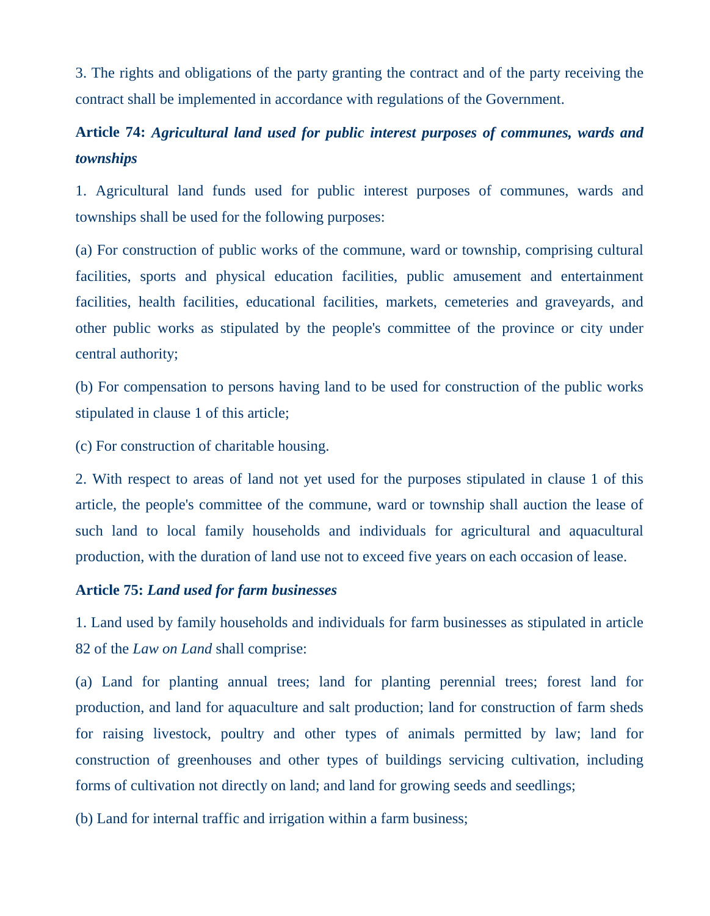3. The rights and obligations of the party granting the contract and of the party receiving the contract shall be implemented in accordance with regulations of the Government.

# **Article 74:** *Agricultural land used for public interest purposes of communes, wards and townships*

1. Agricultural land funds used for public interest purposes of communes, wards and townships shall be used for the following purposes:

(a) For construction of public works of the commune, ward or township, comprising cultural facilities, sports and physical education facilities, public amusement and entertainment facilities, health facilities, educational facilities, markets, cemeteries and graveyards, and other public works as stipulated by the people's committee of the province or city under central authority;

(b) For compensation to persons having land to be used for construction of the public works stipulated in clause 1 of this article;

(c) For construction of charitable housing.

2. With respect to areas of land not yet used for the purposes stipulated in clause 1 of this article, the people's committee of the commune, ward or township shall auction the lease of such land to local family households and individuals for agricultural and aquacultural production, with the duration of land use not to exceed five years on each occasion of lease.

## **Article 75:** *Land used for farm businesses*

1. Land used by family households and individuals for farm businesses as stipulated in article 82 of the *Law on Land* shall comprise:

(a) Land for planting annual trees; land for planting perennial trees; forest land for production, and land for aquaculture and salt production; land for construction of farm sheds for raising livestock, poultry and other types of animals permitted by law; land for construction of greenhouses and other types of buildings servicing cultivation, including forms of cultivation not directly on land; and land for growing seeds and seedlings;

(b) Land for internal traffic and irrigation within a farm business;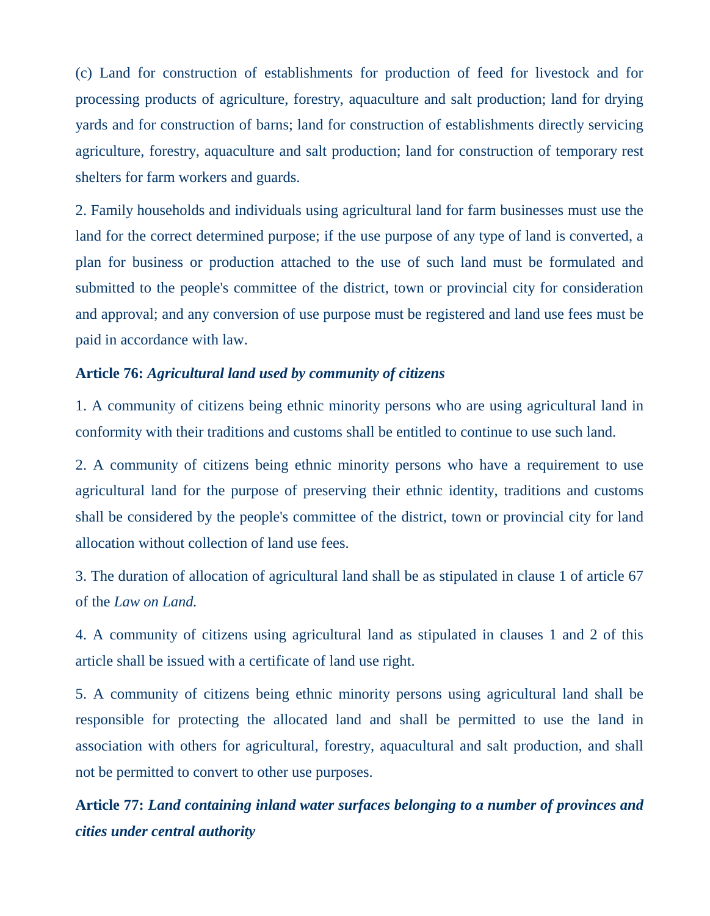(c) Land for construction of establishments for production of feed for livestock and for processing products of agriculture, forestry, aquaculture and salt production; land for drying yards and for construction of barns; land for construction of establishments directly servicing agriculture, forestry, aquaculture and salt production; land for construction of temporary rest shelters for farm workers and guards.

2. Family households and individuals using agricultural land for farm businesses must use the land for the correct determined purpose; if the use purpose of any type of land is converted, a plan for business or production attached to the use of such land must be formulated and submitted to the people's committee of the district, town or provincial city for consideration and approval; and any conversion of use purpose must be registered and land use fees must be paid in accordance with law.

## **Article 76:** *Agricultural land used by community of citizens*

1. A community of citizens being ethnic minority persons who are using agricultural land in conformity with their traditions and customs shall be entitled to continue to use such land.

2. A community of citizens being ethnic minority persons who have a requirement to use agricultural land for the purpose of preserving their ethnic identity, traditions and customs shall be considered by the people's committee of the district, town or provincial city for land allocation without collection of land use fees.

3. The duration of allocation of agricultural land shall be as stipulated in clause 1 of article 67 of the *Law on Land.*

4. A community of citizens using agricultural land as stipulated in clauses 1 and 2 of this article shall be issued with a certificate of land use right.

5. A community of citizens being ethnic minority persons using agricultural land shall be responsible for protecting the allocated land and shall be permitted to use the land in association with others for agricultural, forestry, aquacultural and salt production, and shall not be permitted to convert to other use purposes.

**Article 77:** *Land containing inland water surfaces belonging to a number of provinces and cities under central authority*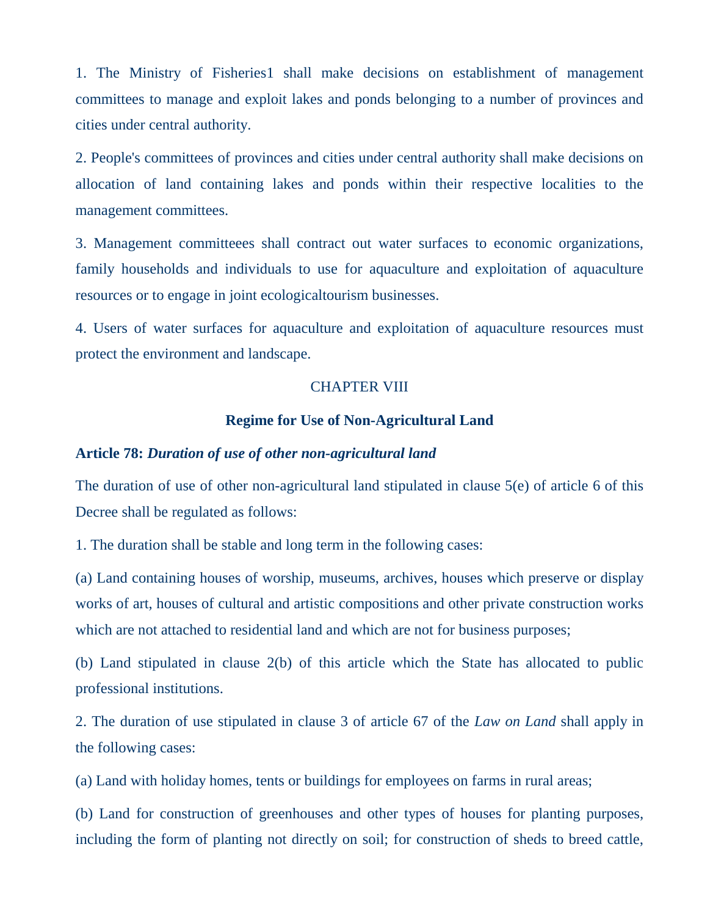1. The Ministry of Fisheries1 shall make decisions on establishment of management committees to manage and exploit lakes and ponds belonging to a number of provinces and cities under central authority.

2. People's committees of provinces and cities under central authority shall make decisions on allocation of land containing lakes and ponds within their respective localities to the management committees.

3. Management committeees shall contract out water surfaces to economic organizations, family households and individuals to use for aquaculture and exploitation of aquaculture resources or to engage in joint ecologicaltourism businesses.

4. Users of water surfaces for aquaculture and exploitation of aquaculture resources must protect the environment and landscape.

#### CHAPTER VIII

#### **Regime for Use of Non-Agricultural Land**

#### **Article 78:** *Duration of use of other non-agricultural land*

The duration of use of other non-agricultural land stipulated in clause 5(e) of article 6 of this Decree shall be regulated as follows:

1. The duration shall be stable and long term in the following cases:

(a) Land containing houses of worship, museums, archives, houses which preserve or display works of art, houses of cultural and artistic compositions and other private construction works which are not attached to residential land and which are not for business purposes;

(b) Land stipulated in clause 2(b) of this article which the State has allocated to public professional institutions.

2. The duration of use stipulated in clause 3 of article 67 of the *Law on Land* shall apply in the following cases:

(a) Land with holiday homes, tents or buildings for employees on farms in rural areas;

(b) Land for construction of greenhouses and other types of houses for planting purposes, including the form of planting not directly on soil; for construction of sheds to breed cattle,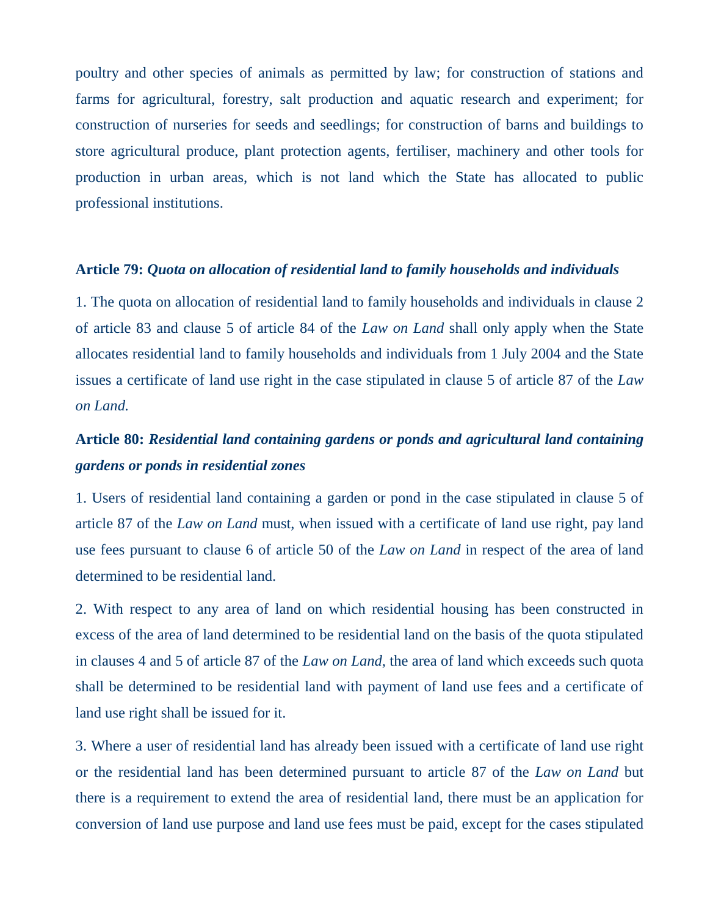poultry and other species of animals as permitted by law; for construction of stations and farms for agricultural, forestry, salt production and aquatic research and experiment; for construction of nurseries for seeds and seedlings; for construction of barns and buildings to store agricultural produce, plant protection agents, fertiliser, machinery and other tools for production in urban areas, which is not land which the State has allocated to public professional institutions.

#### **Article 79:** *Quota on allocation of residential land to family households and individuals*

1. The quota on allocation of residential land to family households and individuals in clause 2 of article 83 and clause 5 of article 84 of the *Law on Land* shall only apply when the State allocates residential land to family households and individuals from 1 July 2004 and the State issues a certificate of land use right in the case stipulated in clause 5 of article 87 of the *Law on Land.*

# **Article 80:** *Residential land containing gardens or ponds and agricultural land containing gardens or ponds in residential zones*

1. Users of residential land containing a garden or pond in the case stipulated in clause 5 of article 87 of the *Law on Land* must, when issued with a certificate of land use right, pay land use fees pursuant to clause 6 of article 50 of the *Law on Land* in respect of the area of land determined to be residential land.

2. With respect to any area of land on which residential housing has been constructed in excess of the area of land determined to be residential land on the basis of the quota stipulated in clauses 4 and 5 of article 87 of the *Law on Land*, the area of land which exceeds such quota shall be determined to be residential land with payment of land use fees and a certificate of land use right shall be issued for it.

3. Where a user of residential land has already been issued with a certificate of land use right or the residential land has been determined pursuant to article 87 of the *Law on Land* but there is a requirement to extend the area of residential land, there must be an application for conversion of land use purpose and land use fees must be paid, except for the cases stipulated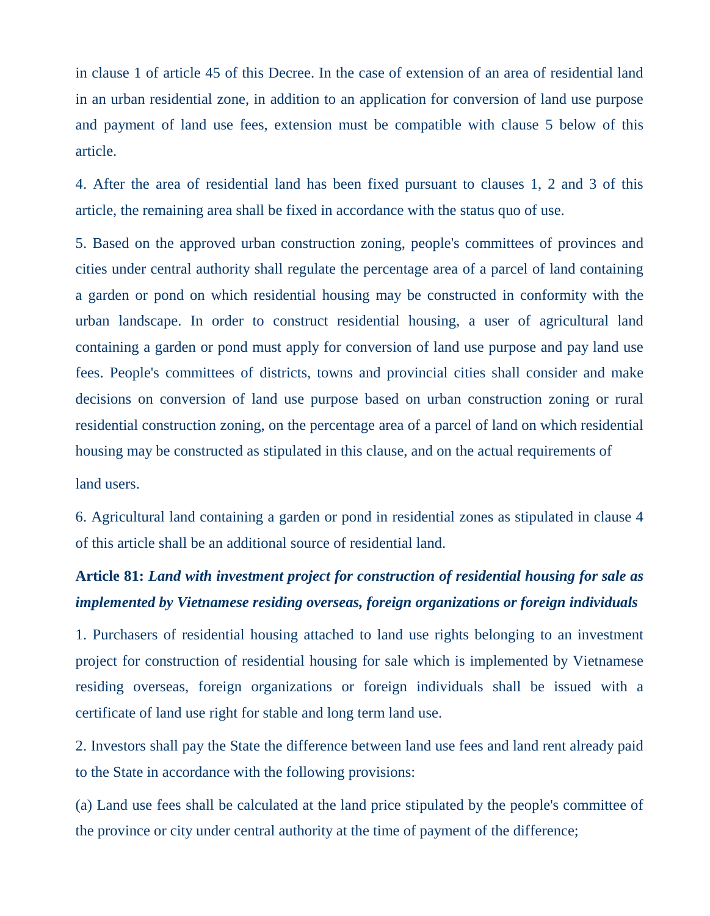in clause 1 of article 45 of this Decree. In the case of extension of an area of residential land in an urban residential zone, in addition to an application for conversion of land use purpose and payment of land use fees, extension must be compatible with clause 5 below of this article.

4. After the area of residential land has been fixed pursuant to clauses 1, 2 and 3 of this article, the remaining area shall be fixed in accordance with the status quo of use.

5. Based on the approved urban construction zoning, people's committees of provinces and cities under central authority shall regulate the percentage area of a parcel of land containing a garden or pond on which residential housing may be constructed in conformity with the urban landscape. In order to construct residential housing, a user of agricultural land containing a garden or pond must apply for conversion of land use purpose and pay land use fees. People's committees of districts, towns and provincial cities shall consider and make decisions on conversion of land use purpose based on urban construction zoning or rural residential construction zoning, on the percentage area of a parcel of land on which residential housing may be constructed as stipulated in this clause, and on the actual requirements of

land users.

6. Agricultural land containing a garden or pond in residential zones as stipulated in clause 4 of this article shall be an additional source of residential land.

# **Article 81:** *Land with investment project for construction of residential housing for sale as implemented by Vietnamese residing overseas, foreign organizations or foreign individuals*

1. Purchasers of residential housing attached to land use rights belonging to an investment project for construction of residential housing for sale which is implemented by Vietnamese residing overseas, foreign organizations or foreign individuals shall be issued with a certificate of land use right for stable and long term land use.

2. Investors shall pay the State the difference between land use fees and land rent already paid to the State in accordance with the following provisions:

(a) Land use fees shall be calculated at the land price stipulated by the people's committee of the province or city under central authority at the time of payment of the difference;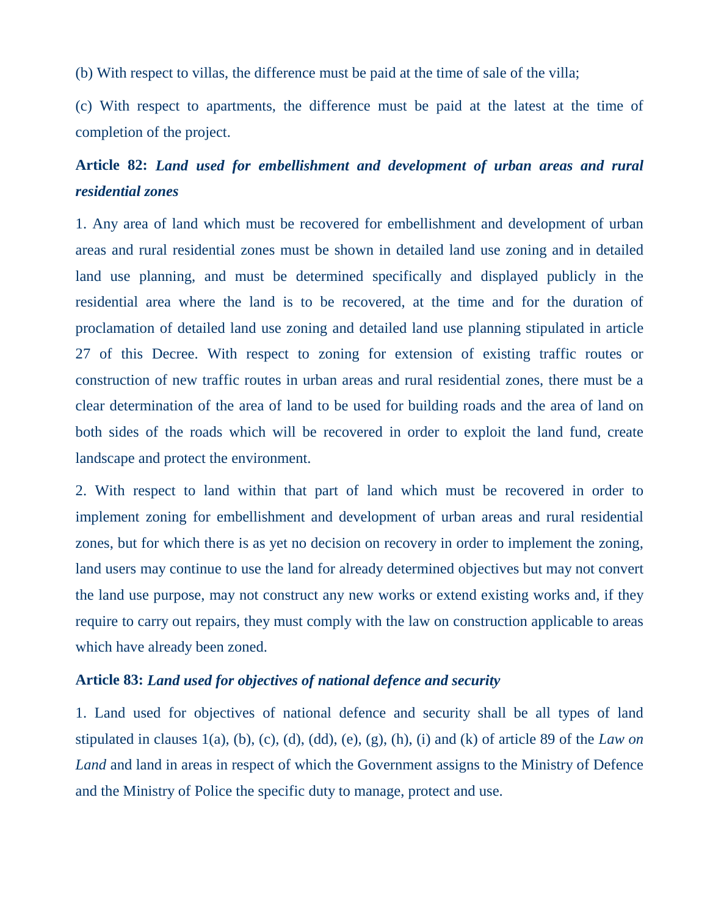(b) With respect to villas, the difference must be paid at the time of sale of the villa;

(c) With respect to apartments, the difference must be paid at the latest at the time of completion of the project.

# **Article 82:** *Land used for embellishment and development of urban areas and rural residential zones*

1. Any area of land which must be recovered for embellishment and development of urban areas and rural residential zones must be shown in detailed land use zoning and in detailed land use planning, and must be determined specifically and displayed publicly in the residential area where the land is to be recovered, at the time and for the duration of proclamation of detailed land use zoning and detailed land use planning stipulated in article 27 of this Decree. With respect to zoning for extension of existing traffic routes or construction of new traffic routes in urban areas and rural residential zones, there must be a clear determination of the area of land to be used for building roads and the area of land on both sides of the roads which will be recovered in order to exploit the land fund, create landscape and protect the environment.

2. With respect to land within that part of land which must be recovered in order to implement zoning for embellishment and development of urban areas and rural residential zones, but for which there is as yet no decision on recovery in order to implement the zoning, land users may continue to use the land for already determined objectives but may not convert the land use purpose, may not construct any new works or extend existing works and, if they require to carry out repairs, they must comply with the law on construction applicable to areas which have already been zoned.

## **Article 83:** *Land used for objectives of national defence and security*

1. Land used for objectives of national defence and security shall be all types of land stipulated in clauses 1(a), (b), (c), (d), (dd), (e), (g), (h), (i) and (k) of article 89 of the *Law on Land* and land in areas in respect of which the Government assigns to the Ministry of Defence and the Ministry of Police the specific duty to manage, protect and use.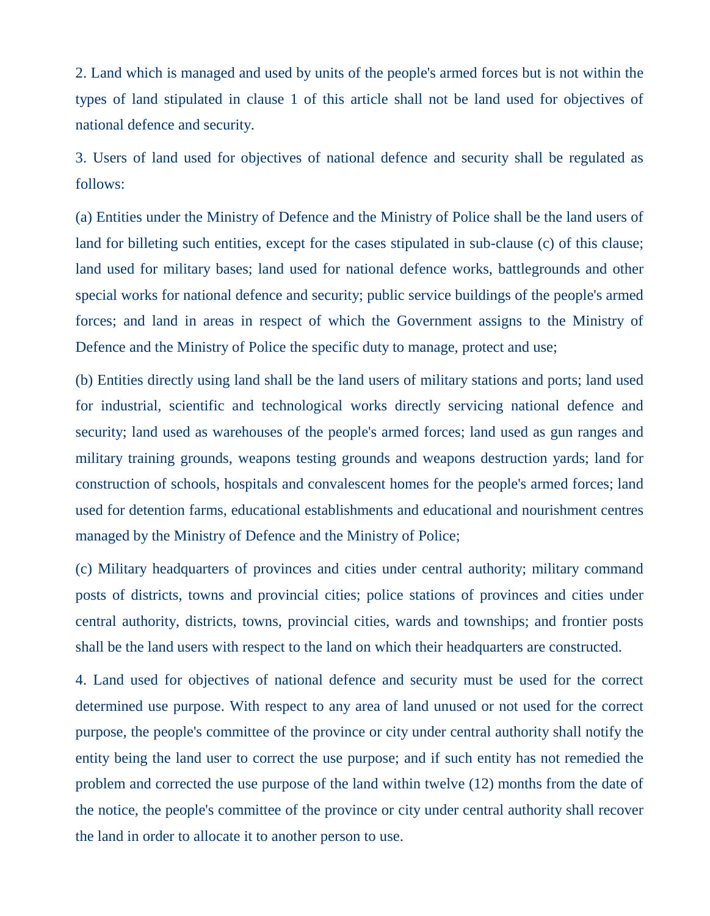2. Land which is managed and used by units of the people's armed forces but is not within the types of land stipulated in clause 1 of this article shall not be land used for objectives of national defence and security.

3. Users of land used for objectives of national defence and security shall be regulated as follows:

(a) Entities under the Ministry of Defence and the Ministry of Police shall be the land users of land for billeting such entities, except for the cases stipulated in sub-clause (c) of this clause; land used for military bases; land used for national defence works, battlegrounds and other special works for national defence and security; public service buildings of the people's armed forces; and land in areas in respect of which the Government assigns to the Ministry of Defence and the Ministry of Police the specific duty to manage, protect and use;

(b) Entities directly using land shall be the land users of military stations and ports; land used for industrial, scientific and technological works directly servicing national defence and security; land used as warehouses of the people's armed forces; land used as gun ranges and military training grounds, weapons testing grounds and weapons destruction yards; land for construction of schools, hospitals and convalescent homes for the people's armed forces; land used for detention farms, educational establishments and educational and nourishment centres managed by the Ministry of Defence and the Ministry of Police;

(c) Military headquarters of provinces and cities under central authority; military command posts of districts, towns and provincial cities; police stations of provinces and cities under central authority, districts, towns, provincial cities, wards and townships; and frontier posts shall be the land users with respect to the land on which their headquarters are constructed.

4. Land used for objectives of national defence and security must be used for the correct determined use purpose. With respect to any area of land unused or not used for the correct purpose, the people's committee of the province or city under central authority shall notify the entity being the land user to correct the use purpose; and if such entity has not remedied the problem and corrected the use purpose of the land within twelve (12) months from the date of the notice, the people's committee of the province or city under central authority shall recover the land in order to allocate it to another person to use.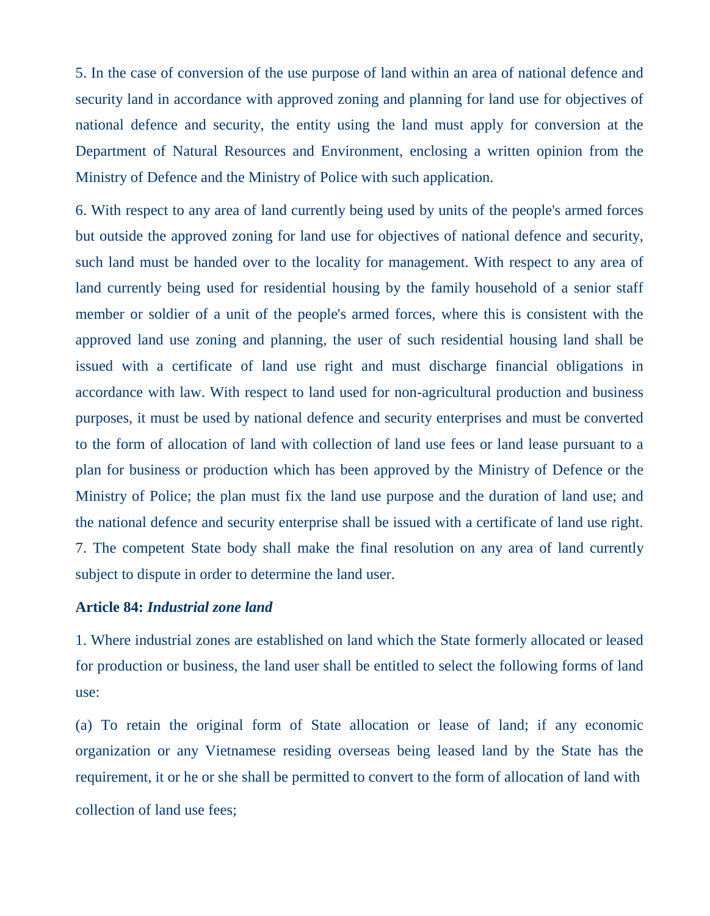5. In the case of conversion of the use purpose of land within an area of national defence and security land in accordance with approved zoning and planning for land use for objectives of national defence and security, the entity using the land must apply for conversion at the Department of Natural Resources and Environment, enclosing a written opinion from the Ministry of Defence and the Ministry of Police with such application.

6. With respect to any area of land currently being used by units of the people's armed forces but outside the approved zoning for land use for objectives of national defence and security, such land must be handed over to the locality for management. With respect to any area of land currently being used for residential housing by the family household of a senior staff member or soldier of a unit of the people's armed forces, where this is consistent with the approved land use zoning and planning, the user of such residential housing land shall be issued with a certificate of land use right and must discharge financial obligations in accordance with law. With respect to land used for non-agricultural production and business purposes, it must be used by national defence and security enterprises and must be converted to the form of allocation of land with collection of land use fees or land lease pursuant to a plan for business or production which has been approved by the Ministry of Defence or the Ministry of Police; the plan must fix the land use purpose and the duration of land use; and the national defence and security enterprise shall be issued with a certificate of land use right. 7. The competent State body shall make the final resolution on any area of land currently subject to dispute in order to determine the land user.

### **Article 84:** *Industrial zone land*

1. Where industrial zones are established on land which the State formerly allocated or leased for production or business, the land user shall be entitled to select the following forms of land use:

(a) To retain the original form of State allocation or lease of land; if any economic organization or any Vietnamese residing overseas being leased land by the State has the requirement, it or he or she shall be permitted to convert to the form of allocation of land with collection of land use fees;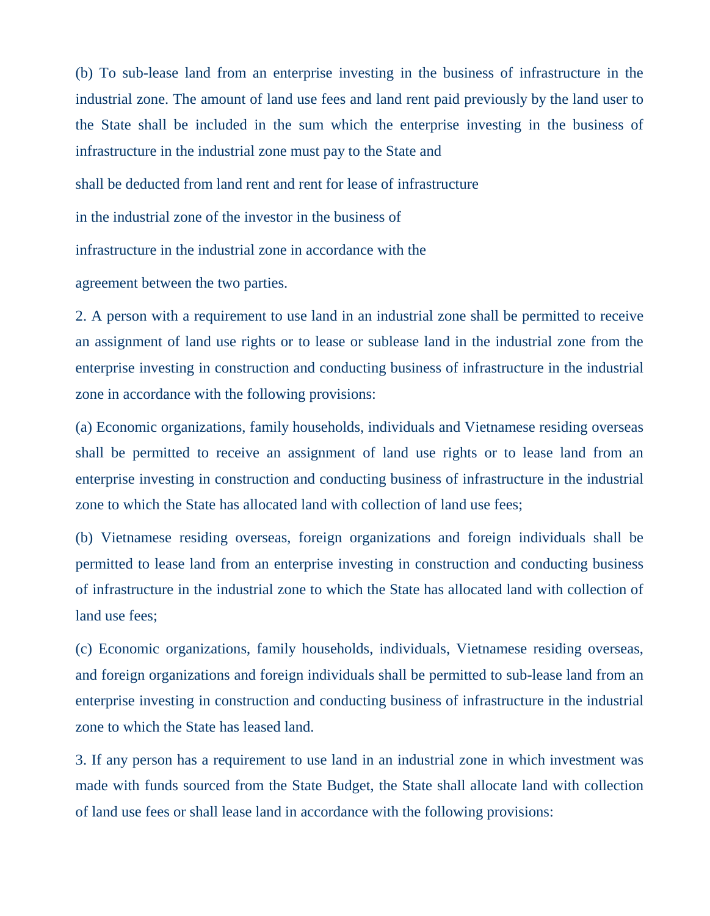(b) To sub-lease land from an enterprise investing in the business of infrastructure in the industrial zone. The amount of land use fees and land rent paid previously by the land user to the State shall be included in the sum which the enterprise investing in the business of infrastructure in the industrial zone must pay to the State and

shall be deducted from land rent and rent for lease of infrastructure

in the industrial zone of the investor in the business of

infrastructure in the industrial zone in accordance with the

agreement between the two parties.

2. A person with a requirement to use land in an industrial zone shall be permitted to receive an assignment of land use rights or to lease or sublease land in the industrial zone from the enterprise investing in construction and conducting business of infrastructure in the industrial zone in accordance with the following provisions:

(a) Economic organizations, family households, individuals and Vietnamese residing overseas shall be permitted to receive an assignment of land use rights or to lease land from an enterprise investing in construction and conducting business of infrastructure in the industrial zone to which the State has allocated land with collection of land use fees;

(b) Vietnamese residing overseas, foreign organizations and foreign individuals shall be permitted to lease land from an enterprise investing in construction and conducting business of infrastructure in the industrial zone to which the State has allocated land with collection of land use fees;

(c) Economic organizations, family households, individuals, Vietnamese residing overseas, and foreign organizations and foreign individuals shall be permitted to sub-lease land from an enterprise investing in construction and conducting business of infrastructure in the industrial zone to which the State has leased land.

3. If any person has a requirement to use land in an industrial zone in which investment was made with funds sourced from the State Budget, the State shall allocate land with collection of land use fees or shall lease land in accordance with the following provisions: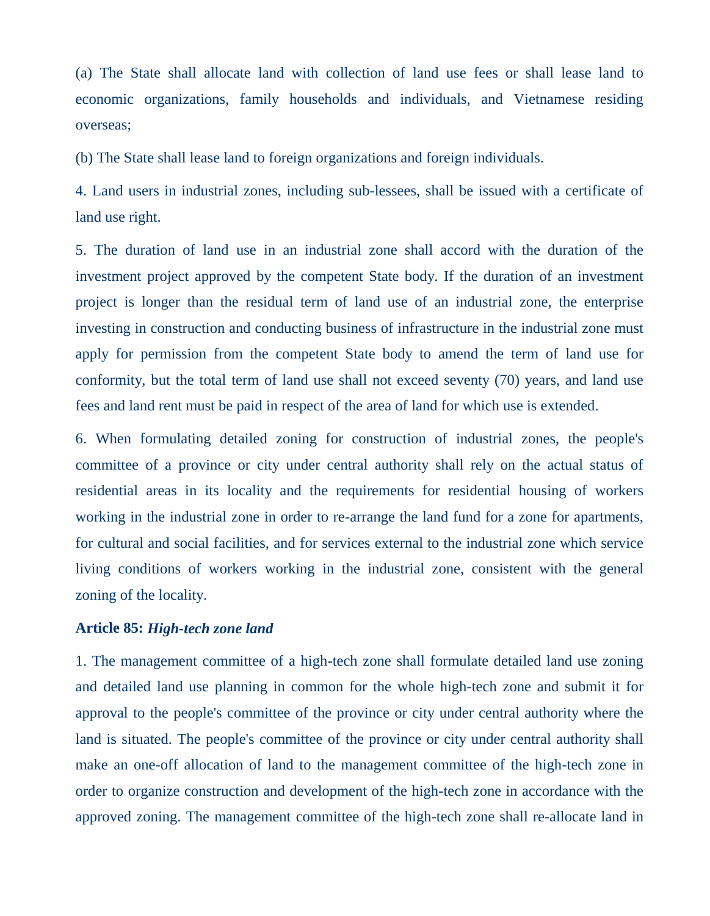(a) The State shall allocate land with collection of land use fees or shall lease land to economic organizations, family households and individuals, and Vietnamese residing overseas;

(b) The State shall lease land to foreign organizations and foreign individuals.

4. Land users in industrial zones, including sub-lessees, shall be issued with a certificate of land use right.

5. The duration of land use in an industrial zone shall accord with the duration of the investment project approved by the competent State body. If the duration of an investment project is longer than the residual term of land use of an industrial zone, the enterprise investing in construction and conducting business of infrastructure in the industrial zone must apply for permission from the competent State body to amend the term of land use for conformity, but the total term of land use shall not exceed seventy (70) years, and land use fees and land rent must be paid in respect of the area of land for which use is extended.

6. When formulating detailed zoning for construction of industrial zones, the people's committee of a province or city under central authority shall rely on the actual status of residential areas in its locality and the requirements for residential housing of workers working in the industrial zone in order to re-arrange the land fund for a zone for apartments, for cultural and social facilities, and for services external to the industrial zone which service living conditions of workers working in the industrial zone, consistent with the general zoning of the locality.

### **Article 85:** *High-tech zone land*

1. The management committee of a high-tech zone shall formulate detailed land use zoning and detailed land use planning in common for the whole high-tech zone and submit it for approval to the people's committee of the province or city under central authority where the land is situated. The people's committee of the province or city under central authority shall make an one-off allocation of land to the management committee of the high-tech zone in order to organize construction and development of the high-tech zone in accordance with the approved zoning. The management committee of the high-tech zone shall re-allocate land in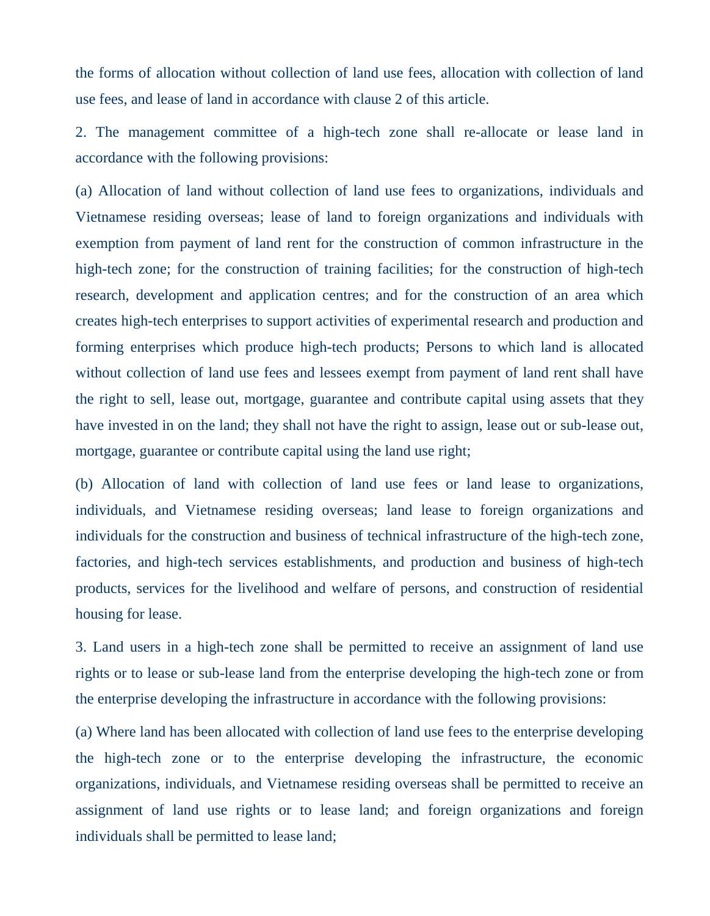the forms of allocation without collection of land use fees, allocation with collection of land use fees, and lease of land in accordance with clause 2 of this article.

2. The management committee of a high-tech zone shall re-allocate or lease land in accordance with the following provisions:

(a) Allocation of land without collection of land use fees to organizations, individuals and Vietnamese residing overseas; lease of land to foreign organizations and individuals with exemption from payment of land rent for the construction of common infrastructure in the high-tech zone; for the construction of training facilities; for the construction of high-tech research, development and application centres; and for the construction of an area which creates high-tech enterprises to support activities of experimental research and production and forming enterprises which produce high-tech products; Persons to which land is allocated without collection of land use fees and lessees exempt from payment of land rent shall have the right to sell, lease out, mortgage, guarantee and contribute capital using assets that they have invested in on the land; they shall not have the right to assign, lease out or sub-lease out, mortgage, guarantee or contribute capital using the land use right;

(b) Allocation of land with collection of land use fees or land lease to organizations, individuals, and Vietnamese residing overseas; land lease to foreign organizations and individuals for the construction and business of technical infrastructure of the high-tech zone, factories, and high-tech services establishments, and production and business of high-tech products, services for the livelihood and welfare of persons, and construction of residential housing for lease.

3. Land users in a high-tech zone shall be permitted to receive an assignment of land use rights or to lease or sub-lease land from the enterprise developing the high-tech zone or from the enterprise developing the infrastructure in accordance with the following provisions:

(a) Where land has been allocated with collection of land use fees to the enterprise developing the high-tech zone or to the enterprise developing the infrastructure, the economic organizations, individuals, and Vietnamese residing overseas shall be permitted to receive an assignment of land use rights or to lease land; and foreign organizations and foreign individuals shall be permitted to lease land;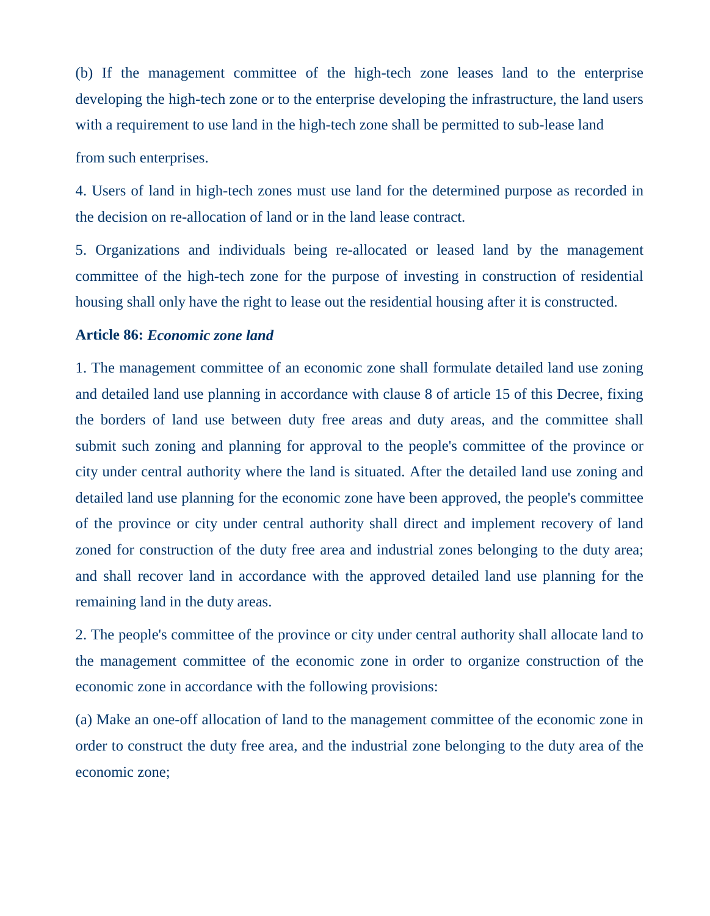(b) If the management committee of the high-tech zone leases land to the enterprise developing the high-tech zone or to the enterprise developing the infrastructure, the land users with a requirement to use land in the high-tech zone shall be permitted to sub-lease land

from such enterprises.

4. Users of land in high-tech zones must use land for the determined purpose as recorded in the decision on re-allocation of land or in the land lease contract.

5. Organizations and individuals being re-allocated or leased land by the management committee of the high-tech zone for the purpose of investing in construction of residential housing shall only have the right to lease out the residential housing after it is constructed.

## **Article 86:** *Economic zone land*

1. The management committee of an economic zone shall formulate detailed land use zoning and detailed land use planning in accordance with clause 8 of article 15 of this Decree, fixing the borders of land use between duty free areas and duty areas, and the committee shall submit such zoning and planning for approval to the people's committee of the province or city under central authority where the land is situated. After the detailed land use zoning and detailed land use planning for the economic zone have been approved, the people's committee of the province or city under central authority shall direct and implement recovery of land zoned for construction of the duty free area and industrial zones belonging to the duty area; and shall recover land in accordance with the approved detailed land use planning for the remaining land in the duty areas.

2. The people's committee of the province or city under central authority shall allocate land to the management committee of the economic zone in order to organize construction of the economic zone in accordance with the following provisions:

(a) Make an one-off allocation of land to the management committee of the economic zone in order to construct the duty free area, and the industrial zone belonging to the duty area of the economic zone;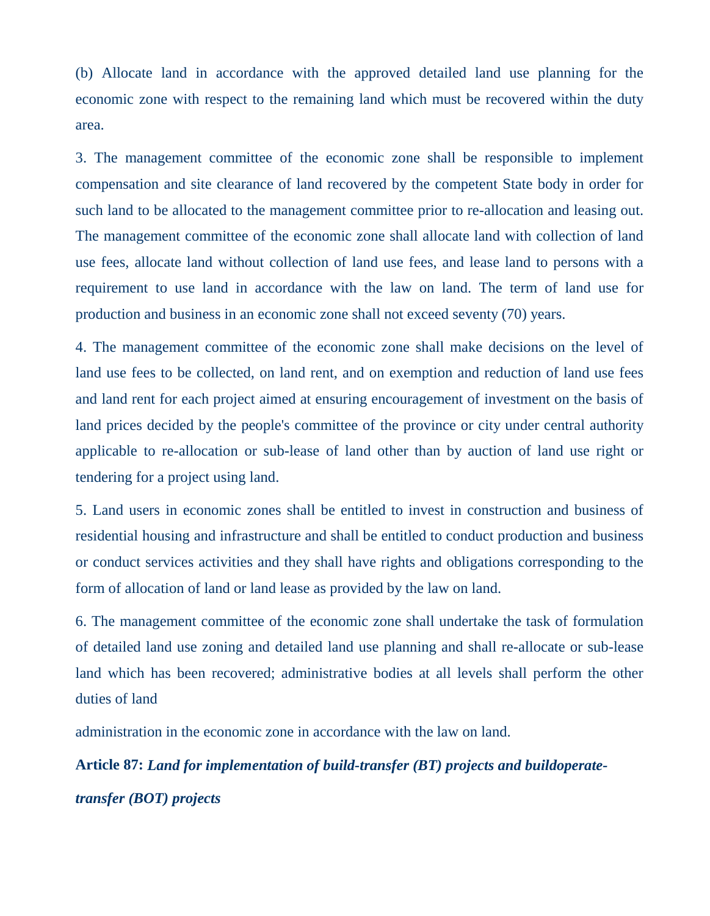(b) Allocate land in accordance with the approved detailed land use planning for the economic zone with respect to the remaining land which must be recovered within the duty area.

3. The management committee of the economic zone shall be responsible to implement compensation and site clearance of land recovered by the competent State body in order for such land to be allocated to the management committee prior to re-allocation and leasing out. The management committee of the economic zone shall allocate land with collection of land use fees, allocate land without collection of land use fees, and lease land to persons with a requirement to use land in accordance with the law on land. The term of land use for production and business in an economic zone shall not exceed seventy (70) years.

4. The management committee of the economic zone shall make decisions on the level of land use fees to be collected, on land rent, and on exemption and reduction of land use fees and land rent for each project aimed at ensuring encouragement of investment on the basis of land prices decided by the people's committee of the province or city under central authority applicable to re-allocation or sub-lease of land other than by auction of land use right or tendering for a project using land.

5. Land users in economic zones shall be entitled to invest in construction and business of residential housing and infrastructure and shall be entitled to conduct production and business or conduct services activities and they shall have rights and obligations corresponding to the form of allocation of land or land lease as provided by the law on land.

6. The management committee of the economic zone shall undertake the task of formulation of detailed land use zoning and detailed land use planning and shall re-allocate or sub-lease land which has been recovered; administrative bodies at all levels shall perform the other duties of land

administration in the economic zone in accordance with the law on land.

**Article 87:** *Land for implementation of build-transfer (BT) projects and buildoperatetransfer (BOT) projects*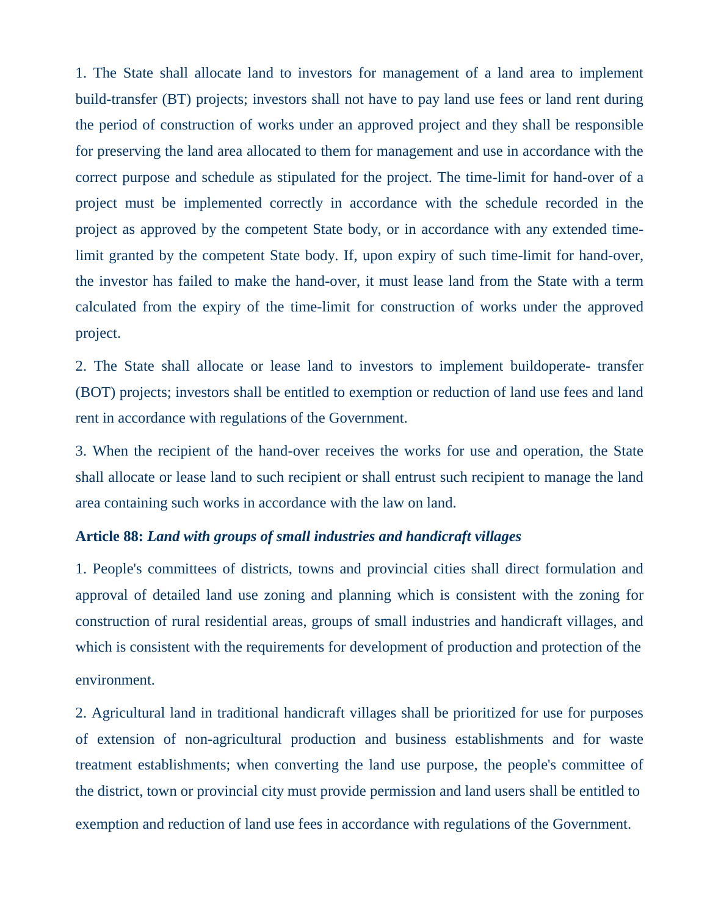1. The State shall allocate land to investors for management of a land area to implement build-transfer (BT) projects; investors shall not have to pay land use fees or land rent during the period of construction of works under an approved project and they shall be responsible for preserving the land area allocated to them for management and use in accordance with the correct purpose and schedule as stipulated for the project. The time-limit for hand-over of a project must be implemented correctly in accordance with the schedule recorded in the project as approved by the competent State body, or in accordance with any extended timelimit granted by the competent State body. If, upon expiry of such time-limit for hand-over, the investor has failed to make the hand-over, it must lease land from the State with a term calculated from the expiry of the time-limit for construction of works under the approved project.

2. The State shall allocate or lease land to investors to implement buildoperate- transfer (BOT) projects; investors shall be entitled to exemption or reduction of land use fees and land rent in accordance with regulations of the Government.

3. When the recipient of the hand-over receives the works for use and operation, the State shall allocate or lease land to such recipient or shall entrust such recipient to manage the land area containing such works in accordance with the law on land.

## **Article 88:** *Land with groups of small industries and handicraft villages*

1. People's committees of districts, towns and provincial cities shall direct formulation and approval of detailed land use zoning and planning which is consistent with the zoning for construction of rural residential areas, groups of small industries and handicraft villages, and which is consistent with the requirements for development of production and protection of the environment.

2. Agricultural land in traditional handicraft villages shall be prioritized for use for purposes of extension of non-agricultural production and business establishments and for waste treatment establishments; when converting the land use purpose, the people's committee of the district, town or provincial city must provide permission and land users shall be entitled to exemption and reduction of land use fees in accordance with regulations of the Government.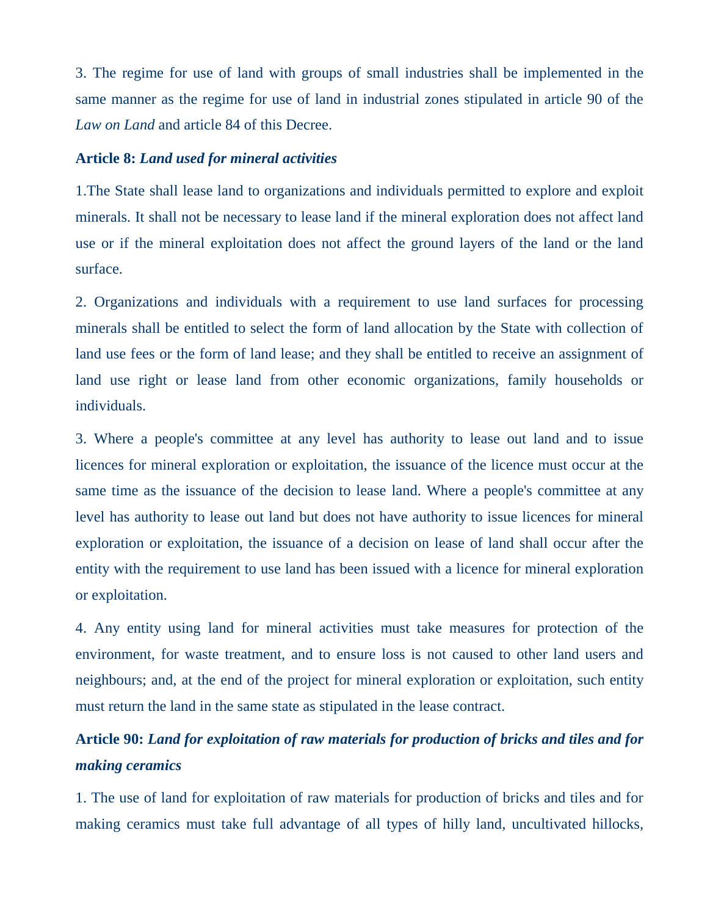3. The regime for use of land with groups of small industries shall be implemented in the same manner as the regime for use of land in industrial zones stipulated in article 90 of the *Law on Land* and article 84 of this Decree.

## **Article 8:** *Land used for mineral activities*

1.The State shall lease land to organizations and individuals permitted to explore and exploit minerals. It shall not be necessary to lease land if the mineral exploration does not affect land use or if the mineral exploitation does not affect the ground layers of the land or the land surface.

2. Organizations and individuals with a requirement to use land surfaces for processing minerals shall be entitled to select the form of land allocation by the State with collection of land use fees or the form of land lease; and they shall be entitled to receive an assignment of land use right or lease land from other economic organizations, family households or individuals.

3. Where a people's committee at any level has authority to lease out land and to issue licences for mineral exploration or exploitation, the issuance of the licence must occur at the same time as the issuance of the decision to lease land. Where a people's committee at any level has authority to lease out land but does not have authority to issue licences for mineral exploration or exploitation, the issuance of a decision on lease of land shall occur after the entity with the requirement to use land has been issued with a licence for mineral exploration or exploitation.

4. Any entity using land for mineral activities must take measures for protection of the environment, for waste treatment, and to ensure loss is not caused to other land users and neighbours; and, at the end of the project for mineral exploration or exploitation, such entity must return the land in the same state as stipulated in the lease contract.

# **Article 90:** *Land for exploitation of raw materials for production of bricks and tiles and for making ceramics*

1. The use of land for exploitation of raw materials for production of bricks and tiles and for making ceramics must take full advantage of all types of hilly land, uncultivated hillocks,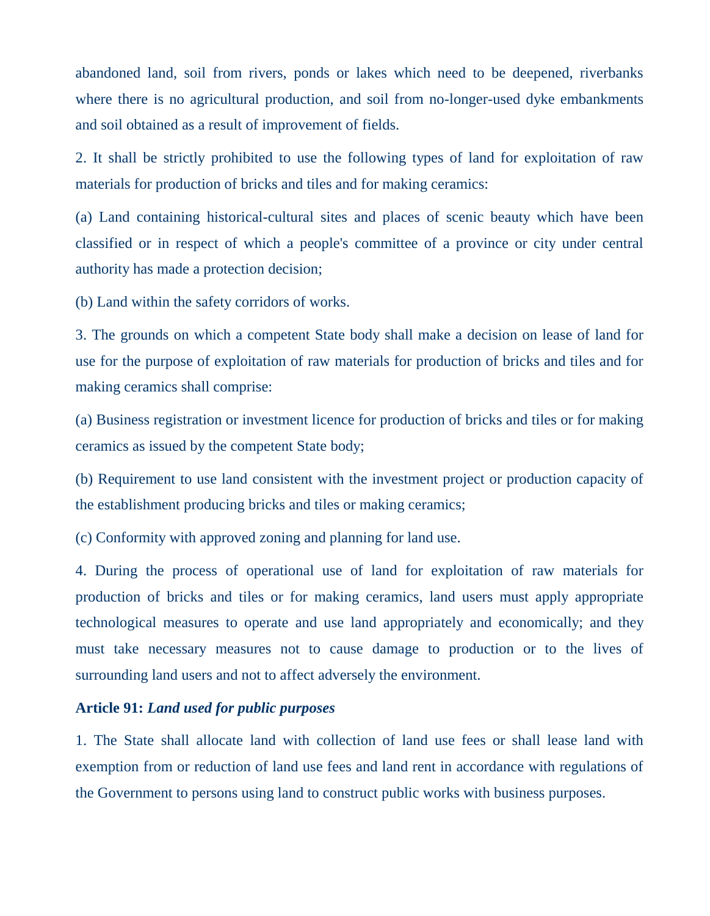abandoned land, soil from rivers, ponds or lakes which need to be deepened, riverbanks where there is no agricultural production, and soil from no-longer-used dyke embankments and soil obtained as a result of improvement of fields.

2. It shall be strictly prohibited to use the following types of land for exploitation of raw materials for production of bricks and tiles and for making ceramics:

(a) Land containing historical-cultural sites and places of scenic beauty which have been classified or in respect of which a people's committee of a province or city under central authority has made a protection decision;

(b) Land within the safety corridors of works.

3. The grounds on which a competent State body shall make a decision on lease of land for use for the purpose of exploitation of raw materials for production of bricks and tiles and for making ceramics shall comprise:

(a) Business registration or investment licence for production of bricks and tiles or for making ceramics as issued by the competent State body;

(b) Requirement to use land consistent with the investment project or production capacity of the establishment producing bricks and tiles or making ceramics;

(c) Conformity with approved zoning and planning for land use.

4. During the process of operational use of land for exploitation of raw materials for production of bricks and tiles or for making ceramics, land users must apply appropriate technological measures to operate and use land appropriately and economically; and they must take necessary measures not to cause damage to production or to the lives of surrounding land users and not to affect adversely the environment.

## **Article 91:** *Land used for public purposes*

1. The State shall allocate land with collection of land use fees or shall lease land with exemption from or reduction of land use fees and land rent in accordance with regulations of the Government to persons using land to construct public works with business purposes.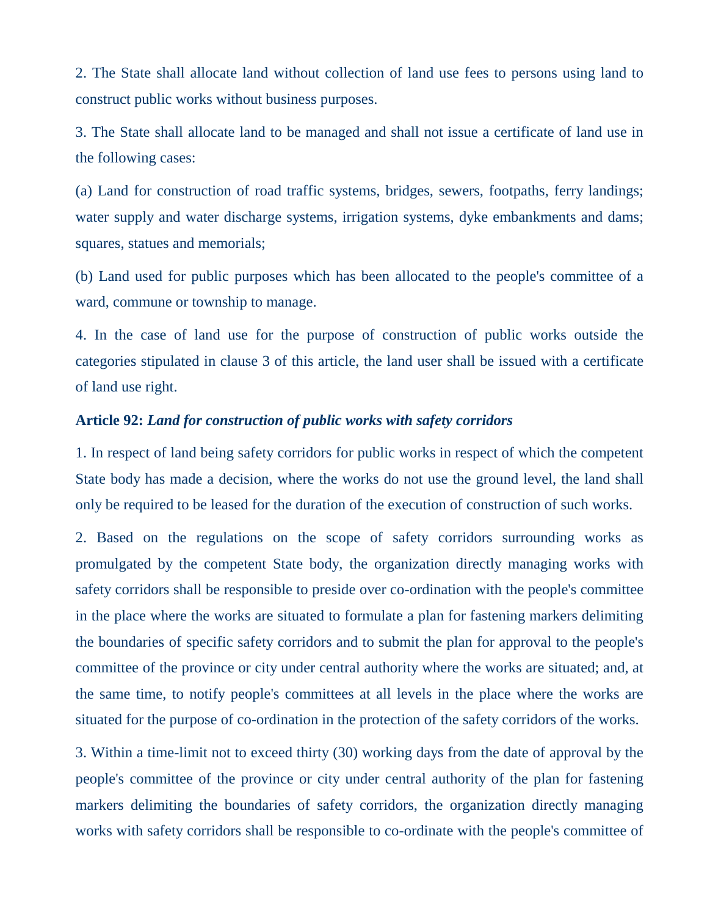2. The State shall allocate land without collection of land use fees to persons using land to construct public works without business purposes.

3. The State shall allocate land to be managed and shall not issue a certificate of land use in the following cases:

(a) Land for construction of road traffic systems, bridges, sewers, footpaths, ferry landings; water supply and water discharge systems, irrigation systems, dyke embankments and dams; squares, statues and memorials;

(b) Land used for public purposes which has been allocated to the people's committee of a ward, commune or township to manage.

4. In the case of land use for the purpose of construction of public works outside the categories stipulated in clause 3 of this article, the land user shall be issued with a certificate of land use right.

## **Article 92:** *Land for construction of public works with safety corridors*

1. In respect of land being safety corridors for public works in respect of which the competent State body has made a decision, where the works do not use the ground level, the land shall only be required to be leased for the duration of the execution of construction of such works.

2. Based on the regulations on the scope of safety corridors surrounding works as promulgated by the competent State body, the organization directly managing works with safety corridors shall be responsible to preside over co-ordination with the people's committee in the place where the works are situated to formulate a plan for fastening markers delimiting the boundaries of specific safety corridors and to submit the plan for approval to the people's committee of the province or city under central authority where the works are situated; and, at the same time, to notify people's committees at all levels in the place where the works are situated for the purpose of co-ordination in the protection of the safety corridors of the works.

3. Within a time-limit not to exceed thirty (30) working days from the date of approval by the people's committee of the province or city under central authority of the plan for fastening markers delimiting the boundaries of safety corridors, the organization directly managing works with safety corridors shall be responsible to co-ordinate with the people's committee of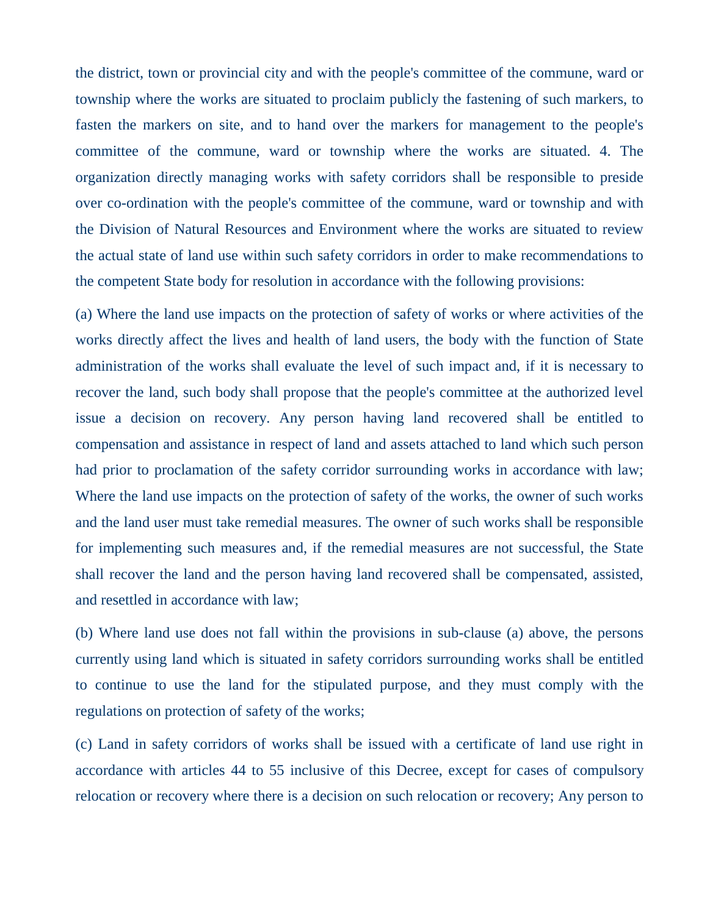the district, town or provincial city and with the people's committee of the commune, ward or township where the works are situated to proclaim publicly the fastening of such markers, to fasten the markers on site, and to hand over the markers for management to the people's committee of the commune, ward or township where the works are situated. 4. The organization directly managing works with safety corridors shall be responsible to preside over co-ordination with the people's committee of the commune, ward or township and with the Division of Natural Resources and Environment where the works are situated to review the actual state of land use within such safety corridors in order to make recommendations to the competent State body for resolution in accordance with the following provisions:

(a) Where the land use impacts on the protection of safety of works or where activities of the works directly affect the lives and health of land users, the body with the function of State administration of the works shall evaluate the level of such impact and, if it is necessary to recover the land, such body shall propose that the people's committee at the authorized level issue a decision on recovery. Any person having land recovered shall be entitled to compensation and assistance in respect of land and assets attached to land which such person had prior to proclamation of the safety corridor surrounding works in accordance with law; Where the land use impacts on the protection of safety of the works, the owner of such works and the land user must take remedial measures. The owner of such works shall be responsible for implementing such measures and, if the remedial measures are not successful, the State shall recover the land and the person having land recovered shall be compensated, assisted, and resettled in accordance with law;

(b) Where land use does not fall within the provisions in sub-clause (a) above, the persons currently using land which is situated in safety corridors surrounding works shall be entitled to continue to use the land for the stipulated purpose, and they must comply with the regulations on protection of safety of the works;

(c) Land in safety corridors of works shall be issued with a certificate of land use right in accordance with articles 44 to 55 inclusive of this Decree, except for cases of compulsory relocation or recovery where there is a decision on such relocation or recovery; Any person to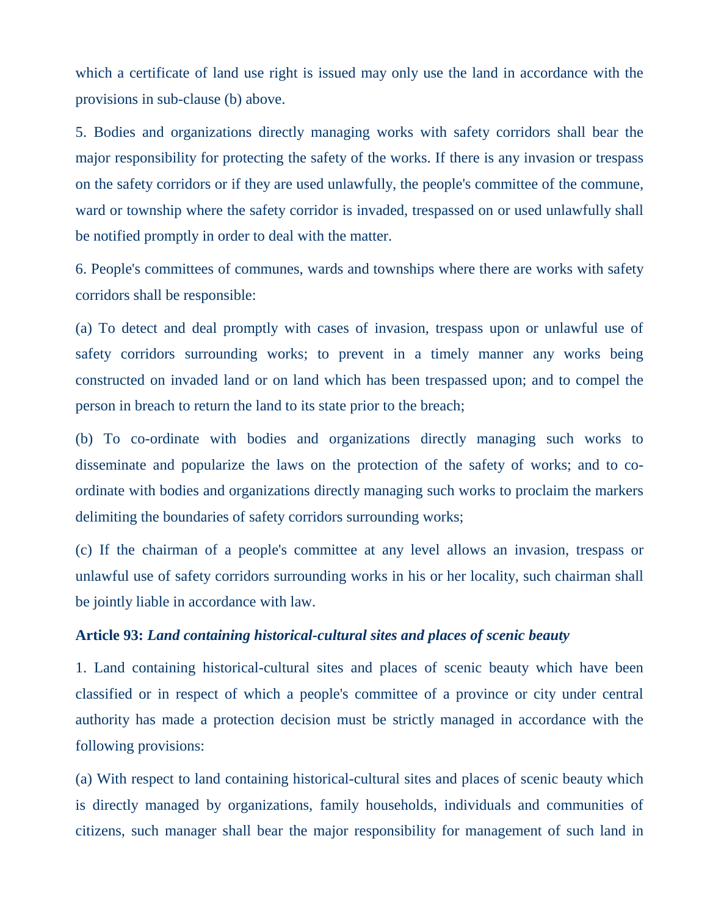which a certificate of land use right is issued may only use the land in accordance with the provisions in sub-clause (b) above.

5. Bodies and organizations directly managing works with safety corridors shall bear the major responsibility for protecting the safety of the works. If there is any invasion or trespass on the safety corridors or if they are used unlawfully, the people's committee of the commune, ward or township where the safety corridor is invaded, trespassed on or used unlawfully shall be notified promptly in order to deal with the matter.

6. People's committees of communes, wards and townships where there are works with safety corridors shall be responsible:

(a) To detect and deal promptly with cases of invasion, trespass upon or unlawful use of safety corridors surrounding works; to prevent in a timely manner any works being constructed on invaded land or on land which has been trespassed upon; and to compel the person in breach to return the land to its state prior to the breach;

(b) To co-ordinate with bodies and organizations directly managing such works to disseminate and popularize the laws on the protection of the safety of works; and to coordinate with bodies and organizations directly managing such works to proclaim the markers delimiting the boundaries of safety corridors surrounding works;

(c) If the chairman of a people's committee at any level allows an invasion, trespass or unlawful use of safety corridors surrounding works in his or her locality, such chairman shall be jointly liable in accordance with law.

## **Article 93:** *Land containing historical-cultural sites and places of scenic beauty*

1. Land containing historical-cultural sites and places of scenic beauty which have been classified or in respect of which a people's committee of a province or city under central authority has made a protection decision must be strictly managed in accordance with the following provisions:

(a) With respect to land containing historical-cultural sites and places of scenic beauty which is directly managed by organizations, family households, individuals and communities of citizens, such manager shall bear the major responsibility for management of such land in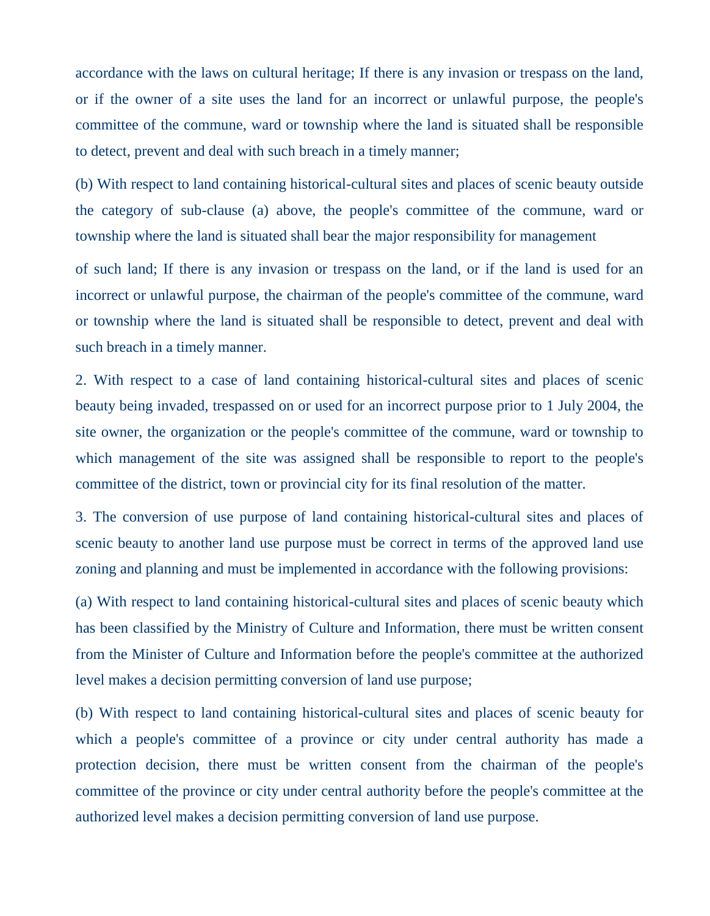accordance with the laws on cultural heritage; If there is any invasion or trespass on the land, or if the owner of a site uses the land for an incorrect or unlawful purpose, the people's committee of the commune, ward or township where the land is situated shall be responsible to detect, prevent and deal with such breach in a timely manner;

(b) With respect to land containing historical-cultural sites and places of scenic beauty outside the category of sub-clause (a) above, the people's committee of the commune, ward or township where the land is situated shall bear the major responsibility for management

of such land; If there is any invasion or trespass on the land, or if the land is used for an incorrect or unlawful purpose, the chairman of the people's committee of the commune, ward or township where the land is situated shall be responsible to detect, prevent and deal with such breach in a timely manner.

2. With respect to a case of land containing historical-cultural sites and places of scenic beauty being invaded, trespassed on or used for an incorrect purpose prior to 1 July 2004, the site owner, the organization or the people's committee of the commune, ward or township to which management of the site was assigned shall be responsible to report to the people's committee of the district, town or provincial city for its final resolution of the matter.

3. The conversion of use purpose of land containing historical-cultural sites and places of scenic beauty to another land use purpose must be correct in terms of the approved land use zoning and planning and must be implemented in accordance with the following provisions:

(a) With respect to land containing historical-cultural sites and places of scenic beauty which has been classified by the Ministry of Culture and Information, there must be written consent from the Minister of Culture and Information before the people's committee at the authorized level makes a decision permitting conversion of land use purpose;

(b) With respect to land containing historical-cultural sites and places of scenic beauty for which a people's committee of a province or city under central authority has made a protection decision, there must be written consent from the chairman of the people's committee of the province or city under central authority before the people's committee at the authorized level makes a decision permitting conversion of land use purpose.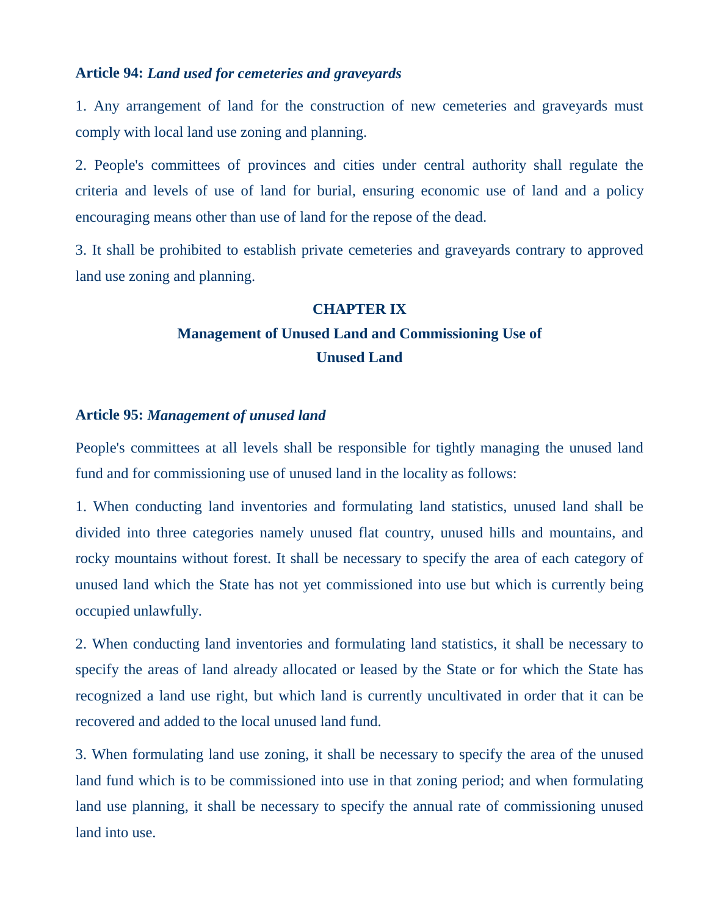### **Article 94:** *Land used for cemeteries and graveyards*

1. Any arrangement of land for the construction of new cemeteries and graveyards must comply with local land use zoning and planning.

2. People's committees of provinces and cities under central authority shall regulate the criteria and levels of use of land for burial, ensuring economic use of land and a policy encouraging means other than use of land for the repose of the dead.

3. It shall be prohibited to establish private cemeteries and graveyards contrary to approved land use zoning and planning.

#### **CHAPTER IX**

## **Management of Unused Land and Commissioning Use of Unused Land**

## **Article 95:** *Management of unused land*

People's committees at all levels shall be responsible for tightly managing the unused land fund and for commissioning use of unused land in the locality as follows:

1. When conducting land inventories and formulating land statistics, unused land shall be divided into three categories namely unused flat country, unused hills and mountains, and rocky mountains without forest. It shall be necessary to specify the area of each category of unused land which the State has not yet commissioned into use but which is currently being occupied unlawfully.

2. When conducting land inventories and formulating land statistics, it shall be necessary to specify the areas of land already allocated or leased by the State or for which the State has recognized a land use right, but which land is currently uncultivated in order that it can be recovered and added to the local unused land fund.

3. When formulating land use zoning, it shall be necessary to specify the area of the unused land fund which is to be commissioned into use in that zoning period; and when formulating land use planning, it shall be necessary to specify the annual rate of commissioning unused land into use.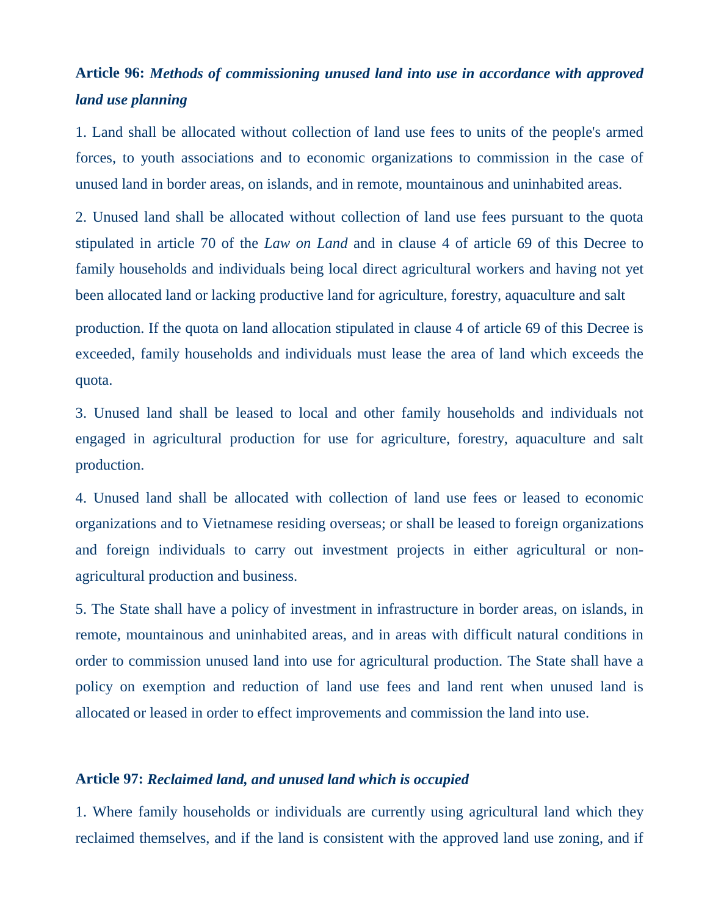## **Article 96:** *Methods of commissioning unused land into use in accordance with approved land use planning*

1. Land shall be allocated without collection of land use fees to units of the people's armed forces, to youth associations and to economic organizations to commission in the case of unused land in border areas, on islands, and in remote, mountainous and uninhabited areas.

2. Unused land shall be allocated without collection of land use fees pursuant to the quota stipulated in article 70 of the *Law on Land* and in clause 4 of article 69 of this Decree to family households and individuals being local direct agricultural workers and having not yet been allocated land or lacking productive land for agriculture, forestry, aquaculture and salt

production. If the quota on land allocation stipulated in clause 4 of article 69 of this Decree is exceeded, family households and individuals must lease the area of land which exceeds the quota.

3. Unused land shall be leased to local and other family households and individuals not engaged in agricultural production for use for agriculture, forestry, aquaculture and salt production.

4. Unused land shall be allocated with collection of land use fees or leased to economic organizations and to Vietnamese residing overseas; or shall be leased to foreign organizations and foreign individuals to carry out investment projects in either agricultural or nonagricultural production and business.

5. The State shall have a policy of investment in infrastructure in border areas, on islands, in remote, mountainous and uninhabited areas, and in areas with difficult natural conditions in order to commission unused land into use for agricultural production. The State shall have a policy on exemption and reduction of land use fees and land rent when unused land is allocated or leased in order to effect improvements and commission the land into use.

### **Article 97:** *Reclaimed land, and unused land which is occupied*

1. Where family households or individuals are currently using agricultural land which they reclaimed themselves, and if the land is consistent with the approved land use zoning, and if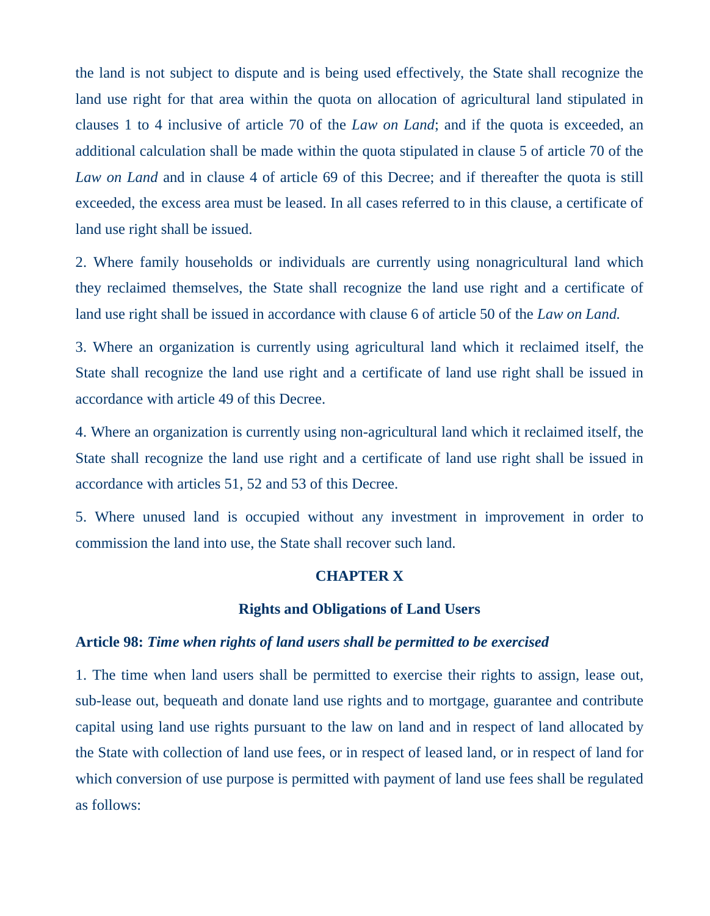the land is not subject to dispute and is being used effectively, the State shall recognize the land use right for that area within the quota on allocation of agricultural land stipulated in clauses 1 to 4 inclusive of article 70 of the *Law on Land*; and if the quota is exceeded, an additional calculation shall be made within the quota stipulated in clause 5 of article 70 of the *Law on Land* and in clause 4 of article 69 of this Decree; and if thereafter the quota is still exceeded, the excess area must be leased. In all cases referred to in this clause, a certificate of land use right shall be issued.

2. Where family households or individuals are currently using nonagricultural land which they reclaimed themselves, the State shall recognize the land use right and a certificate of land use right shall be issued in accordance with clause 6 of article 50 of the *Law on Land.*

3. Where an organization is currently using agricultural land which it reclaimed itself, the State shall recognize the land use right and a certificate of land use right shall be issued in accordance with article 49 of this Decree.

4. Where an organization is currently using non-agricultural land which it reclaimed itself, the State shall recognize the land use right and a certificate of land use right shall be issued in accordance with articles 51, 52 and 53 of this Decree.

5. Where unused land is occupied without any investment in improvement in order to commission the land into use, the State shall recover such land.

### **CHAPTER X**

#### **Rights and Obligations of Land Users**

#### **Article 98:** *Time when rights of land users shall be permitted to be exercised*

1. The time when land users shall be permitted to exercise their rights to assign, lease out, sub-lease out, bequeath and donate land use rights and to mortgage, guarantee and contribute capital using land use rights pursuant to the law on land and in respect of land allocated by the State with collection of land use fees, or in respect of leased land, or in respect of land for which conversion of use purpose is permitted with payment of land use fees shall be regulated as follows: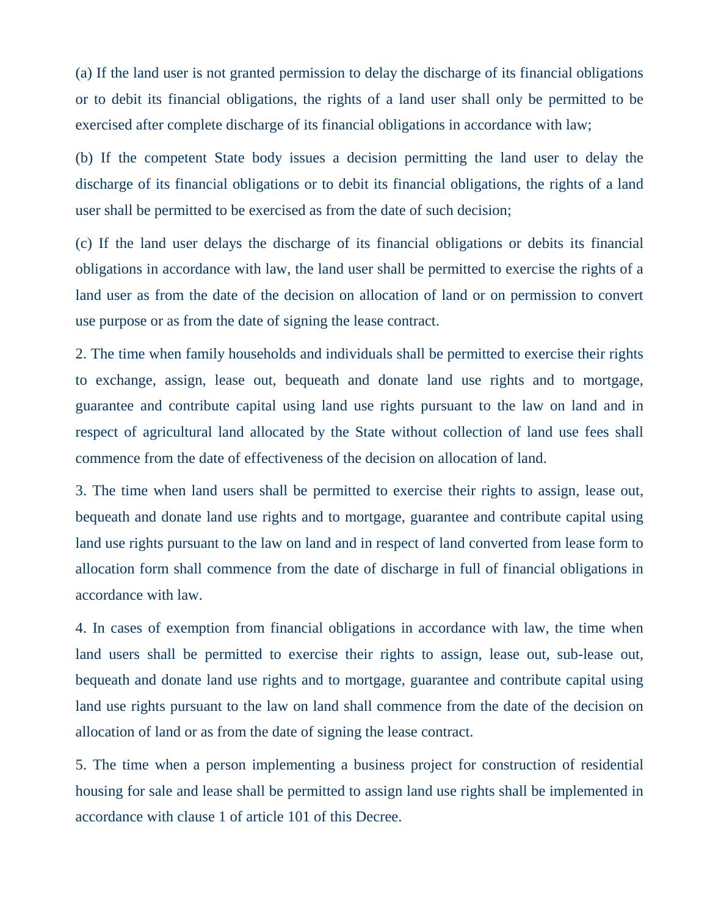(a) If the land user is not granted permission to delay the discharge of its financial obligations or to debit its financial obligations, the rights of a land user shall only be permitted to be exercised after complete discharge of its financial obligations in accordance with law;

(b) If the competent State body issues a decision permitting the land user to delay the discharge of its financial obligations or to debit its financial obligations, the rights of a land user shall be permitted to be exercised as from the date of such decision;

(c) If the land user delays the discharge of its financial obligations or debits its financial obligations in accordance with law, the land user shall be permitted to exercise the rights of a land user as from the date of the decision on allocation of land or on permission to convert use purpose or as from the date of signing the lease contract.

2. The time when family households and individuals shall be permitted to exercise their rights to exchange, assign, lease out, bequeath and donate land use rights and to mortgage, guarantee and contribute capital using land use rights pursuant to the law on land and in respect of agricultural land allocated by the State without collection of land use fees shall commence from the date of effectiveness of the decision on allocation of land.

3. The time when land users shall be permitted to exercise their rights to assign, lease out, bequeath and donate land use rights and to mortgage, guarantee and contribute capital using land use rights pursuant to the law on land and in respect of land converted from lease form to allocation form shall commence from the date of discharge in full of financial obligations in accordance with law.

4. In cases of exemption from financial obligations in accordance with law, the time when land users shall be permitted to exercise their rights to assign, lease out, sub-lease out, bequeath and donate land use rights and to mortgage, guarantee and contribute capital using land use rights pursuant to the law on land shall commence from the date of the decision on allocation of land or as from the date of signing the lease contract.

5. The time when a person implementing a business project for construction of residential housing for sale and lease shall be permitted to assign land use rights shall be implemented in accordance with clause 1 of article 101 of this Decree.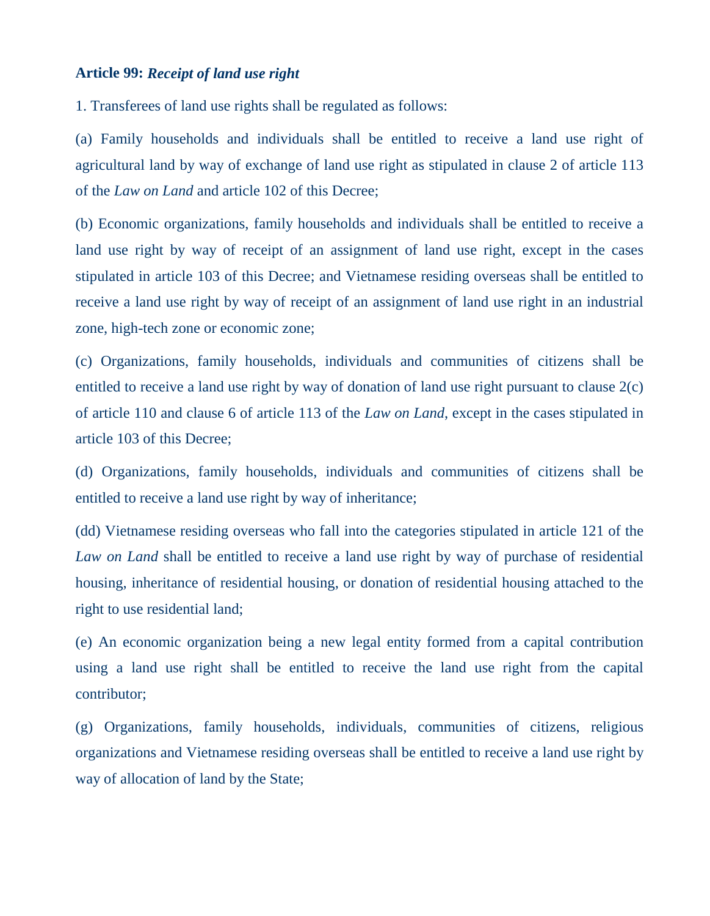#### **Article 99:** *Receipt of land use right*

1. Transferees of land use rights shall be regulated as follows:

(a) Family households and individuals shall be entitled to receive a land use right of agricultural land by way of exchange of land use right as stipulated in clause 2 of article 113 of the *Law on Land* and article 102 of this Decree;

(b) Economic organizations, family households and individuals shall be entitled to receive a land use right by way of receipt of an assignment of land use right, except in the cases stipulated in article 103 of this Decree; and Vietnamese residing overseas shall be entitled to receive a land use right by way of receipt of an assignment of land use right in an industrial zone, high-tech zone or economic zone;

(c) Organizations, family households, individuals and communities of citizens shall be entitled to receive a land use right by way of donation of land use right pursuant to clause 2(c) of article 110 and clause 6 of article 113 of the *Law on Land*, except in the cases stipulated in article 103 of this Decree;

(d) Organizations, family households, individuals and communities of citizens shall be entitled to receive a land use right by way of inheritance;

(dd) Vietnamese residing overseas who fall into the categories stipulated in article 121 of the *Law on Land* shall be entitled to receive a land use right by way of purchase of residential housing, inheritance of residential housing, or donation of residential housing attached to the right to use residential land;

(e) An economic organization being a new legal entity formed from a capital contribution using a land use right shall be entitled to receive the land use right from the capital contributor;

(g) Organizations, family households, individuals, communities of citizens, religious organizations and Vietnamese residing overseas shall be entitled to receive a land use right by way of allocation of land by the State;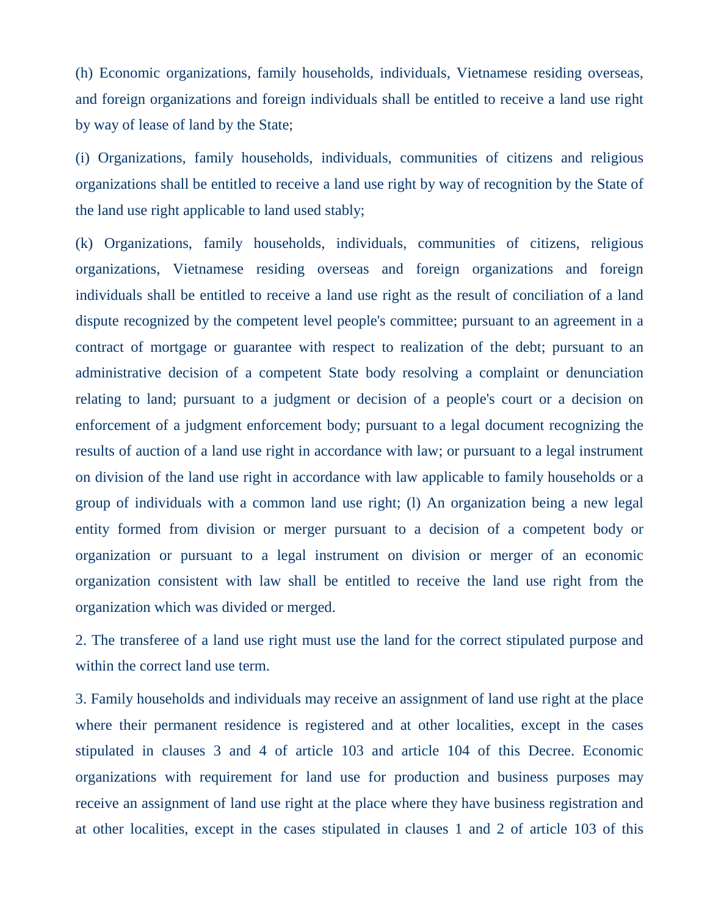(h) Economic organizations, family households, individuals, Vietnamese residing overseas, and foreign organizations and foreign individuals shall be entitled to receive a land use right by way of lease of land by the State;

(i) Organizations, family households, individuals, communities of citizens and religious organizations shall be entitled to receive a land use right by way of recognition by the State of the land use right applicable to land used stably;

(k) Organizations, family households, individuals, communities of citizens, religious organizations, Vietnamese residing overseas and foreign organizations and foreign individuals shall be entitled to receive a land use right as the result of conciliation of a land dispute recognized by the competent level people's committee; pursuant to an agreement in a contract of mortgage or guarantee with respect to realization of the debt; pursuant to an administrative decision of a competent State body resolving a complaint or denunciation relating to land; pursuant to a judgment or decision of a people's court or a decision on enforcement of a judgment enforcement body; pursuant to a legal document recognizing the results of auction of a land use right in accordance with law; or pursuant to a legal instrument on division of the land use right in accordance with law applicable to family households or a group of individuals with a common land use right; (l) An organization being a new legal entity formed from division or merger pursuant to a decision of a competent body or organization or pursuant to a legal instrument on division or merger of an economic organization consistent with law shall be entitled to receive the land use right from the organization which was divided or merged.

2. The transferee of a land use right must use the land for the correct stipulated purpose and within the correct land use term.

3. Family households and individuals may receive an assignment of land use right at the place where their permanent residence is registered and at other localities, except in the cases stipulated in clauses 3 and 4 of article 103 and article 104 of this Decree. Economic organizations with requirement for land use for production and business purposes may receive an assignment of land use right at the place where they have business registration and at other localities, except in the cases stipulated in clauses 1 and 2 of article 103 of this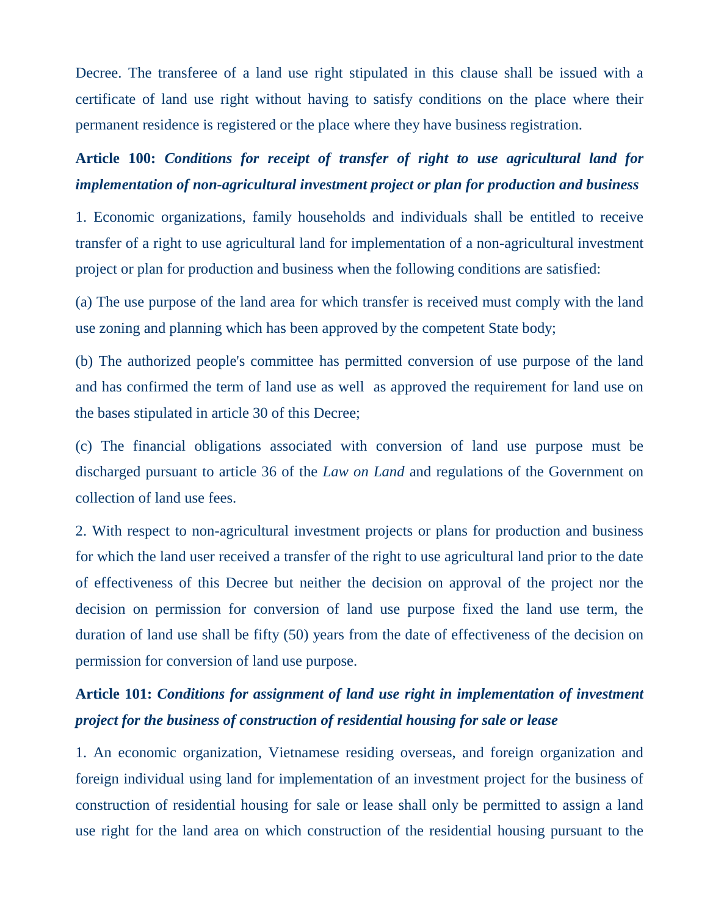Decree. The transferee of a land use right stipulated in this clause shall be issued with a certificate of land use right without having to satisfy conditions on the place where their permanent residence is registered or the place where they have business registration.

# **Article 100:** *Conditions for receipt of transfer of right to use agricultural land for implementation of non-agricultural investment project or plan for production and business*

1. Economic organizations, family households and individuals shall be entitled to receive transfer of a right to use agricultural land for implementation of a non-agricultural investment project or plan for production and business when the following conditions are satisfied:

(a) The use purpose of the land area for which transfer is received must comply with the land use zoning and planning which has been approved by the competent State body;

(b) The authorized people's committee has permitted conversion of use purpose of the land and has confirmed the term of land use as well as approved the requirement for land use on the bases stipulated in article 30 of this Decree;

(c) The financial obligations associated with conversion of land use purpose must be discharged pursuant to article 36 of the *Law on Land* and regulations of the Government on collection of land use fees.

2. With respect to non-agricultural investment projects or plans for production and business for which the land user received a transfer of the right to use agricultural land prior to the date of effectiveness of this Decree but neither the decision on approval of the project nor the decision on permission for conversion of land use purpose fixed the land use term, the duration of land use shall be fifty (50) years from the date of effectiveness of the decision on permission for conversion of land use purpose.

## **Article 101:** *Conditions for assignment of land use right in implementation of investment project for the business of construction of residential housing for sale or lease*

1. An economic organization, Vietnamese residing overseas, and foreign organization and foreign individual using land for implementation of an investment project for the business of construction of residential housing for sale or lease shall only be permitted to assign a land use right for the land area on which construction of the residential housing pursuant to the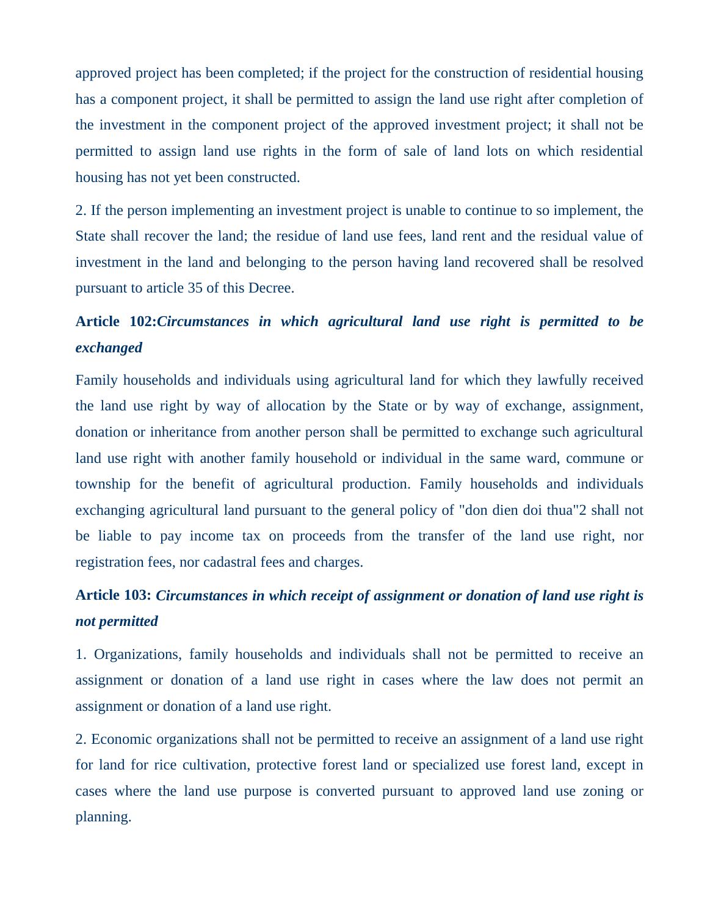approved project has been completed; if the project for the construction of residential housing has a component project, it shall be permitted to assign the land use right after completion of the investment in the component project of the approved investment project; it shall not be permitted to assign land use rights in the form of sale of land lots on which residential housing has not yet been constructed.

2. If the person implementing an investment project is unable to continue to so implement, the State shall recover the land; the residue of land use fees, land rent and the residual value of investment in the land and belonging to the person having land recovered shall be resolved pursuant to article 35 of this Decree.

### **Article 102:***Circumstances in which agricultural land use right is permitted to be exchanged*

Family households and individuals using agricultural land for which they lawfully received the land use right by way of allocation by the State or by way of exchange, assignment, donation or inheritance from another person shall be permitted to exchange such agricultural land use right with another family household or individual in the same ward, commune or township for the benefit of agricultural production. Family households and individuals exchanging agricultural land pursuant to the general policy of "don dien doi thua"2 shall not be liable to pay income tax on proceeds from the transfer of the land use right, nor registration fees, nor cadastral fees and charges.

# **Article 103:** *Circumstances in which receipt of assignment or donation of land use right is not permitted*

1. Organizations, family households and individuals shall not be permitted to receive an assignment or donation of a land use right in cases where the law does not permit an assignment or donation of a land use right.

2. Economic organizations shall not be permitted to receive an assignment of a land use right for land for rice cultivation, protective forest land or specialized use forest land, except in cases where the land use purpose is converted pursuant to approved land use zoning or planning.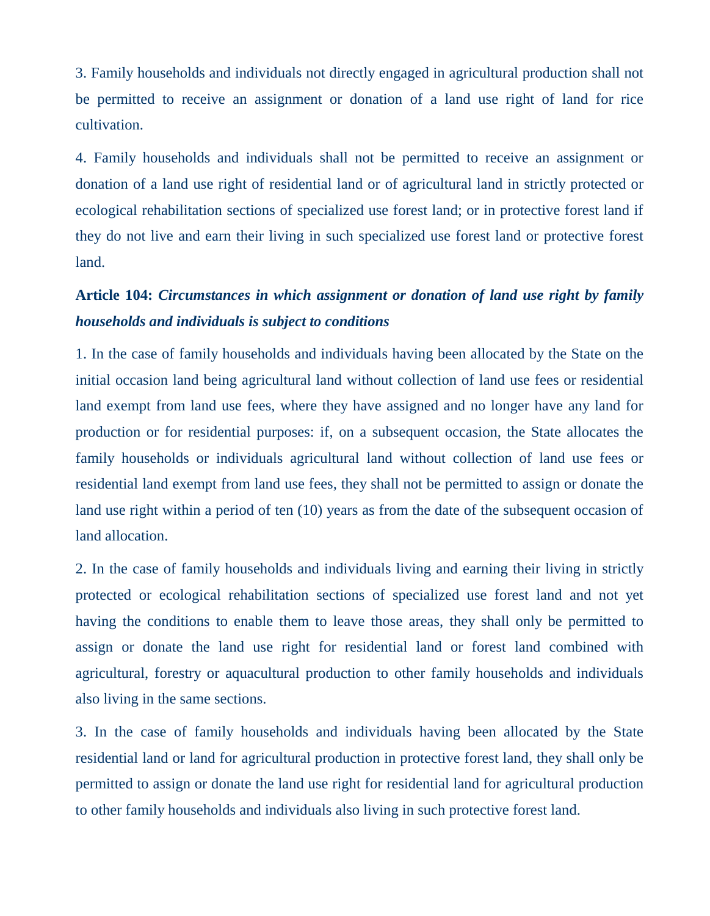3. Family households and individuals not directly engaged in agricultural production shall not be permitted to receive an assignment or donation of a land use right of land for rice cultivation.

4. Family households and individuals shall not be permitted to receive an assignment or donation of a land use right of residential land or of agricultural land in strictly protected or ecological rehabilitation sections of specialized use forest land; or in protective forest land if they do not live and earn their living in such specialized use forest land or protective forest land.

# **Article 104:** *Circumstances in which assignment or donation of land use right by family households and individuals is subject to conditions*

1. In the case of family households and individuals having been allocated by the State on the initial occasion land being agricultural land without collection of land use fees or residential land exempt from land use fees, where they have assigned and no longer have any land for production or for residential purposes: if, on a subsequent occasion, the State allocates the family households or individuals agricultural land without collection of land use fees or residential land exempt from land use fees, they shall not be permitted to assign or donate the land use right within a period of ten (10) years as from the date of the subsequent occasion of land allocation.

2. In the case of family households and individuals living and earning their living in strictly protected or ecological rehabilitation sections of specialized use forest land and not yet having the conditions to enable them to leave those areas, they shall only be permitted to assign or donate the land use right for residential land or forest land combined with agricultural, forestry or aquacultural production to other family households and individuals also living in the same sections.

3. In the case of family households and individuals having been allocated by the State residential land or land for agricultural production in protective forest land, they shall only be permitted to assign or donate the land use right for residential land for agricultural production to other family households and individuals also living in such protective forest land.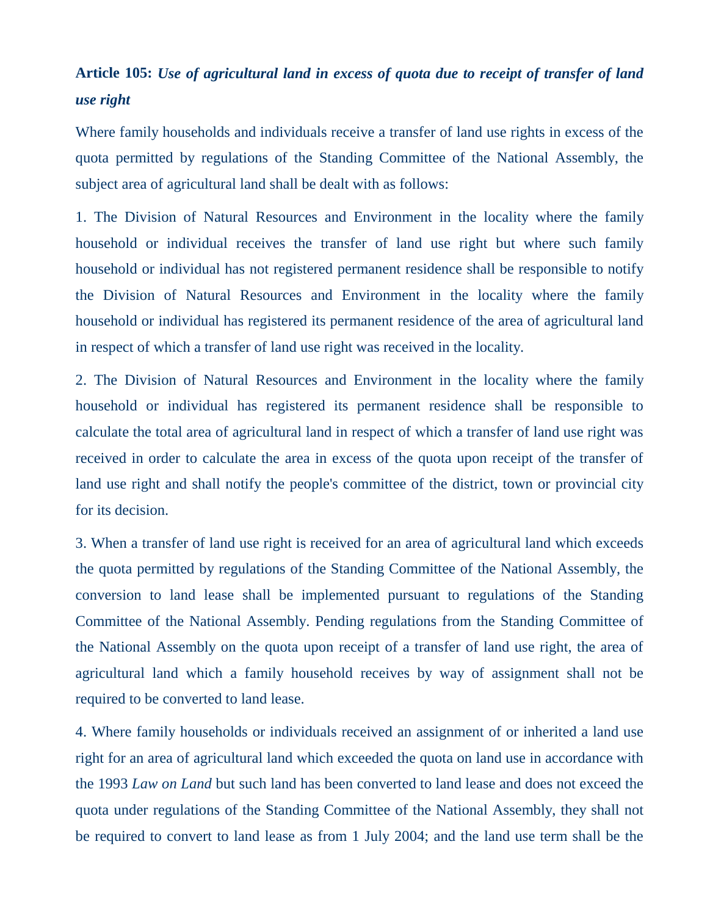## **Article 105:** *Use of agricultural land in excess of quota due to receipt of transfer of land use right*

Where family households and individuals receive a transfer of land use rights in excess of the quota permitted by regulations of the Standing Committee of the National Assembly, the subject area of agricultural land shall be dealt with as follows:

1. The Division of Natural Resources and Environment in the locality where the family household or individual receives the transfer of land use right but where such family household or individual has not registered permanent residence shall be responsible to notify the Division of Natural Resources and Environment in the locality where the family household or individual has registered its permanent residence of the area of agricultural land in respect of which a transfer of land use right was received in the locality.

2. The Division of Natural Resources and Environment in the locality where the family household or individual has registered its permanent residence shall be responsible to calculate the total area of agricultural land in respect of which a transfer of land use right was received in order to calculate the area in excess of the quota upon receipt of the transfer of land use right and shall notify the people's committee of the district, town or provincial city for its decision.

3. When a transfer of land use right is received for an area of agricultural land which exceeds the quota permitted by regulations of the Standing Committee of the National Assembly, the conversion to land lease shall be implemented pursuant to regulations of the Standing Committee of the National Assembly. Pending regulations from the Standing Committee of the National Assembly on the quota upon receipt of a transfer of land use right, the area of agricultural land which a family household receives by way of assignment shall not be required to be converted to land lease.

4. Where family households or individuals received an assignment of or inherited a land use right for an area of agricultural land which exceeded the quota on land use in accordance with the 1993 *Law on Land* but such land has been converted to land lease and does not exceed the quota under regulations of the Standing Committee of the National Assembly, they shall not be required to convert to land lease as from 1 July 2004; and the land use term shall be the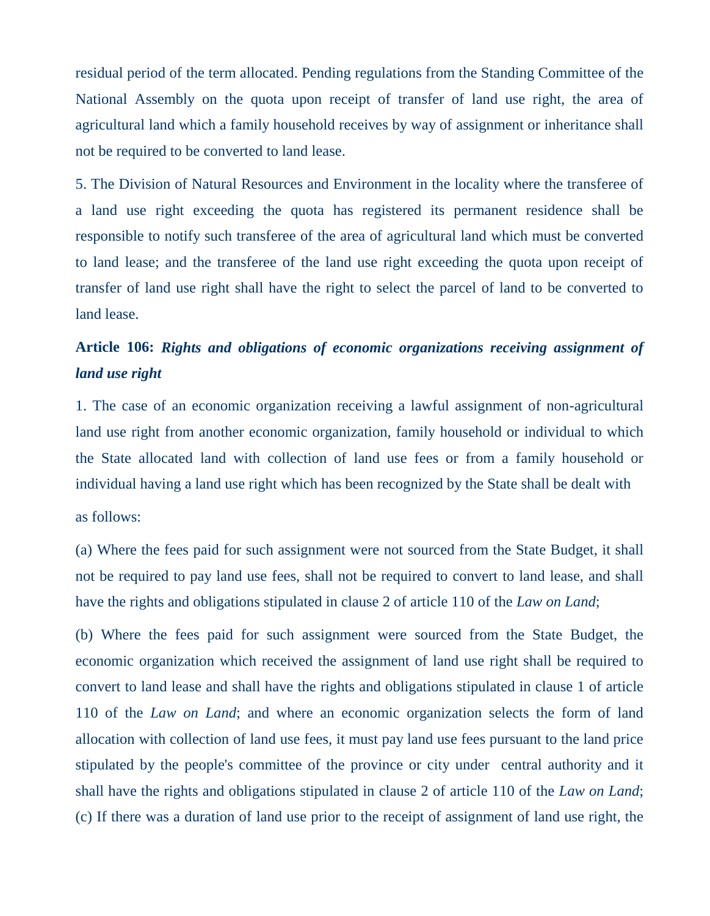residual period of the term allocated. Pending regulations from the Standing Committee of the National Assembly on the quota upon receipt of transfer of land use right, the area of agricultural land which a family household receives by way of assignment or inheritance shall not be required to be converted to land lease.

5. The Division of Natural Resources and Environment in the locality where the transferee of a land use right exceeding the quota has registered its permanent residence shall be responsible to notify such transferee of the area of agricultural land which must be converted to land lease; and the transferee of the land use right exceeding the quota upon receipt of transfer of land use right shall have the right to select the parcel of land to be converted to land lease.

## **Article 106:** *Rights and obligations of economic organizations receiving assignment of land use right*

1. The case of an economic organization receiving a lawful assignment of non-agricultural land use right from another economic organization, family household or individual to which the State allocated land with collection of land use fees or from a family household or individual having a land use right which has been recognized by the State shall be dealt with as follows:

(a) Where the fees paid for such assignment were not sourced from the State Budget, it shall not be required to pay land use fees, shall not be required to convert to land lease, and shall have the rights and obligations stipulated in clause 2 of article 110 of the *Law on Land*;

(b) Where the fees paid for such assignment were sourced from the State Budget, the economic organization which received the assignment of land use right shall be required to convert to land lease and shall have the rights and obligations stipulated in clause 1 of article 110 of the *Law on Land*; and where an economic organization selects the form of land allocation with collection of land use fees, it must pay land use fees pursuant to the land price stipulated by the people's committee of the province or city under central authority and it shall have the rights and obligations stipulated in clause 2 of article 110 of the *Law on Land*; (c) If there was a duration of land use prior to the receipt of assignment of land use right, the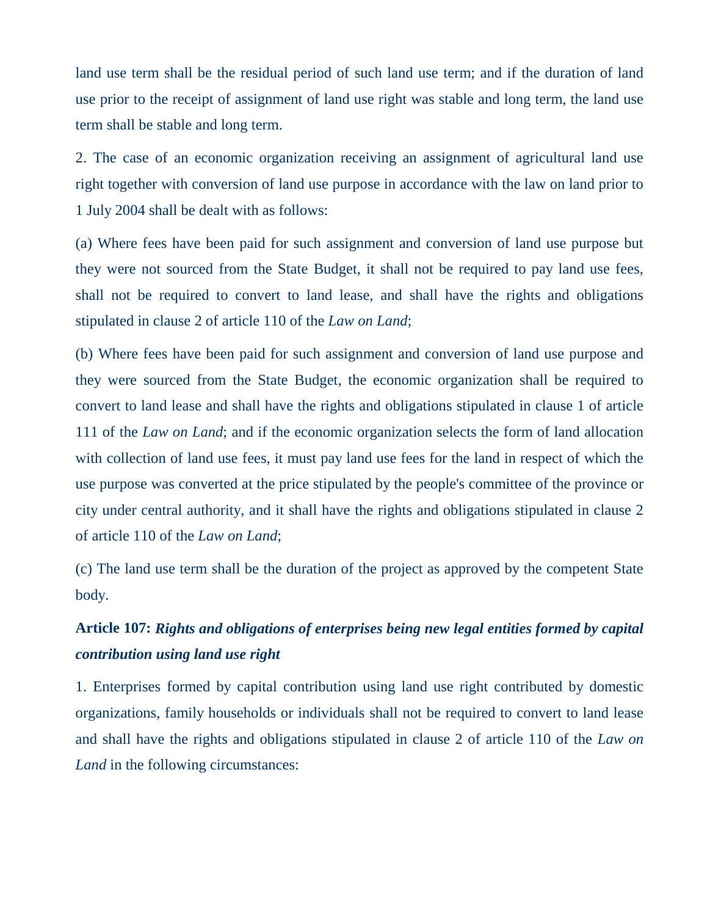land use term shall be the residual period of such land use term; and if the duration of land use prior to the receipt of assignment of land use right was stable and long term, the land use term shall be stable and long term.

2. The case of an economic organization receiving an assignment of agricultural land use right together with conversion of land use purpose in accordance with the law on land prior to 1 July 2004 shall be dealt with as follows:

(a) Where fees have been paid for such assignment and conversion of land use purpose but they were not sourced from the State Budget, it shall not be required to pay land use fees, shall not be required to convert to land lease, and shall have the rights and obligations stipulated in clause 2 of article 110 of the *Law on Land*;

(b) Where fees have been paid for such assignment and conversion of land use purpose and they were sourced from the State Budget, the economic organization shall be required to convert to land lease and shall have the rights and obligations stipulated in clause 1 of article 111 of the *Law on Land*; and if the economic organization selects the form of land allocation with collection of land use fees, it must pay land use fees for the land in respect of which the use purpose was converted at the price stipulated by the people's committee of the province or city under central authority, and it shall have the rights and obligations stipulated in clause 2 of article 110 of the *Law on Land*;

(c) The land use term shall be the duration of the project as approved by the competent State body.

## **Article 107:** *Rights and obligations of enterprises being new legal entities formed by capital contribution using land use right*

1. Enterprises formed by capital contribution using land use right contributed by domestic organizations, family households or individuals shall not be required to convert to land lease and shall have the rights and obligations stipulated in clause 2 of article 110 of the *Law on Land* in the following circumstances: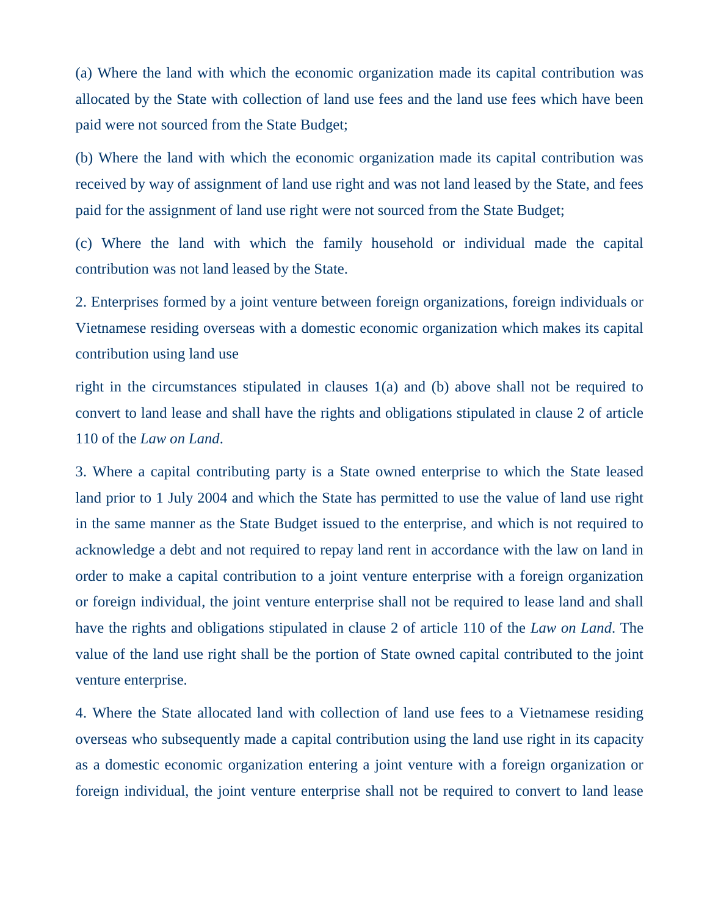(a) Where the land with which the economic organization made its capital contribution was allocated by the State with collection of land use fees and the land use fees which have been paid were not sourced from the State Budget;

(b) Where the land with which the economic organization made its capital contribution was received by way of assignment of land use right and was not land leased by the State, and fees paid for the assignment of land use right were not sourced from the State Budget;

(c) Where the land with which the family household or individual made the capital contribution was not land leased by the State.

2. Enterprises formed by a joint venture between foreign organizations, foreign individuals or Vietnamese residing overseas with a domestic economic organization which makes its capital contribution using land use

right in the circumstances stipulated in clauses 1(a) and (b) above shall not be required to convert to land lease and shall have the rights and obligations stipulated in clause 2 of article 110 of the *Law on Land*.

3. Where a capital contributing party is a State owned enterprise to which the State leased land prior to 1 July 2004 and which the State has permitted to use the value of land use right in the same manner as the State Budget issued to the enterprise, and which is not required to acknowledge a debt and not required to repay land rent in accordance with the law on land in order to make a capital contribution to a joint venture enterprise with a foreign organization or foreign individual, the joint venture enterprise shall not be required to lease land and shall have the rights and obligations stipulated in clause 2 of article 110 of the *Law on Land*. The value of the land use right shall be the portion of State owned capital contributed to the joint venture enterprise.

4. Where the State allocated land with collection of land use fees to a Vietnamese residing overseas who subsequently made a capital contribution using the land use right in its capacity as a domestic economic organization entering a joint venture with a foreign organization or foreign individual, the joint venture enterprise shall not be required to convert to land lease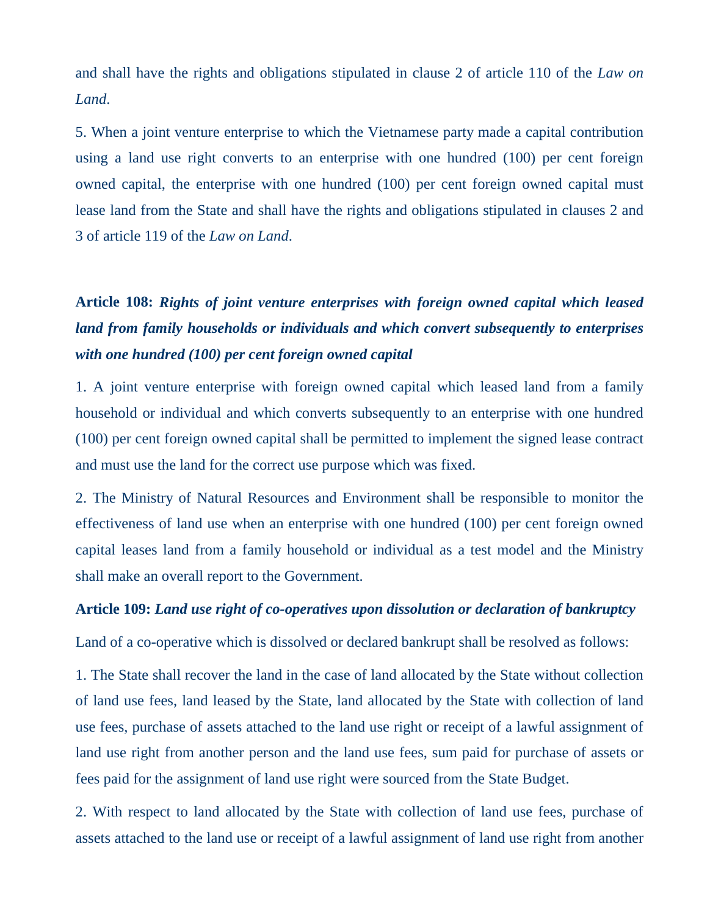and shall have the rights and obligations stipulated in clause 2 of article 110 of the *Law on Land*.

5. When a joint venture enterprise to which the Vietnamese party made a capital contribution using a land use right converts to an enterprise with one hundred (100) per cent foreign owned capital, the enterprise with one hundred (100) per cent foreign owned capital must lease land from the State and shall have the rights and obligations stipulated in clauses 2 and 3 of article 119 of the *Law on Land*.

# **Article 108:** *Rights of joint venture enterprises with foreign owned capital which leased land from family households or individuals and which convert subsequently to enterprises with one hundred (100) per cent foreign owned capital*

1. A joint venture enterprise with foreign owned capital which leased land from a family household or individual and which converts subsequently to an enterprise with one hundred (100) per cent foreign owned capital shall be permitted to implement the signed lease contract and must use the land for the correct use purpose which was fixed.

2. The Ministry of Natural Resources and Environment shall be responsible to monitor the effectiveness of land use when an enterprise with one hundred (100) per cent foreign owned capital leases land from a family household or individual as a test model and the Ministry shall make an overall report to the Government.

### **Article 109:** *Land use right of co-operatives upon dissolution or declaration of bankruptcy*

Land of a co-operative which is dissolved or declared bankrupt shall be resolved as follows:

1. The State shall recover the land in the case of land allocated by the State without collection of land use fees, land leased by the State, land allocated by the State with collection of land use fees, purchase of assets attached to the land use right or receipt of a lawful assignment of land use right from another person and the land use fees, sum paid for purchase of assets or fees paid for the assignment of land use right were sourced from the State Budget.

2. With respect to land allocated by the State with collection of land use fees, purchase of assets attached to the land use or receipt of a lawful assignment of land use right from another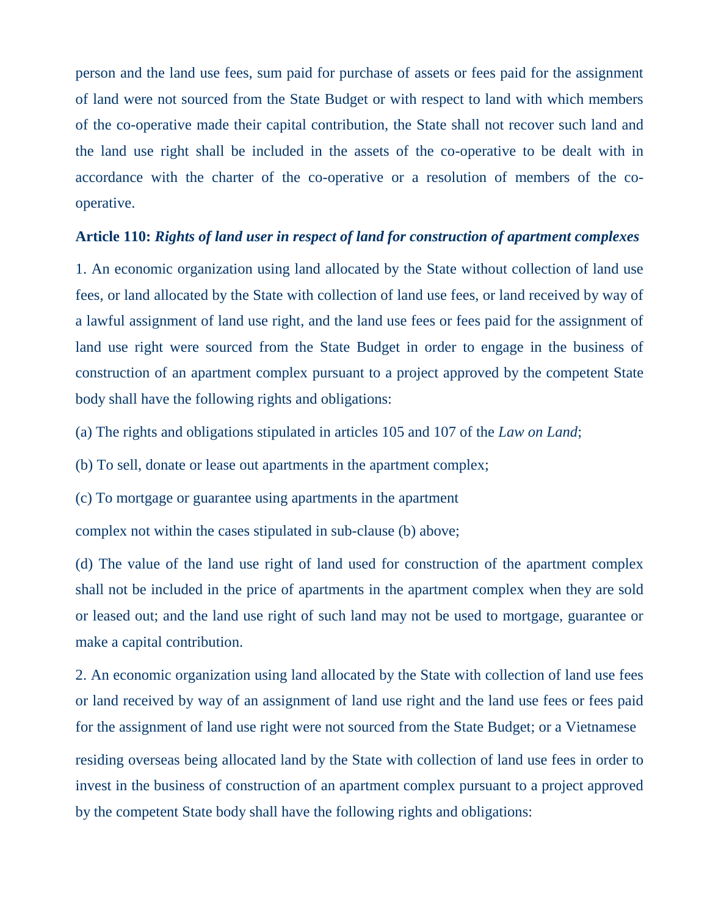person and the land use fees, sum paid for purchase of assets or fees paid for the assignment of land were not sourced from the State Budget or with respect to land with which members of the co-operative made their capital contribution, the State shall not recover such land and the land use right shall be included in the assets of the co-operative to be dealt with in accordance with the charter of the co-operative or a resolution of members of the cooperative.

#### **Article 110:** *Rights of land user in respect of land for construction of apartment complexes*

1. An economic organization using land allocated by the State without collection of land use fees, or land allocated by the State with collection of land use fees, or land received by way of a lawful assignment of land use right, and the land use fees or fees paid for the assignment of land use right were sourced from the State Budget in order to engage in the business of construction of an apartment complex pursuant to a project approved by the competent State body shall have the following rights and obligations:

(a) The rights and obligations stipulated in articles 105 and 107 of the *Law on Land*;

(b) To sell, donate or lease out apartments in the apartment complex;

(c) To mortgage or guarantee using apartments in the apartment

complex not within the cases stipulated in sub-clause (b) above;

(d) The value of the land use right of land used for construction of the apartment complex shall not be included in the price of apartments in the apartment complex when they are sold or leased out; and the land use right of such land may not be used to mortgage, guarantee or make a capital contribution.

2. An economic organization using land allocated by the State with collection of land use fees or land received by way of an assignment of land use right and the land use fees or fees paid for the assignment of land use right were not sourced from the State Budget; or a Vietnamese

residing overseas being allocated land by the State with collection of land use fees in order to invest in the business of construction of an apartment complex pursuant to a project approved by the competent State body shall have the following rights and obligations: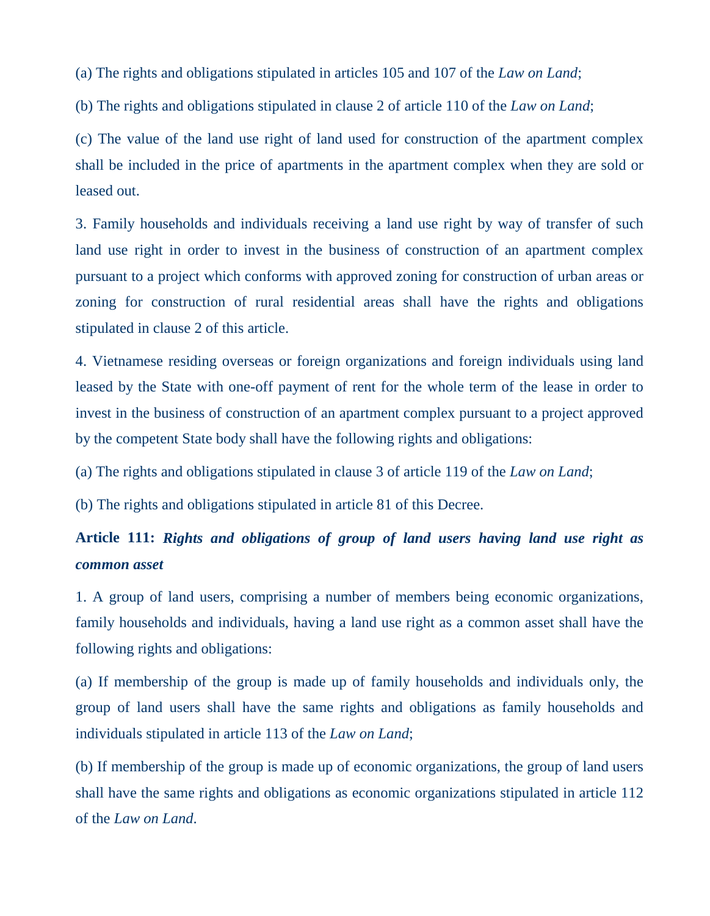(a) The rights and obligations stipulated in articles 105 and 107 of the *Law on Land*;

(b) The rights and obligations stipulated in clause 2 of article 110 of the *Law on Land*;

(c) The value of the land use right of land used for construction of the apartment complex shall be included in the price of apartments in the apartment complex when they are sold or leased out.

3. Family households and individuals receiving a land use right by way of transfer of such land use right in order to invest in the business of construction of an apartment complex pursuant to a project which conforms with approved zoning for construction of urban areas or zoning for construction of rural residential areas shall have the rights and obligations stipulated in clause 2 of this article.

4. Vietnamese residing overseas or foreign organizations and foreign individuals using land leased by the State with one-off payment of rent for the whole term of the lease in order to invest in the business of construction of an apartment complex pursuant to a project approved by the competent State body shall have the following rights and obligations:

(a) The rights and obligations stipulated in clause 3 of article 119 of the *Law on Land*;

(b) The rights and obligations stipulated in article 81 of this Decree.

## **Article 111:** *Rights and obligations of group of land users having land use right as common asset*

1. A group of land users, comprising a number of members being economic organizations, family households and individuals, having a land use right as a common asset shall have the following rights and obligations:

(a) If membership of the group is made up of family households and individuals only, the group of land users shall have the same rights and obligations as family households and individuals stipulated in article 113 of the *Law on Land*;

(b) If membership of the group is made up of economic organizations, the group of land users shall have the same rights and obligations as economic organizations stipulated in article 112 of the *Law on Land*.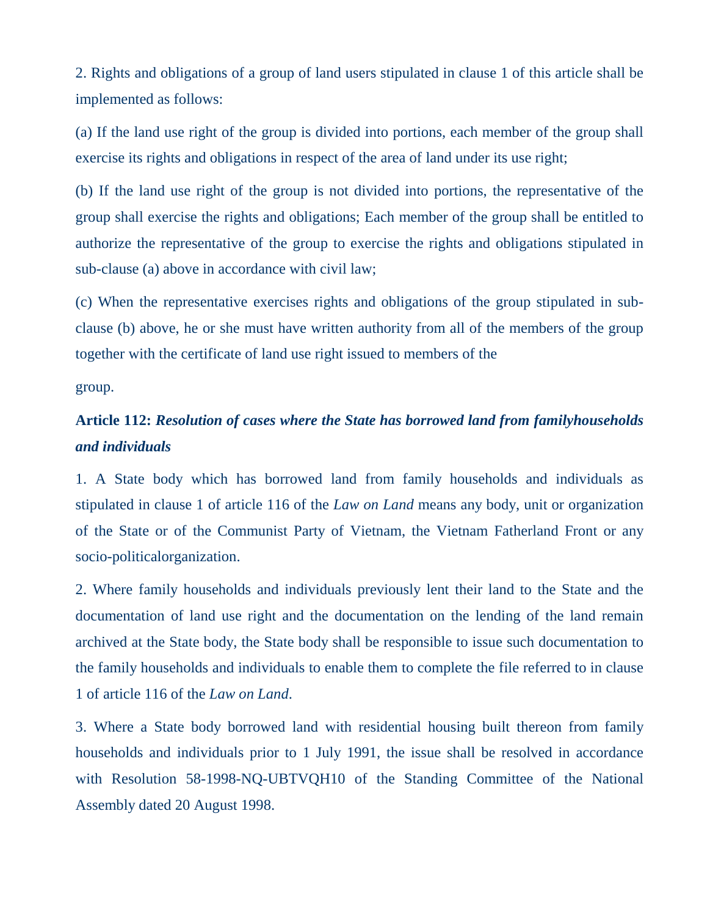2. Rights and obligations of a group of land users stipulated in clause 1 of this article shall be implemented as follows:

(a) If the land use right of the group is divided into portions, each member of the group shall exercise its rights and obligations in respect of the area of land under its use right;

(b) If the land use right of the group is not divided into portions, the representative of the group shall exercise the rights and obligations; Each member of the group shall be entitled to authorize the representative of the group to exercise the rights and obligations stipulated in sub-clause (a) above in accordance with civil law;

(c) When the representative exercises rights and obligations of the group stipulated in subclause (b) above, he or she must have written authority from all of the members of the group together with the certificate of land use right issued to members of the

group.

# **Article 112:** *Resolution of cases where the State has borrowed land from familyhouseholds and individuals*

1. A State body which has borrowed land from family households and individuals as stipulated in clause 1 of article 116 of the *Law on Land* means any body, unit or organization of the State or of the Communist Party of Vietnam, the Vietnam Fatherland Front or any socio-politicalorganization.

2. Where family households and individuals previously lent their land to the State and the documentation of land use right and the documentation on the lending of the land remain archived at the State body, the State body shall be responsible to issue such documentation to the family households and individuals to enable them to complete the file referred to in clause 1 of article 116 of the *Law on Land*.

3. Where a State body borrowed land with residential housing built thereon from family households and individuals prior to 1 July 1991, the issue shall be resolved in accordance with Resolution 58-1998-NQ-UBTVQH10 of the Standing Committee of the National Assembly dated 20 August 1998.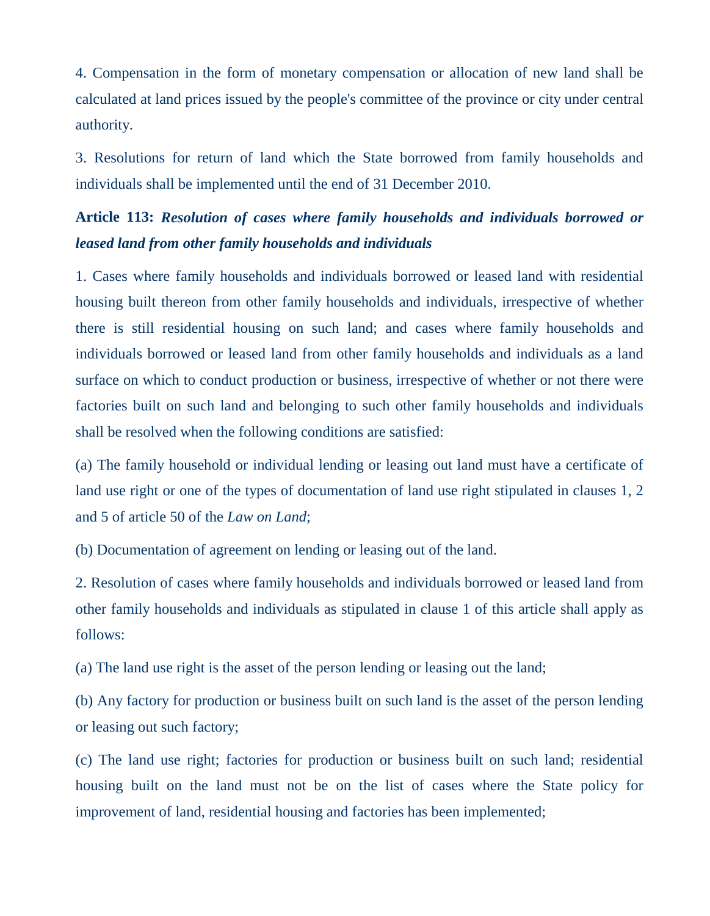4. Compensation in the form of monetary compensation or allocation of new land shall be calculated at land prices issued by the people's committee of the province or city under central authority.

3. Resolutions for return of land which the State borrowed from family households and individuals shall be implemented until the end of 31 December 2010.

### **Article 113:** *Resolution of cases where family households and individuals borrowed or leased land from other family households and individuals*

1. Cases where family households and individuals borrowed or leased land with residential housing built thereon from other family households and individuals, irrespective of whether there is still residential housing on such land; and cases where family households and individuals borrowed or leased land from other family households and individuals as a land surface on which to conduct production or business, irrespective of whether or not there were factories built on such land and belonging to such other family households and individuals shall be resolved when the following conditions are satisfied:

(a) The family household or individual lending or leasing out land must have a certificate of land use right or one of the types of documentation of land use right stipulated in clauses 1, 2 and 5 of article 50 of the *Law on Land*;

(b) Documentation of agreement on lending or leasing out of the land.

2. Resolution of cases where family households and individuals borrowed or leased land from other family households and individuals as stipulated in clause 1 of this article shall apply as follows:

(a) The land use right is the asset of the person lending or leasing out the land;

(b) Any factory for production or business built on such land is the asset of the person lending or leasing out such factory;

(c) The land use right; factories for production or business built on such land; residential housing built on the land must not be on the list of cases where the State policy for improvement of land, residential housing and factories has been implemented;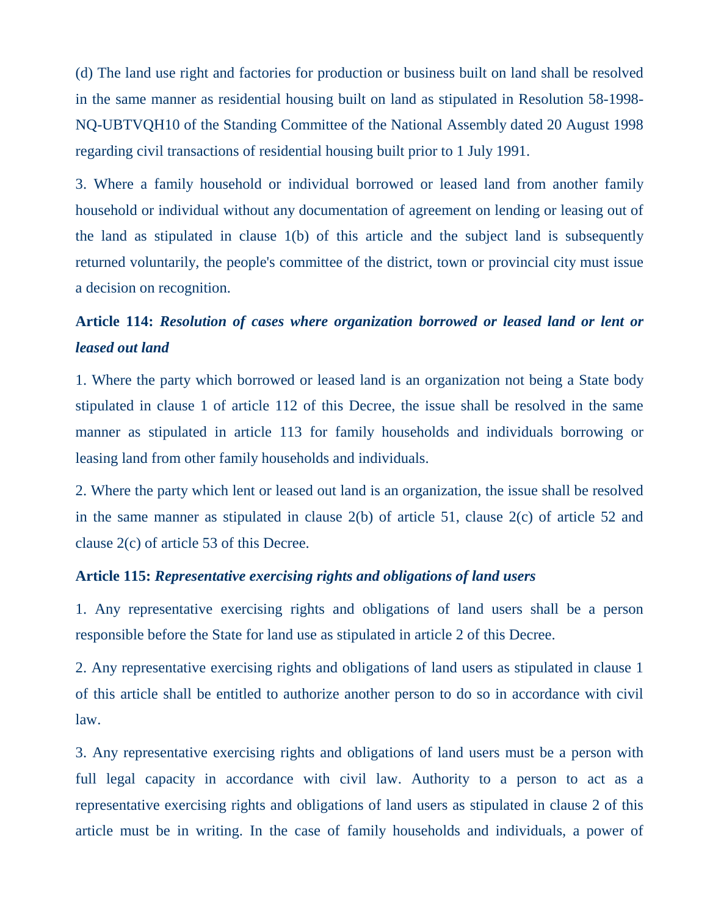(d) The land use right and factories for production or business built on land shall be resolved in the same manner as residential housing built on land as stipulated in Resolution 58-1998- NQ-UBTVQH10 of the Standing Committee of the National Assembly dated 20 August 1998 regarding civil transactions of residential housing built prior to 1 July 1991.

3. Where a family household or individual borrowed or leased land from another family household or individual without any documentation of agreement on lending or leasing out of the land as stipulated in clause 1(b) of this article and the subject land is subsequently returned voluntarily, the people's committee of the district, town or provincial city must issue a decision on recognition.

### **Article 114:** *Resolution of cases where organization borrowed or leased land or lent or leased out land*

1. Where the party which borrowed or leased land is an organization not being a State body stipulated in clause 1 of article 112 of this Decree, the issue shall be resolved in the same manner as stipulated in article 113 for family households and individuals borrowing or leasing land from other family households and individuals.

2. Where the party which lent or leased out land is an organization, the issue shall be resolved in the same manner as stipulated in clause 2(b) of article 51, clause 2(c) of article 52 and clause 2(c) of article 53 of this Decree.

### **Article 115:** *Representative exercising rights and obligations of land users*

1. Any representative exercising rights and obligations of land users shall be a person responsible before the State for land use as stipulated in article 2 of this Decree.

2. Any representative exercising rights and obligations of land users as stipulated in clause 1 of this article shall be entitled to authorize another person to do so in accordance with civil law.

3. Any representative exercising rights and obligations of land users must be a person with full legal capacity in accordance with civil law. Authority to a person to act as a representative exercising rights and obligations of land users as stipulated in clause 2 of this article must be in writing. In the case of family households and individuals, a power of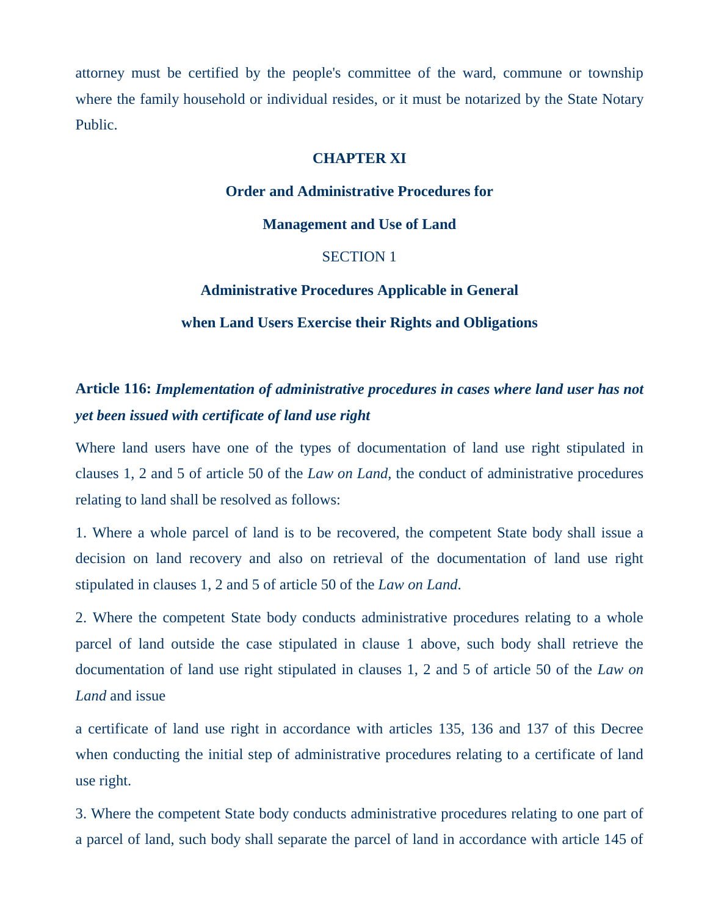attorney must be certified by the people's committee of the ward, commune or township where the family household or individual resides, or it must be notarized by the State Notary Public.

### **CHAPTER XI**

### **Order and Administrative Procedures for**

**Management and Use of Land**

### SECTION 1

#### **Administrative Procedures Applicable in General**

#### **when Land Users Exercise their Rights and Obligations**

### **Article 116:** *Implementation of administrative procedures in cases where land user has not yet been issued with certificate of land use right*

Where land users have one of the types of documentation of land use right stipulated in clauses 1, 2 and 5 of article 50 of the *Law on Land*, the conduct of administrative procedures relating to land shall be resolved as follows:

1. Where a whole parcel of land is to be recovered, the competent State body shall issue a decision on land recovery and also on retrieval of the documentation of land use right stipulated in clauses 1, 2 and 5 of article 50 of the *Law on Land*.

2. Where the competent State body conducts administrative procedures relating to a whole parcel of land outside the case stipulated in clause 1 above, such body shall retrieve the documentation of land use right stipulated in clauses 1, 2 and 5 of article 50 of the *Law on Land* and issue

a certificate of land use right in accordance with articles 135, 136 and 137 of this Decree when conducting the initial step of administrative procedures relating to a certificate of land use right.

3. Where the competent State body conducts administrative procedures relating to one part of a parcel of land, such body shall separate the parcel of land in accordance with article 145 of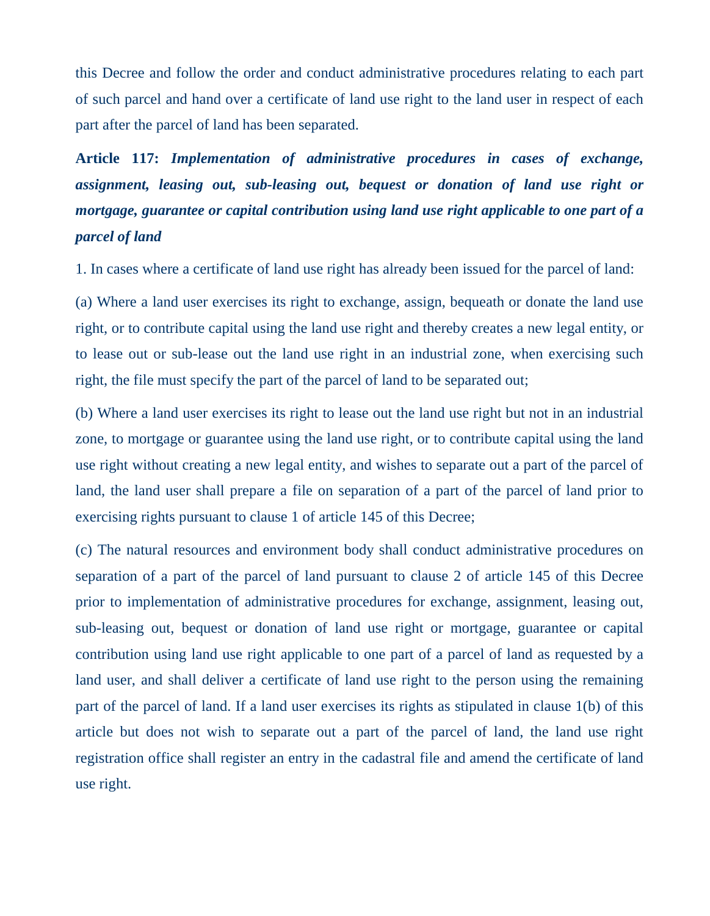this Decree and follow the order and conduct administrative procedures relating to each part of such parcel and hand over a certificate of land use right to the land user in respect of each part after the parcel of land has been separated.

**Article 117:** *Implementation of administrative procedures in cases of exchange, assignment, leasing out, sub-leasing out, bequest or donation of land use right or mortgage, guarantee or capital contribution using land use right applicable to one part of a parcel of land*

1. In cases where a certificate of land use right has already been issued for the parcel of land:

(a) Where a land user exercises its right to exchange, assign, bequeath or donate the land use right, or to contribute capital using the land use right and thereby creates a new legal entity, or to lease out or sub-lease out the land use right in an industrial zone, when exercising such right, the file must specify the part of the parcel of land to be separated out;

(b) Where a land user exercises its right to lease out the land use right but not in an industrial zone, to mortgage or guarantee using the land use right, or to contribute capital using the land use right without creating a new legal entity, and wishes to separate out a part of the parcel of land, the land user shall prepare a file on separation of a part of the parcel of land prior to exercising rights pursuant to clause 1 of article 145 of this Decree;

(c) The natural resources and environment body shall conduct administrative procedures on separation of a part of the parcel of land pursuant to clause 2 of article 145 of this Decree prior to implementation of administrative procedures for exchange, assignment, leasing out, sub-leasing out, bequest or donation of land use right or mortgage, guarantee or capital contribution using land use right applicable to one part of a parcel of land as requested by a land user, and shall deliver a certificate of land use right to the person using the remaining part of the parcel of land. If a land user exercises its rights as stipulated in clause 1(b) of this article but does not wish to separate out a part of the parcel of land, the land use right registration office shall register an entry in the cadastral file and amend the certificate of land use right.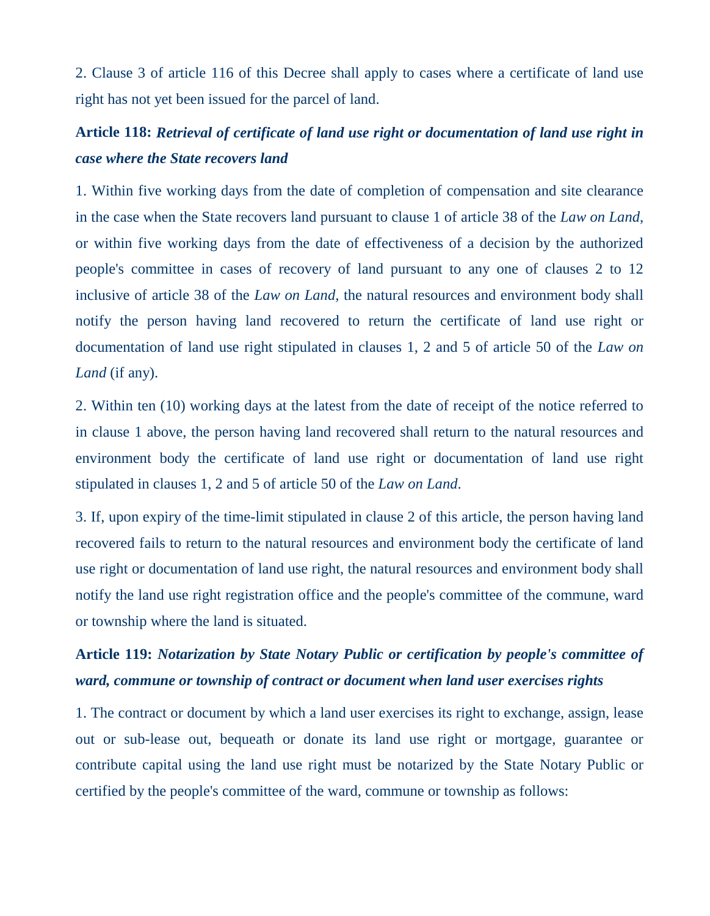2. Clause 3 of article 116 of this Decree shall apply to cases where a certificate of land use right has not yet been issued for the parcel of land.

## **Article 118:** *Retrieval of certificate of land use right or documentation of land use right in case where the State recovers land*

1. Within five working days from the date of completion of compensation and site clearance in the case when the State recovers land pursuant to clause 1 of article 38 of the *Law on Land*, or within five working days from the date of effectiveness of a decision by the authorized people's committee in cases of recovery of land pursuant to any one of clauses 2 to 12 inclusive of article 38 of the *Law on Land,* the natural resources and environment body shall notify the person having land recovered to return the certificate of land use right or documentation of land use right stipulated in clauses 1, 2 and 5 of article 50 of the *Law on Land* (if any).

2. Within ten (10) working days at the latest from the date of receipt of the notice referred to in clause 1 above, the person having land recovered shall return to the natural resources and environment body the certificate of land use right or documentation of land use right stipulated in clauses 1, 2 and 5 of article 50 of the *Law on Land*.

3. If, upon expiry of the time-limit stipulated in clause 2 of this article, the person having land recovered fails to return to the natural resources and environment body the certificate of land use right or documentation of land use right, the natural resources and environment body shall notify the land use right registration office and the people's committee of the commune, ward or township where the land is situated.

# **Article 119:** *Notarization by State Notary Public or certification by people's committee of ward, commune or township of contract or document when land user exercises rights*

1. The contract or document by which a land user exercises its right to exchange, assign, lease out or sub-lease out, bequeath or donate its land use right or mortgage, guarantee or contribute capital using the land use right must be notarized by the State Notary Public or certified by the people's committee of the ward, commune or township as follows: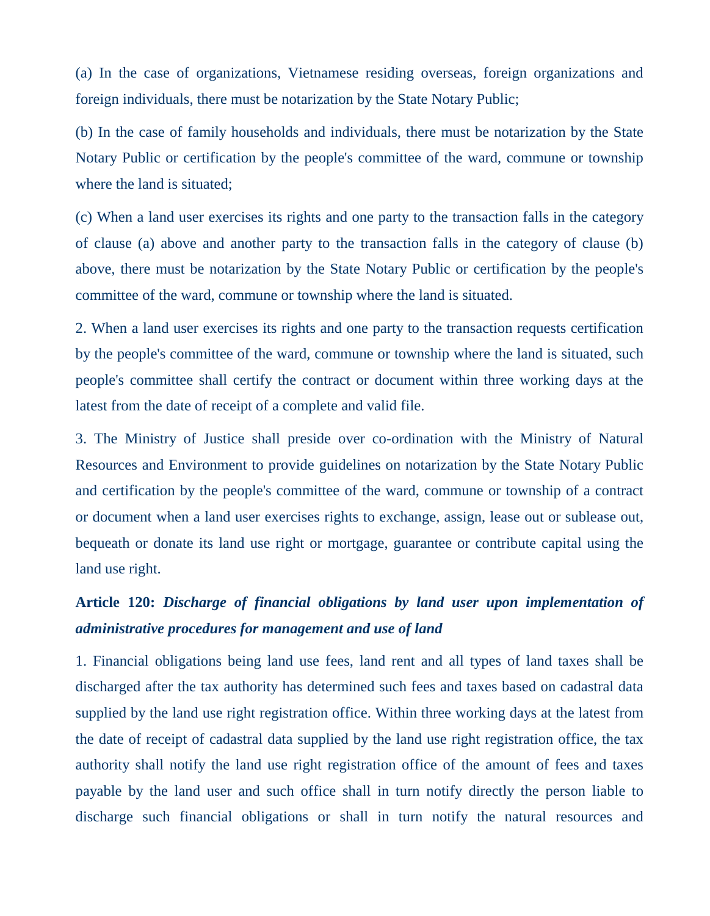(a) In the case of organizations, Vietnamese residing overseas, foreign organizations and foreign individuals, there must be notarization by the State Notary Public;

(b) In the case of family households and individuals, there must be notarization by the State Notary Public or certification by the people's committee of the ward, commune or township where the land is situated;

(c) When a land user exercises its rights and one party to the transaction falls in the category of clause (a) above and another party to the transaction falls in the category of clause (b) above, there must be notarization by the State Notary Public or certification by the people's committee of the ward, commune or township where the land is situated.

2. When a land user exercises its rights and one party to the transaction requests certification by the people's committee of the ward, commune or township where the land is situated, such people's committee shall certify the contract or document within three working days at the latest from the date of receipt of a complete and valid file.

3. The Ministry of Justice shall preside over co-ordination with the Ministry of Natural Resources and Environment to provide guidelines on notarization by the State Notary Public and certification by the people's committee of the ward, commune or township of a contract or document when a land user exercises rights to exchange, assign, lease out or sublease out, bequeath or donate its land use right or mortgage, guarantee or contribute capital using the land use right.

# **Article 120:** *Discharge of financial obligations by land user upon implementation of administrative procedures for management and use of land*

1. Financial obligations being land use fees, land rent and all types of land taxes shall be discharged after the tax authority has determined such fees and taxes based on cadastral data supplied by the land use right registration office. Within three working days at the latest from the date of receipt of cadastral data supplied by the land use right registration office, the tax authority shall notify the land use right registration office of the amount of fees and taxes payable by the land user and such office shall in turn notify directly the person liable to discharge such financial obligations or shall in turn notify the natural resources and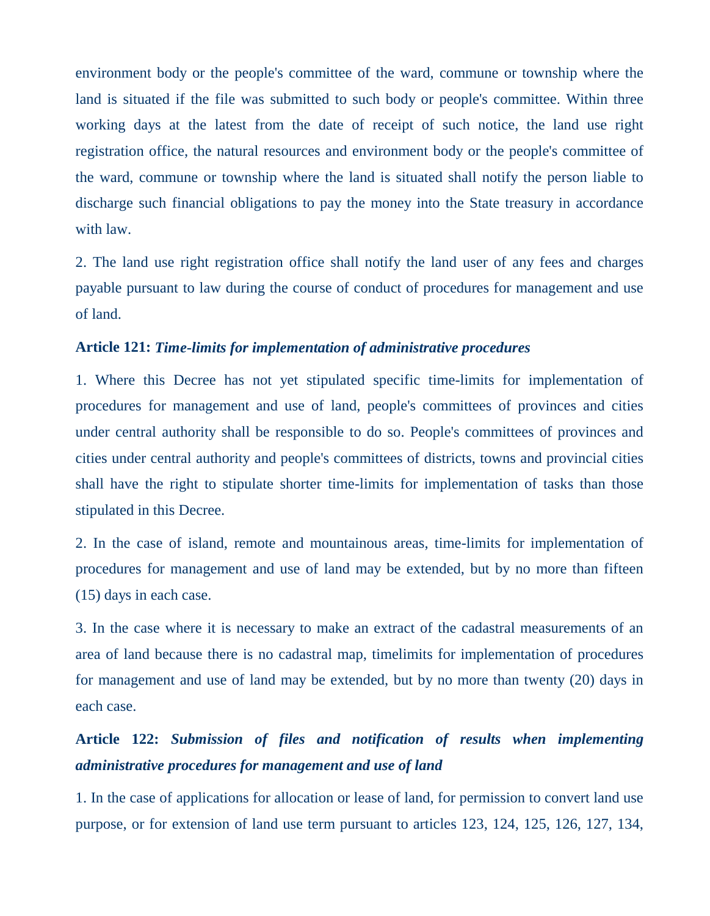environment body or the people's committee of the ward, commune or township where the land is situated if the file was submitted to such body or people's committee. Within three working days at the latest from the date of receipt of such notice, the land use right registration office, the natural resources and environment body or the people's committee of the ward, commune or township where the land is situated shall notify the person liable to discharge such financial obligations to pay the money into the State treasury in accordance with law.

2. The land use right registration office shall notify the land user of any fees and charges payable pursuant to law during the course of conduct of procedures for management and use of land.

### **Article 121:** *Time-limits for implementation of administrative procedures*

1. Where this Decree has not yet stipulated specific time-limits for implementation of procedures for management and use of land, people's committees of provinces and cities under central authority shall be responsible to do so. People's committees of provinces and cities under central authority and people's committees of districts, towns and provincial cities shall have the right to stipulate shorter time-limits for implementation of tasks than those stipulated in this Decree.

2. In the case of island, remote and mountainous areas, time-limits for implementation of procedures for management and use of land may be extended, but by no more than fifteen (15) days in each case.

3. In the case where it is necessary to make an extract of the cadastral measurements of an area of land because there is no cadastral map, timelimits for implementation of procedures for management and use of land may be extended, but by no more than twenty (20) days in each case.

## **Article 122:** *Submission of files and notification of results when implementing administrative procedures for management and use of land*

1. In the case of applications for allocation or lease of land, for permission to convert land use purpose, or for extension of land use term pursuant to articles 123, 124, 125, 126, 127, 134,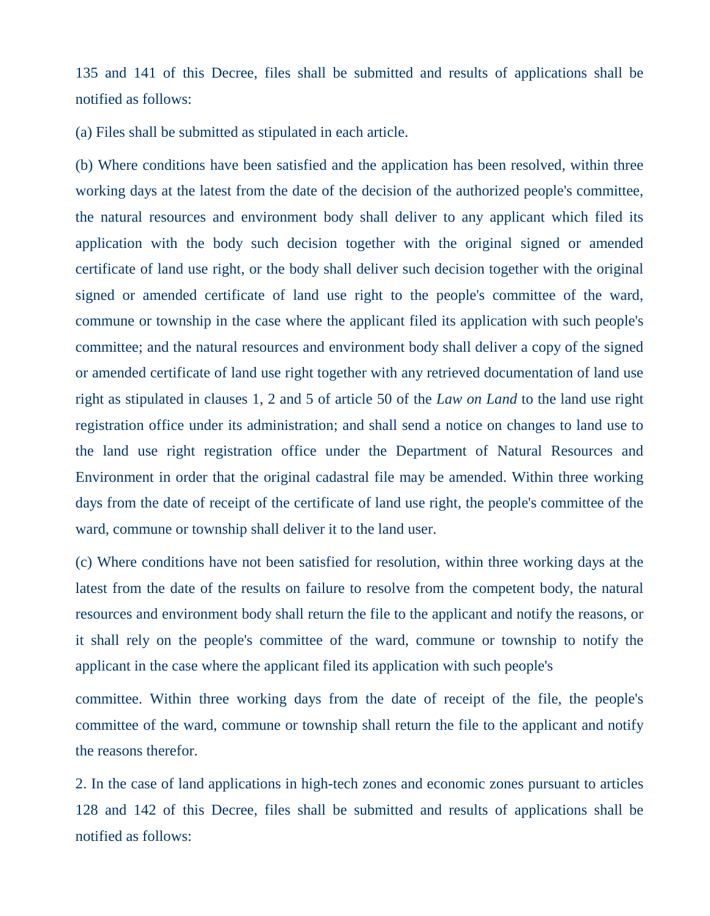135 and 141 of this Decree, files shall be submitted and results of applications shall be notified as follows:

(a) Files shall be submitted as stipulated in each article.

(b) Where conditions have been satisfied and the application has been resolved, within three working days at the latest from the date of the decision of the authorized people's committee, the natural resources and environment body shall deliver to any applicant which filed its application with the body such decision together with the original signed or amended certificate of land use right, or the body shall deliver such decision together with the original signed or amended certificate of land use right to the people's committee of the ward, commune or township in the case where the applicant filed its application with such people's committee; and the natural resources and environment body shall deliver a copy of the signed or amended certificate of land use right together with any retrieved documentation of land use right as stipulated in clauses 1, 2 and 5 of article 50 of the *Law on Land* to the land use right registration office under its administration; and shall send a notice on changes to land use to the land use right registration office under the Department of Natural Resources and Environment in order that the original cadastral file may be amended. Within three working days from the date of receipt of the certificate of land use right, the people's committee of the ward, commune or township shall deliver it to the land user.

(c) Where conditions have not been satisfied for resolution, within three working days at the latest from the date of the results on failure to resolve from the competent body, the natural resources and environment body shall return the file to the applicant and notify the reasons, or it shall rely on the people's committee of the ward, commune or township to notify the applicant in the case where the applicant filed its application with such people's

committee. Within three working days from the date of receipt of the file, the people's committee of the ward, commune or township shall return the file to the applicant and notify the reasons therefor.

2. In the case of land applications in high-tech zones and economic zones pursuant to articles 128 and 142 of this Decree, files shall be submitted and results of applications shall be notified as follows: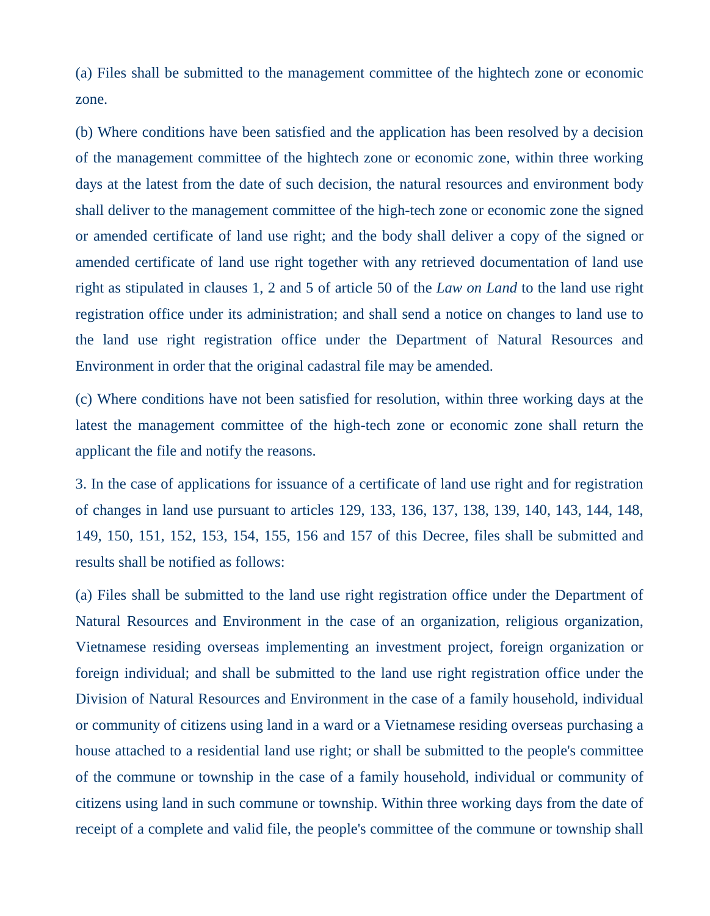(a) Files shall be submitted to the management committee of the hightech zone or economic zone.

(b) Where conditions have been satisfied and the application has been resolved by a decision of the management committee of the hightech zone or economic zone, within three working days at the latest from the date of such decision, the natural resources and environment body shall deliver to the management committee of the high-tech zone or economic zone the signed or amended certificate of land use right; and the body shall deliver a copy of the signed or amended certificate of land use right together with any retrieved documentation of land use right as stipulated in clauses 1, 2 and 5 of article 50 of the *Law on Land* to the land use right registration office under its administration; and shall send a notice on changes to land use to the land use right registration office under the Department of Natural Resources and Environment in order that the original cadastral file may be amended.

(c) Where conditions have not been satisfied for resolution, within three working days at the latest the management committee of the high-tech zone or economic zone shall return the applicant the file and notify the reasons.

3. In the case of applications for issuance of a certificate of land use right and for registration of changes in land use pursuant to articles 129, 133, 136, 137, 138, 139, 140, 143, 144, 148, 149, 150, 151, 152, 153, 154, 155, 156 and 157 of this Decree, files shall be submitted and results shall be notified as follows:

(a) Files shall be submitted to the land use right registration office under the Department of Natural Resources and Environment in the case of an organization, religious organization, Vietnamese residing overseas implementing an investment project, foreign organization or foreign individual; and shall be submitted to the land use right registration office under the Division of Natural Resources and Environment in the case of a family household, individual or community of citizens using land in a ward or a Vietnamese residing overseas purchasing a house attached to a residential land use right; or shall be submitted to the people's committee of the commune or township in the case of a family household, individual or community of citizens using land in such commune or township. Within three working days from the date of receipt of a complete and valid file, the people's committee of the commune or township shall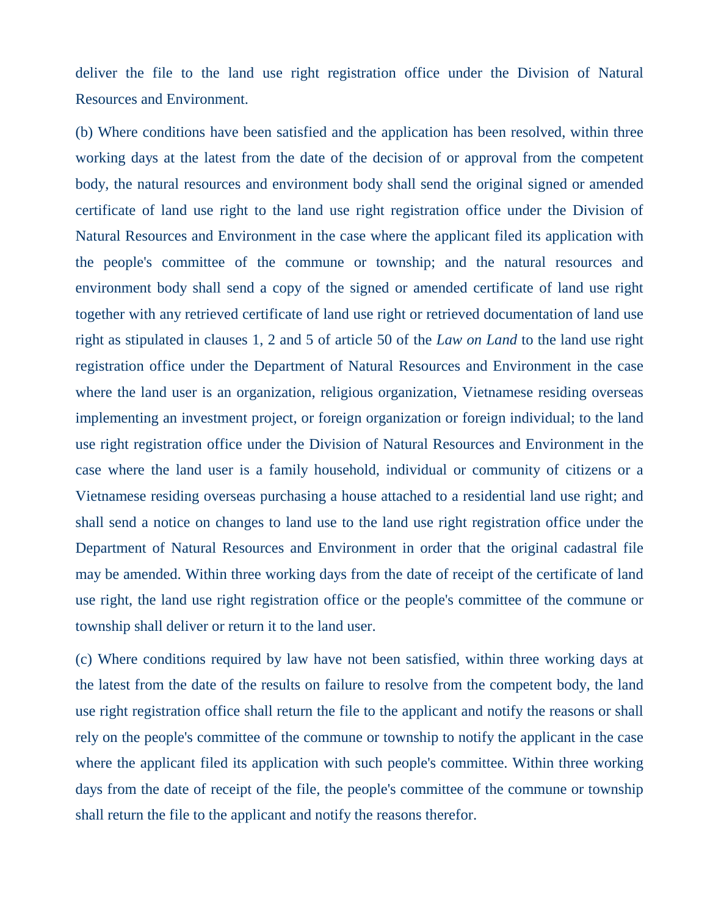deliver the file to the land use right registration office under the Division of Natural Resources and Environment.

(b) Where conditions have been satisfied and the application has been resolved, within three working days at the latest from the date of the decision of or approval from the competent body, the natural resources and environment body shall send the original signed or amended certificate of land use right to the land use right registration office under the Division of Natural Resources and Environment in the case where the applicant filed its application with the people's committee of the commune or township; and the natural resources and environment body shall send a copy of the signed or amended certificate of land use right together with any retrieved certificate of land use right or retrieved documentation of land use right as stipulated in clauses 1, 2 and 5 of article 50 of the *Law on Land* to the land use right registration office under the Department of Natural Resources and Environment in the case where the land user is an organization, religious organization, Vietnamese residing overseas implementing an investment project, or foreign organization or foreign individual; to the land use right registration office under the Division of Natural Resources and Environment in the case where the land user is a family household, individual or community of citizens or a Vietnamese residing overseas purchasing a house attached to a residential land use right; and shall send a notice on changes to land use to the land use right registration office under the Department of Natural Resources and Environment in order that the original cadastral file may be amended. Within three working days from the date of receipt of the certificate of land use right, the land use right registration office or the people's committee of the commune or township shall deliver or return it to the land user.

(c) Where conditions required by law have not been satisfied, within three working days at the latest from the date of the results on failure to resolve from the competent body, the land use right registration office shall return the file to the applicant and notify the reasons or shall rely on the people's committee of the commune or township to notify the applicant in the case where the applicant filed its application with such people's committee. Within three working days from the date of receipt of the file, the people's committee of the commune or township shall return the file to the applicant and notify the reasons therefor.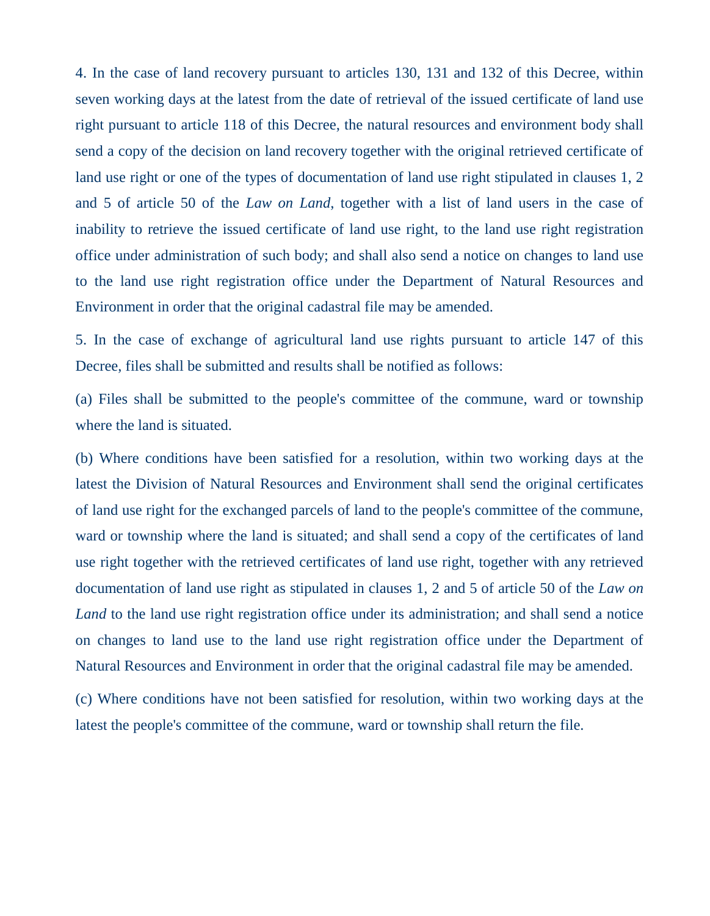4. In the case of land recovery pursuant to articles 130, 131 and 132 of this Decree, within seven working days at the latest from the date of retrieval of the issued certificate of land use right pursuant to article 118 of this Decree, the natural resources and environment body shall send a copy of the decision on land recovery together with the original retrieved certificate of land use right or one of the types of documentation of land use right stipulated in clauses 1, 2 and 5 of article 50 of the *Law on Land*, together with a list of land users in the case of inability to retrieve the issued certificate of land use right, to the land use right registration office under administration of such body; and shall also send a notice on changes to land use to the land use right registration office under the Department of Natural Resources and Environment in order that the original cadastral file may be amended.

5. In the case of exchange of agricultural land use rights pursuant to article 147 of this Decree, files shall be submitted and results shall be notified as follows:

(a) Files shall be submitted to the people's committee of the commune, ward or township where the land is situated.

(b) Where conditions have been satisfied for a resolution, within two working days at the latest the Division of Natural Resources and Environment shall send the original certificates of land use right for the exchanged parcels of land to the people's committee of the commune, ward or township where the land is situated; and shall send a copy of the certificates of land use right together with the retrieved certificates of land use right, together with any retrieved documentation of land use right as stipulated in clauses 1, 2 and 5 of article 50 of the *Law on Land* to the land use right registration office under its administration; and shall send a notice on changes to land use to the land use right registration office under the Department of Natural Resources and Environment in order that the original cadastral file may be amended.

(c) Where conditions have not been satisfied for resolution, within two working days at the latest the people's committee of the commune, ward or township shall return the file.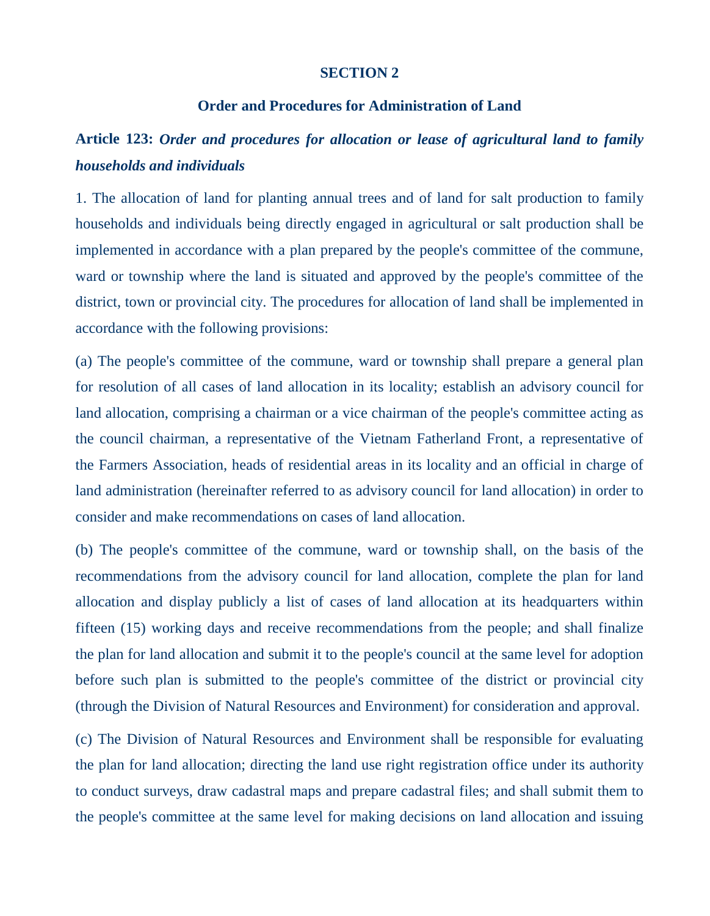#### **SECTION 2**

#### **Order and Procedures for Administration of Land**

### **Article 123:** *Order and procedures for allocation or lease of agricultural land to family households and individuals*

1. The allocation of land for planting annual trees and of land for salt production to family households and individuals being directly engaged in agricultural or salt production shall be implemented in accordance with a plan prepared by the people's committee of the commune, ward or township where the land is situated and approved by the people's committee of the district, town or provincial city. The procedures for allocation of land shall be implemented in accordance with the following provisions:

(a) The people's committee of the commune, ward or township shall prepare a general plan for resolution of all cases of land allocation in its locality; establish an advisory council for land allocation, comprising a chairman or a vice chairman of the people's committee acting as the council chairman, a representative of the Vietnam Fatherland Front, a representative of the Farmers Association, heads of residential areas in its locality and an official in charge of land administration (hereinafter referred to as advisory council for land allocation) in order to consider and make recommendations on cases of land allocation.

(b) The people's committee of the commune, ward or township shall, on the basis of the recommendations from the advisory council for land allocation, complete the plan for land allocation and display publicly a list of cases of land allocation at its headquarters within fifteen (15) working days and receive recommendations from the people; and shall finalize the plan for land allocation and submit it to the people's council at the same level for adoption before such plan is submitted to the people's committee of the district or provincial city (through the Division of Natural Resources and Environment) for consideration and approval.

(c) The Division of Natural Resources and Environment shall be responsible for evaluating the plan for land allocation; directing the land use right registration office under its authority to conduct surveys, draw cadastral maps and prepare cadastral files; and shall submit them to the people's committee at the same level for making decisions on land allocation and issuing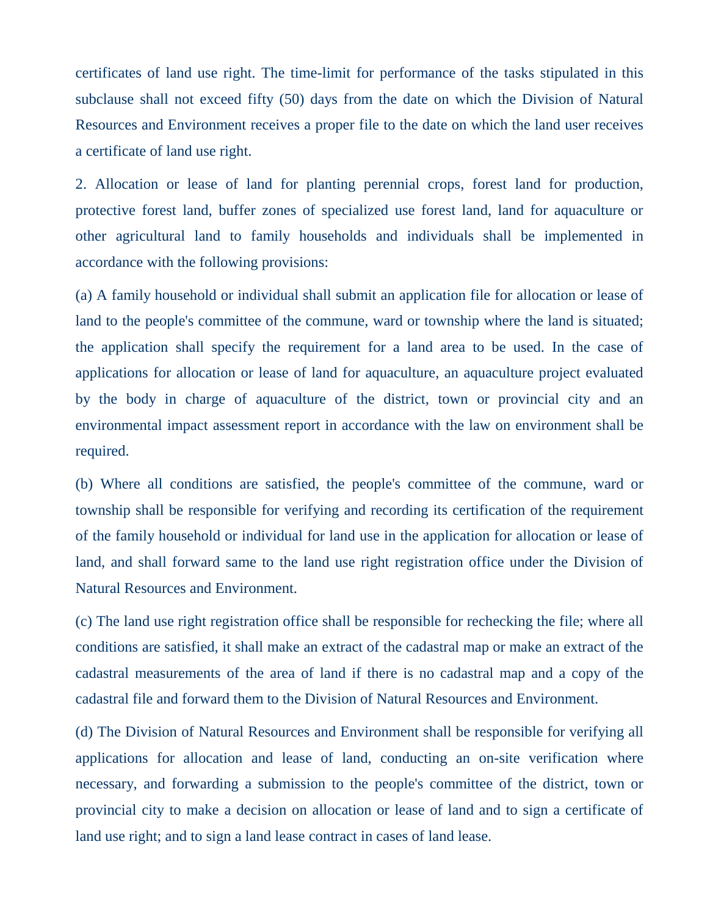certificates of land use right. The time-limit for performance of the tasks stipulated in this subclause shall not exceed fifty (50) days from the date on which the Division of Natural Resources and Environment receives a proper file to the date on which the land user receives a certificate of land use right.

2. Allocation or lease of land for planting perennial crops, forest land for production, protective forest land, buffer zones of specialized use forest land, land for aquaculture or other agricultural land to family households and individuals shall be implemented in accordance with the following provisions:

(a) A family household or individual shall submit an application file for allocation or lease of land to the people's committee of the commune, ward or township where the land is situated; the application shall specify the requirement for a land area to be used. In the case of applications for allocation or lease of land for aquaculture, an aquaculture project evaluated by the body in charge of aquaculture of the district, town or provincial city and an environmental impact assessment report in accordance with the law on environment shall be required.

(b) Where all conditions are satisfied, the people's committee of the commune, ward or township shall be responsible for verifying and recording its certification of the requirement of the family household or individual for land use in the application for allocation or lease of land, and shall forward same to the land use right registration office under the Division of Natural Resources and Environment.

(c) The land use right registration office shall be responsible for rechecking the file; where all conditions are satisfied, it shall make an extract of the cadastral map or make an extract of the cadastral measurements of the area of land if there is no cadastral map and a copy of the cadastral file and forward them to the Division of Natural Resources and Environment.

(d) The Division of Natural Resources and Environment shall be responsible for verifying all applications for allocation and lease of land, conducting an on-site verification where necessary, and forwarding a submission to the people's committee of the district, town or provincial city to make a decision on allocation or lease of land and to sign a certificate of land use right; and to sign a land lease contract in cases of land lease.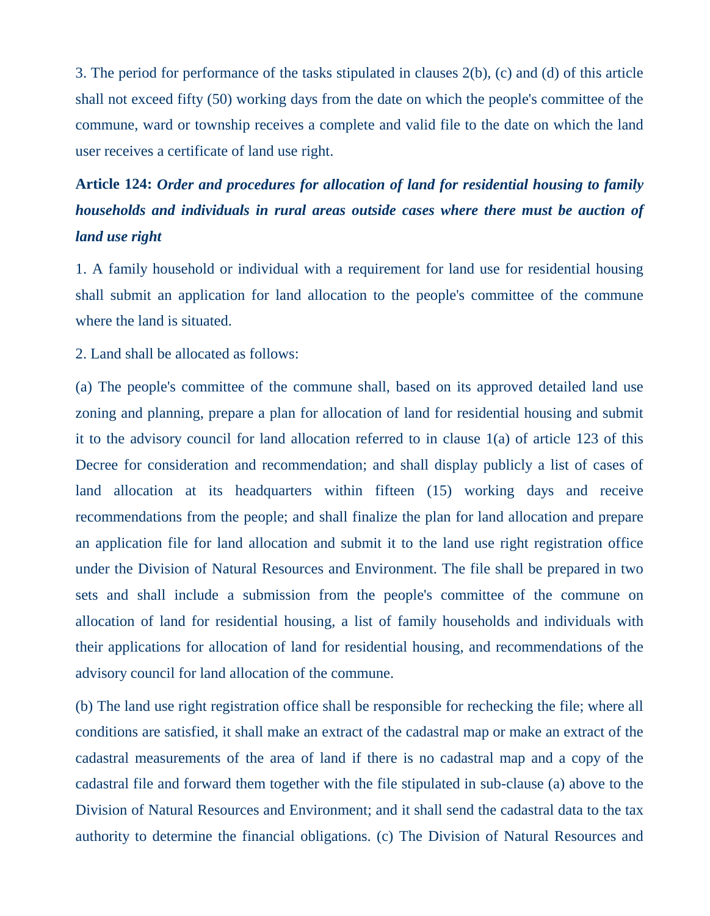3. The period for performance of the tasks stipulated in clauses 2(b), (c) and (d) of this article shall not exceed fifty (50) working days from the date on which the people's committee of the commune, ward or township receives a complete and valid file to the date on which the land user receives a certificate of land use right.

# **Article 124:** *Order and procedures for allocation of land for residential housing to family households and individuals in rural areas outside cases where there must be auction of land use right*

1. A family household or individual with a requirement for land use for residential housing shall submit an application for land allocation to the people's committee of the commune where the land is situated.

2. Land shall be allocated as follows:

(a) The people's committee of the commune shall, based on its approved detailed land use zoning and planning, prepare a plan for allocation of land for residential housing and submit it to the advisory council for land allocation referred to in clause 1(a) of article 123 of this Decree for consideration and recommendation; and shall display publicly a list of cases of land allocation at its headquarters within fifteen (15) working days and receive recommendations from the people; and shall finalize the plan for land allocation and prepare an application file for land allocation and submit it to the land use right registration office under the Division of Natural Resources and Environment. The file shall be prepared in two sets and shall include a submission from the people's committee of the commune on allocation of land for residential housing, a list of family households and individuals with their applications for allocation of land for residential housing, and recommendations of the advisory council for land allocation of the commune.

(b) The land use right registration office shall be responsible for rechecking the file; where all conditions are satisfied, it shall make an extract of the cadastral map or make an extract of the cadastral measurements of the area of land if there is no cadastral map and a copy of the cadastral file and forward them together with the file stipulated in sub-clause (a) above to the Division of Natural Resources and Environment; and it shall send the cadastral data to the tax authority to determine the financial obligations. (c) The Division of Natural Resources and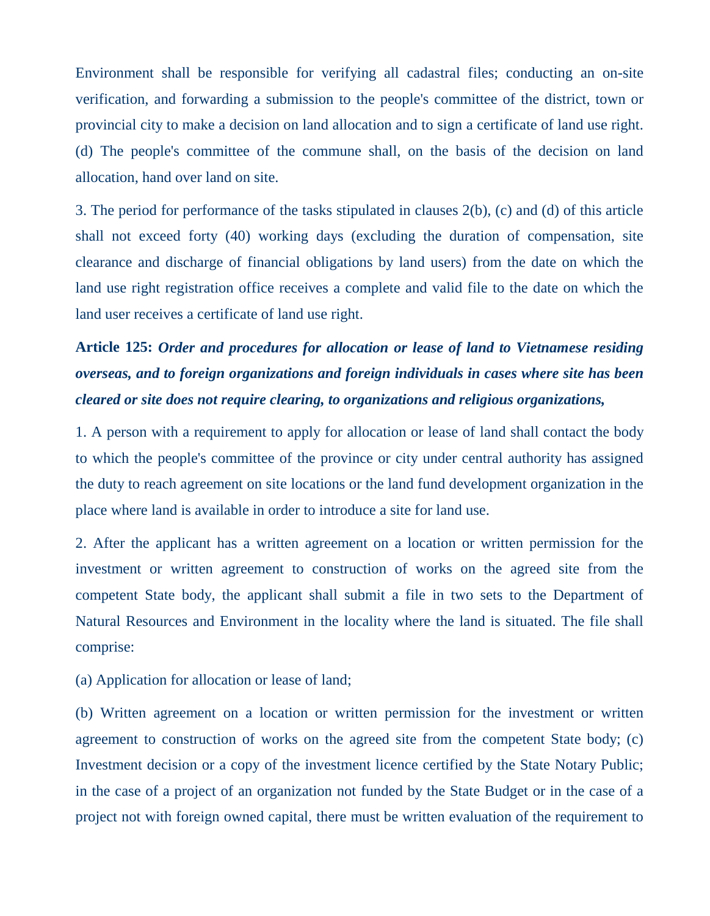Environment shall be responsible for verifying all cadastral files; conducting an on-site verification, and forwarding a submission to the people's committee of the district, town or provincial city to make a decision on land allocation and to sign a certificate of land use right. (d) The people's committee of the commune shall, on the basis of the decision on land allocation, hand over land on site.

3. The period for performance of the tasks stipulated in clauses 2(b), (c) and (d) of this article shall not exceed forty (40) working days (excluding the duration of compensation, site clearance and discharge of financial obligations by land users) from the date on which the land use right registration office receives a complete and valid file to the date on which the land user receives a certificate of land use right.

# **Article 125:** *Order and procedures for allocation or lease of land to Vietnamese residing overseas, and to foreign organizations and foreign individuals in cases where site has been cleared or site does not require clearing, to organizations and religious organizations,*

1. A person with a requirement to apply for allocation or lease of land shall contact the body to which the people's committee of the province or city under central authority has assigned the duty to reach agreement on site locations or the land fund development organization in the place where land is available in order to introduce a site for land use.

2. After the applicant has a written agreement on a location or written permission for the investment or written agreement to construction of works on the agreed site from the competent State body, the applicant shall submit a file in two sets to the Department of Natural Resources and Environment in the locality where the land is situated. The file shall comprise:

(a) Application for allocation or lease of land;

(b) Written agreement on a location or written permission for the investment or written agreement to construction of works on the agreed site from the competent State body; (c) Investment decision or a copy of the investment licence certified by the State Notary Public; in the case of a project of an organization not funded by the State Budget or in the case of a project not with foreign owned capital, there must be written evaluation of the requirement to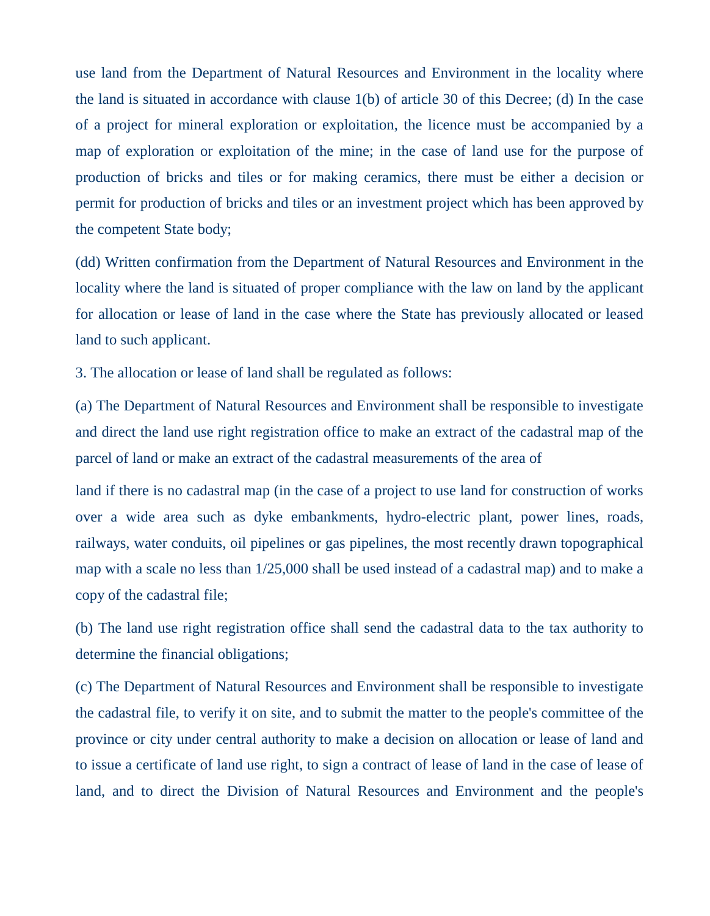use land from the Department of Natural Resources and Environment in the locality where the land is situated in accordance with clause 1(b) of article 30 of this Decree; (d) In the case of a project for mineral exploration or exploitation, the licence must be accompanied by a map of exploration or exploitation of the mine; in the case of land use for the purpose of production of bricks and tiles or for making ceramics, there must be either a decision or permit for production of bricks and tiles or an investment project which has been approved by the competent State body;

(dd) Written confirmation from the Department of Natural Resources and Environment in the locality where the land is situated of proper compliance with the law on land by the applicant for allocation or lease of land in the case where the State has previously allocated or leased land to such applicant.

3. The allocation or lease of land shall be regulated as follows:

(a) The Department of Natural Resources and Environment shall be responsible to investigate and direct the land use right registration office to make an extract of the cadastral map of the parcel of land or make an extract of the cadastral measurements of the area of

land if there is no cadastral map (in the case of a project to use land for construction of works over a wide area such as dyke embankments, hydro-electric plant, power lines, roads, railways, water conduits, oil pipelines or gas pipelines, the most recently drawn topographical map with a scale no less than 1/25,000 shall be used instead of a cadastral map) and to make a copy of the cadastral file;

(b) The land use right registration office shall send the cadastral data to the tax authority to determine the financial obligations;

(c) The Department of Natural Resources and Environment shall be responsible to investigate the cadastral file, to verify it on site, and to submit the matter to the people's committee of the province or city under central authority to make a decision on allocation or lease of land and to issue a certificate of land use right, to sign a contract of lease of land in the case of lease of land, and to direct the Division of Natural Resources and Environment and the people's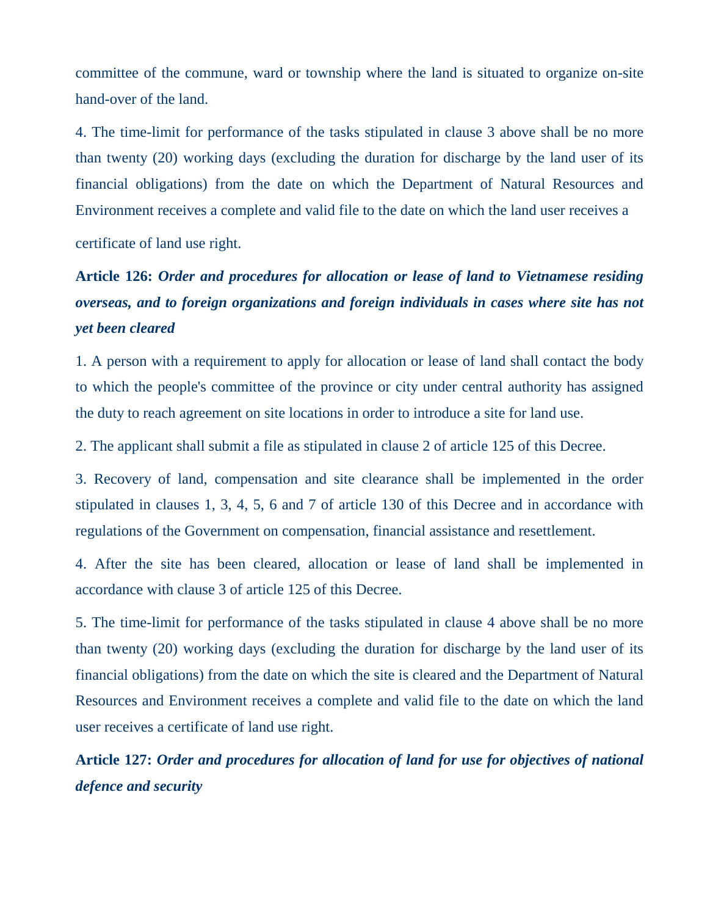committee of the commune, ward or township where the land is situated to organize on-site hand-over of the land.

4. The time-limit for performance of the tasks stipulated in clause 3 above shall be no more than twenty (20) working days (excluding the duration for discharge by the land user of its financial obligations) from the date on which the Department of Natural Resources and Environment receives a complete and valid file to the date on which the land user receives a

certificate of land use right.

# **Article 126:** *Order and procedures for allocation or lease of land to Vietnamese residing overseas, and to foreign organizations and foreign individuals in cases where site has not yet been cleared*

1. A person with a requirement to apply for allocation or lease of land shall contact the body to which the people's committee of the province or city under central authority has assigned the duty to reach agreement on site locations in order to introduce a site for land use.

2. The applicant shall submit a file as stipulated in clause 2 of article 125 of this Decree.

3. Recovery of land, compensation and site clearance shall be implemented in the order stipulated in clauses 1, 3, 4, 5, 6 and 7 of article 130 of this Decree and in accordance with regulations of the Government on compensation, financial assistance and resettlement.

4. After the site has been cleared, allocation or lease of land shall be implemented in accordance with clause 3 of article 125 of this Decree.

5. The time-limit for performance of the tasks stipulated in clause 4 above shall be no more than twenty (20) working days (excluding the duration for discharge by the land user of its financial obligations) from the date on which the site is cleared and the Department of Natural Resources and Environment receives a complete and valid file to the date on which the land user receives a certificate of land use right.

**Article 127:** *Order and procedures for allocation of land for use for objectives of national defence and security*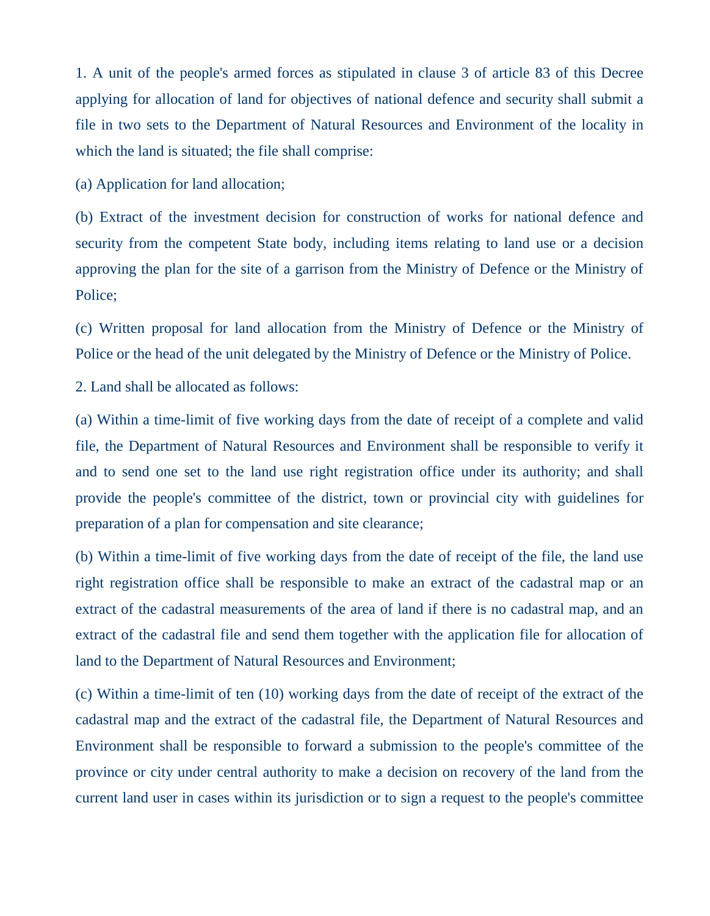1. A unit of the people's armed forces as stipulated in clause 3 of article 83 of this Decree applying for allocation of land for objectives of national defence and security shall submit a file in two sets to the Department of Natural Resources and Environment of the locality in which the land is situated; the file shall comprise:

(a) Application for land allocation;

(b) Extract of the investment decision for construction of works for national defence and security from the competent State body, including items relating to land use or a decision approving the plan for the site of a garrison from the Ministry of Defence or the Ministry of Police;

(c) Written proposal for land allocation from the Ministry of Defence or the Ministry of Police or the head of the unit delegated by the Ministry of Defence or the Ministry of Police.

2. Land shall be allocated as follows:

(a) Within a time-limit of five working days from the date of receipt of a complete and valid file, the Department of Natural Resources and Environment shall be responsible to verify it and to send one set to the land use right registration office under its authority; and shall provide the people's committee of the district, town or provincial city with guidelines for preparation of a plan for compensation and site clearance;

(b) Within a time-limit of five working days from the date of receipt of the file, the land use right registration office shall be responsible to make an extract of the cadastral map or an extract of the cadastral measurements of the area of land if there is no cadastral map, and an extract of the cadastral file and send them together with the application file for allocation of land to the Department of Natural Resources and Environment;

(c) Within a time-limit of ten (10) working days from the date of receipt of the extract of the cadastral map and the extract of the cadastral file, the Department of Natural Resources and Environment shall be responsible to forward a submission to the people's committee of the province or city under central authority to make a decision on recovery of the land from the current land user in cases within its jurisdiction or to sign a request to the people's committee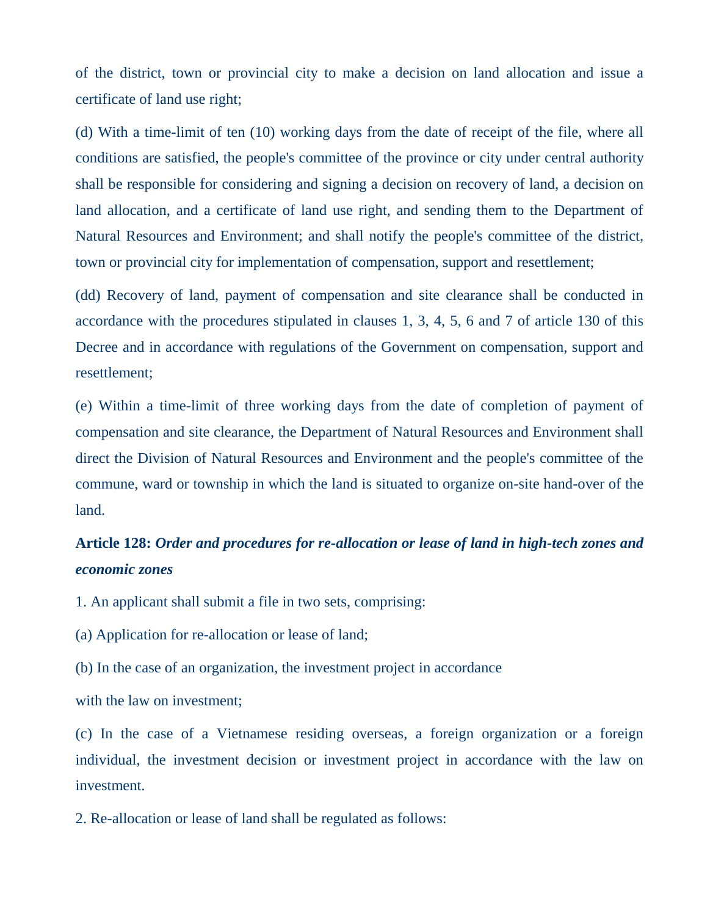of the district, town or provincial city to make a decision on land allocation and issue a certificate of land use right;

(d) With a time-limit of ten (10) working days from the date of receipt of the file, where all conditions are satisfied, the people's committee of the province or city under central authority shall be responsible for considering and signing a decision on recovery of land, a decision on land allocation, and a certificate of land use right, and sending them to the Department of Natural Resources and Environment; and shall notify the people's committee of the district, town or provincial city for implementation of compensation, support and resettlement;

(dd) Recovery of land, payment of compensation and site clearance shall be conducted in accordance with the procedures stipulated in clauses 1, 3, 4, 5, 6 and 7 of article 130 of this Decree and in accordance with regulations of the Government on compensation, support and resettlement;

(e) Within a time-limit of three working days from the date of completion of payment of compensation and site clearance, the Department of Natural Resources and Environment shall direct the Division of Natural Resources and Environment and the people's committee of the commune, ward or township in which the land is situated to organize on-site hand-over of the land.

## **Article 128:** *Order and procedures for re-allocation or lease of land in high-tech zones and economic zones*

1. An applicant shall submit a file in two sets, comprising:

(a) Application for re-allocation or lease of land;

(b) In the case of an organization, the investment project in accordance

with the law on investment;

(c) In the case of a Vietnamese residing overseas, a foreign organization or a foreign individual, the investment decision or investment project in accordance with the law on investment.

2. Re-allocation or lease of land shall be regulated as follows: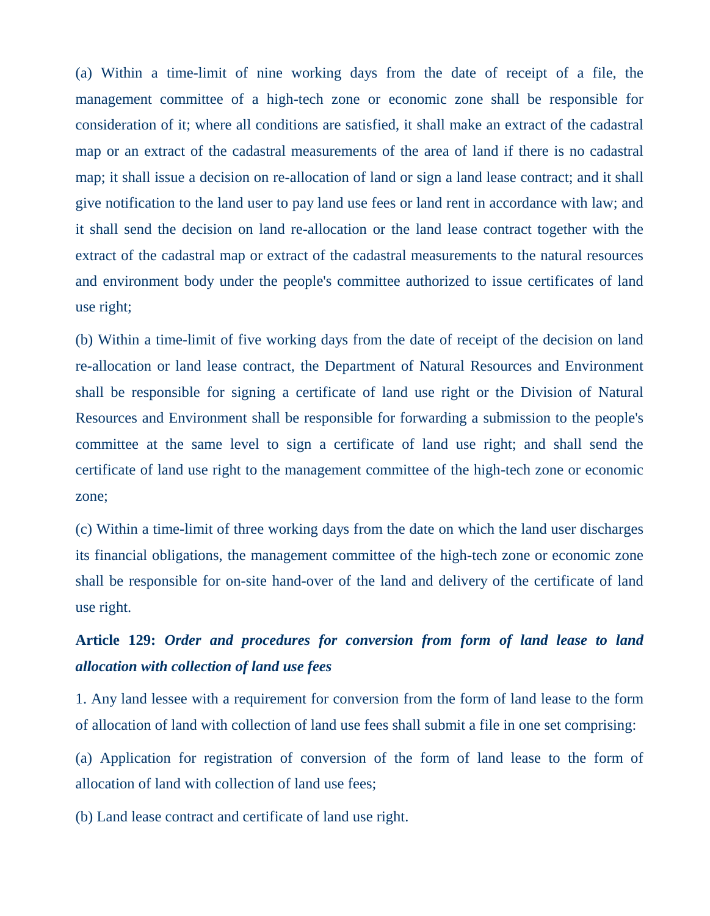(a) Within a time-limit of nine working days from the date of receipt of a file, the management committee of a high-tech zone or economic zone shall be responsible for consideration of it; where all conditions are satisfied, it shall make an extract of the cadastral map or an extract of the cadastral measurements of the area of land if there is no cadastral map; it shall issue a decision on re-allocation of land or sign a land lease contract; and it shall give notification to the land user to pay land use fees or land rent in accordance with law; and it shall send the decision on land re-allocation or the land lease contract together with the extract of the cadastral map or extract of the cadastral measurements to the natural resources and environment body under the people's committee authorized to issue certificates of land use right;

(b) Within a time-limit of five working days from the date of receipt of the decision on land re-allocation or land lease contract, the Department of Natural Resources and Environment shall be responsible for signing a certificate of land use right or the Division of Natural Resources and Environment shall be responsible for forwarding a submission to the people's committee at the same level to sign a certificate of land use right; and shall send the certificate of land use right to the management committee of the high-tech zone or economic zone;

(c) Within a time-limit of three working days from the date on which the land user discharges its financial obligations, the management committee of the high-tech zone or economic zone shall be responsible for on-site hand-over of the land and delivery of the certificate of land use right.

### **Article 129:** *Order and procedures for conversion from form of land lease to land allocation with collection of land use fees*

1. Any land lessee with a requirement for conversion from the form of land lease to the form of allocation of land with collection of land use fees shall submit a file in one set comprising:

(a) Application for registration of conversion of the form of land lease to the form of allocation of land with collection of land use fees;

(b) Land lease contract and certificate of land use right.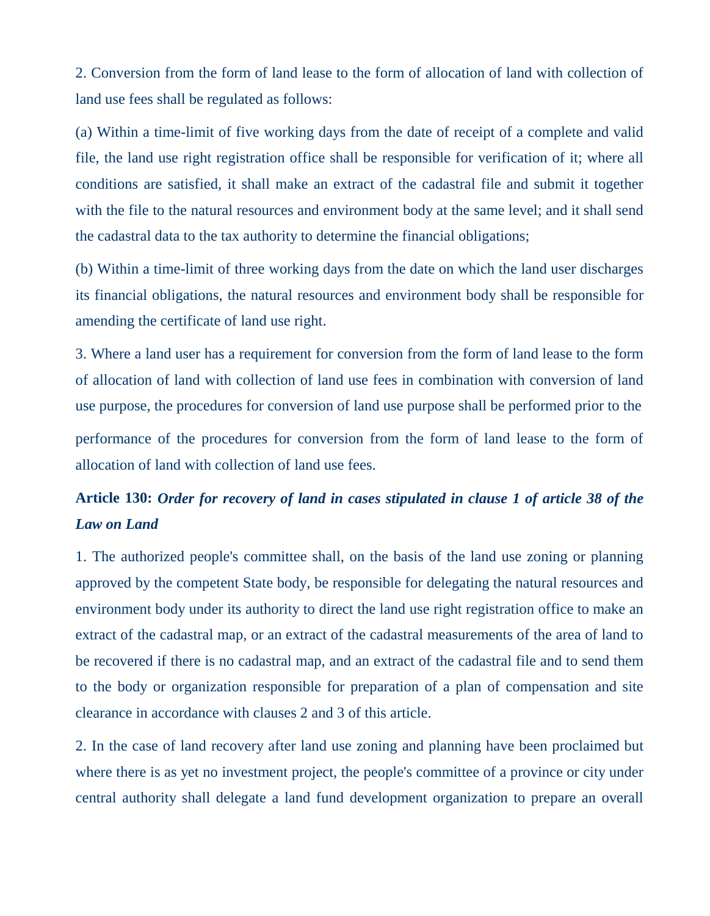2. Conversion from the form of land lease to the form of allocation of land with collection of land use fees shall be regulated as follows:

(a) Within a time-limit of five working days from the date of receipt of a complete and valid file, the land use right registration office shall be responsible for verification of it; where all conditions are satisfied, it shall make an extract of the cadastral file and submit it together with the file to the natural resources and environment body at the same level; and it shall send the cadastral data to the tax authority to determine the financial obligations;

(b) Within a time-limit of three working days from the date on which the land user discharges its financial obligations, the natural resources and environment body shall be responsible for amending the certificate of land use right.

3. Where a land user has a requirement for conversion from the form of land lease to the form of allocation of land with collection of land use fees in combination with conversion of land use purpose, the procedures for conversion of land use purpose shall be performed prior to the performance of the procedures for conversion from the form of land lease to the form of allocation of land with collection of land use fees.

## **Article 130:** *Order for recovery of land in cases stipulated in clause 1 of article 38 of the Law on Land*

1. The authorized people's committee shall, on the basis of the land use zoning or planning approved by the competent State body, be responsible for delegating the natural resources and environment body under its authority to direct the land use right registration office to make an extract of the cadastral map, or an extract of the cadastral measurements of the area of land to be recovered if there is no cadastral map, and an extract of the cadastral file and to send them to the body or organization responsible for preparation of a plan of compensation and site clearance in accordance with clauses 2 and 3 of this article.

2. In the case of land recovery after land use zoning and planning have been proclaimed but where there is as yet no investment project, the people's committee of a province or city under central authority shall delegate a land fund development organization to prepare an overall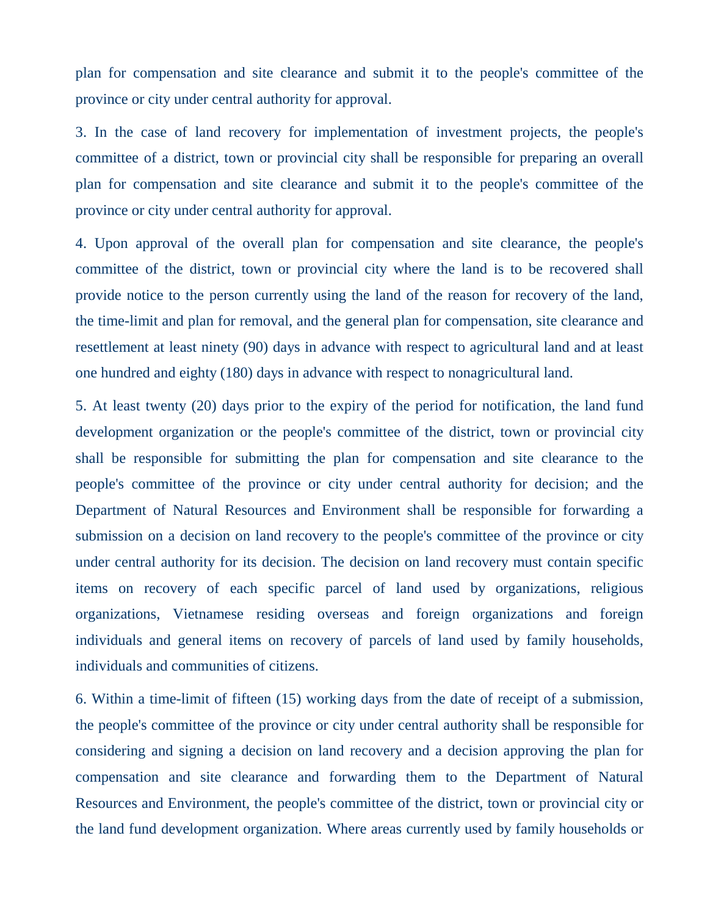plan for compensation and site clearance and submit it to the people's committee of the province or city under central authority for approval.

3. In the case of land recovery for implementation of investment projects, the people's committee of a district, town or provincial city shall be responsible for preparing an overall plan for compensation and site clearance and submit it to the people's committee of the province or city under central authority for approval.

4. Upon approval of the overall plan for compensation and site clearance, the people's committee of the district, town or provincial city where the land is to be recovered shall provide notice to the person currently using the land of the reason for recovery of the land, the time-limit and plan for removal, and the general plan for compensation, site clearance and resettlement at least ninety (90) days in advance with respect to agricultural land and at least one hundred and eighty (180) days in advance with respect to nonagricultural land.

5. At least twenty (20) days prior to the expiry of the period for notification, the land fund development organization or the people's committee of the district, town or provincial city shall be responsible for submitting the plan for compensation and site clearance to the people's committee of the province or city under central authority for decision; and the Department of Natural Resources and Environment shall be responsible for forwarding a submission on a decision on land recovery to the people's committee of the province or city under central authority for its decision. The decision on land recovery must contain specific items on recovery of each specific parcel of land used by organizations, religious organizations, Vietnamese residing overseas and foreign organizations and foreign individuals and general items on recovery of parcels of land used by family households, individuals and communities of citizens.

6. Within a time-limit of fifteen (15) working days from the date of receipt of a submission, the people's committee of the province or city under central authority shall be responsible for considering and signing a decision on land recovery and a decision approving the plan for compensation and site clearance and forwarding them to the Department of Natural Resources and Environment, the people's committee of the district, town or provincial city or the land fund development organization. Where areas currently used by family households or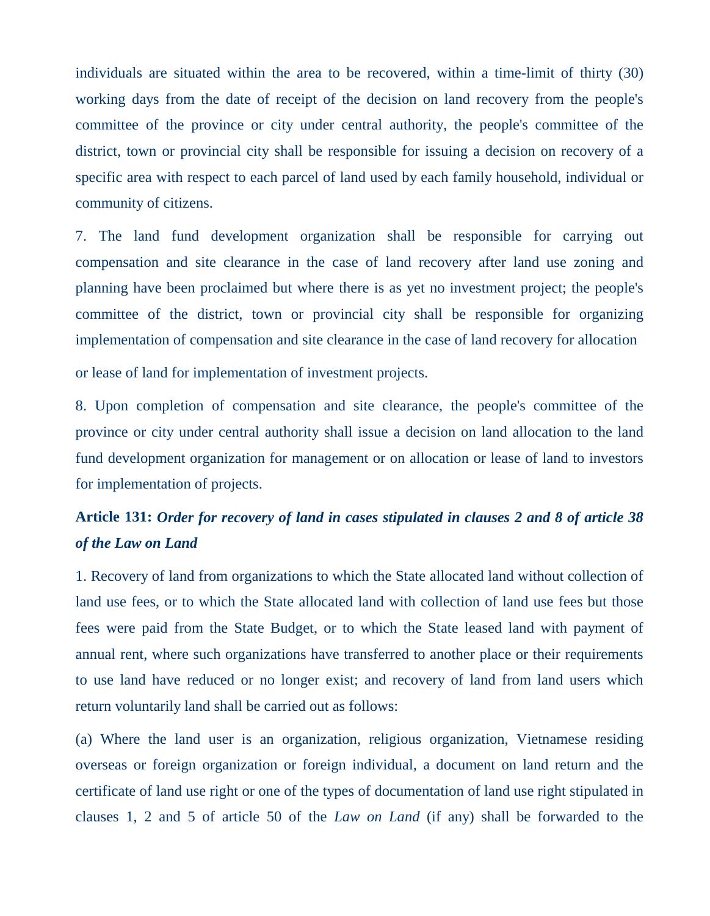individuals are situated within the area to be recovered, within a time-limit of thirty (30) working days from the date of receipt of the decision on land recovery from the people's committee of the province or city under central authority, the people's committee of the district, town or provincial city shall be responsible for issuing a decision on recovery of a specific area with respect to each parcel of land used by each family household, individual or community of citizens.

7. The land fund development organization shall be responsible for carrying out compensation and site clearance in the case of land recovery after land use zoning and planning have been proclaimed but where there is as yet no investment project; the people's committee of the district, town or provincial city shall be responsible for organizing implementation of compensation and site clearance in the case of land recovery for allocation or lease of land for implementation of investment projects.

8. Upon completion of compensation and site clearance, the people's committee of the province or city under central authority shall issue a decision on land allocation to the land fund development organization for management or on allocation or lease of land to investors for implementation of projects.

### **Article 131:** *Order for recovery of land in cases stipulated in clauses 2 and 8 of article 38 of the Law on Land*

1. Recovery of land from organizations to which the State allocated land without collection of land use fees, or to which the State allocated land with collection of land use fees but those fees were paid from the State Budget, or to which the State leased land with payment of annual rent, where such organizations have transferred to another place or their requirements to use land have reduced or no longer exist; and recovery of land from land users which return voluntarily land shall be carried out as follows:

(a) Where the land user is an organization, religious organization, Vietnamese residing overseas or foreign organization or foreign individual, a document on land return and the certificate of land use right or one of the types of documentation of land use right stipulated in clauses 1, 2 and 5 of article 50 of the *Law on Land* (if any) shall be forwarded to the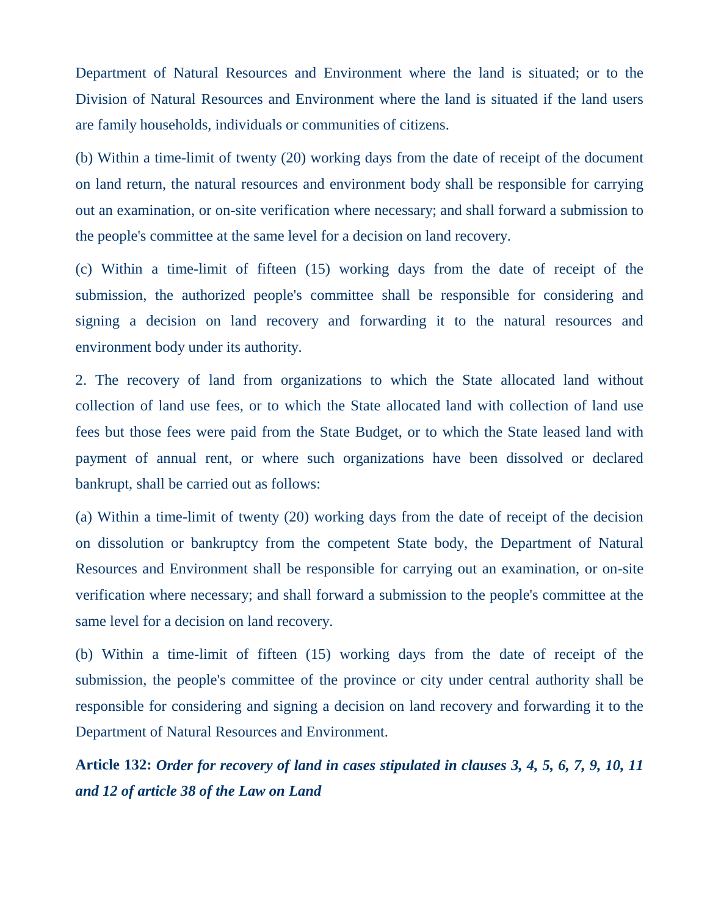Department of Natural Resources and Environment where the land is situated; or to the Division of Natural Resources and Environment where the land is situated if the land users are family households, individuals or communities of citizens.

(b) Within a time-limit of twenty (20) working days from the date of receipt of the document on land return, the natural resources and environment body shall be responsible for carrying out an examination, or on-site verification where necessary; and shall forward a submission to the people's committee at the same level for a decision on land recovery.

(c) Within a time-limit of fifteen (15) working days from the date of receipt of the submission, the authorized people's committee shall be responsible for considering and signing a decision on land recovery and forwarding it to the natural resources and environment body under its authority.

2. The recovery of land from organizations to which the State allocated land without collection of land use fees, or to which the State allocated land with collection of land use fees but those fees were paid from the State Budget, or to which the State leased land with payment of annual rent, or where such organizations have been dissolved or declared bankrupt, shall be carried out as follows:

(a) Within a time-limit of twenty (20) working days from the date of receipt of the decision on dissolution or bankruptcy from the competent State body, the Department of Natural Resources and Environment shall be responsible for carrying out an examination, or on-site verification where necessary; and shall forward a submission to the people's committee at the same level for a decision on land recovery.

(b) Within a time-limit of fifteen (15) working days from the date of receipt of the submission, the people's committee of the province or city under central authority shall be responsible for considering and signing a decision on land recovery and forwarding it to the Department of Natural Resources and Environment.

**Article 132:** *Order for recovery of land in cases stipulated in clauses 3, 4, 5, 6, 7, 9, 10, 11 and 12 of article 38 of the Law on Land*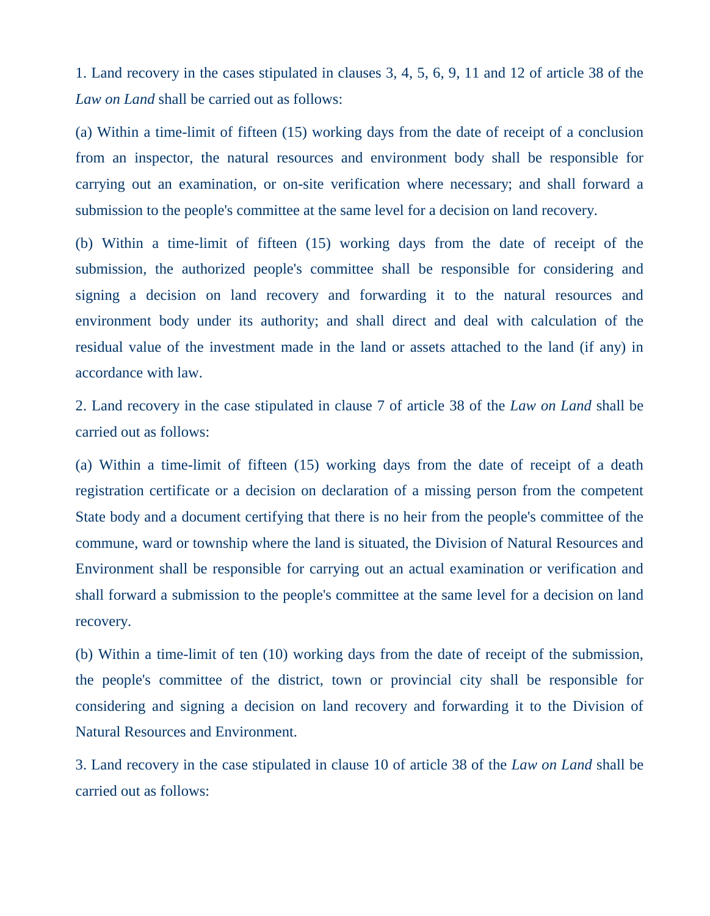1. Land recovery in the cases stipulated in clauses 3, 4, 5, 6, 9, 11 and 12 of article 38 of the *Law on Land* shall be carried out as follows:

(a) Within a time-limit of fifteen (15) working days from the date of receipt of a conclusion from an inspector, the natural resources and environment body shall be responsible for carrying out an examination, or on-site verification where necessary; and shall forward a submission to the people's committee at the same level for a decision on land recovery.

(b) Within a time-limit of fifteen (15) working days from the date of receipt of the submission, the authorized people's committee shall be responsible for considering and signing a decision on land recovery and forwarding it to the natural resources and environment body under its authority; and shall direct and deal with calculation of the residual value of the investment made in the land or assets attached to the land (if any) in accordance with law.

2. Land recovery in the case stipulated in clause 7 of article 38 of the *Law on Land* shall be carried out as follows:

(a) Within a time-limit of fifteen (15) working days from the date of receipt of a death registration certificate or a decision on declaration of a missing person from the competent State body and a document certifying that there is no heir from the people's committee of the commune, ward or township where the land is situated, the Division of Natural Resources and Environment shall be responsible for carrying out an actual examination or verification and shall forward a submission to the people's committee at the same level for a decision on land recovery.

(b) Within a time-limit of ten (10) working days from the date of receipt of the submission, the people's committee of the district, town or provincial city shall be responsible for considering and signing a decision on land recovery and forwarding it to the Division of Natural Resources and Environment.

3. Land recovery in the case stipulated in clause 10 of article 38 of the *Law on Land* shall be carried out as follows: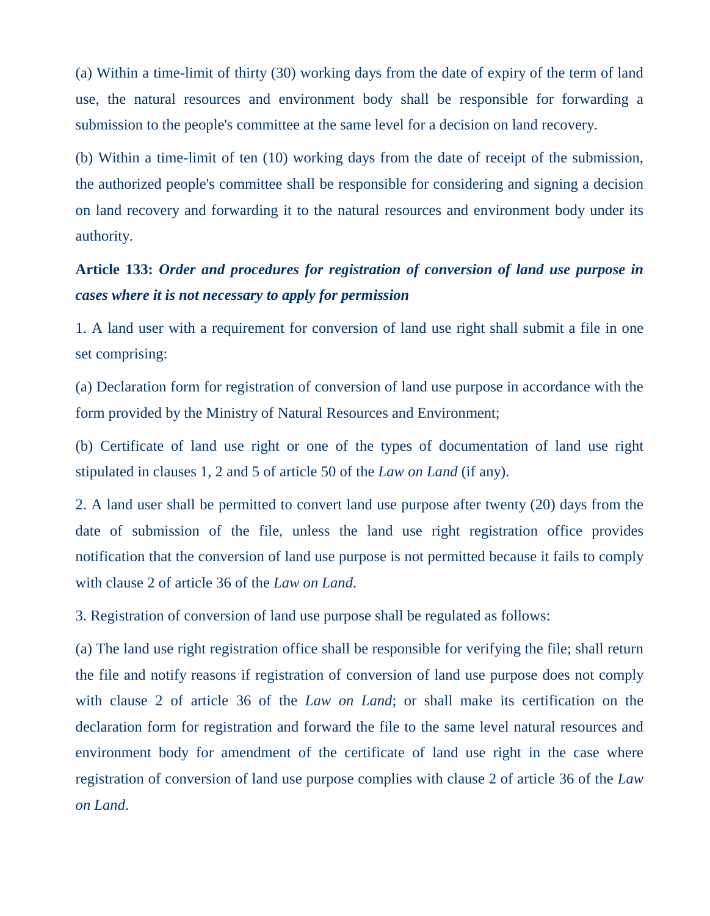(a) Within a time-limit of thirty (30) working days from the date of expiry of the term of land use, the natural resources and environment body shall be responsible for forwarding a submission to the people's committee at the same level for a decision on land recovery.

(b) Within a time-limit of ten (10) working days from the date of receipt of the submission, the authorized people's committee shall be responsible for considering and signing a decision on land recovery and forwarding it to the natural resources and environment body under its authority.

### **Article 133:** *Order and procedures for registration of conversion of land use purpose in cases where it is not necessary to apply for permission*

1. A land user with a requirement for conversion of land use right shall submit a file in one set comprising:

(a) Declaration form for registration of conversion of land use purpose in accordance with the form provided by the Ministry of Natural Resources and Environment;

(b) Certificate of land use right or one of the types of documentation of land use right stipulated in clauses 1, 2 and 5 of article 50 of the *Law on Land* (if any).

2. A land user shall be permitted to convert land use purpose after twenty (20) days from the date of submission of the file, unless the land use right registration office provides notification that the conversion of land use purpose is not permitted because it fails to comply with clause 2 of article 36 of the *Law on Land*.

3. Registration of conversion of land use purpose shall be regulated as follows:

(a) The land use right registration office shall be responsible for verifying the file; shall return the file and notify reasons if registration of conversion of land use purpose does not comply with clause 2 of article 36 of the *Law on Land*; or shall make its certification on the declaration form for registration and forward the file to the same level natural resources and environment body for amendment of the certificate of land use right in the case where registration of conversion of land use purpose complies with clause 2 of article 36 of the *Law on Land*.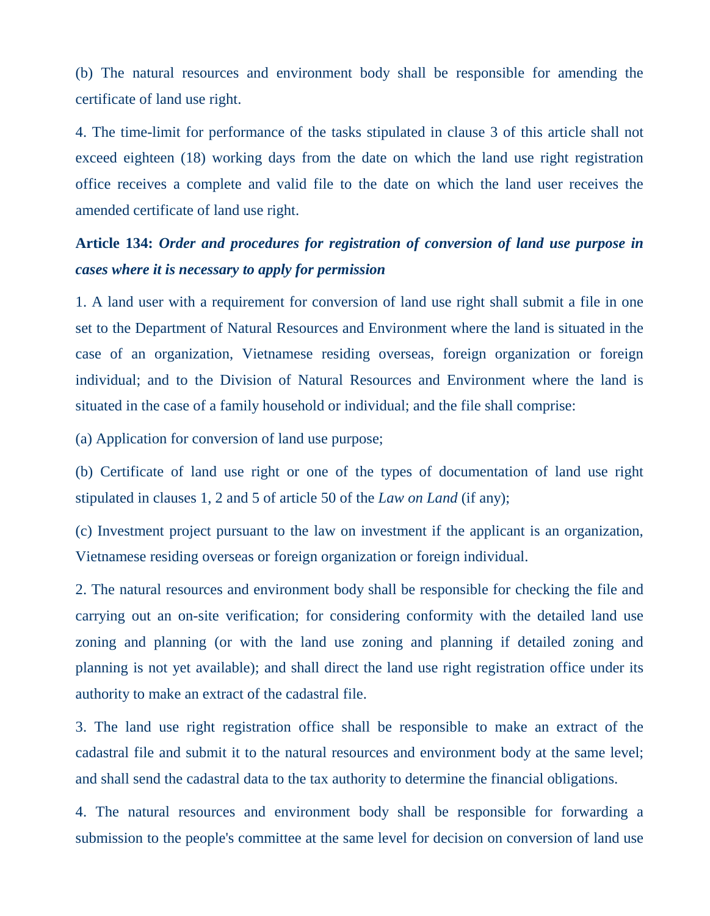(b) The natural resources and environment body shall be responsible for amending the certificate of land use right.

4. The time-limit for performance of the tasks stipulated in clause 3 of this article shall not exceed eighteen (18) working days from the date on which the land use right registration office receives a complete and valid file to the date on which the land user receives the amended certificate of land use right.

### **Article 134:** *Order and procedures for registration of conversion of land use purpose in cases where it is necessary to apply for permission*

1. A land user with a requirement for conversion of land use right shall submit a file in one set to the Department of Natural Resources and Environment where the land is situated in the case of an organization, Vietnamese residing overseas, foreign organization or foreign individual; and to the Division of Natural Resources and Environment where the land is situated in the case of a family household or individual; and the file shall comprise:

(a) Application for conversion of land use purpose;

(b) Certificate of land use right or one of the types of documentation of land use right stipulated in clauses 1, 2 and 5 of article 50 of the *Law on Land* (if any);

(c) Investment project pursuant to the law on investment if the applicant is an organization, Vietnamese residing overseas or foreign organization or foreign individual.

2. The natural resources and environment body shall be responsible for checking the file and carrying out an on-site verification; for considering conformity with the detailed land use zoning and planning (or with the land use zoning and planning if detailed zoning and planning is not yet available); and shall direct the land use right registration office under its authority to make an extract of the cadastral file.

3. The land use right registration office shall be responsible to make an extract of the cadastral file and submit it to the natural resources and environment body at the same level; and shall send the cadastral data to the tax authority to determine the financial obligations.

4. The natural resources and environment body shall be responsible for forwarding a submission to the people's committee at the same level for decision on conversion of land use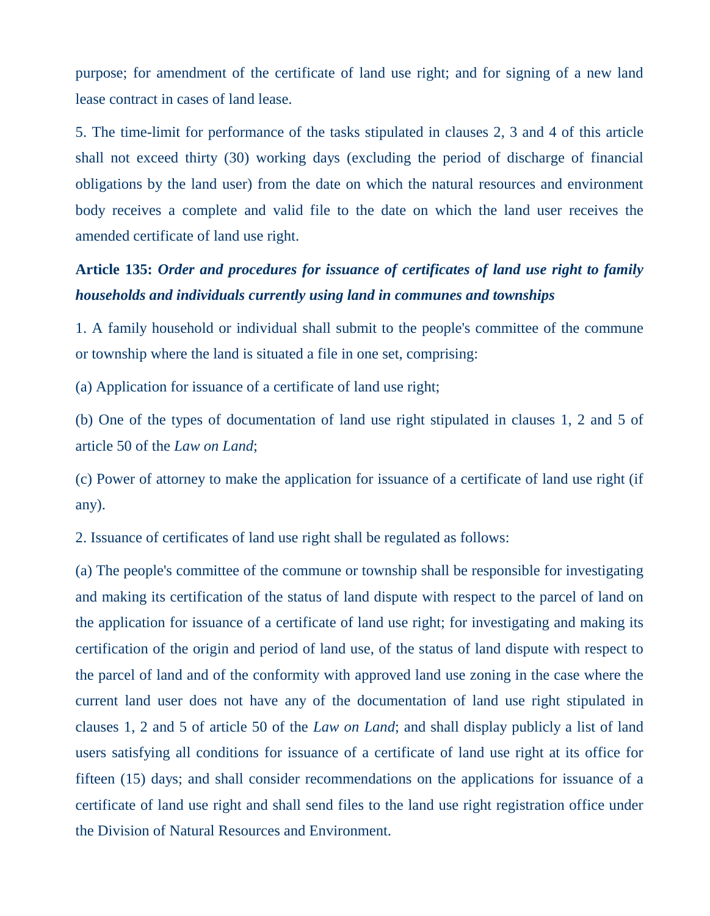purpose; for amendment of the certificate of land use right; and for signing of a new land lease contract in cases of land lease.

5. The time-limit for performance of the tasks stipulated in clauses 2, 3 and 4 of this article shall not exceed thirty (30) working days (excluding the period of discharge of financial obligations by the land user) from the date on which the natural resources and environment body receives a complete and valid file to the date on which the land user receives the amended certificate of land use right.

### **Article 135:** *Order and procedures for issuance of certificates of land use right to family households and individuals currently using land in communes and townships*

1. A family household or individual shall submit to the people's committee of the commune or township where the land is situated a file in one set, comprising:

(a) Application for issuance of a certificate of land use right;

(b) One of the types of documentation of land use right stipulated in clauses 1, 2 and 5 of article 50 of the *Law on Land*;

(c) Power of attorney to make the application for issuance of a certificate of land use right (if any).

2. Issuance of certificates of land use right shall be regulated as follows:

(a) The people's committee of the commune or township shall be responsible for investigating and making its certification of the status of land dispute with respect to the parcel of land on the application for issuance of a certificate of land use right; for investigating and making its certification of the origin and period of land use, of the status of land dispute with respect to the parcel of land and of the conformity with approved land use zoning in the case where the current land user does not have any of the documentation of land use right stipulated in clauses 1, 2 and 5 of article 50 of the *Law on Land*; and shall display publicly a list of land users satisfying all conditions for issuance of a certificate of land use right at its office for fifteen (15) days; and shall consider recommendations on the applications for issuance of a certificate of land use right and shall send files to the land use right registration office under the Division of Natural Resources and Environment.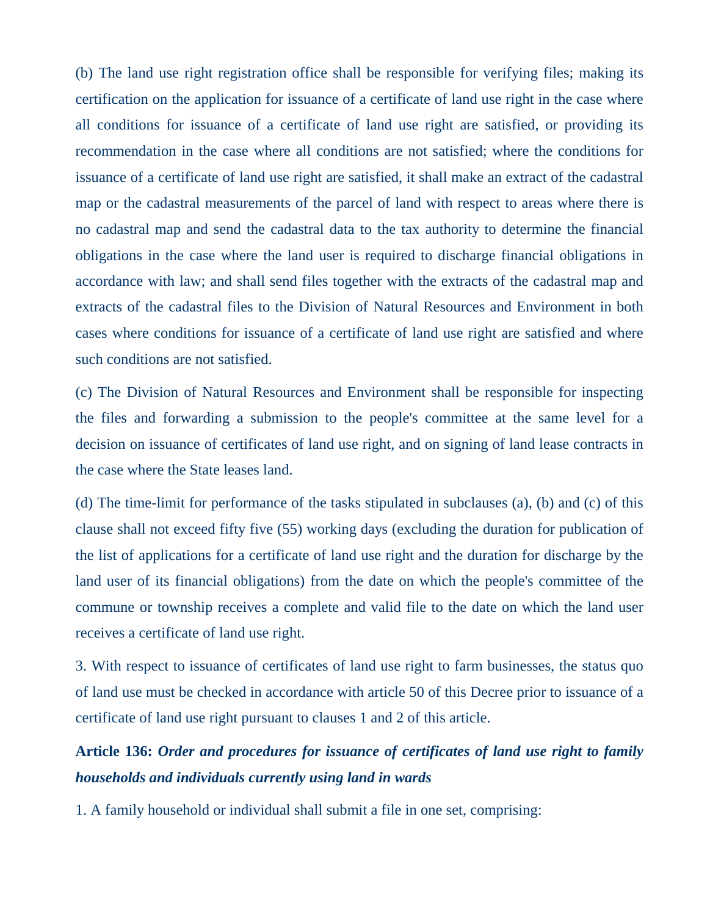(b) The land use right registration office shall be responsible for verifying files; making its certification on the application for issuance of a certificate of land use right in the case where all conditions for issuance of a certificate of land use right are satisfied, or providing its recommendation in the case where all conditions are not satisfied; where the conditions for issuance of a certificate of land use right are satisfied, it shall make an extract of the cadastral map or the cadastral measurements of the parcel of land with respect to areas where there is no cadastral map and send the cadastral data to the tax authority to determine the financial obligations in the case where the land user is required to discharge financial obligations in accordance with law; and shall send files together with the extracts of the cadastral map and extracts of the cadastral files to the Division of Natural Resources and Environment in both cases where conditions for issuance of a certificate of land use right are satisfied and where such conditions are not satisfied.

(c) The Division of Natural Resources and Environment shall be responsible for inspecting the files and forwarding a submission to the people's committee at the same level for a decision on issuance of certificates of land use right, and on signing of land lease contracts in the case where the State leases land.

(d) The time-limit for performance of the tasks stipulated in subclauses (a), (b) and (c) of this clause shall not exceed fifty five (55) working days (excluding the duration for publication of the list of applications for a certificate of land use right and the duration for discharge by the land user of its financial obligations) from the date on which the people's committee of the commune or township receives a complete and valid file to the date on which the land user receives a certificate of land use right.

3. With respect to issuance of certificates of land use right to farm businesses, the status quo of land use must be checked in accordance with article 50 of this Decree prior to issuance of a certificate of land use right pursuant to clauses 1 and 2 of this article.

## **Article 136:** *Order and procedures for issuance of certificates of land use right to family households and individuals currently using land in wards*

1. A family household or individual shall submit a file in one set, comprising: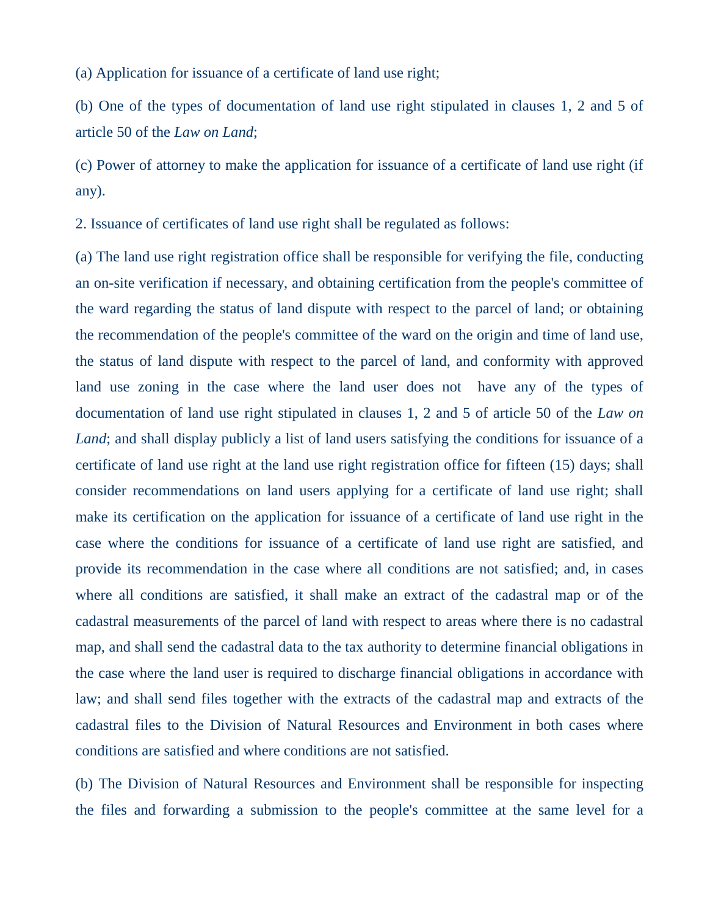(a) Application for issuance of a certificate of land use right;

(b) One of the types of documentation of land use right stipulated in clauses 1, 2 and 5 of article 50 of the *Law on Land*;

(c) Power of attorney to make the application for issuance of a certificate of land use right (if any).

2. Issuance of certificates of land use right shall be regulated as follows:

(a) The land use right registration office shall be responsible for verifying the file, conducting an on-site verification if necessary, and obtaining certification from the people's committee of the ward regarding the status of land dispute with respect to the parcel of land; or obtaining the recommendation of the people's committee of the ward on the origin and time of land use, the status of land dispute with respect to the parcel of land, and conformity with approved land use zoning in the case where the land user does not have any of the types of documentation of land use right stipulated in clauses 1, 2 and 5 of article 50 of the *Law on Land*; and shall display publicly a list of land users satisfying the conditions for issuance of a certificate of land use right at the land use right registration office for fifteen (15) days; shall consider recommendations on land users applying for a certificate of land use right; shall make its certification on the application for issuance of a certificate of land use right in the case where the conditions for issuance of a certificate of land use right are satisfied, and provide its recommendation in the case where all conditions are not satisfied; and, in cases where all conditions are satisfied, it shall make an extract of the cadastral map or of the cadastral measurements of the parcel of land with respect to areas where there is no cadastral map, and shall send the cadastral data to the tax authority to determine financial obligations in the case where the land user is required to discharge financial obligations in accordance with law; and shall send files together with the extracts of the cadastral map and extracts of the cadastral files to the Division of Natural Resources and Environment in both cases where conditions are satisfied and where conditions are not satisfied.

(b) The Division of Natural Resources and Environment shall be responsible for inspecting the files and forwarding a submission to the people's committee at the same level for a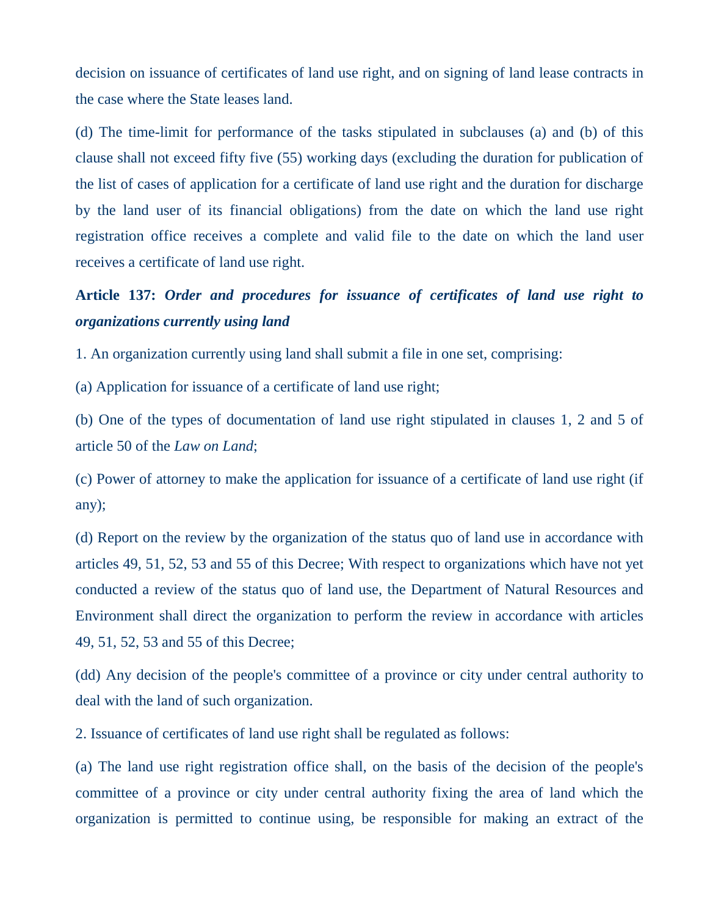decision on issuance of certificates of land use right, and on signing of land lease contracts in the case where the State leases land.

(d) The time-limit for performance of the tasks stipulated in subclauses (a) and (b) of this clause shall not exceed fifty five (55) working days (excluding the duration for publication of the list of cases of application for a certificate of land use right and the duration for discharge by the land user of its financial obligations) from the date on which the land use right registration office receives a complete and valid file to the date on which the land user receives a certificate of land use right.

# **Article 137:** *Order and procedures for issuance of certificates of land use right to organizations currently using land*

1. An organization currently using land shall submit a file in one set, comprising:

(a) Application for issuance of a certificate of land use right;

(b) One of the types of documentation of land use right stipulated in clauses 1, 2 and 5 of article 50 of the *Law on Land*;

(c) Power of attorney to make the application for issuance of a certificate of land use right (if any);

(d) Report on the review by the organization of the status quo of land use in accordance with articles 49, 51, 52, 53 and 55 of this Decree; With respect to organizations which have not yet conducted a review of the status quo of land use, the Department of Natural Resources and Environment shall direct the organization to perform the review in accordance with articles 49, 51, 52, 53 and 55 of this Decree;

(dd) Any decision of the people's committee of a province or city under central authority to deal with the land of such organization.

2. Issuance of certificates of land use right shall be regulated as follows:

(a) The land use right registration office shall, on the basis of the decision of the people's committee of a province or city under central authority fixing the area of land which the organization is permitted to continue using, be responsible for making an extract of the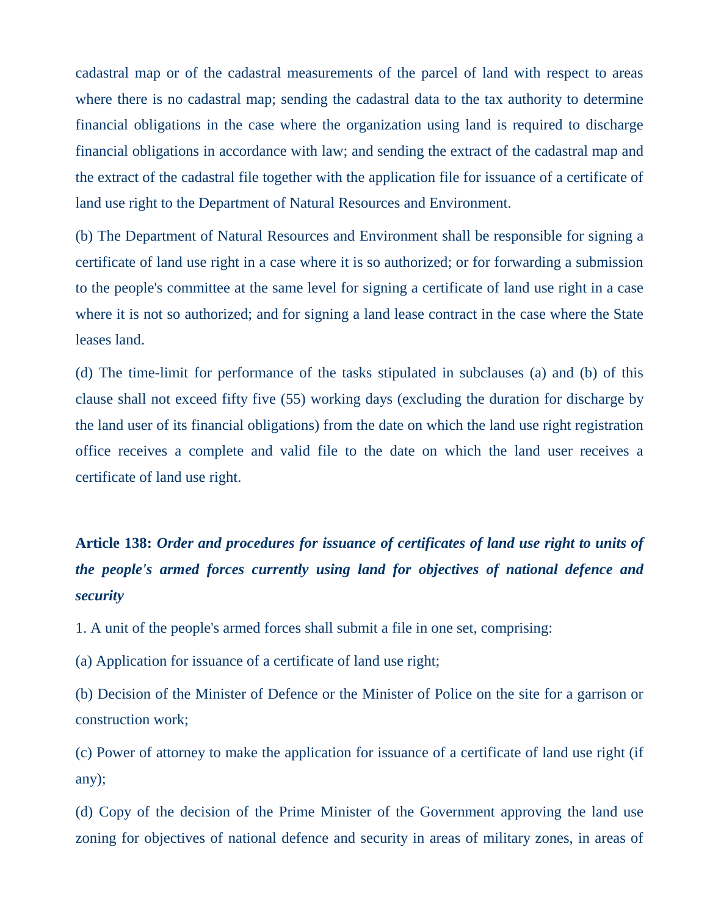cadastral map or of the cadastral measurements of the parcel of land with respect to areas where there is no cadastral map; sending the cadastral data to the tax authority to determine financial obligations in the case where the organization using land is required to discharge financial obligations in accordance with law; and sending the extract of the cadastral map and the extract of the cadastral file together with the application file for issuance of a certificate of land use right to the Department of Natural Resources and Environment.

(b) The Department of Natural Resources and Environment shall be responsible for signing a certificate of land use right in a case where it is so authorized; or for forwarding a submission to the people's committee at the same level for signing a certificate of land use right in a case where it is not so authorized; and for signing a land lease contract in the case where the State leases land.

(d) The time-limit for performance of the tasks stipulated in subclauses (a) and (b) of this clause shall not exceed fifty five (55) working days (excluding the duration for discharge by the land user of its financial obligations) from the date on which the land use right registration office receives a complete and valid file to the date on which the land user receives a certificate of land use right.

# **Article 138:** *Order and procedures for issuance of certificates of land use right to units of the people's armed forces currently using land for objectives of national defence and security*

1. A unit of the people's armed forces shall submit a file in one set, comprising:

(a) Application for issuance of a certificate of land use right;

(b) Decision of the Minister of Defence or the Minister of Police on the site for a garrison or construction work;

(c) Power of attorney to make the application for issuance of a certificate of land use right (if any);

(d) Copy of the decision of the Prime Minister of the Government approving the land use zoning for objectives of national defence and security in areas of military zones, in areas of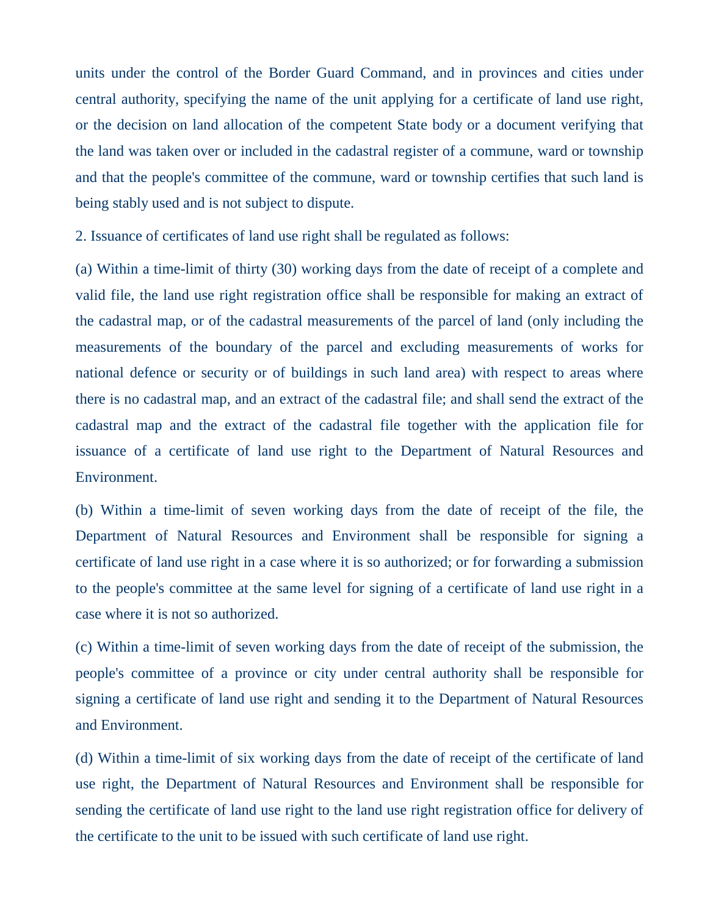units under the control of the Border Guard Command, and in provinces and cities under central authority, specifying the name of the unit applying for a certificate of land use right, or the decision on land allocation of the competent State body or a document verifying that the land was taken over or included in the cadastral register of a commune, ward or township and that the people's committee of the commune, ward or township certifies that such land is being stably used and is not subject to dispute.

2. Issuance of certificates of land use right shall be regulated as follows:

(a) Within a time-limit of thirty (30) working days from the date of receipt of a complete and valid file, the land use right registration office shall be responsible for making an extract of the cadastral map, or of the cadastral measurements of the parcel of land (only including the measurements of the boundary of the parcel and excluding measurements of works for national defence or security or of buildings in such land area) with respect to areas where there is no cadastral map, and an extract of the cadastral file; and shall send the extract of the cadastral map and the extract of the cadastral file together with the application file for issuance of a certificate of land use right to the Department of Natural Resources and Environment.

(b) Within a time-limit of seven working days from the date of receipt of the file, the Department of Natural Resources and Environment shall be responsible for signing a certificate of land use right in a case where it is so authorized; or for forwarding a submission to the people's committee at the same level for signing of a certificate of land use right in a case where it is not so authorized.

(c) Within a time-limit of seven working days from the date of receipt of the submission, the people's committee of a province or city under central authority shall be responsible for signing a certificate of land use right and sending it to the Department of Natural Resources and Environment.

(d) Within a time-limit of six working days from the date of receipt of the certificate of land use right, the Department of Natural Resources and Environment shall be responsible for sending the certificate of land use right to the land use right registration office for delivery of the certificate to the unit to be issued with such certificate of land use right.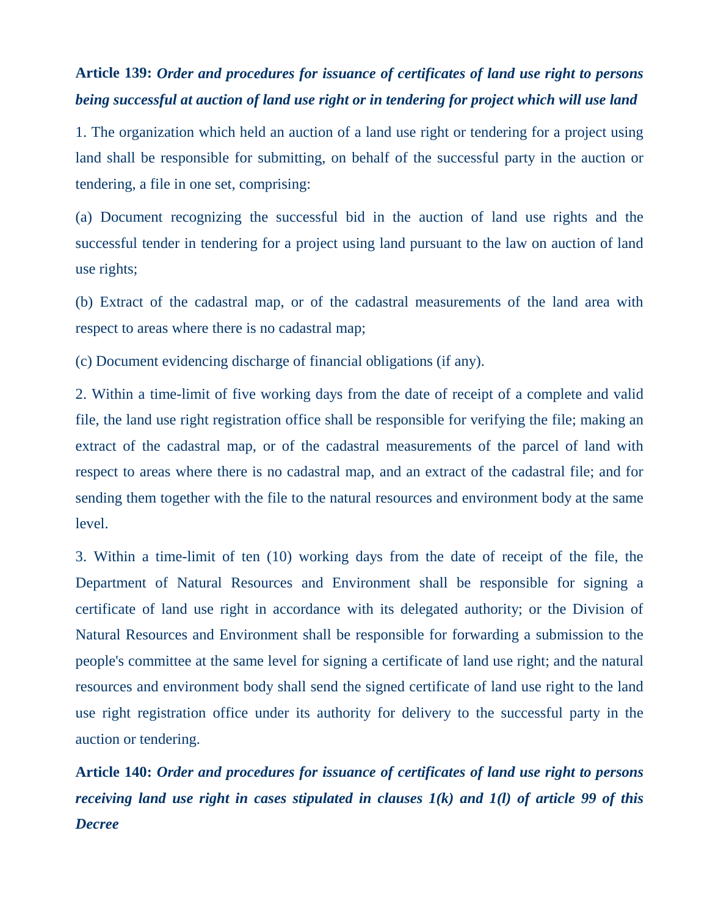### **Article 139:** *Order and procedures for issuance of certificates of land use right to persons being successful at auction of land use right or in tendering for project which will use land*

1. The organization which held an auction of a land use right or tendering for a project using land shall be responsible for submitting, on behalf of the successful party in the auction or tendering, a file in one set, comprising:

(a) Document recognizing the successful bid in the auction of land use rights and the successful tender in tendering for a project using land pursuant to the law on auction of land use rights;

(b) Extract of the cadastral map, or of the cadastral measurements of the land area with respect to areas where there is no cadastral map;

(c) Document evidencing discharge of financial obligations (if any).

2. Within a time-limit of five working days from the date of receipt of a complete and valid file, the land use right registration office shall be responsible for verifying the file; making an extract of the cadastral map, or of the cadastral measurements of the parcel of land with respect to areas where there is no cadastral map, and an extract of the cadastral file; and for sending them together with the file to the natural resources and environment body at the same level.

3. Within a time-limit of ten (10) working days from the date of receipt of the file, the Department of Natural Resources and Environment shall be responsible for signing a certificate of land use right in accordance with its delegated authority; or the Division of Natural Resources and Environment shall be responsible for forwarding a submission to the people's committee at the same level for signing a certificate of land use right; and the natural resources and environment body shall send the signed certificate of land use right to the land use right registration office under its authority for delivery to the successful party in the auction or tendering.

**Article 140:** *Order and procedures for issuance of certificates of land use right to persons receiving land use right in cases stipulated in clauses 1(k) and 1(l) of article 99 of this Decree*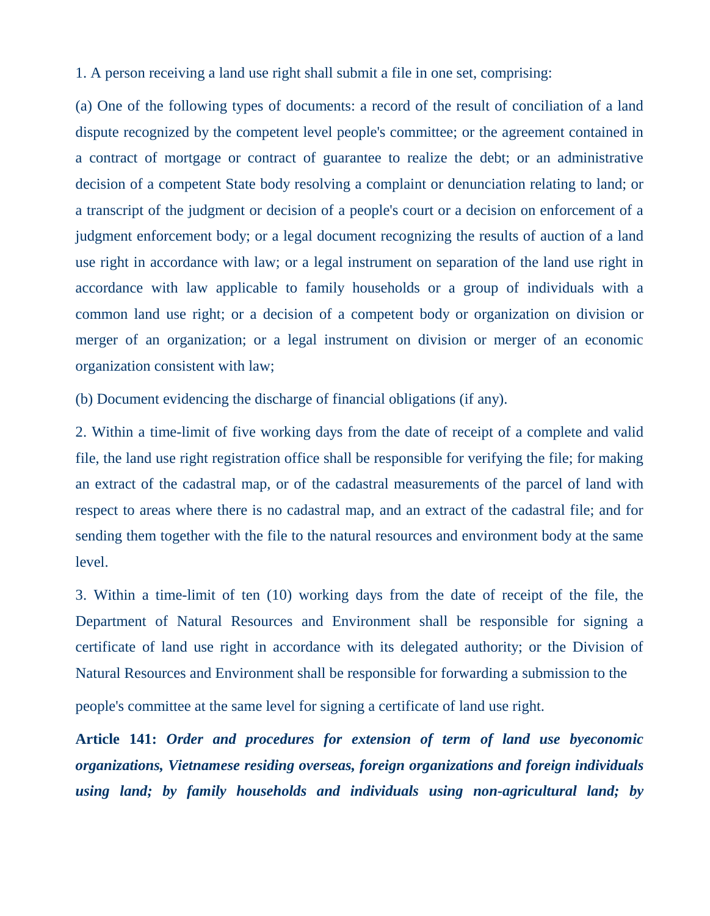1. A person receiving a land use right shall submit a file in one set, comprising:

(a) One of the following types of documents: a record of the result of conciliation of a land dispute recognized by the competent level people's committee; or the agreement contained in a contract of mortgage or contract of guarantee to realize the debt; or an administrative decision of a competent State body resolving a complaint or denunciation relating to land; or a transcript of the judgment or decision of a people's court or a decision on enforcement of a judgment enforcement body; or a legal document recognizing the results of auction of a land use right in accordance with law; or a legal instrument on separation of the land use right in accordance with law applicable to family households or a group of individuals with a common land use right; or a decision of a competent body or organization on division or merger of an organization; or a legal instrument on division or merger of an economic organization consistent with law;

(b) Document evidencing the discharge of financial obligations (if any).

2. Within a time-limit of five working days from the date of receipt of a complete and valid file, the land use right registration office shall be responsible for verifying the file; for making an extract of the cadastral map, or of the cadastral measurements of the parcel of land with respect to areas where there is no cadastral map, and an extract of the cadastral file; and for sending them together with the file to the natural resources and environment body at the same level.

3. Within a time-limit of ten (10) working days from the date of receipt of the file, the Department of Natural Resources and Environment shall be responsible for signing a certificate of land use right in accordance with its delegated authority; or the Division of Natural Resources and Environment shall be responsible for forwarding a submission to the

people's committee at the same level for signing a certificate of land use right.

**Article 141:** *Order and procedures for extension of term of land use byeconomic organizations, Vietnamese residing overseas, foreign organizations and foreign individuals using land; by family households and individuals using non-agricultural land; by*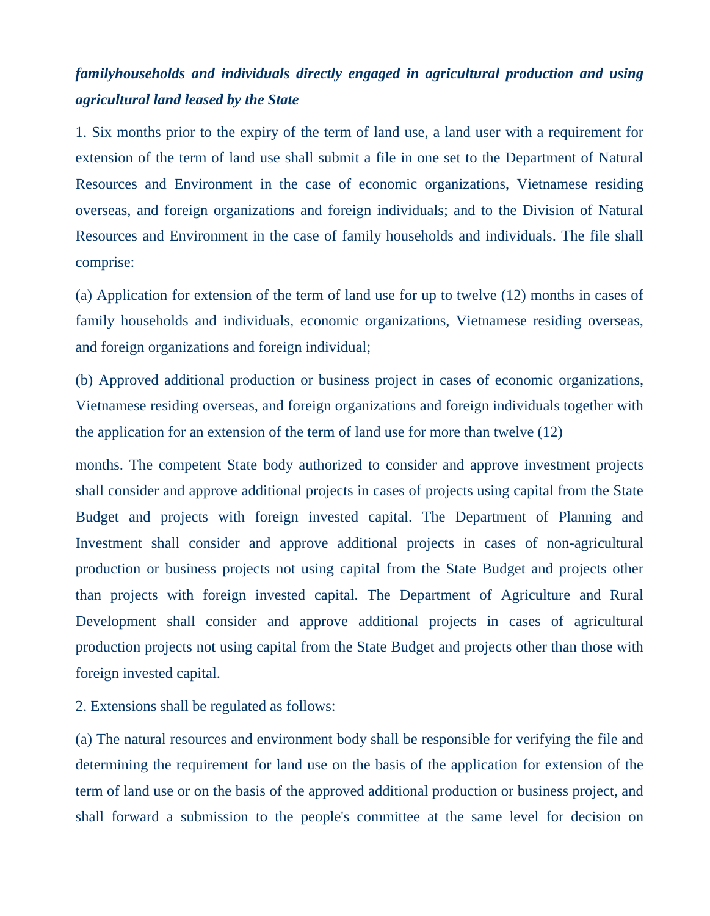### *familyhouseholds and individuals directly engaged in agricultural production and using agricultural land leased by the State*

1. Six months prior to the expiry of the term of land use, a land user with a requirement for extension of the term of land use shall submit a file in one set to the Department of Natural Resources and Environment in the case of economic organizations, Vietnamese residing overseas, and foreign organizations and foreign individuals; and to the Division of Natural Resources and Environment in the case of family households and individuals. The file shall comprise:

(a) Application for extension of the term of land use for up to twelve (12) months in cases of family households and individuals, economic organizations, Vietnamese residing overseas, and foreign organizations and foreign individual;

(b) Approved additional production or business project in cases of economic organizations, Vietnamese residing overseas, and foreign organizations and foreign individuals together with the application for an extension of the term of land use for more than twelve (12)

months. The competent State body authorized to consider and approve investment projects shall consider and approve additional projects in cases of projects using capital from the State Budget and projects with foreign invested capital. The Department of Planning and Investment shall consider and approve additional projects in cases of non-agricultural production or business projects not using capital from the State Budget and projects other than projects with foreign invested capital. The Department of Agriculture and Rural Development shall consider and approve additional projects in cases of agricultural production projects not using capital from the State Budget and projects other than those with foreign invested capital.

2. Extensions shall be regulated as follows:

(a) The natural resources and environment body shall be responsible for verifying the file and determining the requirement for land use on the basis of the application for extension of the term of land use or on the basis of the approved additional production or business project, and shall forward a submission to the people's committee at the same level for decision on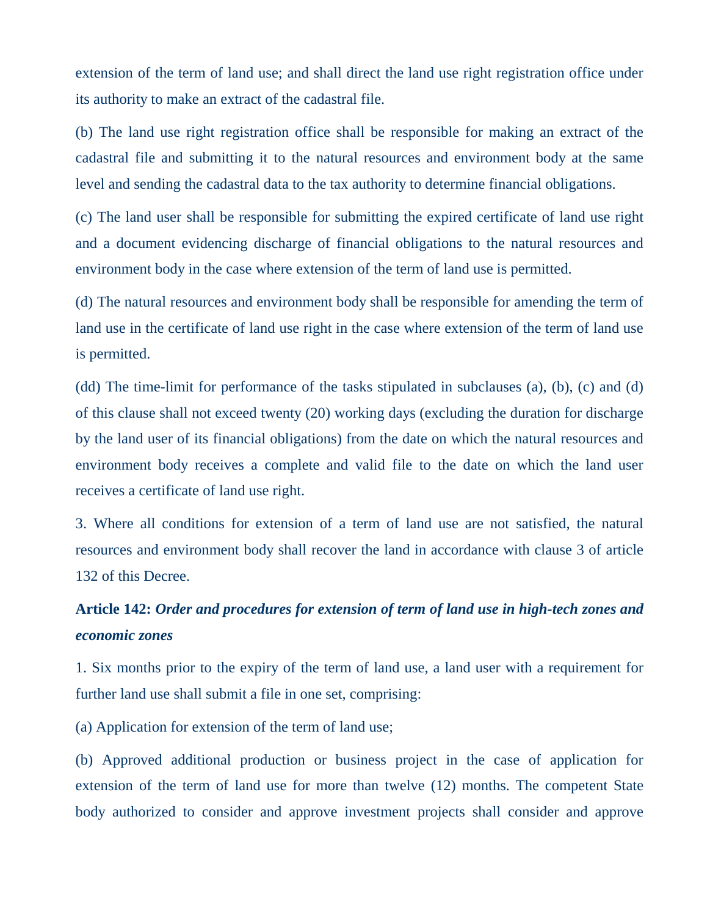extension of the term of land use; and shall direct the land use right registration office under its authority to make an extract of the cadastral file.

(b) The land use right registration office shall be responsible for making an extract of the cadastral file and submitting it to the natural resources and environment body at the same level and sending the cadastral data to the tax authority to determine financial obligations.

(c) The land user shall be responsible for submitting the expired certificate of land use right and a document evidencing discharge of financial obligations to the natural resources and environment body in the case where extension of the term of land use is permitted.

(d) The natural resources and environment body shall be responsible for amending the term of land use in the certificate of land use right in the case where extension of the term of land use is permitted.

(dd) The time-limit for performance of the tasks stipulated in subclauses (a), (b), (c) and (d) of this clause shall not exceed twenty (20) working days (excluding the duration for discharge by the land user of its financial obligations) from the date on which the natural resources and environment body receives a complete and valid file to the date on which the land user receives a certificate of land use right.

3. Where all conditions for extension of a term of land use are not satisfied, the natural resources and environment body shall recover the land in accordance with clause 3 of article 132 of this Decree.

## **Article 142:** *Order and procedures for extension of term of land use in high-tech zones and economic zones*

1. Six months prior to the expiry of the term of land use, a land user with a requirement for further land use shall submit a file in one set, comprising:

(a) Application for extension of the term of land use;

(b) Approved additional production or business project in the case of application for extension of the term of land use for more than twelve (12) months. The competent State body authorized to consider and approve investment projects shall consider and approve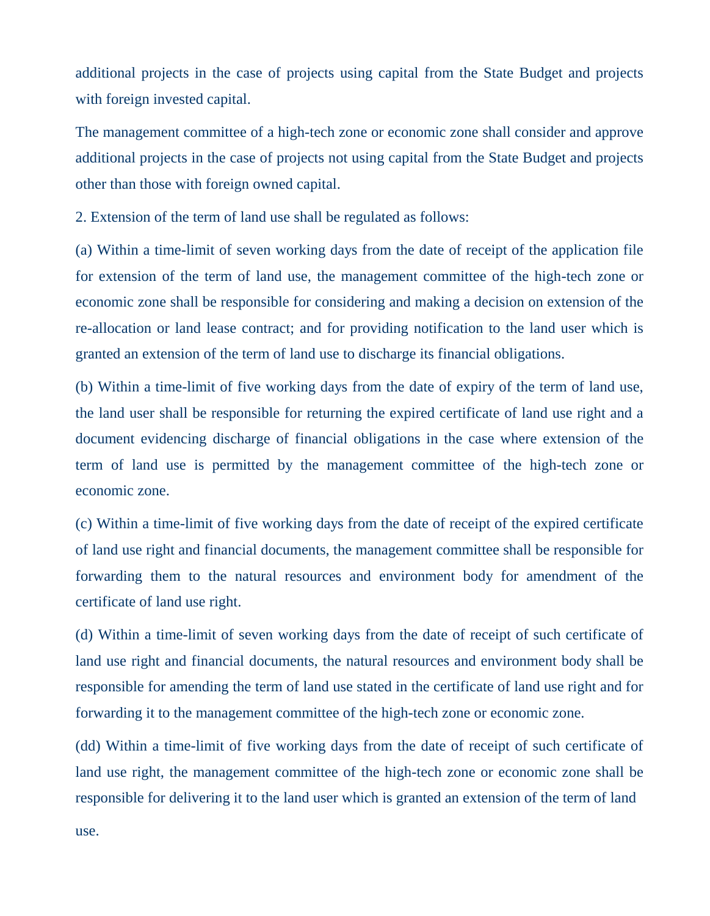additional projects in the case of projects using capital from the State Budget and projects with foreign invested capital.

The management committee of a high-tech zone or economic zone shall consider and approve additional projects in the case of projects not using capital from the State Budget and projects other than those with foreign owned capital.

2. Extension of the term of land use shall be regulated as follows:

(a) Within a time-limit of seven working days from the date of receipt of the application file for extension of the term of land use, the management committee of the high-tech zone or economic zone shall be responsible for considering and making a decision on extension of the re-allocation or land lease contract; and for providing notification to the land user which is granted an extension of the term of land use to discharge its financial obligations.

(b) Within a time-limit of five working days from the date of expiry of the term of land use, the land user shall be responsible for returning the expired certificate of land use right and a document evidencing discharge of financial obligations in the case where extension of the term of land use is permitted by the management committee of the high-tech zone or economic zone.

(c) Within a time-limit of five working days from the date of receipt of the expired certificate of land use right and financial documents, the management committee shall be responsible for forwarding them to the natural resources and environment body for amendment of the certificate of land use right.

(d) Within a time-limit of seven working days from the date of receipt of such certificate of land use right and financial documents, the natural resources and environment body shall be responsible for amending the term of land use stated in the certificate of land use right and for forwarding it to the management committee of the high-tech zone or economic zone.

(dd) Within a time-limit of five working days from the date of receipt of such certificate of land use right, the management committee of the high-tech zone or economic zone shall be responsible for delivering it to the land user which is granted an extension of the term of land

use.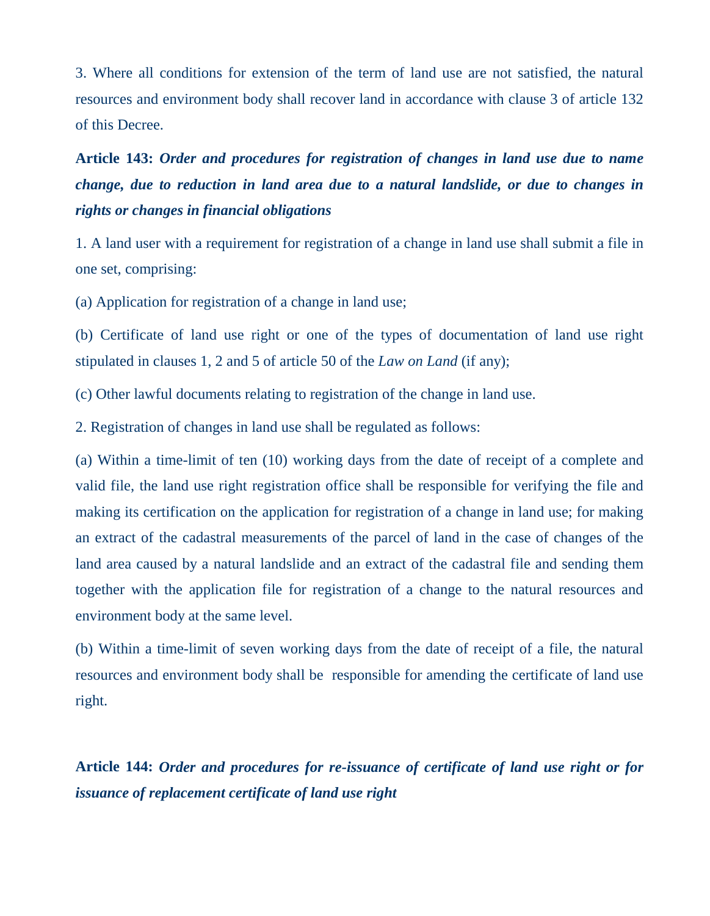3. Where all conditions for extension of the term of land use are not satisfied, the natural resources and environment body shall recover land in accordance with clause 3 of article 132 of this Decree.

# **Article 143:** *Order and procedures for registration of changes in land use due to name change, due to reduction in land area due to a natural landslide, or due to changes in rights or changes in financial obligations*

1. A land user with a requirement for registration of a change in land use shall submit a file in one set, comprising:

(a) Application for registration of a change in land use;

(b) Certificate of land use right or one of the types of documentation of land use right stipulated in clauses 1, 2 and 5 of article 50 of the *Law on Land* (if any);

(c) Other lawful documents relating to registration of the change in land use.

2. Registration of changes in land use shall be regulated as follows:

(a) Within a time-limit of ten (10) working days from the date of receipt of a complete and valid file, the land use right registration office shall be responsible for verifying the file and making its certification on the application for registration of a change in land use; for making an extract of the cadastral measurements of the parcel of land in the case of changes of the land area caused by a natural landslide and an extract of the cadastral file and sending them together with the application file for registration of a change to the natural resources and environment body at the same level.

(b) Within a time-limit of seven working days from the date of receipt of a file, the natural resources and environment body shall be responsible for amending the certificate of land use right.

**Article 144:** *Order and procedures for re-issuance of certificate of land use right or for issuance of replacement certificate of land use right*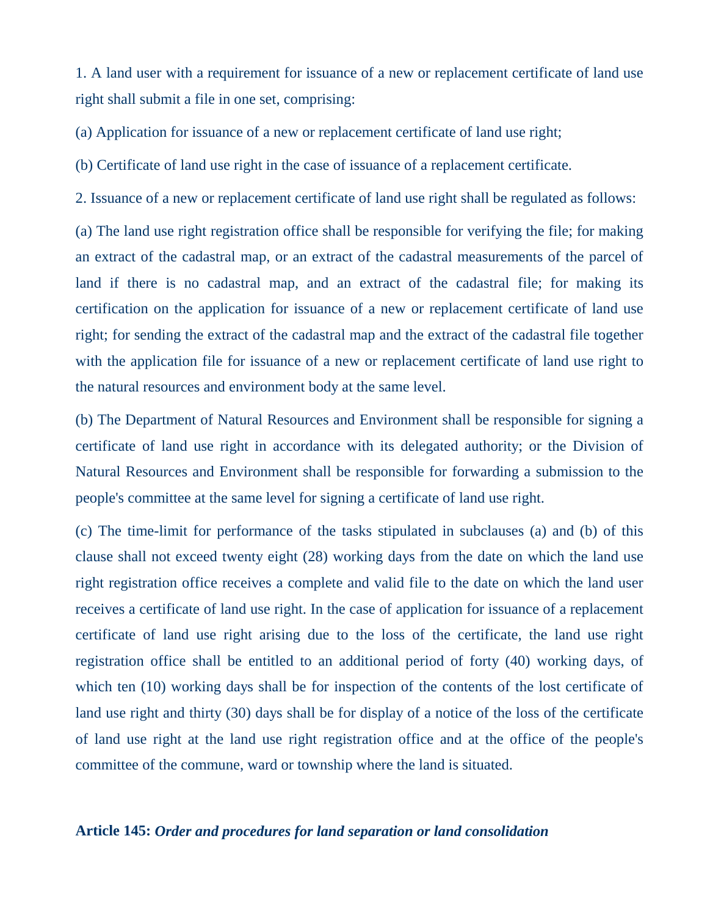1. A land user with a requirement for issuance of a new or replacement certificate of land use right shall submit a file in one set, comprising:

(a) Application for issuance of a new or replacement certificate of land use right;

(b) Certificate of land use right in the case of issuance of a replacement certificate.

2. Issuance of a new or replacement certificate of land use right shall be regulated as follows:

(a) The land use right registration office shall be responsible for verifying the file; for making an extract of the cadastral map, or an extract of the cadastral measurements of the parcel of land if there is no cadastral map, and an extract of the cadastral file; for making its certification on the application for issuance of a new or replacement certificate of land use right; for sending the extract of the cadastral map and the extract of the cadastral file together with the application file for issuance of a new or replacement certificate of land use right to the natural resources and environment body at the same level.

(b) The Department of Natural Resources and Environment shall be responsible for signing a certificate of land use right in accordance with its delegated authority; or the Division of Natural Resources and Environment shall be responsible for forwarding a submission to the people's committee at the same level for signing a certificate of land use right.

(c) The time-limit for performance of the tasks stipulated in subclauses (a) and (b) of this clause shall not exceed twenty eight (28) working days from the date on which the land use right registration office receives a complete and valid file to the date on which the land user receives a certificate of land use right. In the case of application for issuance of a replacement certificate of land use right arising due to the loss of the certificate, the land use right registration office shall be entitled to an additional period of forty (40) working days, of which ten (10) working days shall be for inspection of the contents of the lost certificate of land use right and thirty (30) days shall be for display of a notice of the loss of the certificate of land use right at the land use right registration office and at the office of the people's committee of the commune, ward or township where the land is situated.

### **Article 145:** *Order and procedures for land separation or land consolidation*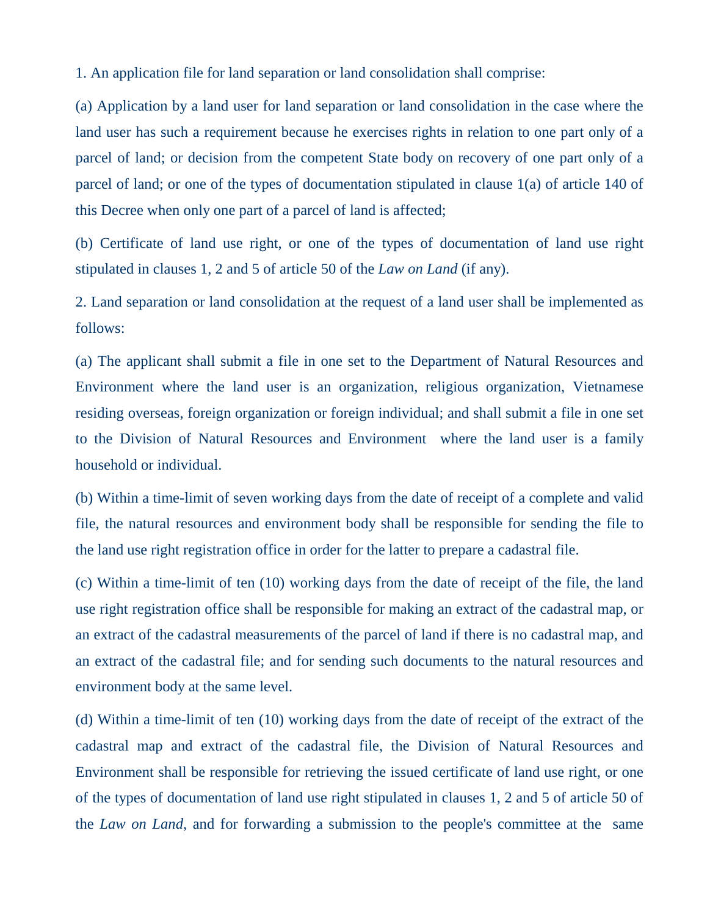1. An application file for land separation or land consolidation shall comprise:

(a) Application by a land user for land separation or land consolidation in the case where the land user has such a requirement because he exercises rights in relation to one part only of a parcel of land; or decision from the competent State body on recovery of one part only of a parcel of land; or one of the types of documentation stipulated in clause 1(a) of article 140 of this Decree when only one part of a parcel of land is affected;

(b) Certificate of land use right, or one of the types of documentation of land use right stipulated in clauses 1, 2 and 5 of article 50 of the *Law on Land* (if any).

2. Land separation or land consolidation at the request of a land user shall be implemented as follows:

(a) The applicant shall submit a file in one set to the Department of Natural Resources and Environment where the land user is an organization, religious organization, Vietnamese residing overseas, foreign organization or foreign individual; and shall submit a file in one set to the Division of Natural Resources and Environment where the land user is a family household or individual.

(b) Within a time-limit of seven working days from the date of receipt of a complete and valid file, the natural resources and environment body shall be responsible for sending the file to the land use right registration office in order for the latter to prepare a cadastral file.

(c) Within a time-limit of ten (10) working days from the date of receipt of the file, the land use right registration office shall be responsible for making an extract of the cadastral map, or an extract of the cadastral measurements of the parcel of land if there is no cadastral map, and an extract of the cadastral file; and for sending such documents to the natural resources and environment body at the same level.

(d) Within a time-limit of ten (10) working days from the date of receipt of the extract of the cadastral map and extract of the cadastral file, the Division of Natural Resources and Environment shall be responsible for retrieving the issued certificate of land use right, or one of the types of documentation of land use right stipulated in clauses 1, 2 and 5 of article 50 of the *Law on Land*, and for forwarding a submission to the people's committee at the same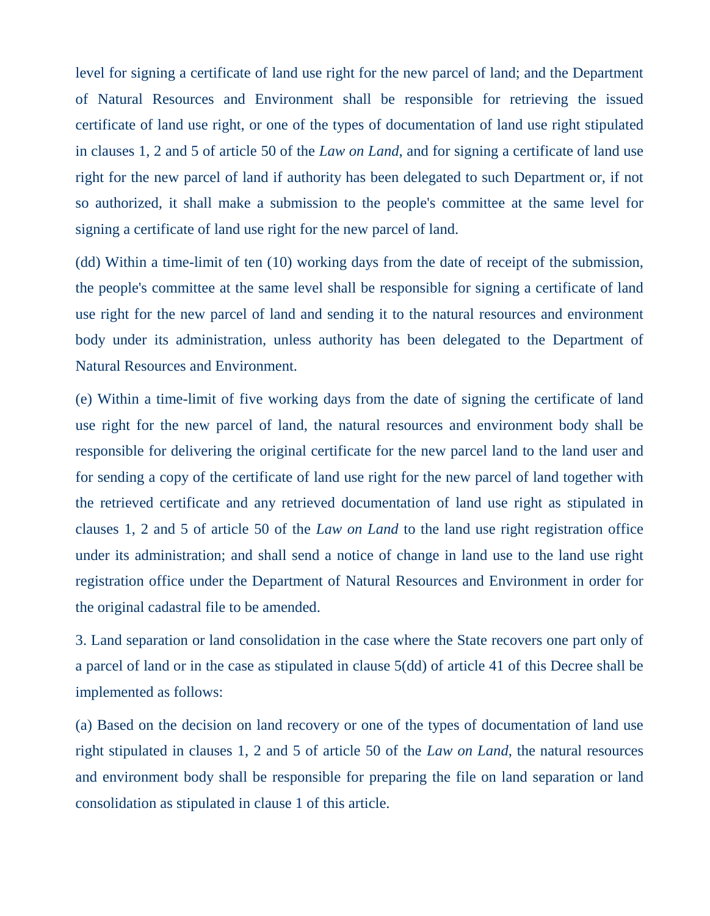level for signing a certificate of land use right for the new parcel of land; and the Department of Natural Resources and Environment shall be responsible for retrieving the issued certificate of land use right, or one of the types of documentation of land use right stipulated in clauses 1, 2 and 5 of article 50 of the *Law on Land*, and for signing a certificate of land use right for the new parcel of land if authority has been delegated to such Department or, if not so authorized, it shall make a submission to the people's committee at the same level for signing a certificate of land use right for the new parcel of land.

(dd) Within a time-limit of ten (10) working days from the date of receipt of the submission, the people's committee at the same level shall be responsible for signing a certificate of land use right for the new parcel of land and sending it to the natural resources and environment body under its administration, unless authority has been delegated to the Department of Natural Resources and Environment.

(e) Within a time-limit of five working days from the date of signing the certificate of land use right for the new parcel of land, the natural resources and environment body shall be responsible for delivering the original certificate for the new parcel land to the land user and for sending a copy of the certificate of land use right for the new parcel of land together with the retrieved certificate and any retrieved documentation of land use right as stipulated in clauses 1, 2 and 5 of article 50 of the *Law on Land* to the land use right registration office under its administration; and shall send a notice of change in land use to the land use right registration office under the Department of Natural Resources and Environment in order for the original cadastral file to be amended.

3. Land separation or land consolidation in the case where the State recovers one part only of a parcel of land or in the case as stipulated in clause 5(dd) of article 41 of this Decree shall be implemented as follows:

(a) Based on the decision on land recovery or one of the types of documentation of land use right stipulated in clauses 1, 2 and 5 of article 50 of the *Law on Land*, the natural resources and environment body shall be responsible for preparing the file on land separation or land consolidation as stipulated in clause 1 of this article.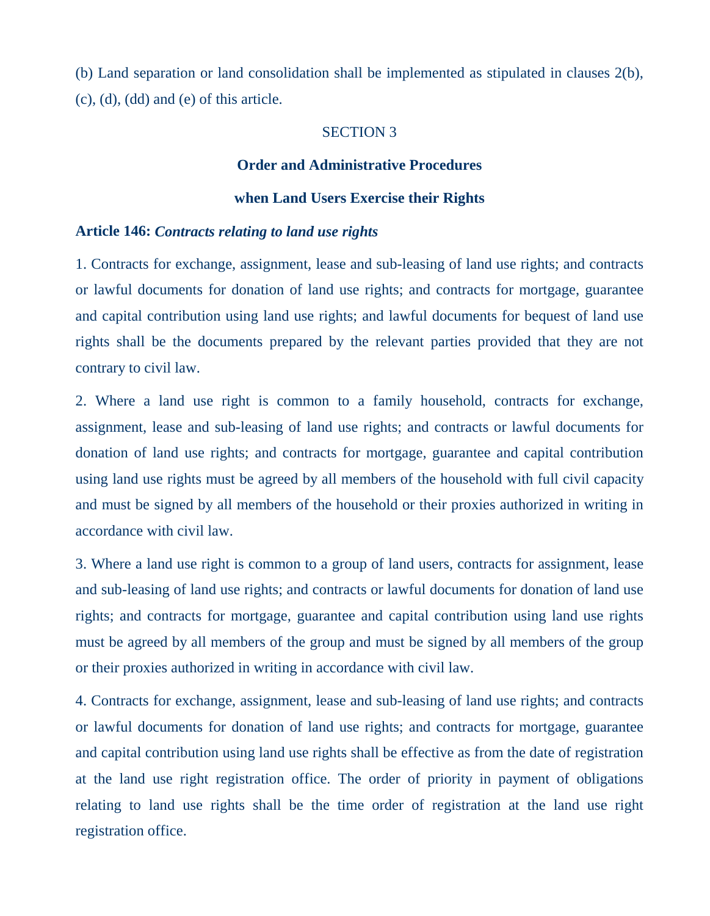(b) Land separation or land consolidation shall be implemented as stipulated in clauses 2(b), (c), (d), (dd) and (e) of this article.

#### SECTION 3

#### **Order and Administrative Procedures**

#### **when Land Users Exercise their Rights**

#### **Article 146:** *Contracts relating to land use rights*

1. Contracts for exchange, assignment, lease and sub-leasing of land use rights; and contracts or lawful documents for donation of land use rights; and contracts for mortgage, guarantee and capital contribution using land use rights; and lawful documents for bequest of land use rights shall be the documents prepared by the relevant parties provided that they are not contrary to civil law.

2. Where a land use right is common to a family household, contracts for exchange, assignment, lease and sub-leasing of land use rights; and contracts or lawful documents for donation of land use rights; and contracts for mortgage, guarantee and capital contribution using land use rights must be agreed by all members of the household with full civil capacity and must be signed by all members of the household or their proxies authorized in writing in accordance with civil law.

3. Where a land use right is common to a group of land users, contracts for assignment, lease and sub-leasing of land use rights; and contracts or lawful documents for donation of land use rights; and contracts for mortgage, guarantee and capital contribution using land use rights must be agreed by all members of the group and must be signed by all members of the group or their proxies authorized in writing in accordance with civil law.

4. Contracts for exchange, assignment, lease and sub-leasing of land use rights; and contracts or lawful documents for donation of land use rights; and contracts for mortgage, guarantee and capital contribution using land use rights shall be effective as from the date of registration at the land use right registration office. The order of priority in payment of obligations relating to land use rights shall be the time order of registration at the land use right registration office.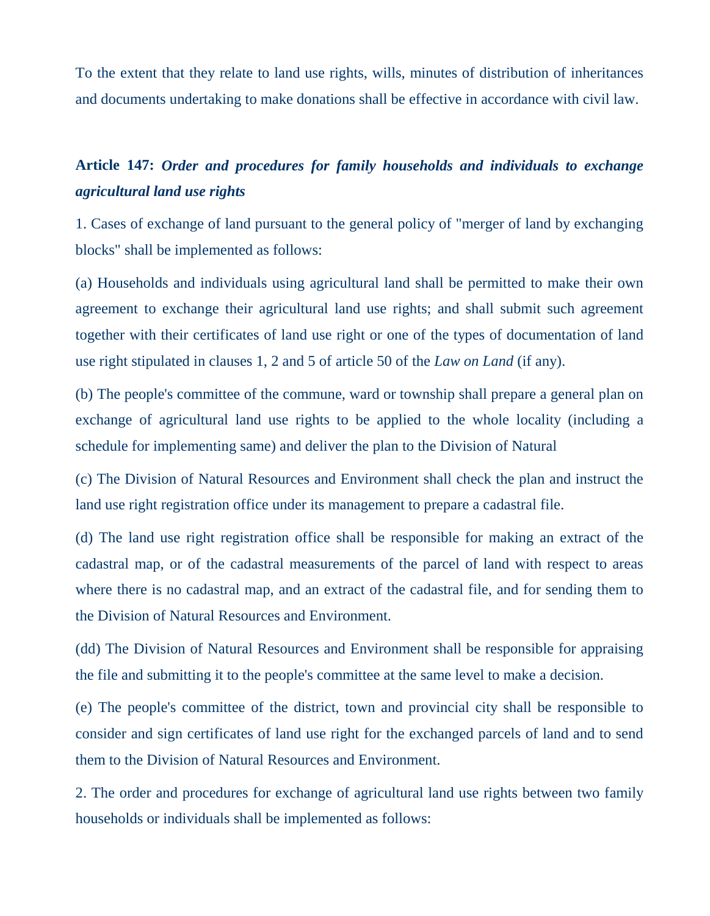To the extent that they relate to land use rights, wills, minutes of distribution of inheritances and documents undertaking to make donations shall be effective in accordance with civil law.

### **Article 147:** *Order and procedures for family households and individuals to exchange agricultural land use rights*

1. Cases of exchange of land pursuant to the general policy of "merger of land by exchanging blocks" shall be implemented as follows:

(a) Households and individuals using agricultural land shall be permitted to make their own agreement to exchange their agricultural land use rights; and shall submit such agreement together with their certificates of land use right or one of the types of documentation of land use right stipulated in clauses 1, 2 and 5 of article 50 of the *Law on Land* (if any).

(b) The people's committee of the commune, ward or township shall prepare a general plan on exchange of agricultural land use rights to be applied to the whole locality (including a schedule for implementing same) and deliver the plan to the Division of Natural

(c) The Division of Natural Resources and Environment shall check the plan and instruct the land use right registration office under its management to prepare a cadastral file.

(d) The land use right registration office shall be responsible for making an extract of the cadastral map, or of the cadastral measurements of the parcel of land with respect to areas where there is no cadastral map, and an extract of the cadastral file, and for sending them to the Division of Natural Resources and Environment.

(dd) The Division of Natural Resources and Environment shall be responsible for appraising the file and submitting it to the people's committee at the same level to make a decision.

(e) The people's committee of the district, town and provincial city shall be responsible to consider and sign certificates of land use right for the exchanged parcels of land and to send them to the Division of Natural Resources and Environment.

2. The order and procedures for exchange of agricultural land use rights between two family households or individuals shall be implemented as follows: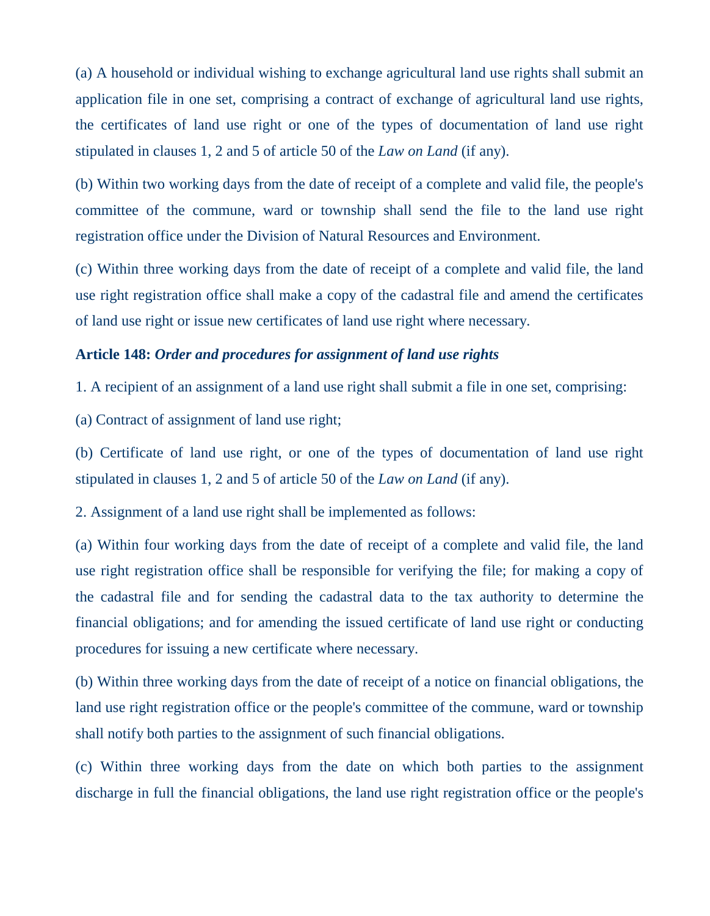(a) A household or individual wishing to exchange agricultural land use rights shall submit an application file in one set, comprising a contract of exchange of agricultural land use rights, the certificates of land use right or one of the types of documentation of land use right stipulated in clauses 1, 2 and 5 of article 50 of the *Law on Land* (if any).

(b) Within two working days from the date of receipt of a complete and valid file, the people's committee of the commune, ward or township shall send the file to the land use right registration office under the Division of Natural Resources and Environment.

(c) Within three working days from the date of receipt of a complete and valid file, the land use right registration office shall make a copy of the cadastral file and amend the certificates of land use right or issue new certificates of land use right where necessary.

### **Article 148:** *Order and procedures for assignment of land use rights*

1. A recipient of an assignment of a land use right shall submit a file in one set, comprising:

(a) Contract of assignment of land use right;

(b) Certificate of land use right, or one of the types of documentation of land use right stipulated in clauses 1, 2 and 5 of article 50 of the *Law on Land* (if any).

2. Assignment of a land use right shall be implemented as follows:

(a) Within four working days from the date of receipt of a complete and valid file, the land use right registration office shall be responsible for verifying the file; for making a copy of the cadastral file and for sending the cadastral data to the tax authority to determine the financial obligations; and for amending the issued certificate of land use right or conducting procedures for issuing a new certificate where necessary.

(b) Within three working days from the date of receipt of a notice on financial obligations, the land use right registration office or the people's committee of the commune, ward or township shall notify both parties to the assignment of such financial obligations.

(c) Within three working days from the date on which both parties to the assignment discharge in full the financial obligations, the land use right registration office or the people's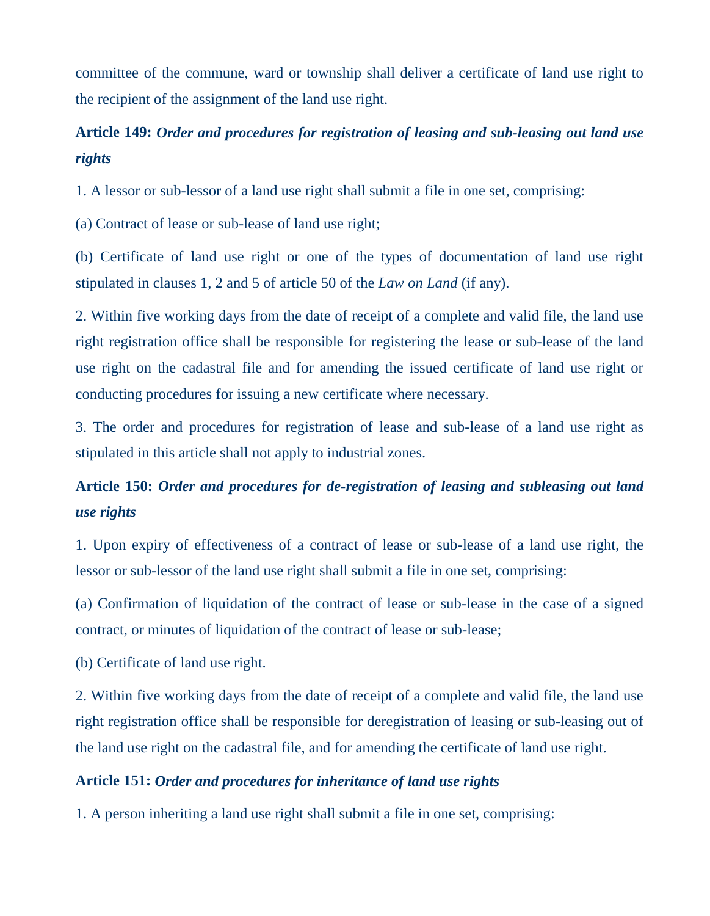committee of the commune, ward or township shall deliver a certificate of land use right to the recipient of the assignment of the land use right.

## **Article 149:** *Order and procedures for registration of leasing and sub-leasing out land use rights*

1. A lessor or sub-lessor of a land use right shall submit a file in one set, comprising:

(a) Contract of lease or sub-lease of land use right;

(b) Certificate of land use right or one of the types of documentation of land use right stipulated in clauses 1, 2 and 5 of article 50 of the *Law on Land* (if any).

2. Within five working days from the date of receipt of a complete and valid file, the land use right registration office shall be responsible for registering the lease or sub-lease of the land use right on the cadastral file and for amending the issued certificate of land use right or conducting procedures for issuing a new certificate where necessary.

3. The order and procedures for registration of lease and sub-lease of a land use right as stipulated in this article shall not apply to industrial zones.

# **Article 150:** *Order and procedures for de-registration of leasing and subleasing out land use rights*

1. Upon expiry of effectiveness of a contract of lease or sub-lease of a land use right, the lessor or sub-lessor of the land use right shall submit a file in one set, comprising:

(a) Confirmation of liquidation of the contract of lease or sub-lease in the case of a signed contract, or minutes of liquidation of the contract of lease or sub-lease;

(b) Certificate of land use right.

2. Within five working days from the date of receipt of a complete and valid file, the land use right registration office shall be responsible for deregistration of leasing or sub-leasing out of the land use right on the cadastral file, and for amending the certificate of land use right.

### **Article 151:** *Order and procedures for inheritance of land use rights*

1. A person inheriting a land use right shall submit a file in one set, comprising: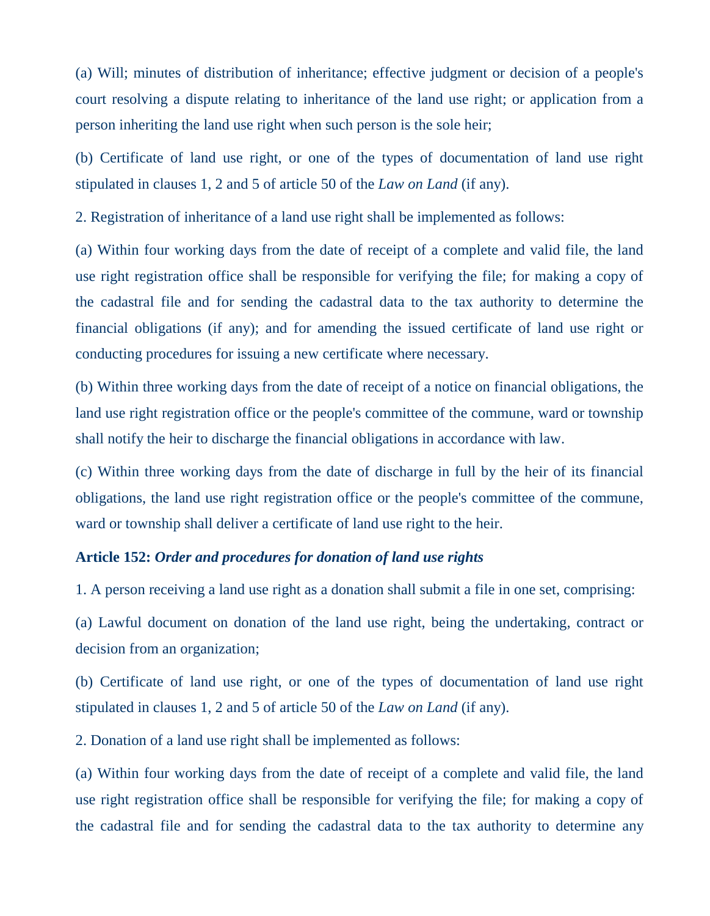(a) Will; minutes of distribution of inheritance; effective judgment or decision of a people's court resolving a dispute relating to inheritance of the land use right; or application from a person inheriting the land use right when such person is the sole heir;

(b) Certificate of land use right, or one of the types of documentation of land use right stipulated in clauses 1, 2 and 5 of article 50 of the *Law on Land* (if any).

2. Registration of inheritance of a land use right shall be implemented as follows:

(a) Within four working days from the date of receipt of a complete and valid file, the land use right registration office shall be responsible for verifying the file; for making a copy of the cadastral file and for sending the cadastral data to the tax authority to determine the financial obligations (if any); and for amending the issued certificate of land use right or conducting procedures for issuing a new certificate where necessary.

(b) Within three working days from the date of receipt of a notice on financial obligations, the land use right registration office or the people's committee of the commune, ward or township shall notify the heir to discharge the financial obligations in accordance with law.

(c) Within three working days from the date of discharge in full by the heir of its financial obligations, the land use right registration office or the people's committee of the commune, ward or township shall deliver a certificate of land use right to the heir.

### **Article 152:** *Order and procedures for donation of land use rights*

1. A person receiving a land use right as a donation shall submit a file in one set, comprising:

(a) Lawful document on donation of the land use right, being the undertaking, contract or decision from an organization;

(b) Certificate of land use right, or one of the types of documentation of land use right stipulated in clauses 1, 2 and 5 of article 50 of the *Law on Land* (if any).

2. Donation of a land use right shall be implemented as follows:

(a) Within four working days from the date of receipt of a complete and valid file, the land use right registration office shall be responsible for verifying the file; for making a copy of the cadastral file and for sending the cadastral data to the tax authority to determine any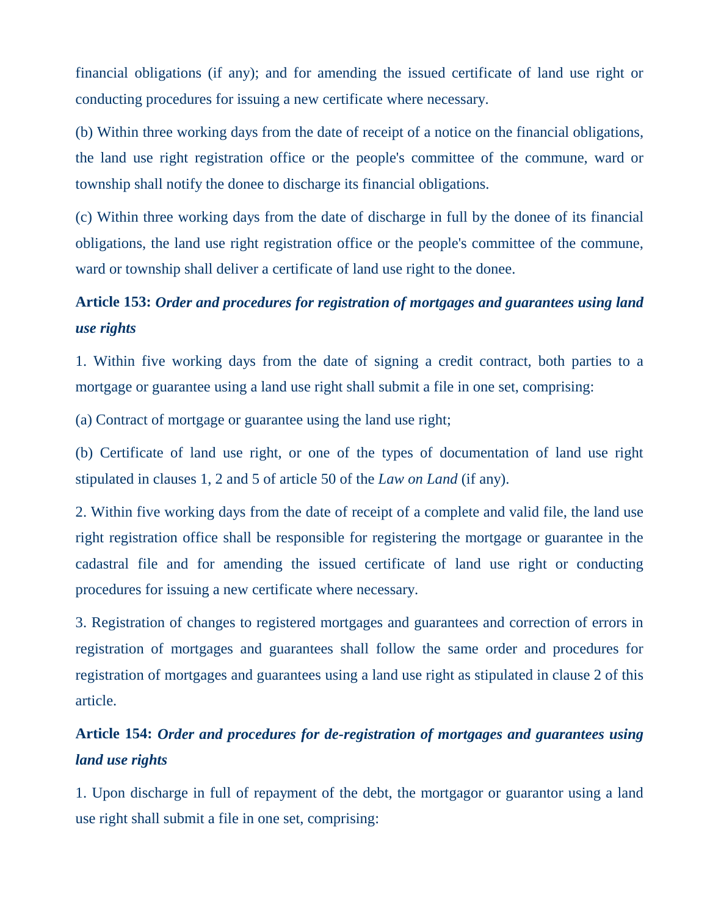financial obligations (if any); and for amending the issued certificate of land use right or conducting procedures for issuing a new certificate where necessary.

(b) Within three working days from the date of receipt of a notice on the financial obligations, the land use right registration office or the people's committee of the commune, ward or township shall notify the donee to discharge its financial obligations.

(c) Within three working days from the date of discharge in full by the donee of its financial obligations, the land use right registration office or the people's committee of the commune, ward or township shall deliver a certificate of land use right to the donee.

## **Article 153:** *Order and procedures for registration of mortgages and guarantees using land use rights*

1. Within five working days from the date of signing a credit contract, both parties to a mortgage or guarantee using a land use right shall submit a file in one set, comprising:

(a) Contract of mortgage or guarantee using the land use right;

(b) Certificate of land use right, or one of the types of documentation of land use right stipulated in clauses 1, 2 and 5 of article 50 of the *Law on Land* (if any).

2. Within five working days from the date of receipt of a complete and valid file, the land use right registration office shall be responsible for registering the mortgage or guarantee in the cadastral file and for amending the issued certificate of land use right or conducting procedures for issuing a new certificate where necessary.

3. Registration of changes to registered mortgages and guarantees and correction of errors in registration of mortgages and guarantees shall follow the same order and procedures for registration of mortgages and guarantees using a land use right as stipulated in clause 2 of this article.

## **Article 154:** *Order and procedures for de-registration of mortgages and guarantees using land use rights*

1. Upon discharge in full of repayment of the debt, the mortgagor or guarantor using a land use right shall submit a file in one set, comprising: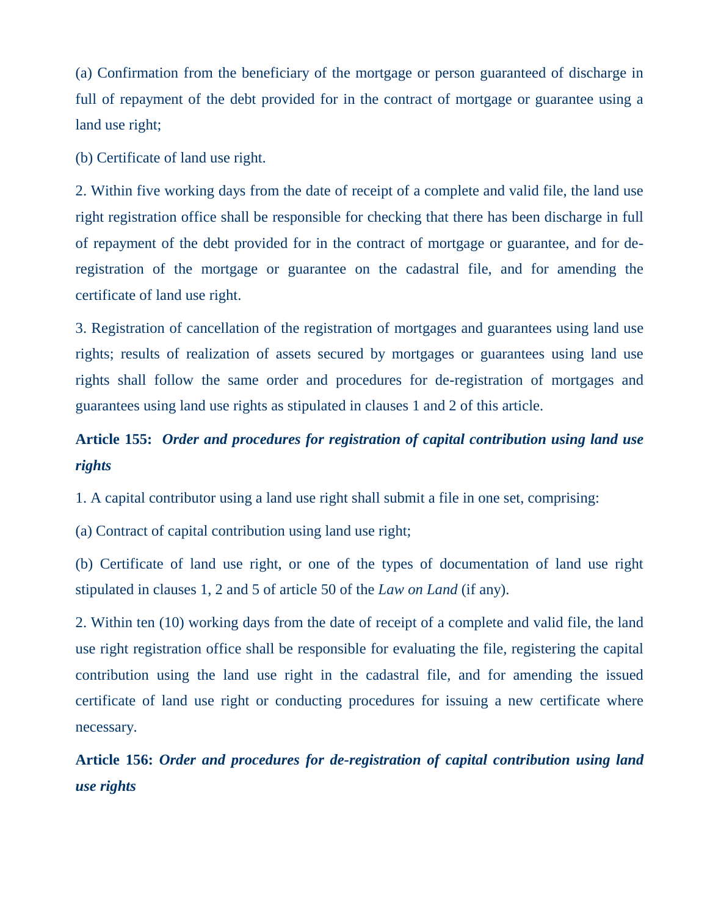(a) Confirmation from the beneficiary of the mortgage or person guaranteed of discharge in full of repayment of the debt provided for in the contract of mortgage or guarantee using a land use right;

(b) Certificate of land use right.

2. Within five working days from the date of receipt of a complete and valid file, the land use right registration office shall be responsible for checking that there has been discharge in full of repayment of the debt provided for in the contract of mortgage or guarantee, and for deregistration of the mortgage or guarantee on the cadastral file, and for amending the certificate of land use right.

3. Registration of cancellation of the registration of mortgages and guarantees using land use rights; results of realization of assets secured by mortgages or guarantees using land use rights shall follow the same order and procedures for de-registration of mortgages and guarantees using land use rights as stipulated in clauses 1 and 2 of this article.

# **Article 155:** *Order and procedures for registration of capital contribution using land use rights*

1. A capital contributor using a land use right shall submit a file in one set, comprising:

(a) Contract of capital contribution using land use right;

(b) Certificate of land use right, or one of the types of documentation of land use right stipulated in clauses 1, 2 and 5 of article 50 of the *Law on Land* (if any).

2. Within ten (10) working days from the date of receipt of a complete and valid file, the land use right registration office shall be responsible for evaluating the file, registering the capital contribution using the land use right in the cadastral file, and for amending the issued certificate of land use right or conducting procedures for issuing a new certificate where necessary.

**Article 156:** *Order and procedures for de-registration of capital contribution using land use rights*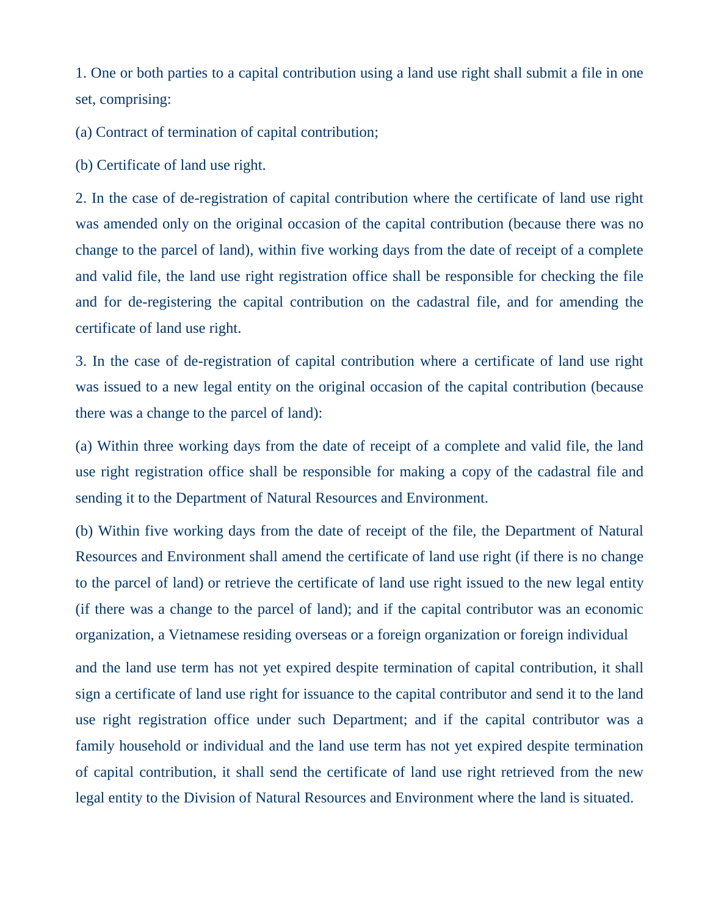1. One or both parties to a capital contribution using a land use right shall submit a file in one set, comprising:

(a) Contract of termination of capital contribution;

(b) Certificate of land use right.

2. In the case of de-registration of capital contribution where the certificate of land use right was amended only on the original occasion of the capital contribution (because there was no change to the parcel of land), within five working days from the date of receipt of a complete and valid file, the land use right registration office shall be responsible for checking the file and for de-registering the capital contribution on the cadastral file, and for amending the certificate of land use right.

3. In the case of de-registration of capital contribution where a certificate of land use right was issued to a new legal entity on the original occasion of the capital contribution (because there was a change to the parcel of land):

(a) Within three working days from the date of receipt of a complete and valid file, the land use right registration office shall be responsible for making a copy of the cadastral file and sending it to the Department of Natural Resources and Environment.

(b) Within five working days from the date of receipt of the file, the Department of Natural Resources and Environment shall amend the certificate of land use right (if there is no change to the parcel of land) or retrieve the certificate of land use right issued to the new legal entity (if there was a change to the parcel of land); and if the capital contributor was an economic organization, a Vietnamese residing overseas or a foreign organization or foreign individual

and the land use term has not yet expired despite termination of capital contribution, it shall sign a certificate of land use right for issuance to the capital contributor and send it to the land use right registration office under such Department; and if the capital contributor was a family household or individual and the land use term has not yet expired despite termination of capital contribution, it shall send the certificate of land use right retrieved from the new legal entity to the Division of Natural Resources and Environment where the land is situated.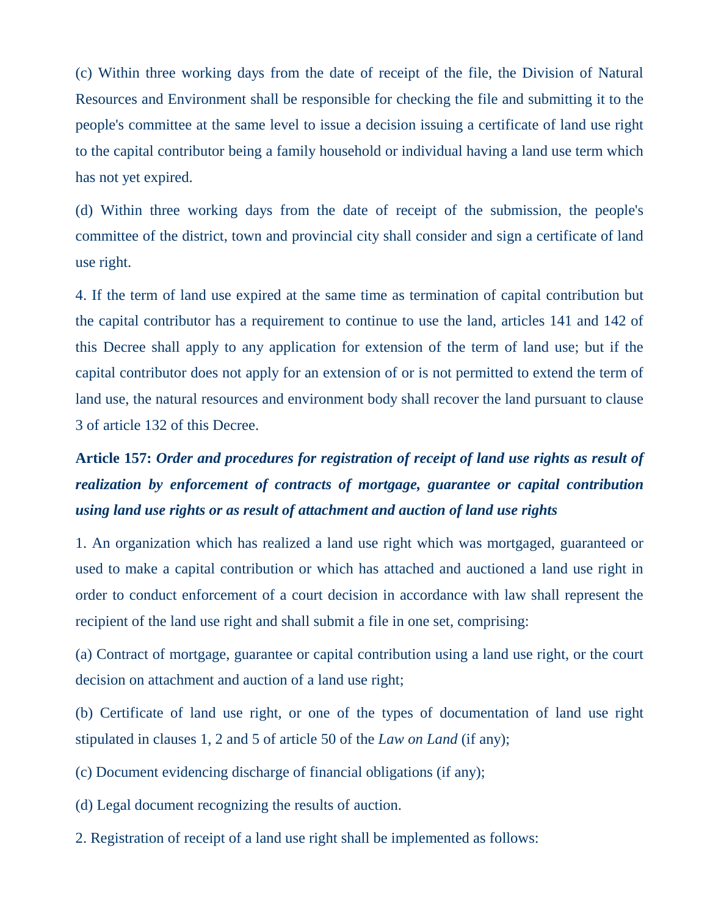(c) Within three working days from the date of receipt of the file, the Division of Natural Resources and Environment shall be responsible for checking the file and submitting it to the people's committee at the same level to issue a decision issuing a certificate of land use right to the capital contributor being a family household or individual having a land use term which has not yet expired.

(d) Within three working days from the date of receipt of the submission, the people's committee of the district, town and provincial city shall consider and sign a certificate of land use right.

4. If the term of land use expired at the same time as termination of capital contribution but the capital contributor has a requirement to continue to use the land, articles 141 and 142 of this Decree shall apply to any application for extension of the term of land use; but if the capital contributor does not apply for an extension of or is not permitted to extend the term of land use, the natural resources and environment body shall recover the land pursuant to clause 3 of article 132 of this Decree.

# **Article 157:** *Order and procedures for registration of receipt of land use rights as result of realization by enforcement of contracts of mortgage, guarantee or capital contribution using land use rights or as result of attachment and auction of land use rights*

1. An organization which has realized a land use right which was mortgaged, guaranteed or used to make a capital contribution or which has attached and auctioned a land use right in order to conduct enforcement of a court decision in accordance with law shall represent the recipient of the land use right and shall submit a file in one set, comprising:

(a) Contract of mortgage, guarantee or capital contribution using a land use right, or the court decision on attachment and auction of a land use right;

(b) Certificate of land use right, or one of the types of documentation of land use right stipulated in clauses 1, 2 and 5 of article 50 of the *Law on Land* (if any);

(c) Document evidencing discharge of financial obligations (if any);

(d) Legal document recognizing the results of auction.

2. Registration of receipt of a land use right shall be implemented as follows: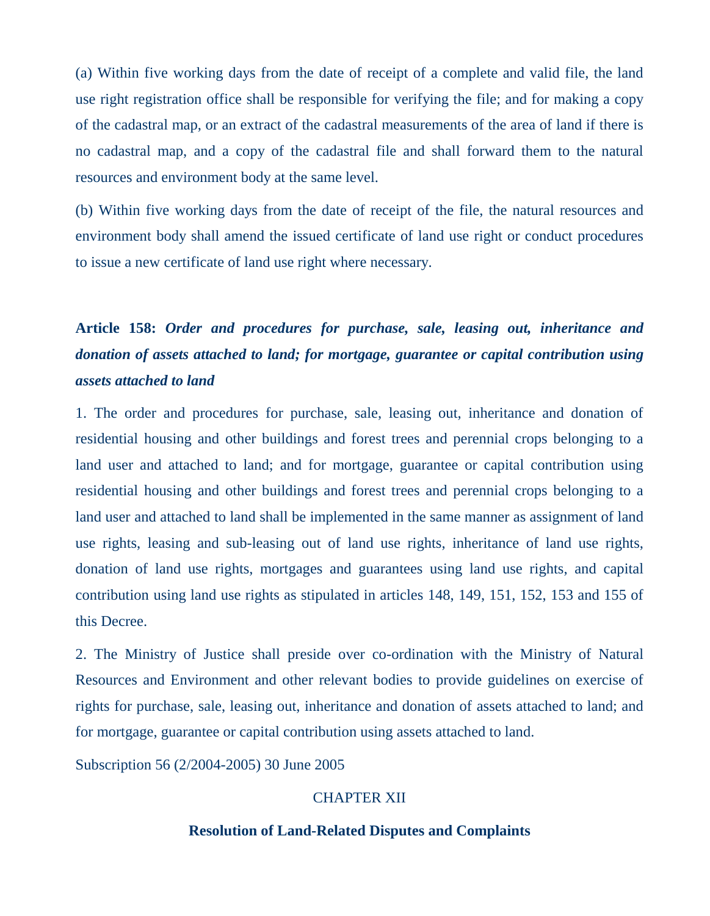(a) Within five working days from the date of receipt of a complete and valid file, the land use right registration office shall be responsible for verifying the file; and for making a copy of the cadastral map, or an extract of the cadastral measurements of the area of land if there is no cadastral map, and a copy of the cadastral file and shall forward them to the natural resources and environment body at the same level.

(b) Within five working days from the date of receipt of the file, the natural resources and environment body shall amend the issued certificate of land use right or conduct procedures to issue a new certificate of land use right where necessary.

# **Article 158:** *Order and procedures for purchase, sale, leasing out, inheritance and donation of assets attached to land; for mortgage, guarantee or capital contribution using assets attached to land*

1. The order and procedures for purchase, sale, leasing out, inheritance and donation of residential housing and other buildings and forest trees and perennial crops belonging to a land user and attached to land; and for mortgage, guarantee or capital contribution using residential housing and other buildings and forest trees and perennial crops belonging to a land user and attached to land shall be implemented in the same manner as assignment of land use rights, leasing and sub-leasing out of land use rights, inheritance of land use rights, donation of land use rights, mortgages and guarantees using land use rights, and capital contribution using land use rights as stipulated in articles 148, 149, 151, 152, 153 and 155 of this Decree.

2. The Ministry of Justice shall preside over co-ordination with the Ministry of Natural Resources and Environment and other relevant bodies to provide guidelines on exercise of rights for purchase, sale, leasing out, inheritance and donation of assets attached to land; and for mortgage, guarantee or capital contribution using assets attached to land.

Subscription 56 (2/2004-2005) 30 June 2005

### CHAPTER XII

#### **Resolution of Land-Related Disputes and Complaints**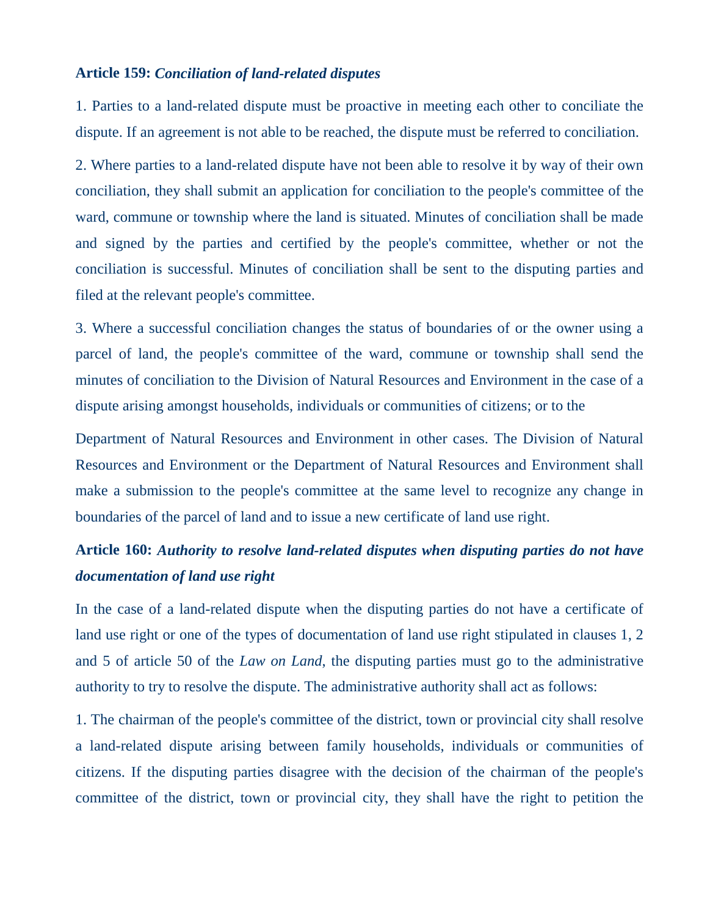#### **Article 159:** *Conciliation of land-related disputes*

1. Parties to a land-related dispute must be proactive in meeting each other to conciliate the dispute. If an agreement is not able to be reached, the dispute must be referred to conciliation.

2. Where parties to a land-related dispute have not been able to resolve it by way of their own conciliation, they shall submit an application for conciliation to the people's committee of the ward, commune or township where the land is situated. Minutes of conciliation shall be made and signed by the parties and certified by the people's committee, whether or not the conciliation is successful. Minutes of conciliation shall be sent to the disputing parties and filed at the relevant people's committee.

3. Where a successful conciliation changes the status of boundaries of or the owner using a parcel of land, the people's committee of the ward, commune or township shall send the minutes of conciliation to the Division of Natural Resources and Environment in the case of a dispute arising amongst households, individuals or communities of citizens; or to the

Department of Natural Resources and Environment in other cases. The Division of Natural Resources and Environment or the Department of Natural Resources and Environment shall make a submission to the people's committee at the same level to recognize any change in boundaries of the parcel of land and to issue a new certificate of land use right.

### **Article 160:** *Authority to resolve land-related disputes when disputing parties do not have documentation of land use right*

In the case of a land-related dispute when the disputing parties do not have a certificate of land use right or one of the types of documentation of land use right stipulated in clauses 1, 2 and 5 of article 50 of the *Law on Land*, the disputing parties must go to the administrative authority to try to resolve the dispute. The administrative authority shall act as follows:

1. The chairman of the people's committee of the district, town or provincial city shall resolve a land-related dispute arising between family households, individuals or communities of citizens. If the disputing parties disagree with the decision of the chairman of the people's committee of the district, town or provincial city, they shall have the right to petition the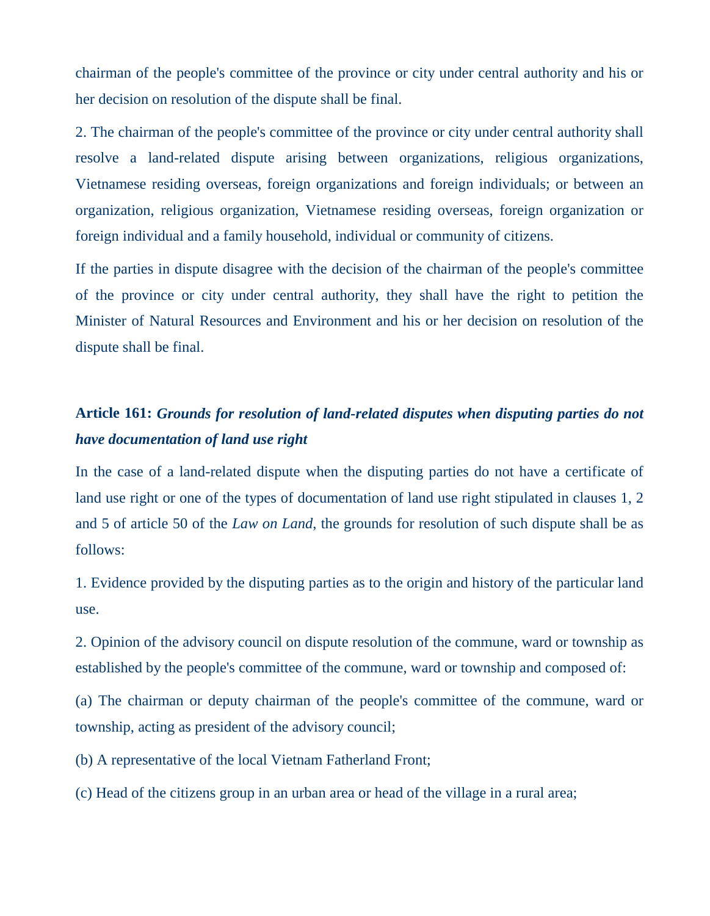chairman of the people's committee of the province or city under central authority and his or her decision on resolution of the dispute shall be final.

2. The chairman of the people's committee of the province or city under central authority shall resolve a land-related dispute arising between organizations, religious organizations, Vietnamese residing overseas, foreign organizations and foreign individuals; or between an organization, religious organization, Vietnamese residing overseas, foreign organization or foreign individual and a family household, individual or community of citizens.

If the parties in dispute disagree with the decision of the chairman of the people's committee of the province or city under central authority, they shall have the right to petition the Minister of Natural Resources and Environment and his or her decision on resolution of the dispute shall be final.

### **Article 161:** *Grounds for resolution of land-related disputes when disputing parties do not have documentation of land use right*

In the case of a land-related dispute when the disputing parties do not have a certificate of land use right or one of the types of documentation of land use right stipulated in clauses 1, 2 and 5 of article 50 of the *Law on Land*, the grounds for resolution of such dispute shall be as follows:

1. Evidence provided by the disputing parties as to the origin and history of the particular land use.

2. Opinion of the advisory council on dispute resolution of the commune, ward or township as established by the people's committee of the commune, ward or township and composed of:

(a) The chairman or deputy chairman of the people's committee of the commune, ward or township, acting as president of the advisory council;

(b) A representative of the local Vietnam Fatherland Front;

(c) Head of the citizens group in an urban area or head of the village in a rural area;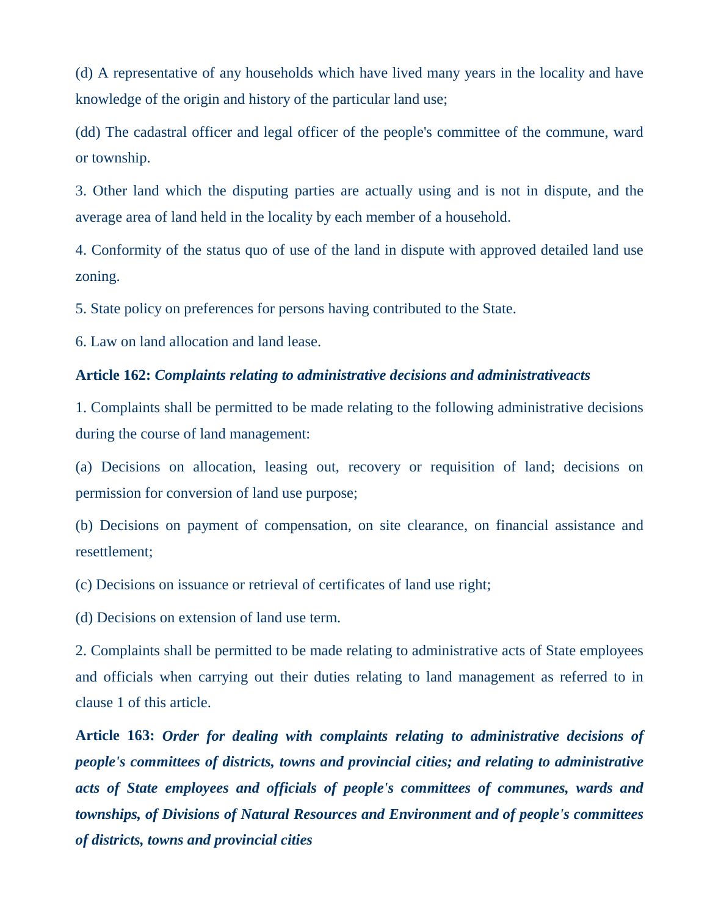(d) A representative of any households which have lived many years in the locality and have knowledge of the origin and history of the particular land use;

(dd) The cadastral officer and legal officer of the people's committee of the commune, ward or township.

3. Other land which the disputing parties are actually using and is not in dispute, and the average area of land held in the locality by each member of a household.

4. Conformity of the status quo of use of the land in dispute with approved detailed land use zoning.

5. State policy on preferences for persons having contributed to the State.

6. Law on land allocation and land lease.

### **Article 162:** *Complaints relating to administrative decisions and administrativeacts*

1. Complaints shall be permitted to be made relating to the following administrative decisions during the course of land management:

(a) Decisions on allocation, leasing out, recovery or requisition of land; decisions on permission for conversion of land use purpose;

(b) Decisions on payment of compensation, on site clearance, on financial assistance and resettlement;

(c) Decisions on issuance or retrieval of certificates of land use right;

(d) Decisions on extension of land use term.

2. Complaints shall be permitted to be made relating to administrative acts of State employees and officials when carrying out their duties relating to land management as referred to in clause 1 of this article.

**Article 163:** *Order for dealing with complaints relating to administrative decisions of people's committees of districts, towns and provincial cities; and relating to administrative acts of State employees and officials of people's committees of communes, wards and townships, of Divisions of Natural Resources and Environment and of people's committees of districts, towns and provincial cities*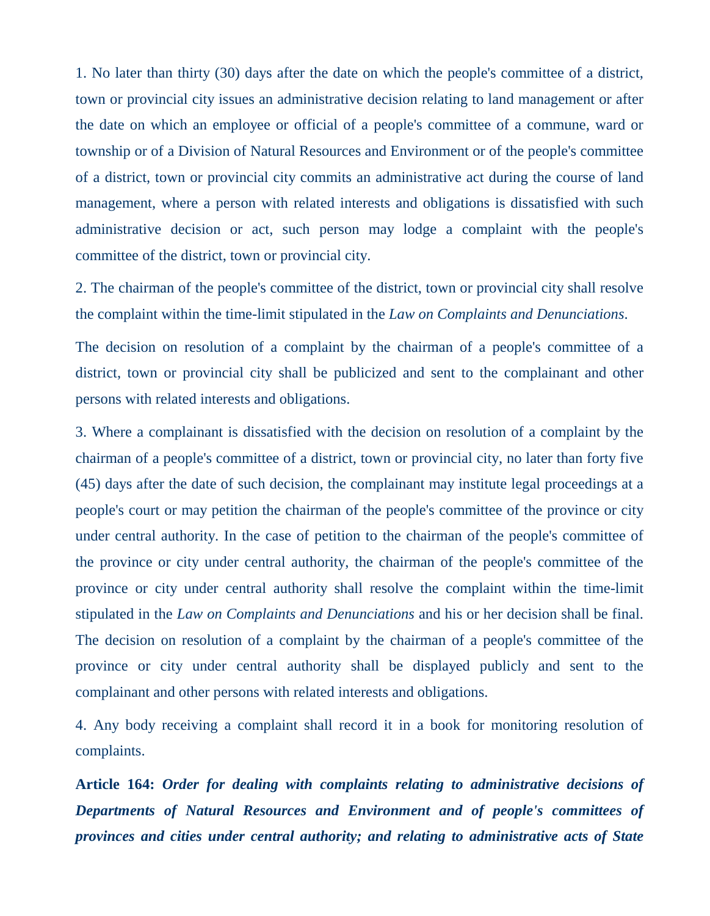1. No later than thirty (30) days after the date on which the people's committee of a district, town or provincial city issues an administrative decision relating to land management or after the date on which an employee or official of a people's committee of a commune, ward or township or of a Division of Natural Resources and Environment or of the people's committee of a district, town or provincial city commits an administrative act during the course of land management, where a person with related interests and obligations is dissatisfied with such administrative decision or act, such person may lodge a complaint with the people's committee of the district, town or provincial city.

2. The chairman of the people's committee of the district, town or provincial city shall resolve the complaint within the time-limit stipulated in the *Law on Complaints and Denunciations*.

The decision on resolution of a complaint by the chairman of a people's committee of a district, town or provincial city shall be publicized and sent to the complainant and other persons with related interests and obligations.

3. Where a complainant is dissatisfied with the decision on resolution of a complaint by the chairman of a people's committee of a district, town or provincial city, no later than forty five (45) days after the date of such decision, the complainant may institute legal proceedings at a people's court or may petition the chairman of the people's committee of the province or city under central authority. In the case of petition to the chairman of the people's committee of the province or city under central authority, the chairman of the people's committee of the province or city under central authority shall resolve the complaint within the time-limit stipulated in the *Law on Complaints and Denunciations* and his or her decision shall be final. The decision on resolution of a complaint by the chairman of a people's committee of the province or city under central authority shall be displayed publicly and sent to the complainant and other persons with related interests and obligations.

4. Any body receiving a complaint shall record it in a book for monitoring resolution of complaints.

**Article 164:** *Order for dealing with complaints relating to administrative decisions of Departments of Natural Resources and Environment and of people's committees of provinces and cities under central authority; and relating to administrative acts of State*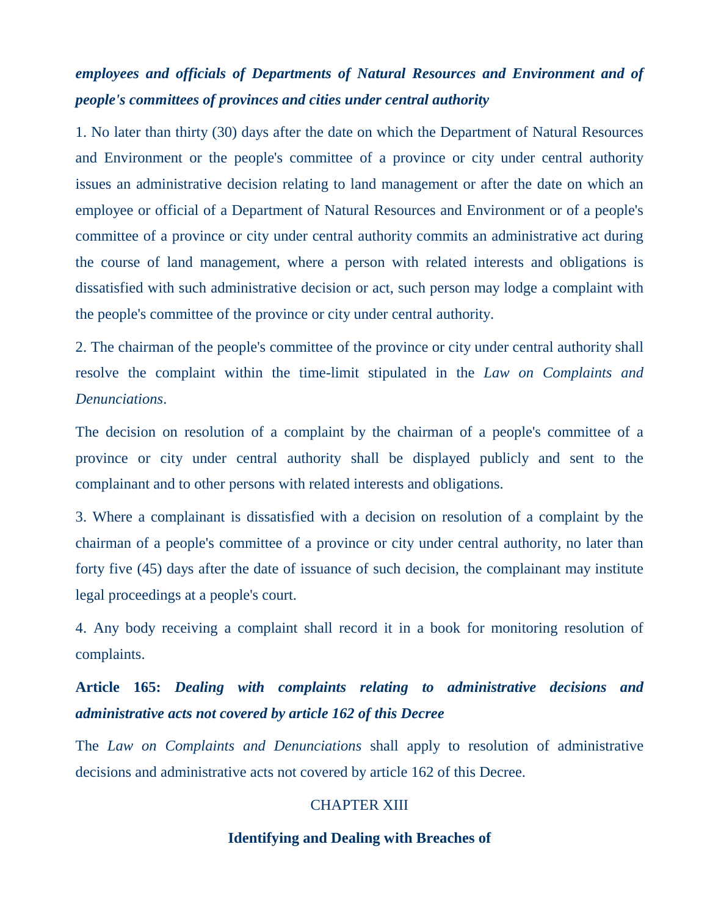## *employees and officials of Departments of Natural Resources and Environment and of people's committees of provinces and cities under central authority*

1. No later than thirty (30) days after the date on which the Department of Natural Resources and Environment or the people's committee of a province or city under central authority issues an administrative decision relating to land management or after the date on which an employee or official of a Department of Natural Resources and Environment or of a people's committee of a province or city under central authority commits an administrative act during the course of land management, where a person with related interests and obligations is dissatisfied with such administrative decision or act, such person may lodge a complaint with the people's committee of the province or city under central authority.

2. The chairman of the people's committee of the province or city under central authority shall resolve the complaint within the time-limit stipulated in the *Law on Complaints and Denunciations*.

The decision on resolution of a complaint by the chairman of a people's committee of a province or city under central authority shall be displayed publicly and sent to the complainant and to other persons with related interests and obligations.

3. Where a complainant is dissatisfied with a decision on resolution of a complaint by the chairman of a people's committee of a province or city under central authority, no later than forty five (45) days after the date of issuance of such decision, the complainant may institute legal proceedings at a people's court.

4. Any body receiving a complaint shall record it in a book for monitoring resolution of complaints.

# **Article 165:** *Dealing with complaints relating to administrative decisions and administrative acts not covered by article 162 of this Decree*

The *Law on Complaints and Denunciations* shall apply to resolution of administrative decisions and administrative acts not covered by article 162 of this Decree.

### CHAPTER XIII

### **Identifying and Dealing with Breaches of**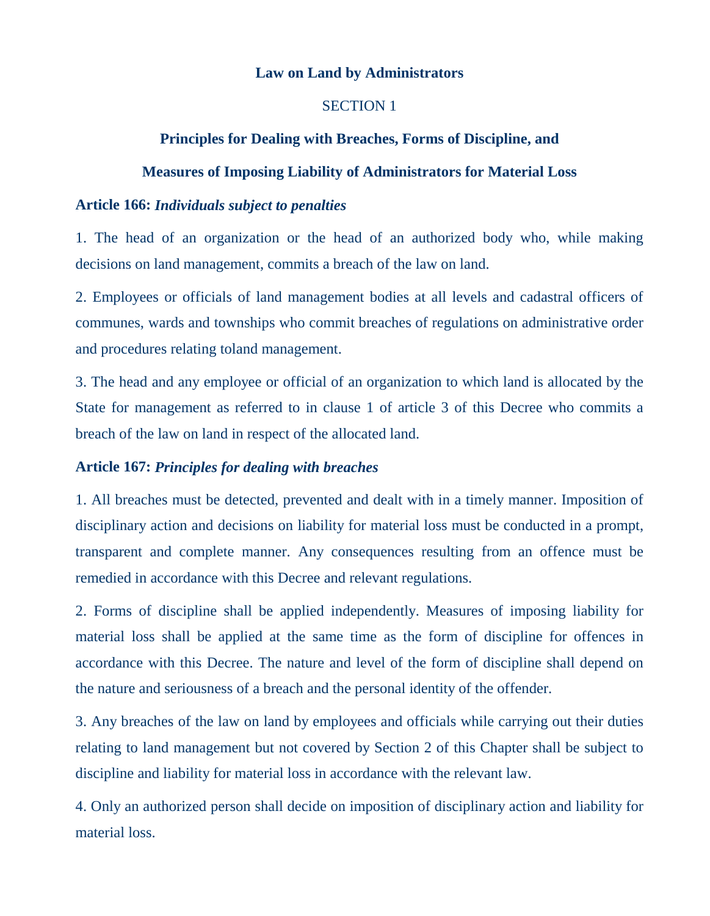### **Law on Land by Administrators**

### SECTION 1

### **Principles for Dealing with Breaches, Forms of Discipline, and**

### **Measures of Imposing Liability of Administrators for Material Loss**

#### **Article 166:** *Individuals subject to penalties*

1. The head of an organization or the head of an authorized body who, while making decisions on land management, commits a breach of the law on land.

2. Employees or officials of land management bodies at all levels and cadastral officers of communes, wards and townships who commit breaches of regulations on administrative order and procedures relating toland management.

3. The head and any employee or official of an organization to which land is allocated by the State for management as referred to in clause 1 of article 3 of this Decree who commits a breach of the law on land in respect of the allocated land.

### **Article 167:** *Principles for dealing with breaches*

1. All breaches must be detected, prevented and dealt with in a timely manner. Imposition of disciplinary action and decisions on liability for material loss must be conducted in a prompt, transparent and complete manner. Any consequences resulting from an offence must be remedied in accordance with this Decree and relevant regulations.

2. Forms of discipline shall be applied independently. Measures of imposing liability for material loss shall be applied at the same time as the form of discipline for offences in accordance with this Decree. The nature and level of the form of discipline shall depend on the nature and seriousness of a breach and the personal identity of the offender.

3. Any breaches of the law on land by employees and officials while carrying out their duties relating to land management but not covered by Section 2 of this Chapter shall be subject to discipline and liability for material loss in accordance with the relevant law.

4. Only an authorized person shall decide on imposition of disciplinary action and liability for material loss.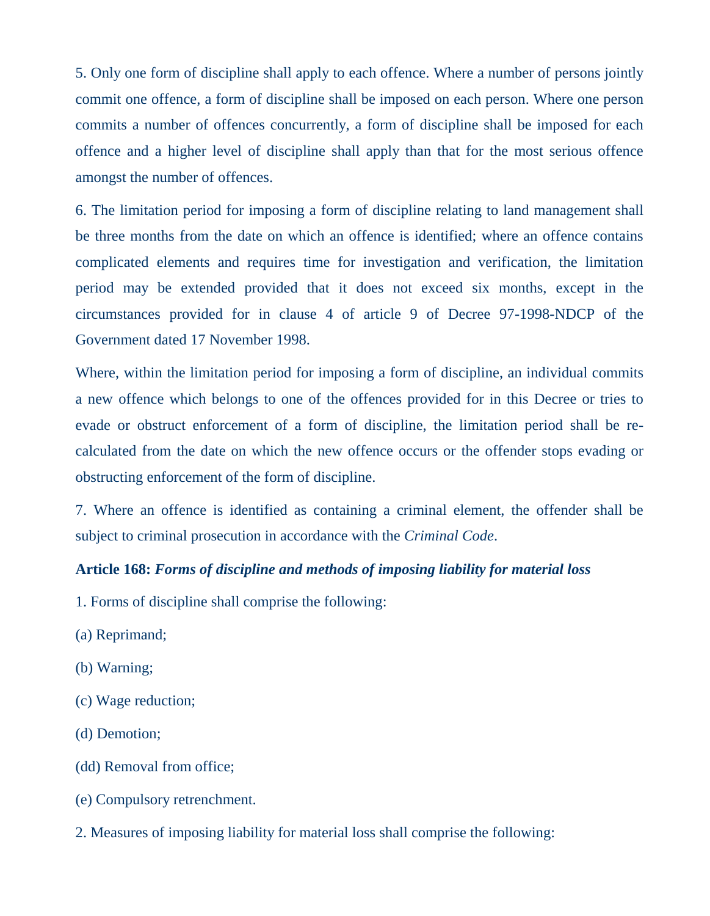5. Only one form of discipline shall apply to each offence. Where a number of persons jointly commit one offence, a form of discipline shall be imposed on each person. Where one person commits a number of offences concurrently, a form of discipline shall be imposed for each offence and a higher level of discipline shall apply than that for the most serious offence amongst the number of offences.

6. The limitation period for imposing a form of discipline relating to land management shall be three months from the date on which an offence is identified; where an offence contains complicated elements and requires time for investigation and verification, the limitation period may be extended provided that it does not exceed six months, except in the circumstances provided for in clause 4 of article 9 of Decree 97-1998-NDCP of the Government dated 17 November 1998.

Where, within the limitation period for imposing a form of discipline, an individual commits a new offence which belongs to one of the offences provided for in this Decree or tries to evade or obstruct enforcement of a form of discipline, the limitation period shall be recalculated from the date on which the new offence occurs or the offender stops evading or obstructing enforcement of the form of discipline.

7. Where an offence is identified as containing a criminal element, the offender shall be subject to criminal prosecution in accordance with the *Criminal Code*.

## **Article 168:** *Forms of discipline and methods of imposing liability for material loss*

- 1. Forms of discipline shall comprise the following:
- (a) Reprimand;
- (b) Warning;
- (c) Wage reduction;
- (d) Demotion;
- (dd) Removal from office;
- (e) Compulsory retrenchment.
- 2. Measures of imposing liability for material loss shall comprise the following: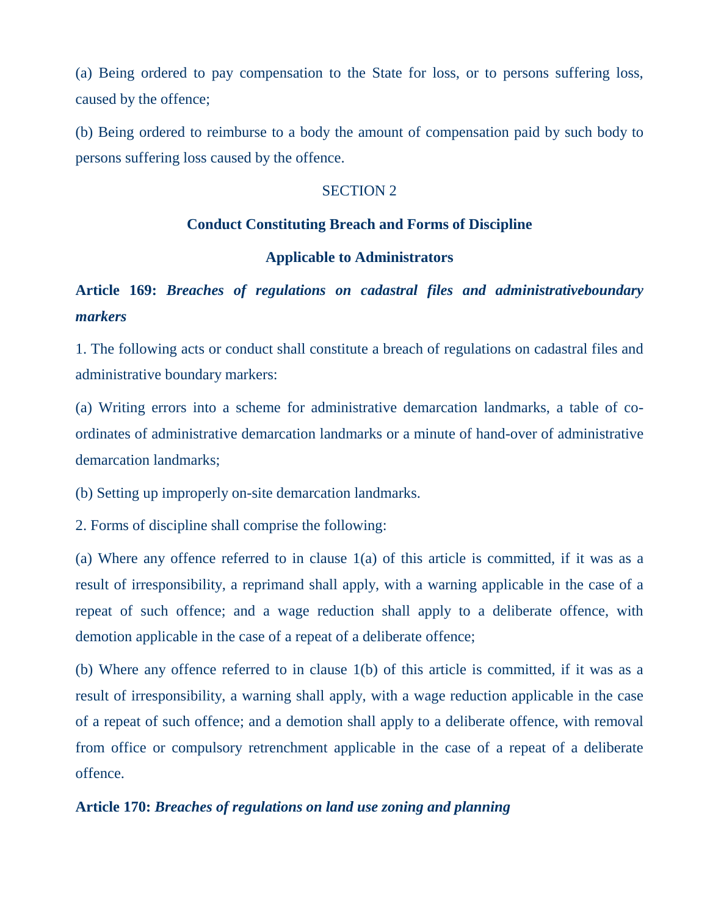(a) Being ordered to pay compensation to the State for loss, or to persons suffering loss, caused by the offence;

(b) Being ordered to reimburse to a body the amount of compensation paid by such body to persons suffering loss caused by the offence.

### SECTION 2

### **Conduct Constituting Breach and Forms of Discipline**

### **Applicable to Administrators**

## **Article 169:** *Breaches of regulations on cadastral files and administrativeboundary markers*

1. The following acts or conduct shall constitute a breach of regulations on cadastral files and administrative boundary markers:

(a) Writing errors into a scheme for administrative demarcation landmarks, a table of coordinates of administrative demarcation landmarks or a minute of hand-over of administrative demarcation landmarks;

(b) Setting up improperly on-site demarcation landmarks.

2. Forms of discipline shall comprise the following:

(a) Where any offence referred to in clause  $1(a)$  of this article is committed, if it was as a result of irresponsibility, a reprimand shall apply, with a warning applicable in the case of a repeat of such offence; and a wage reduction shall apply to a deliberate offence, with demotion applicable in the case of a repeat of a deliberate offence;

(b) Where any offence referred to in clause 1(b) of this article is committed, if it was as a result of irresponsibility, a warning shall apply, with a wage reduction applicable in the case of a repeat of such offence; and a demotion shall apply to a deliberate offence, with removal from office or compulsory retrenchment applicable in the case of a repeat of a deliberate offence.

### **Article 170:** *Breaches of regulations on land use zoning and planning*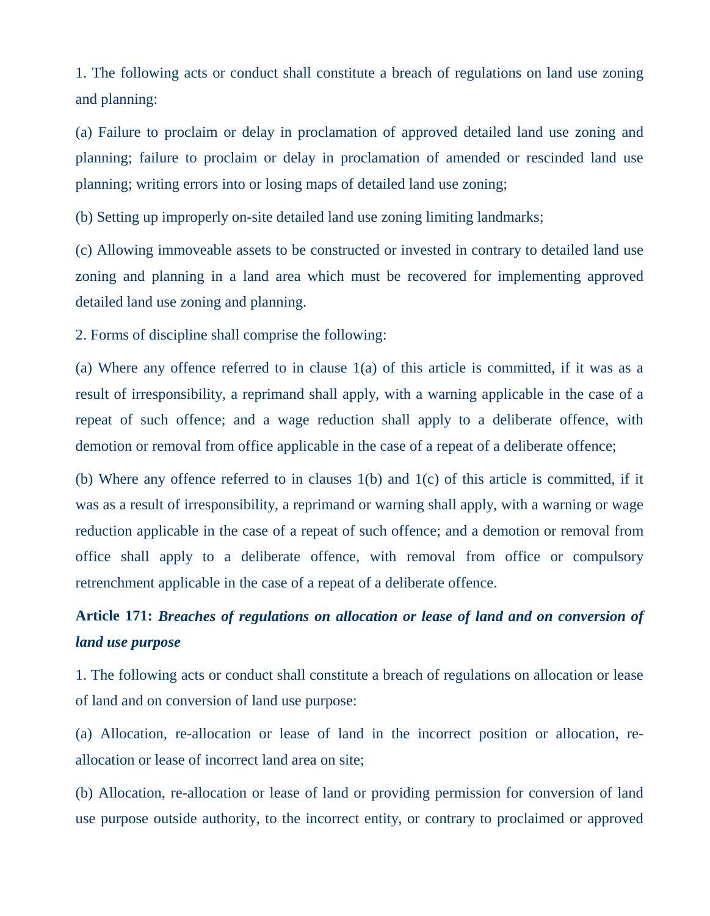1. The following acts or conduct shall constitute a breach of regulations on land use zoning and planning:

(a) Failure to proclaim or delay in proclamation of approved detailed land use zoning and planning; failure to proclaim or delay in proclamation of amended or rescinded land use planning; writing errors into or losing maps of detailed land use zoning;

(b) Setting up improperly on-site detailed land use zoning limiting landmarks;

(c) Allowing immoveable assets to be constructed or invested in contrary to detailed land use zoning and planning in a land area which must be recovered for implementing approved detailed land use zoning and planning.

2. Forms of discipline shall comprise the following:

(a) Where any offence referred to in clause  $1(a)$  of this article is committed, if it was as a result of irresponsibility, a reprimand shall apply, with a warning applicable in the case of a repeat of such offence; and a wage reduction shall apply to a deliberate offence, with demotion or removal from office applicable in the case of a repeat of a deliberate offence;

(b) Where any offence referred to in clauses 1(b) and 1(c) of this article is committed, if it was as a result of irresponsibility, a reprimand or warning shall apply, with a warning or wage reduction applicable in the case of a repeat of such offence; and a demotion or removal from office shall apply to a deliberate offence, with removal from office or compulsory retrenchment applicable in the case of a repeat of a deliberate offence.

# **Article 171:** *Breaches of regulations on allocation or lease of land and on conversion of land use purpose*

1. The following acts or conduct shall constitute a breach of regulations on allocation or lease of land and on conversion of land use purpose:

(a) Allocation, re-allocation or lease of land in the incorrect position or allocation, reallocation or lease of incorrect land area on site;

(b) Allocation, re-allocation or lease of land or providing permission for conversion of land use purpose outside authority, to the incorrect entity, or contrary to proclaimed or approved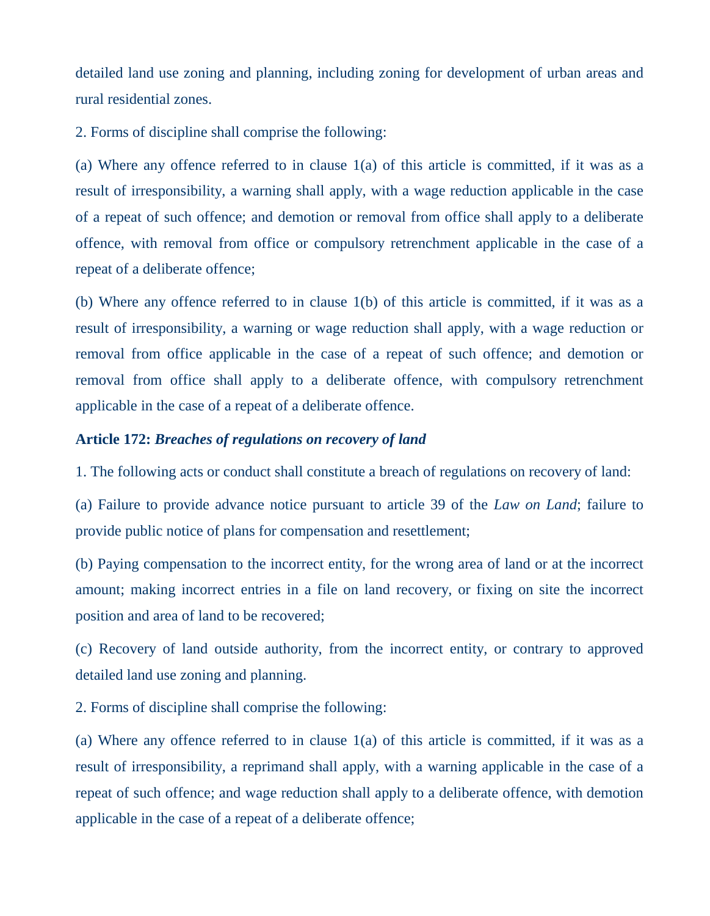detailed land use zoning and planning, including zoning for development of urban areas and rural residential zones.

2. Forms of discipline shall comprise the following:

(a) Where any offence referred to in clause 1(a) of this article is committed, if it was as a result of irresponsibility, a warning shall apply, with a wage reduction applicable in the case of a repeat of such offence; and demotion or removal from office shall apply to a deliberate offence, with removal from office or compulsory retrenchment applicable in the case of a repeat of a deliberate offence;

(b) Where any offence referred to in clause 1(b) of this article is committed, if it was as a result of irresponsibility, a warning or wage reduction shall apply, with a wage reduction or removal from office applicable in the case of a repeat of such offence; and demotion or removal from office shall apply to a deliberate offence, with compulsory retrenchment applicable in the case of a repeat of a deliberate offence.

### **Article 172:** *Breaches of regulations on recovery of land*

1. The following acts or conduct shall constitute a breach of regulations on recovery of land:

(a) Failure to provide advance notice pursuant to article 39 of the *Law on Land*; failure to provide public notice of plans for compensation and resettlement;

(b) Paying compensation to the incorrect entity, for the wrong area of land or at the incorrect amount; making incorrect entries in a file on land recovery, or fixing on site the incorrect position and area of land to be recovered;

(c) Recovery of land outside authority, from the incorrect entity, or contrary to approved detailed land use zoning and planning.

2. Forms of discipline shall comprise the following:

(a) Where any offence referred to in clause 1(a) of this article is committed, if it was as a result of irresponsibility, a reprimand shall apply, with a warning applicable in the case of a repeat of such offence; and wage reduction shall apply to a deliberate offence, with demotion applicable in the case of a repeat of a deliberate offence;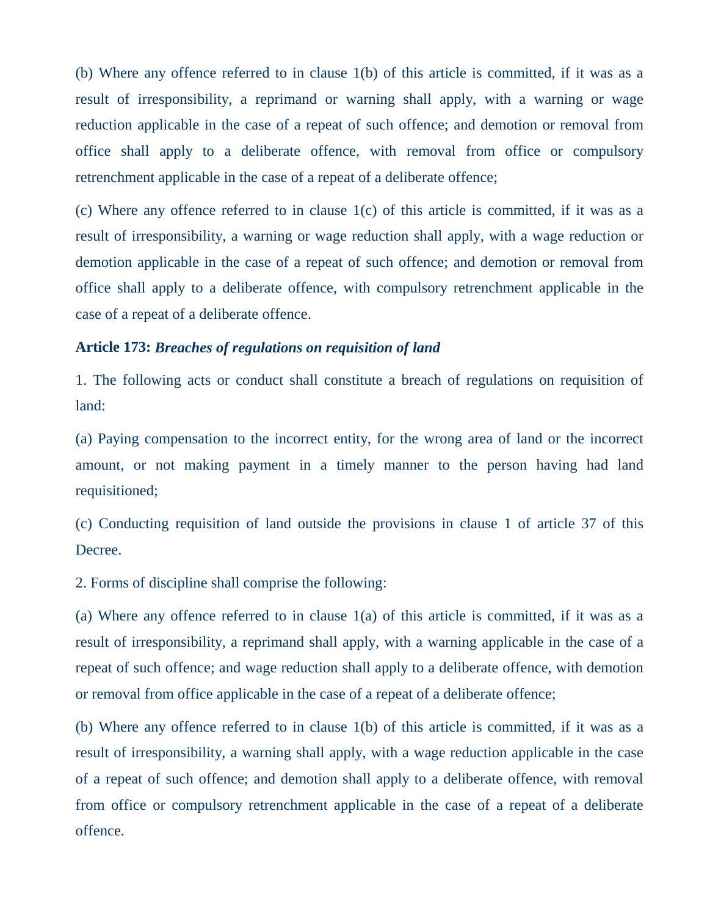(b) Where any offence referred to in clause 1(b) of this article is committed, if it was as a result of irresponsibility, a reprimand or warning shall apply, with a warning or wage reduction applicable in the case of a repeat of such offence; and demotion or removal from office shall apply to a deliberate offence, with removal from office or compulsory retrenchment applicable in the case of a repeat of a deliberate offence;

(c) Where any offence referred to in clause 1(c) of this article is committed, if it was as a result of irresponsibility, a warning or wage reduction shall apply, with a wage reduction or demotion applicable in the case of a repeat of such offence; and demotion or removal from office shall apply to a deliberate offence, with compulsory retrenchment applicable in the case of a repeat of a deliberate offence.

### **Article 173:** *Breaches of regulations on requisition of land*

1. The following acts or conduct shall constitute a breach of regulations on requisition of land:

(a) Paying compensation to the incorrect entity, for the wrong area of land or the incorrect amount, or not making payment in a timely manner to the person having had land requisitioned;

(c) Conducting requisition of land outside the provisions in clause 1 of article 37 of this Decree.

2. Forms of discipline shall comprise the following:

(a) Where any offence referred to in clause 1(a) of this article is committed, if it was as a result of irresponsibility, a reprimand shall apply, with a warning applicable in the case of a repeat of such offence; and wage reduction shall apply to a deliberate offence, with demotion or removal from office applicable in the case of a repeat of a deliberate offence;

(b) Where any offence referred to in clause 1(b) of this article is committed, if it was as a result of irresponsibility, a warning shall apply, with a wage reduction applicable in the case of a repeat of such offence; and demotion shall apply to a deliberate offence, with removal from office or compulsory retrenchment applicable in the case of a repeat of a deliberate offence.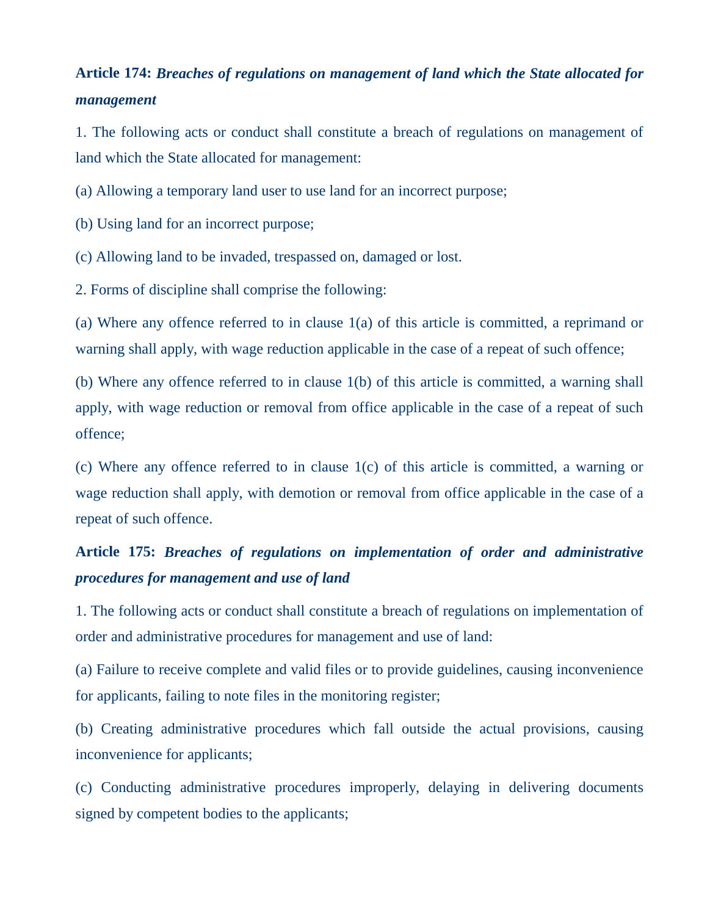## **Article 174:** *Breaches of regulations on management of land which the State allocated for management*

1. The following acts or conduct shall constitute a breach of regulations on management of land which the State allocated for management:

(a) Allowing a temporary land user to use land for an incorrect purpose;

(b) Using land for an incorrect purpose;

(c) Allowing land to be invaded, trespassed on, damaged or lost.

2. Forms of discipline shall comprise the following:

(a) Where any offence referred to in clause 1(a) of this article is committed, a reprimand or warning shall apply, with wage reduction applicable in the case of a repeat of such offence;

(b) Where any offence referred to in clause 1(b) of this article is committed, a warning shall apply, with wage reduction or removal from office applicable in the case of a repeat of such offence;

(c) Where any offence referred to in clause 1(c) of this article is committed, a warning or wage reduction shall apply, with demotion or removal from office applicable in the case of a repeat of such offence.

## **Article 175:** *Breaches of regulations on implementation of order and administrative procedures for management and use of land*

1. The following acts or conduct shall constitute a breach of regulations on implementation of order and administrative procedures for management and use of land:

(a) Failure to receive complete and valid files or to provide guidelines, causing inconvenience for applicants, failing to note files in the monitoring register;

(b) Creating administrative procedures which fall outside the actual provisions, causing inconvenience for applicants;

(c) Conducting administrative procedures improperly, delaying in delivering documents signed by competent bodies to the applicants;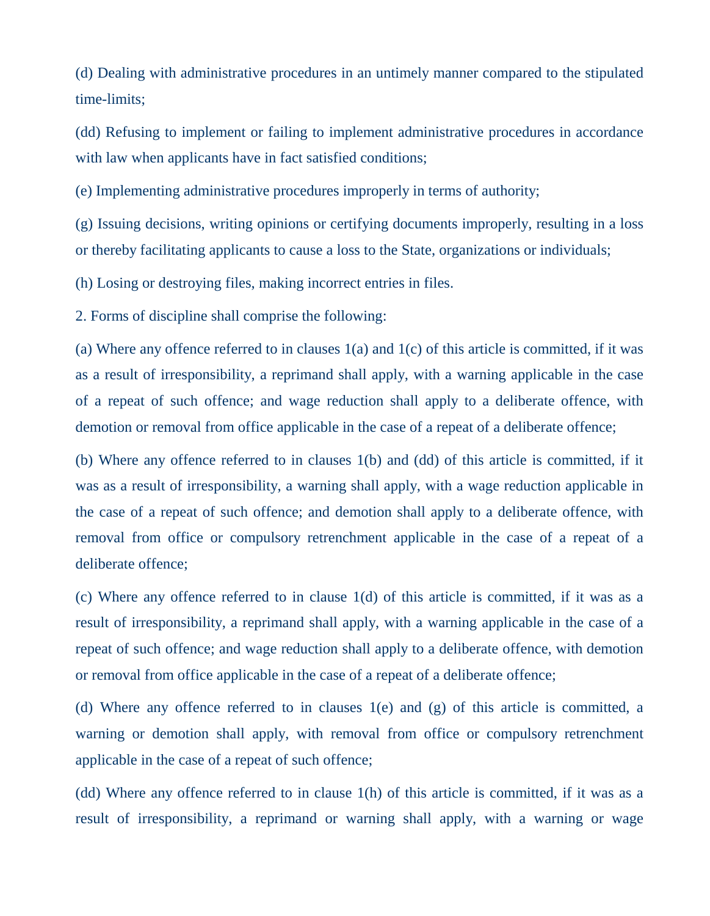(d) Dealing with administrative procedures in an untimely manner compared to the stipulated time-limits;

(dd) Refusing to implement or failing to implement administrative procedures in accordance with law when applicants have in fact satisfied conditions;

(e) Implementing administrative procedures improperly in terms of authority;

(g) Issuing decisions, writing opinions or certifying documents improperly, resulting in a loss or thereby facilitating applicants to cause a loss to the State, organizations or individuals;

(h) Losing or destroying files, making incorrect entries in files.

2. Forms of discipline shall comprise the following:

(a) Where any offence referred to in clauses 1(a) and 1(c) of this article is committed, if it was as a result of irresponsibility, a reprimand shall apply, with a warning applicable in the case of a repeat of such offence; and wage reduction shall apply to a deliberate offence, with demotion or removal from office applicable in the case of a repeat of a deliberate offence;

(b) Where any offence referred to in clauses 1(b) and (dd) of this article is committed, if it was as a result of irresponsibility, a warning shall apply, with a wage reduction applicable in the case of a repeat of such offence; and demotion shall apply to a deliberate offence, with removal from office or compulsory retrenchment applicable in the case of a repeat of a deliberate offence;

(c) Where any offence referred to in clause 1(d) of this article is committed, if it was as a result of irresponsibility, a reprimand shall apply, with a warning applicable in the case of a repeat of such offence; and wage reduction shall apply to a deliberate offence, with demotion or removal from office applicable in the case of a repeat of a deliberate offence;

(d) Where any offence referred to in clauses 1(e) and (g) of this article is committed, a warning or demotion shall apply, with removal from office or compulsory retrenchment applicable in the case of a repeat of such offence;

(dd) Where any offence referred to in clause 1(h) of this article is committed, if it was as a result of irresponsibility, a reprimand or warning shall apply, with a warning or wage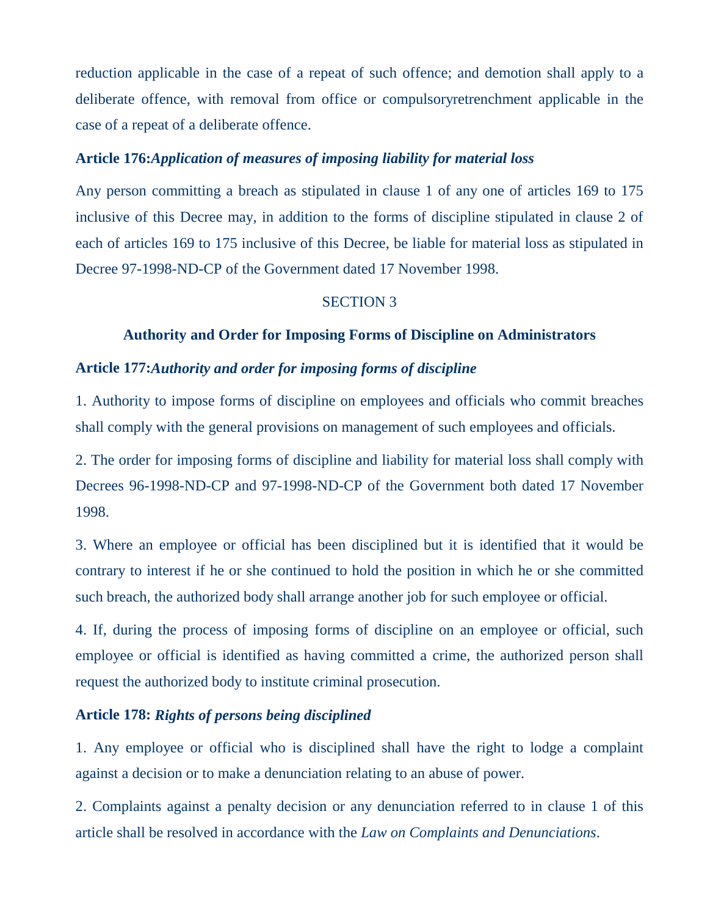reduction applicable in the case of a repeat of such offence; and demotion shall apply to a deliberate offence, with removal from office or compulsoryretrenchment applicable in the case of a repeat of a deliberate offence.

## **Article 176:***Application of measures of imposing liability for material loss*

Any person committing a breach as stipulated in clause 1 of any one of articles 169 to 175 inclusive of this Decree may, in addition to the forms of discipline stipulated in clause 2 of each of articles 169 to 175 inclusive of this Decree, be liable for material loss as stipulated in Decree 97-1998-ND-CP of the Government dated 17 November 1998.

### SECTION 3

### **Authority and Order for Imposing Forms of Discipline on Administrators**

### **Article 177:***Authority and order for imposing forms of discipline*

1. Authority to impose forms of discipline on employees and officials who commit breaches shall comply with the general provisions on management of such employees and officials.

2. The order for imposing forms of discipline and liability for material loss shall comply with Decrees 96-1998-ND-CP and 97-1998-ND-CP of the Government both dated 17 November 1998.

3. Where an employee or official has been disciplined but it is identified that it would be contrary to interest if he or she continued to hold the position in which he or she committed such breach, the authorized body shall arrange another job for such employee or official.

4. If, during the process of imposing forms of discipline on an employee or official, such employee or official is identified as having committed a crime, the authorized person shall request the authorized body to institute criminal prosecution.

### **Article 178:** *Rights of persons being disciplined*

1. Any employee or official who is disciplined shall have the right to lodge a complaint against a decision or to make a denunciation relating to an abuse of power.

2. Complaints against a penalty decision or any denunciation referred to in clause 1 of this article shall be resolved in accordance with the *Law on Complaints and Denunciations*.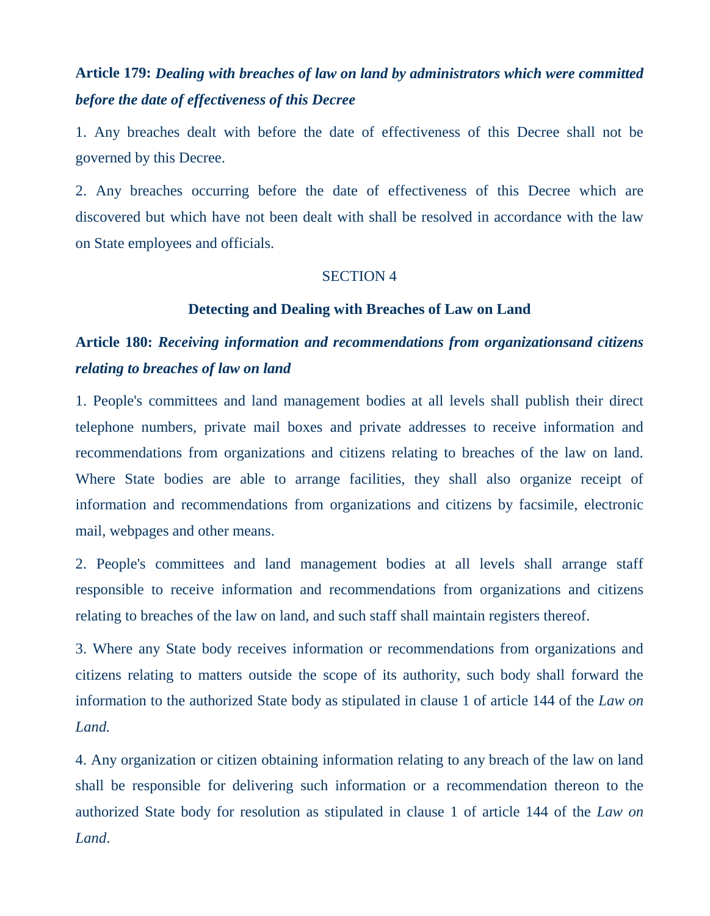## **Article 179:** *Dealing with breaches of law on land by administrators which were committed before the date of effectiveness of this Decree*

1. Any breaches dealt with before the date of effectiveness of this Decree shall not be governed by this Decree.

2. Any breaches occurring before the date of effectiveness of this Decree which are discovered but which have not been dealt with shall be resolved in accordance with the law on State employees and officials.

### SECTION 4

### **Detecting and Dealing with Breaches of Law on Land**

## **Article 180:** *Receiving information and recommendations from organizationsand citizens relating to breaches of law on land*

1. People's committees and land management bodies at all levels shall publish their direct telephone numbers, private mail boxes and private addresses to receive information and recommendations from organizations and citizens relating to breaches of the law on land. Where State bodies are able to arrange facilities, they shall also organize receipt of information and recommendations from organizations and citizens by facsimile, electronic mail, webpages and other means.

2. People's committees and land management bodies at all levels shall arrange staff responsible to receive information and recommendations from organizations and citizens relating to breaches of the law on land, and such staff shall maintain registers thereof.

3. Where any State body receives information or recommendations from organizations and citizens relating to matters outside the scope of its authority, such body shall forward the information to the authorized State body as stipulated in clause 1 of article 144 of the *Law on Land.*

4. Any organization or citizen obtaining information relating to any breach of the law on land shall be responsible for delivering such information or a recommendation thereon to the authorized State body for resolution as stipulated in clause 1 of article 144 of the *Law on Land*.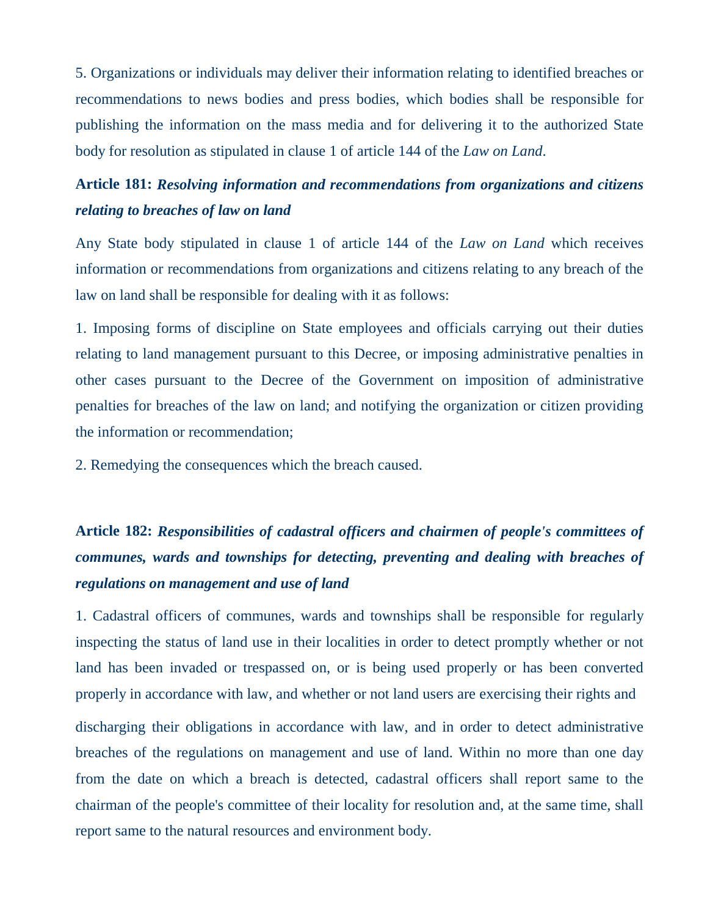5. Organizations or individuals may deliver their information relating to identified breaches or recommendations to news bodies and press bodies, which bodies shall be responsible for publishing the information on the mass media and for delivering it to the authorized State body for resolution as stipulated in clause 1 of article 144 of the *Law on Land*.

## **Article 181:** *Resolving information and recommendations from organizations and citizens relating to breaches of law on land*

Any State body stipulated in clause 1 of article 144 of the *Law on Land* which receives information or recommendations from organizations and citizens relating to any breach of the law on land shall be responsible for dealing with it as follows:

1. Imposing forms of discipline on State employees and officials carrying out their duties relating to land management pursuant to this Decree, or imposing administrative penalties in other cases pursuant to the Decree of the Government on imposition of administrative penalties for breaches of the law on land; and notifying the organization or citizen providing the information or recommendation;

2. Remedying the consequences which the breach caused.

# **Article 182:** *Responsibilities of cadastral officers and chairmen of people's committees of communes, wards and townships for detecting, preventing and dealing with breaches of regulations on management and use of land*

1. Cadastral officers of communes, wards and townships shall be responsible for regularly inspecting the status of land use in their localities in order to detect promptly whether or not land has been invaded or trespassed on, or is being used properly or has been converted properly in accordance with law, and whether or not land users are exercising their rights and

discharging their obligations in accordance with law, and in order to detect administrative breaches of the regulations on management and use of land. Within no more than one day from the date on which a breach is detected, cadastral officers shall report same to the chairman of the people's committee of their locality for resolution and, at the same time, shall report same to the natural resources and environment body.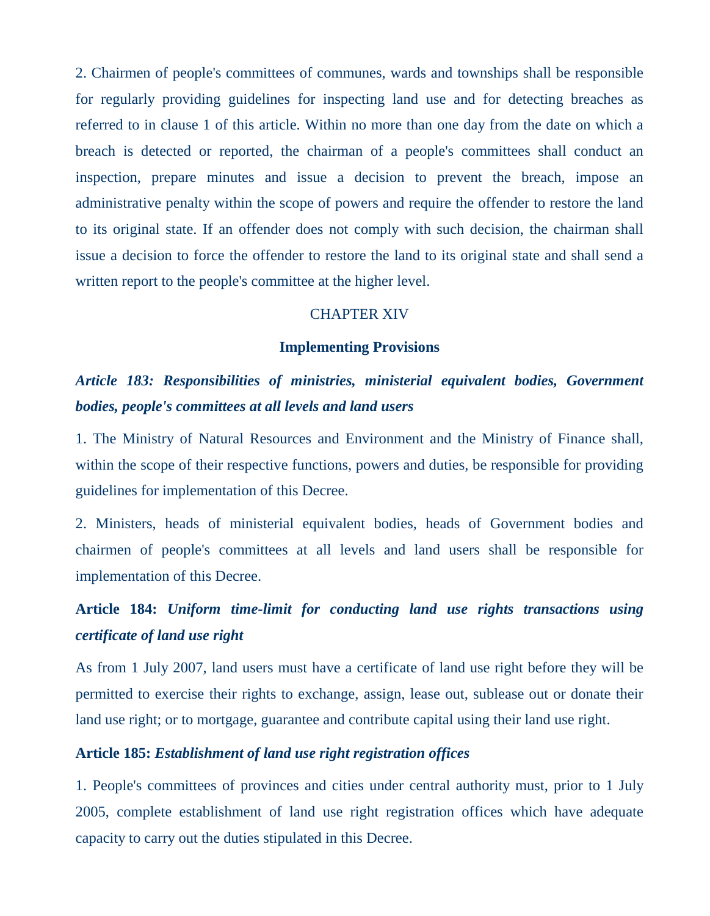2. Chairmen of people's committees of communes, wards and townships shall be responsible for regularly providing guidelines for inspecting land use and for detecting breaches as referred to in clause 1 of this article. Within no more than one day from the date on which a breach is detected or reported, the chairman of a people's committees shall conduct an inspection, prepare minutes and issue a decision to prevent the breach, impose an administrative penalty within the scope of powers and require the offender to restore the land to its original state. If an offender does not comply with such decision, the chairman shall issue a decision to force the offender to restore the land to its original state and shall send a written report to the people's committee at the higher level.

### CHAPTER XIV

#### **Implementing Provisions**

## *Article 183: Responsibilities of ministries, ministerial equivalent bodies, Government bodies, people's committees at all levels and land users*

1. The Ministry of Natural Resources and Environment and the Ministry of Finance shall, within the scope of their respective functions, powers and duties, be responsible for providing guidelines for implementation of this Decree.

2. Ministers, heads of ministerial equivalent bodies, heads of Government bodies and chairmen of people's committees at all levels and land users shall be responsible for implementation of this Decree.

# **Article 184:** *Uniform time-limit for conducting land use rights transactions using certificate of land use right*

As from 1 July 2007, land users must have a certificate of land use right before they will be permitted to exercise their rights to exchange, assign, lease out, sublease out or donate their land use right; or to mortgage, guarantee and contribute capital using their land use right.

### **Article 185:** *Establishment of land use right registration offices*

1. People's committees of provinces and cities under central authority must, prior to 1 July 2005, complete establishment of land use right registration offices which have adequate capacity to carry out the duties stipulated in this Decree.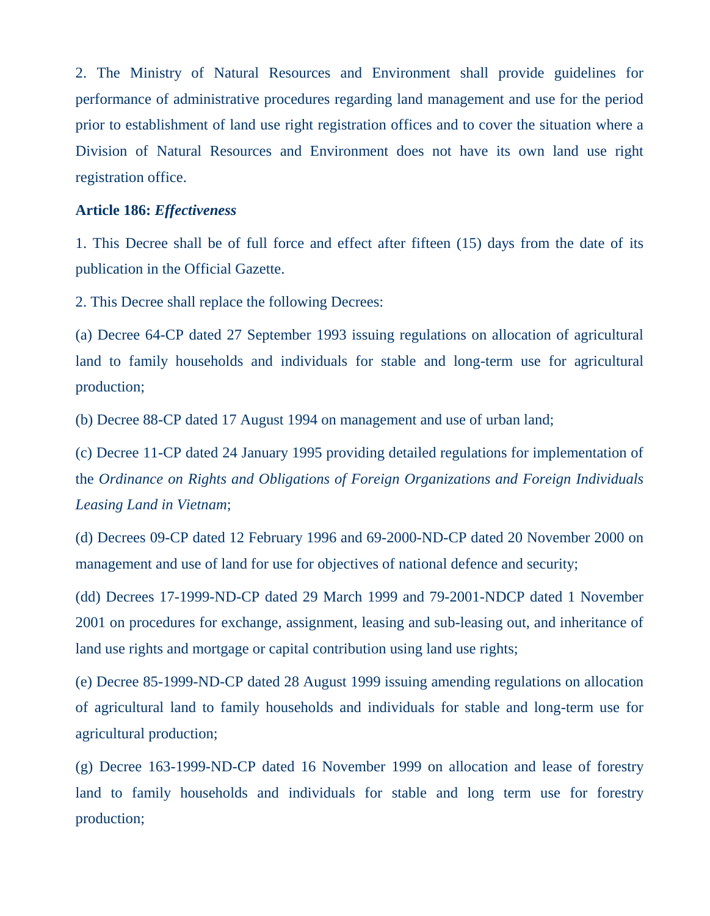2. The Ministry of Natural Resources and Environment shall provide guidelines for performance of administrative procedures regarding land management and use for the period prior to establishment of land use right registration offices and to cover the situation where a Division of Natural Resources and Environment does not have its own land use right registration office.

#### **Article 186:** *Effectiveness*

1. This Decree shall be of full force and effect after fifteen (15) days from the date of its publication in the Official Gazette.

2. This Decree shall replace the following Decrees:

(a) Decree 64-CP dated 27 September 1993 issuing regulations on allocation of agricultural land to family households and individuals for stable and long-term use for agricultural production;

(b) Decree 88-CP dated 17 August 1994 on management and use of urban land;

(c) Decree 11-CP dated 24 January 1995 providing detailed regulations for implementation of the *Ordinance on Rights and Obligations of Foreign Organizations and Foreign Individuals Leasing Land in Vietnam*;

(d) Decrees 09-CP dated 12 February 1996 and 69-2000-ND-CP dated 20 November 2000 on management and use of land for use for objectives of national defence and security;

(dd) Decrees 17-1999-ND-CP dated 29 March 1999 and 79-2001-NDCP dated 1 November 2001 on procedures for exchange, assignment, leasing and sub-leasing out, and inheritance of land use rights and mortgage or capital contribution using land use rights;

(e) Decree 85-1999-ND-CP dated 28 August 1999 issuing amending regulations on allocation of agricultural land to family households and individuals for stable and long-term use for agricultural production;

(g) Decree 163-1999-ND-CP dated 16 November 1999 on allocation and lease of forestry land to family households and individuals for stable and long term use for forestry production;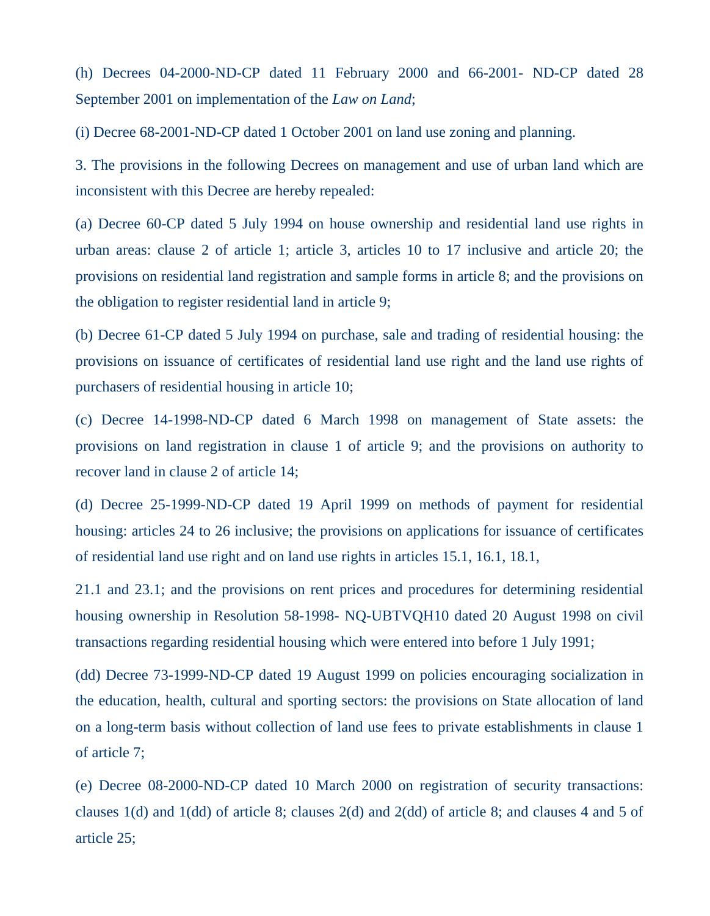(h) Decrees 04-2000-ND-CP dated 11 February 2000 and 66-2001- ND-CP dated 28 September 2001 on implementation of the *Law on Land*;

(i) Decree 68-2001-ND-CP dated 1 October 2001 on land use zoning and planning.

3. The provisions in the following Decrees on management and use of urban land which are inconsistent with this Decree are hereby repealed:

(a) Decree 60-CP dated 5 July 1994 on house ownership and residential land use rights in urban areas: clause 2 of article 1; article 3, articles 10 to 17 inclusive and article 20; the provisions on residential land registration and sample forms in article 8; and the provisions on the obligation to register residential land in article 9;

(b) Decree 61-CP dated 5 July 1994 on purchase, sale and trading of residential housing: the provisions on issuance of certificates of residential land use right and the land use rights of purchasers of residential housing in article 10;

(c) Decree 14-1998-ND-CP dated 6 March 1998 on management of State assets: the provisions on land registration in clause 1 of article 9; and the provisions on authority to recover land in clause 2 of article 14;

(d) Decree 25-1999-ND-CP dated 19 April 1999 on methods of payment for residential housing: articles 24 to 26 inclusive; the provisions on applications for issuance of certificates of residential land use right and on land use rights in articles 15.1, 16.1, 18.1,

21.1 and 23.1; and the provisions on rent prices and procedures for determining residential housing ownership in Resolution 58-1998- NQ-UBTVQH10 dated 20 August 1998 on civil transactions regarding residential housing which were entered into before 1 July 1991;

(dd) Decree 73-1999-ND-CP dated 19 August 1999 on policies encouraging socialization in the education, health, cultural and sporting sectors: the provisions on State allocation of land on a long-term basis without collection of land use fees to private establishments in clause 1 of article 7;

(e) Decree 08-2000-ND-CP dated 10 March 2000 on registration of security transactions: clauses 1(d) and 1(dd) of article 8; clauses 2(d) and 2(dd) of article 8; and clauses 4 and 5 of article 25;